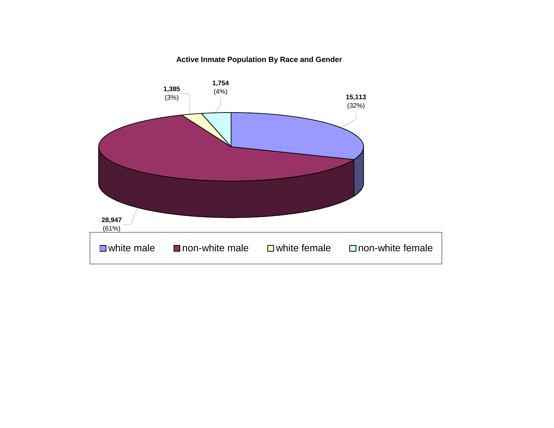#### **Active Inmate Population By Race and Gender**

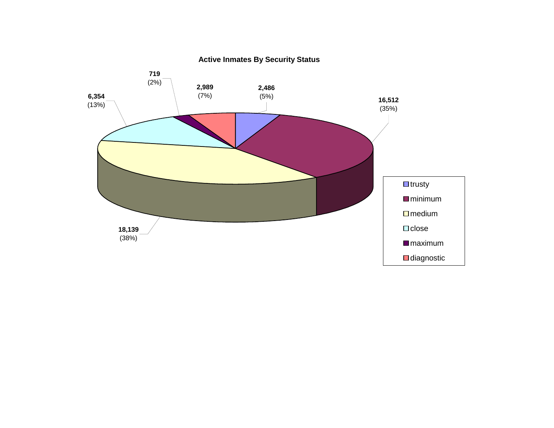

**Active Inmates By Security Status**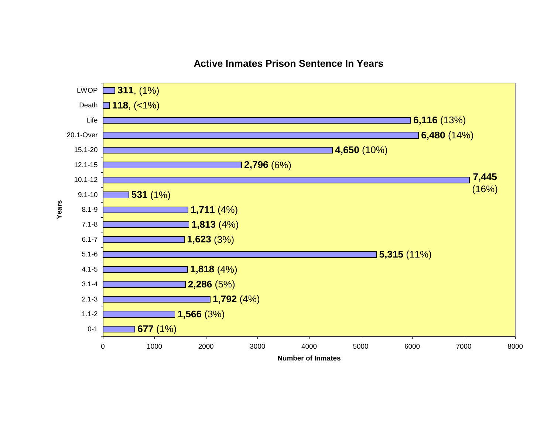#### **Active Inmates Prison Sentence In Years**

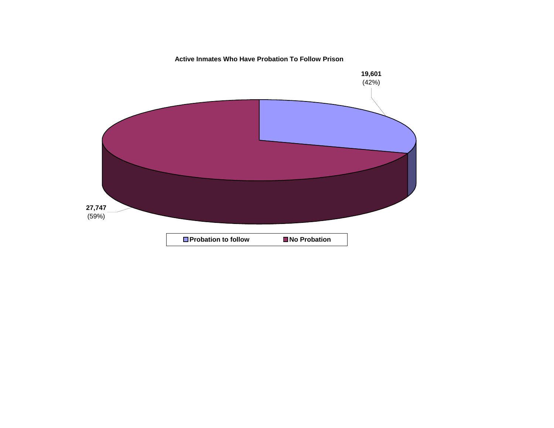**Active Inmates Who Have Probation To Follow Prison**

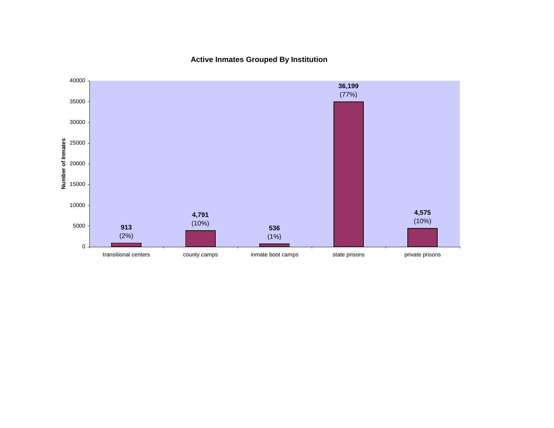**Active Inmates Grouped By Institution**

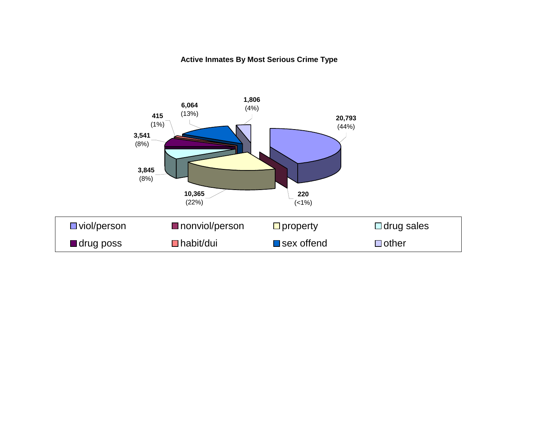#### **Active Inmates By Most Serious Crime Type**

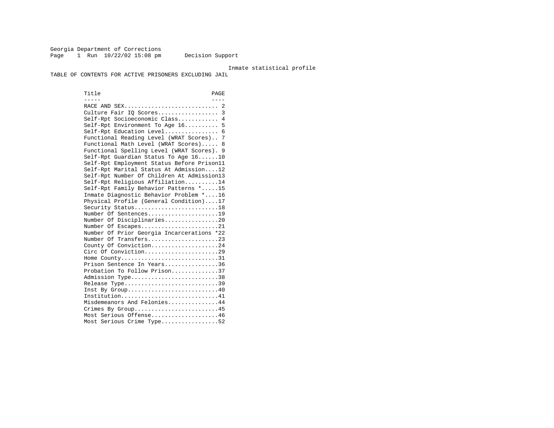Georgia Department of Corrections Page 1 Run  $10/22/02$  15:08 pm Decision Support

#### Inmate statistical profile

TABLE OF CONTENTS FOR ACTIVE PRISONERS EXCLUDING JAIL

Title PAGE ----- ----RACE AND SEX................................. 2 Culture Fair IQ Scores.................. 3 Self-Rpt Socioeconomic Class............ 4 Self-Rpt Environment To Age 16.......... 5 Self-Rpt Education Level................ 6 Functional Reading Level (WRAT Scores).. 7 Functional Math Level (WRAT Scores)..... 8 Functional Spelling Level (WRAT Scores). 9 Self-Rpt Guardian Status To Age 16......10 Self-Rpt Employment Status Before Prison11 Self-Rpt Marital Status At Admission....12 Self-Rpt Number Of Children At Admission13 Self-Rpt Religious Affiliation..........14 Self-Rpt Family Behavior Patterns \*.....15 Inmate Diagnostic Behavior Problem \*....16 Physical Profile (General Condition)....17 Security Status...........................18 Number Of Sentences.....................19 Number Of Disciplinaries................20 Number Of Escapes........................21 Number Of Prior Georgia Incarcerations \*22 Number Of Transfers.....................23 County Of Conviction....................24 Circ Of Conviction......................29 Home County................................31 Prison Sentence In Years................36 Probation To Follow Prison..............37Admission Type.............................38 Release Type...............................39 Inst By Group.............................40 Institution...............................41 Misdemeanors And Felonies...............44 Crimes By Group...........................45 Most Serious Offense....................46 Most Serious Crime Type.................52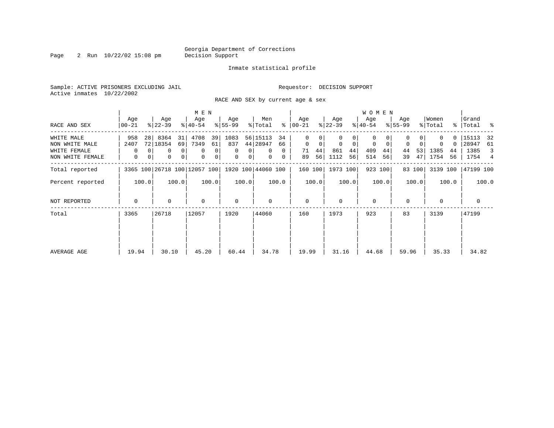Page 2 Run 10/22/02 15:08 pm

#### Inmate statistical profile

Sample: ACTIVE PRISONERS EXCLUDING JAIL **Requestor: DECISION SUPPORT** Active inmates 10/22/2002

RACE AND SEX by current age & sex

|                                              |                   |                                                                          | M E N                              |                                              |                                                              |                                    |                                              | <b>WOMEN</b>                                  |                      |                                    |                                         |
|----------------------------------------------|-------------------|--------------------------------------------------------------------------|------------------------------------|----------------------------------------------|--------------------------------------------------------------|------------------------------------|----------------------------------------------|-----------------------------------------------|----------------------|------------------------------------|-----------------------------------------|
| RACE AND SEX                                 | Age<br>$00 - 21$  | Age<br>$ 22-39 $                                                         | Age<br>$ 40-54 $                   | Age<br>$ 55-99 $                             | Men<br>ွေ<br>% Total                                         | Age<br>$ 00-21 $                   | Age<br>$ 22-39 $                             | Age<br>$ 40-54 $                              | Age<br>$8 55-99$     | Women<br>% Total                   | Grand<br>%   Total %                    |
| WHITE MALE<br>NON WHITE MALE<br>WHITE FEMALE | 958<br>2407<br>0  | 8364<br>31<br>28 <sub>1</sub><br>72   18354<br>69<br>0<br>$\overline{0}$ | 4708<br>39<br>7349<br>61<br>0<br>0 | 1083<br>837<br>$\mathbf 0$<br>$\overline{0}$ | 56 15113<br>34<br>44 28947<br>66<br>$\mathbf{0}$<br>$\Omega$ | 0<br>$\mathbf{0}$<br>0<br>44<br>71 | 0<br>$\overline{0}$<br>$\Omega$<br>861<br>44 | 0<br>$\mathbf{0}$<br>$\mathbf 0$<br>409<br>44 | $\Omega$<br>44<br>53 | $\Omega$<br>$\Omega$<br>1385<br>44 | 15113<br>32<br>28947<br>61<br>1385<br>3 |
| NON WHITE FEMALE<br>Total reported           | 0                 | 0<br> 0 <br>0<br>3365 100 26718 100 12057 100 1920 100 44060 100         | 0<br>$\overline{0}$                | 0<br>0 <sup>1</sup>                          | $\mathbf{0}$<br>0                                            | 56<br>89<br>160 100                | 1112<br>56<br>1973 100                       | 514<br>56<br>923 100                          | 47<br>39<br>83 100   | 1754<br>56<br>3139 100             | 1754 4<br>47199 100                     |
| Percent reported<br>NOT REPORTED             | 100.0<br>$\Omega$ | 100.0<br>0                                                               | 100.0<br>$\mathbf 0$               | 100.0<br>$\mathbf 0$                         | 100.0<br>$\Omega$                                            | 100.0<br>$\mathbf{0}$              | 100.0<br>$\Omega$                            | 100.0<br>$\mathbf 0$                          | 100.0<br>$\mathbf 0$ | 100.0<br>$\mathbf 0$               | 100.0<br>0                              |
| Total                                        | 3365              | 26718                                                                    | 12057                              | 1920                                         | 44060                                                        | 160                                | 1973                                         | 923                                           | 83                   | 3139                               | 47199                                   |
| AVERAGE AGE                                  | 19.94             | 30.10                                                                    | 45.20                              | 60.44                                        | 34.78                                                        | 19.99                              | 31.16                                        | 44.68                                         | 59.96                | 35.33                              | 34.82                                   |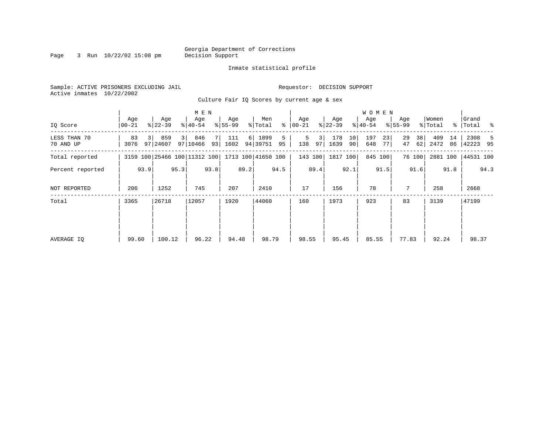Page 3 Run  $10/22/02$  15:08 pm Decision Support

#### Inmate statistical profile

Sample: ACTIVE PRISONERS EXCLUDING JAIL **Requestor: DECISION SUPPORT** Active inmates 10/22/2002 Culture Fair IQ Scores by current age & sex

| M E N | W O M E N | Age | Age | Age | Age | Men | Age | Age | Age | Age |Women |Grand IQ Score |00-21 %|22-39 %|40-54 %|55-99 %|Total % |00-21 %|22-39 %|40-54 %|55-99 %|Total % |Total % ------------------------------------------------------------------------------------------------------------------------------------LESS THAN 70 | 83 3| 859 3| 846 7| 111 6| 1899 5 | 5 3| 178 10| 197 23| 29 38| 409 14 | 2308 5 70 AND UP | 3076 97|24607 97|10466 93| 1602 94|39751 95 | 138 97| 1639 90| 648 77| 47 62| 2472 86 |42223 95 ------------------------------------------------------------------------------------------------------------------------------------Total reported | 3159 100|25466 100|11312 100| 1713 100|41650 100 | 143 100| 1817 100| 845 100| 76 100| 2881 100 |44531 100 | | | | | | | | | | | Percent reported | 93.9| 95.3| 93.8| 89.2| 94.5 | 89.4| 92.1| 91.5| 91.6| 91.8 | 94.3 | | | | | | | | | | | | | | | | | | | | | | NOT REPORTED | 206 | 1252 | 745 | 207 | 2410 | 17 | 156 | 78 | 7 | 258 | 2668 ------------------------------------------------------------------------------------------------------------------------------------Total | 3365 |26718 |12057 | 1920 |44060 | 160 | 1973 | 923 | 83 | 3139 |47199 | | | | | | | | | | | | | | | | | | | | | | | | | | | | | | | | | | | | | | | | | | | | | | | | | | | | | | | AVERAGE IQ | 99.60 | 100.12 | 96.22 | 94.48 | 98.79 | 98.55 | 95.45 | 85.55 | 77.83 | 92.24 | 98.37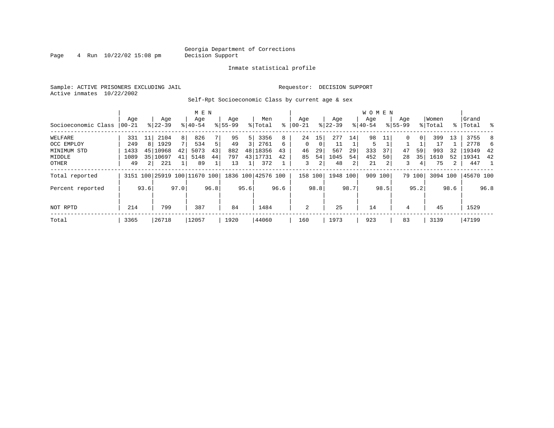Page  $4$  Run  $10/22/02$  15:08 pm

#### Inmate statistical profile

Sample: ACTIVE PRISONERS EXCLUDING JAIL **Requestor: DECISION SUPPORT** Active inmates 10/22/2002

Self-Rpt Socioeconomic Class by current age & sex

|                     |          |                |           |                | M E N                        |      |             |      |                    |      |           |               |           |      | <b>WOMEN</b> |      |             |          |          |                |           |      |
|---------------------|----------|----------------|-----------|----------------|------------------------------|------|-------------|------|--------------------|------|-----------|---------------|-----------|------|--------------|------|-------------|----------|----------|----------------|-----------|------|
|                     | Aqe      |                | Age       |                | Age                          |      | Age         |      | Men                |      | Age       |               | Age       |      | Aqe          |      | Age         |          | Women    |                | Grand     |      |
| Socioeconomic Class | $ 00-21$ |                | $8 22-39$ |                | $8 40-54$                    |      | $8155 - 99$ |      | % Total            | နွ   | $00 - 21$ | $\frac{1}{6}$ | $22 - 39$ |      | $8 40-54$    |      | $8155 - 99$ |          | % Total  |                | %   Total | း    |
| WELFARE             | 331      |                | 2104      | 8              | 826                          |      | 95          | 5    | 3356               | 8    | 24        | 15            | 277       | 14   | 98           | 11   | $\Omega$    | $\Omega$ | 399      | 13             | 3755      | 8    |
| OCC EMPLOY          | 249      | 8              | 1929      | 7 <sub>1</sub> | 534                          | 5    | 49          | 3    | 2761               | 6    | $\Omega$  | 0             | 11        |      | 5            |      |             |          | 17       |                | 2778      | 6    |
| MINIMUM STD         | 1433     | 45             | 10968     | 42             | 5073                         | 43   | 882         |      | 48 18356           | 43   | 46        | 29            | 567       | 29   | 333          | 37   | 47          | 59       | 993      | 32             | 19349     | 42   |
| MIDDLE              | 1089     | 35             | 10697     | 41             | 5148                         | 44   | 797         |      | 43 17731           | 42   | 85        | 54            | 1045      | 54   | 452          | 50   | 28          | 35       | 1610     | 52             | 19341     | 42   |
| OTHER               | 49       | 2 <sup>1</sup> | 221       |                | 89                           |      | 13          |      | 372                |      | 3         | 2             | 48        | 2    | 21           | 2    | 3           | 4        | 75       | $\overline{a}$ | 447       | -1   |
| Total reported      |          |                |           |                | 3151 100 25919 100 11670 100 |      |             |      | 1836 100 42576 100 |      | 158 100   |               | 1948 100  |      | 909          | 100  |             | 79 100   | 3094 100 |                | 45670 100 |      |
| Percent reported    |          | 93.6           |           | 97.0           |                              | 96.8 |             | 95.6 |                    | 96.6 |           | 98.8          |           | 98.7 |              | 98.5 |             | 95.2     |          | 98.6           |           | 96.8 |
| NOT RPTD            | 214      |                | 799       |                | 387                          |      | 84          |      | 1484               |      | 2         |               | 25        |      | 14           |      | 4           |          | 45       |                | 1529      |      |
| Total               | 3365     |                | 26718     |                | 12057                        |      | 1920        |      | 44060              |      | 160       |               | 1973      |      | 923          |      | 83          |          | 3139     |                | 47199     |      |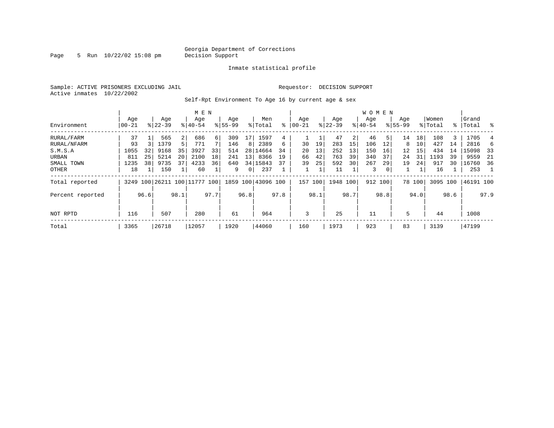Page 5 Run  $10/22/02$  15:08 pm

#### Inmate statistical profile

Sample: ACTIVE PRISONERS EXCLUDING JAIL **Requestor: DECISION SUPPORT** Active inmates 10/22/2002

Self-Rpt Environment To Age 16 by current age & sex

|                  |                  |      |                  |                | M E N                        |      |                    |                 |                    |      |                  |      |                  |      | <b>WOMEN</b>     |      |                    |        |                  |      |                 |      |
|------------------|------------------|------|------------------|----------------|------------------------------|------|--------------------|-----------------|--------------------|------|------------------|------|------------------|------|------------------|------|--------------------|--------|------------------|------|-----------------|------|
| Environment      | Age<br>$00 - 21$ |      | Age<br>$8 22-39$ |                | Age<br>$8140 - 54$           |      | Age<br>$8155 - 99$ |                 | Men<br>% Total     | ⊱    | Age<br>$00 - 21$ |      | Age<br>$ 22-39 $ |      | Age<br>$8 40-54$ |      | Age<br>$8155 - 99$ |        | Women<br>% Total | ႜၟ   | Grand<br> Total | ွေ   |
| RURAL/FARM       | 37               |      | 565              | $\overline{2}$ | 686                          | 6    | 309                | 17              | 1597               | 4    |                  |      | 47               | 2    | 46               | 5    | 14                 | 18     | 108              | 3.   | 1705            |      |
| RURAL/NFARM      | 93               |      | 1379             | 5              | 771                          |      | 146                | 8               | 2389               | 6    | 30               | 19   | 283              | 15   | 106              | 12   | 8                  | 10     | 427              | 14   | 2816            | 6    |
| S.M.S.A          | 1055             | 32   | 9168             | 35             | 3927                         | 33   | 514                |                 | 28 14664           | 34   | 20               | 13   | 252              | 13   | 150              | 16   | 12                 | 15     | 434              | 14   | 15098           | 33   |
| URBAN            | 811              | 25   | 5214             | 20             | 2100                         | 18   | 241                | 13 <sup>1</sup> | 8366               | 19   | 66               | 42   | 763              | 39   | 340              | 37   | 24                 | 31     | 1193             | 39   | 9559            | -21  |
| SMALL TOWN       | 1235             | 38   | 9735             | 37             | 4233                         | 36   | 640                |                 | 34   15843         | 37   | 39               | 25   | 592              | 30   | 267              | 29   | 19                 | 24     | 917              | 30   | 16760           | 36   |
| OTHER            | 18               |      | 150              |                | 60                           |      | 9                  | 0 <sup>1</sup>  | 237                |      |                  |      | 11               |      | 3                | 0    |                    |        | 16               |      | 253             |      |
| Total reported   |                  |      |                  |                | 3249 100 26211 100 11777 100 |      |                    |                 | 1859 100 43096 100 |      | 157              | 100  | 1948 100         |      | 912 100          |      |                    | 78 100 | 3095 100         |      | 46191 100       |      |
| Percent reported |                  | 96.6 |                  | 98.1           |                              | 97.7 |                    | 96.8            |                    | 97.8 |                  | 98.1 |                  | 98.7 |                  | 98.8 |                    | 94.0   |                  | 98.6 |                 | 97.9 |
| NOT RPTD         | 116              |      | 507              |                | 280                          |      | 61                 |                 | 964                |      | 3                |      | 25               |      | 11               |      | 5                  |        | 44               |      | 1008            |      |
| Total            | 3365             |      | 26718            |                | 12057                        |      | 1920               |                 | 44060              |      | 160              |      | 1973             |      | 923              |      | 83                 |        | 3139             |      | 47199           |      |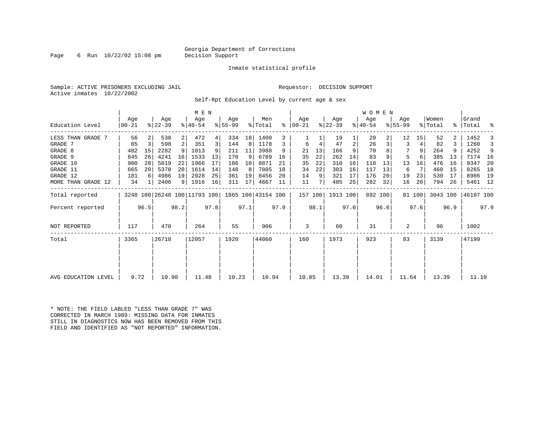### Georgia Department of Corrections<br>Decision Support

Page 6 Run  $10/22/02$  15:08 pm

#### Inmate statistical profile

Sample: ACTIVE PRISONERS EXCLUDING JAIL Requestor: DECISION SUPPORT Active inmates 10/22/2002

Self-Rpt Education Level by current age & sex

|                     |                  |      |                              |                 | M E N              |      |                 |      |                    |      |                 |      |                  |      | WOMEN            |      |                    |        |                  |      |                    |      |
|---------------------|------------------|------|------------------------------|-----------------|--------------------|------|-----------------|------|--------------------|------|-----------------|------|------------------|------|------------------|------|--------------------|--------|------------------|------|--------------------|------|
| Education Level     | Age<br>$00 - 21$ |      | Age<br>$ 22-39 $             |                 | Age<br>$8140 - 54$ |      | Age<br>$ 55-99$ |      | Men<br>% Total     | ႜ    | Age<br>$ 00-21$ |      | Age<br>$ 22-39 $ |      | Age<br>$ 40-54 $ |      | Age<br>$8155 - 99$ |        | Women<br>% Total |      | Grand<br>%   Total | ್ಠಿ  |
| LESS THAN GRADE 7   | 56               |      | 538                          | $\overline{2}$  | 472                | 4    | 334             | 18   | 1400               |      |                 |      | 19               |      | 20               |      | 12                 | 15     | 52               |      | 1452               |      |
| GRADE 7             | 85               | 3    | 598                          | 2               | 351                | 3    | 144             | 8    | 1178               | 3    | 6               | 4    | 47               | 2    | 26               | 3    | 3                  |        | 82               | ς    | 1260               | 3    |
| GRADE 8             | 482              | 15   | 2282                         | 9               | 1013               |      | 211             | 11   | 3988               | 9    | 21              | 13   | 166              |      | 70               |      |                    | 9      | 264              |      | 4252               | 9    |
| GRADE 9             | 845              | 26   | 4241                         | 16 <sup>1</sup> | 1533               | 13   | 170             | 9    | 6789               | 16   | 35              | 22   | 262              | 14   | 83               |      | 5                  |        | 385              | 13   | 7174               | - 16 |
| GRADE 10            | 900              | 28   | 5819                         | 22              | 1966               | 17   | 186             | 10   | 8871               | 21   | 35              | 22   | 310              | 16   | 118              | 13   | 13                 | 16     | 476              | 16   | 9347               | -20  |
| GRADE 11            | 665              | 20   | 5378                         | 20 <sup>1</sup> | 1614               | 14   | 148             | 8    | 7805               | 18   | 34              | 22   | 303              | 16   | 117              | 13   | 6                  |        | 460              | 15   | 8265               | 18   |
| GRADE 12            | 181              | 6    | 4986                         | 19              | 2928               | 25   | 361             | 19   | 8456               | 20   | 14              | 9    | 321              | 17   | 176              | 20   | 19                 | 23     | 530              | 17   | 8986               | 19   |
| MORE THAN GRADE 12  | 34               |      | 2406                         |                 | 9   1916           | 16   | 311             | 17   | 4667               | 11   | 11              |      | 485              | 25   | 282              | 32   | 16                 | 20     | 794              | 26   | 5461 12            |      |
| Total reported      |                  |      | 3248 100 26248 100 11793 100 |                 |                    |      |                 |      | 1865 100 43154 100 |      | 157 100         |      | 1913 100         |      | 892 100          |      |                    | 81 100 | 3043 100         |      | 46197 100          |      |
| Percent reported    |                  | 96.5 |                              | 98.2            |                    | 97.8 |                 | 97.1 |                    | 97.9 |                 | 98.1 |                  | 97.0 |                  | 96.6 |                    | 97.6   |                  | 96.9 |                    | 97.9 |
| NOT REPORTED        | 117              |      | 470                          |                 | 264                |      | 55              |      | 906                |      | 3               |      | 60               |      | 31               |      | 2                  |        | 96               |      | 1002               |      |
| Total               | 3365             |      | 26718                        |                 | 12057              |      | 1920            |      | 44060              |      | 160             |      | 1973             |      | 923              |      | 83                 |        | 3139             |      | 47199              |      |
|                     |                  |      |                              |                 |                    |      |                 |      |                    |      |                 |      |                  |      |                  |      |                    |        |                  |      |                    |      |
| AVG EDUCATION LEVEL | 9.72             |      | 10.90                        |                 | 11.48              |      | 10.23           |      | 10.94              |      | 10.85           |      | 13.39            |      | 14.01            |      | 11.64              |        | 13.39            |      | 11.10              |      |
|                     |                  |      |                              |                 |                    |      |                 |      |                    |      |                 |      |                  |      |                  |      |                    |        |                  |      |                    |      |

\* NOTE: THE FIELD LABLED "LESS THAN GRADE 7" WAS CORRECTED IN MARCH 1989: MISSING DATA FOR INMATES STILL IN DIAGNOSTICS NOW HAS BEEN REMOVED FROM THIS FIELD AND IDENTIFIED AS "NOT REPORTED" INFORMATION.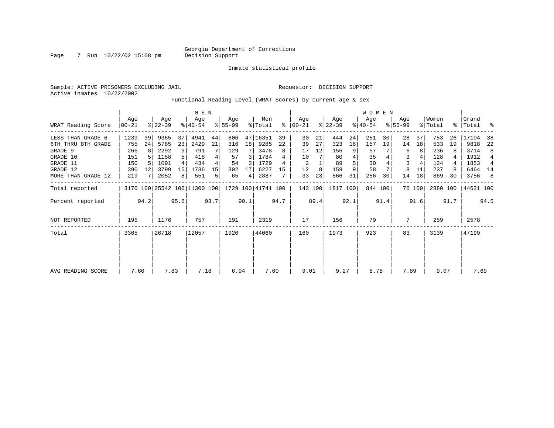Page 7 Run 10/22/02 15:08 pm

Inmate statistical profile

Sample: ACTIVE PRISONERS EXCLUDING JAIL Requestor: DECISION SUPPORT Active inmates 10/22/2002

Functional Reading Level (WRAT Scores) by current age & sex

|                    |                  |      |                              |                 | M E N            |      |                  |                 |                    |      |                  |      |                  |      | <b>WOMEN</b>     |         |                    |        |                  |             |                 |      |
|--------------------|------------------|------|------------------------------|-----------------|------------------|------|------------------|-----------------|--------------------|------|------------------|------|------------------|------|------------------|---------|--------------------|--------|------------------|-------------|-----------------|------|
| WRAT Reading Score | Age<br>$ 00-21 $ |      | Age<br>$ 22-39 $             |                 | Age<br>$ 40-54 $ |      | Aqe<br>$8 55-99$ |                 | Men<br>% Total     | ႜ    | Age<br>$00 - 21$ |      | Aqe<br>$ 22-39 $ |      | Age<br>$ 40-54 $ |         | Aqe<br>$8155 - 99$ |        | Women<br>% Total | $\approx$ 1 | Grand<br> Total | ႜ    |
| LESS THAN GRADE 6  | 1239             | 39   | 9365                         | 37              | 4941             | 44   | 806              |                 | 47 16351           | 39   | 30               | 21   | 444              | 24   | 251              | 30      | 28                 | 37     | 753              | 26          | 17104           | 38   |
| 6TH THRU 8TH GRADE | 755              | 24   | 5785                         | 23              | 2429             | 21   | 316              | 18 <sup>1</sup> | 9285               | 22   | 39               | 27   | 323              | 18   | 157              | 19      | 14                 | 18     | 533              | 19          | 9818            | 22   |
| GRADE 9            | 266              |      | 2292                         | 9               | 791              |      | 129              |                 | 3478               | 8    | 17               | 12   | 156              | 9    | 57               |         | 6                  | 8      | 236              |             | 3714            | 8    |
| GRADE 10           | 151              |      | 1158                         |                 | 418              |      | 57               | 3               | 1784               |      | 10               |      | 80               |      | 35               |         | 3                  |        | 128              |             | 1912            | 4    |
| GRADE 11           | 150              |      | 1091                         |                 | 434              |      | 54               | 3               | 1729               |      | 2                |      | 89               |      | 30               |         |                    |        | 124              |             | 1853            | 4    |
| GRADE 12           | 390              | 12   | 3799                         | 15 <sup>1</sup> | 1736             | 15   | 302              |                 | 6227               | 15   | 12               | 8    | 159              | 9    | 58               |         | 8                  | 11     | 237              |             | 6464 14         |      |
| MORE THAN GRADE 12 | 219              |      | 2052                         | 8               | 551              | 5    | 65               | $\overline{4}$  | 2887               |      | 33               | 23   | 566              | 31   | 256              | 30      | 14                 | 18     | 869              | 30          | 3756            | -8   |
| Total reported     |                  |      | 3170 100 25542 100 11300 100 |                 |                  |      |                  |                 | 1729 100 41741 100 |      | 143 100          |      | 1817 100         |      |                  | 844 100 |                    | 76 100 | 2880 100         |             | 44621 100       |      |
| Percent reported   |                  | 94.2 |                              | 95.6            |                  | 93.7 |                  | 90.1            |                    | 94.7 |                  | 89.4 |                  | 92.1 |                  | 91.4    |                    | 91.6   |                  | 91.7        |                 | 94.5 |
| NOT REPORTED       | 195              |      | 1176                         |                 | 757              |      | 191              |                 | 2319               |      | 17               |      | 156              |      | 79               |         | 7                  |        | 259              |             | 2578            |      |
| Total              | 3365             |      | 26718                        |                 | 12057            |      | 1920             |                 | 44060              |      | 160              |      | 1973             |      | 923              |         | 83                 |        | 3139             |             | 47199           |      |
|                    |                  |      |                              |                 |                  |      |                  |                 |                    |      |                  |      |                  |      |                  |         |                    |        |                  |             |                 |      |
|                    |                  |      |                              |                 |                  |      |                  |                 |                    |      |                  |      |                  |      |                  |         |                    |        |                  |             |                 |      |
| AVG READING SCORE  | 7.60             |      | 7.83                         |                 | 7.18             |      | 6.94             |                 | 7.60               |      | 9.01             |      | 9.27             |      | 8.78             |         | 7.89               |        | 9.07             |             | 7.69            |      |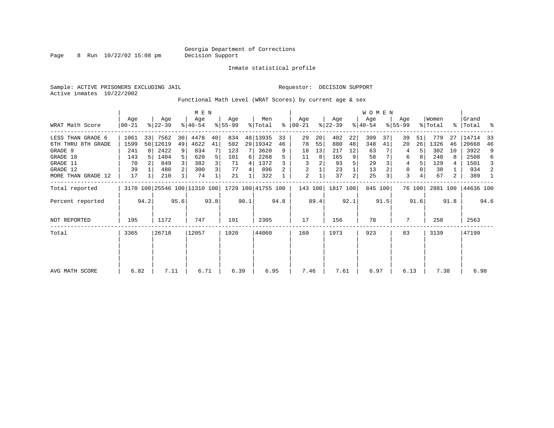Page 8 Run  $10/22/02$  15:08 pm

Inmate statistical profile

Sample: ACTIVE PRISONERS EXCLUDING JAIL **Requestor: DECISION SUPPORT** Active inmates 10/22/2002

Functional Math Level (WRAT Scores) by current age & sex

|                    |                  |      |                  |                 | M E N                        |      |                  |      |                    |      |                      |      |                  |                | W O M E N        |         |                  |        |                  |      |                      |      |
|--------------------|------------------|------|------------------|-----------------|------------------------------|------|------------------|------|--------------------|------|----------------------|------|------------------|----------------|------------------|---------|------------------|--------|------------------|------|----------------------|------|
| WRAT Math Score    | Age<br>$00 - 21$ |      | Age<br>$ 22-39 $ |                 | Age<br>$ 40-54 $             |      | Age<br>$ 55-99 $ |      | Men<br>% Total     |      | Aqe<br>$8   00 - 21$ |      | Age<br>$ 22-39 $ |                | Aqe<br>$ 40-54 $ |         | Age<br>$8 55-99$ |        | Women<br>% Total |      | Grand<br>%   Total % |      |
| LESS THAN GRADE 6  | 1061             | 33   | 7562             | 30 <sup>1</sup> | 4478                         | 40   | 834              |      | 48 13935           | 33   | 29                   | 20   | 402              | 22             | 309              | 37      | 39               | 51     | 779              | 27   | 14714                | -33  |
| 6TH THRU 8TH GRADE | 1599             |      | 50 12619         | 49              | 4622                         | 41   | 502              |      | 29   19342         | 46   | 78                   | 55   | 880              | 48             | 348              | 41      | 20               | 26     | 1326             | 46   | 20668                | 46   |
| GRADE 9            | 241              | 8    | 2422             | 9 <sup>1</sup>  | 834                          |      | 123              | 7    | 3620               | 9    | 18                   | 13   | 217              | 12             | 63               |         | 4                |        | 302              | 10   | 3922                 | 9    |
| GRADE 10           | 143              |      | 1404             | 5               | 620                          | 5    | 101              | 6    | 2268               |      | 11                   | 8    | 165              | 9              | 58               |         | 6                |        | 240              | 8    | 2508                 | 6    |
| GRADE 11           | 70               |      | 849              |                 | 382                          | 3    | 71               | 4    | 1372               |      | 3                    | 2    | 93               |                | 29               |         | 4                |        | 129              | 4    | 1501                 | 3    |
| GRADE 12           | 39               |      | 480              | 2 <sup>1</sup>  | 300                          | 3    | 77               | 4    | 896                |      | 2                    |      | 23               |                | 13               |         | 0                |        | 38               |      | 934                  | 2    |
| MORE THAN GRADE 12 | 17               |      | 210              |                 | 74                           |      | 21               |      | 322                |      | 2                    |      | 37               | $\overline{a}$ | 25               |         | 3                |        | 67               | 2    | 389                  |      |
| Total reported     |                  |      |                  |                 | 3170 100 25546 100 11310 100 |      |                  |      | 1729 100 41755 100 |      | 143 100              |      | 1817 100         |                |                  | 845 100 |                  | 76 100 |                  |      | 2881 100 44636 100   |      |
| Percent reported   |                  | 94.2 |                  | 95.6            |                              | 93.8 |                  | 90.1 |                    | 94.8 |                      | 89.4 |                  | 92.1           |                  | 91.5    |                  | 91.6   |                  | 91.8 |                      | 94.6 |
| NOT REPORTED       | 195              |      | 1172             |                 | 747                          |      | 191              |      | 2305               |      | 17                   |      | 156              |                | 78               |         | 7                |        | 258              |      | 2563                 |      |
| Total              | 3365             |      | 26718            |                 | 12057                        |      | 1920             |      | 44060              |      | 160                  |      | 1973             |                | 923              |         | 83               |        | 3139             |      | 47199                |      |
|                    |                  |      |                  |                 |                              |      |                  |      |                    |      |                      |      |                  |                |                  |         |                  |        |                  |      |                      |      |
| AVG MATH SCORE     | 6.82             |      | 7.11             |                 | 6.71                         |      | 6.39             |      | 6.95               |      | 7.46                 |      | 7.61             |                | 6.97             |         | 6.13             |        | 7.38             |      | 6.98                 |      |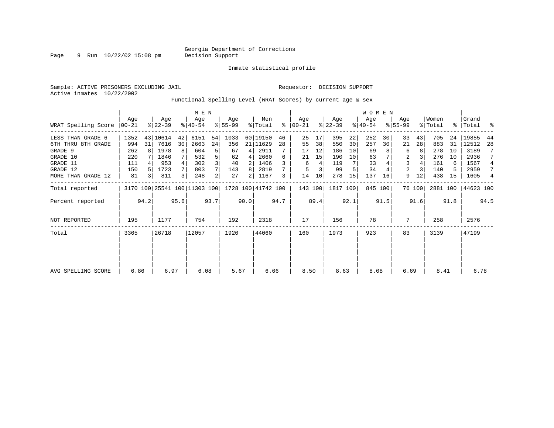Page 9 Run 10/22/02 15:08 pm

Inmate statistical profile

Active inmates 10/22/2002

Sample: ACTIVE PRISONERS EXCLUDING JAIL **Requestor: DECISION SUPPORT** 

Functional Spelling Level (WRAT Scores) by current age & sex

|                     |                  |      |                  |      | M E N                                           |                |                 |                |                |      |                    |      |                  |      | WOMEN            |         |                  |        |                  |      |                    |                |
|---------------------|------------------|------|------------------|------|-------------------------------------------------|----------------|-----------------|----------------|----------------|------|--------------------|------|------------------|------|------------------|---------|------------------|--------|------------------|------|--------------------|----------------|
| WRAT Spelling Score | Aqe<br>$ 00-21 $ |      | Age<br>$ 22-39 $ |      | Age<br>$ 40-54 $                                |                | Age<br>$ 55-99$ |                | Men<br>% Total | ⊱    | Aqe<br>$ 00 - 21 $ |      | Age<br>$ 22-39 $ |      | Age<br>$ 40-54 $ |         | Age<br>$8 55-99$ |        | Women<br>% Total |      | Grand<br>%   Total | ႜ              |
| LESS THAN GRADE 6   | 1352             |      | 43 10614         | 42   | 6151                                            | 54             | 1033            |                | 60 19150       | 46   | 25                 | 17   | 395              | 22   | 252              | 30      | 33               | 43     | 705              | 24   | 19855              | 44             |
| 6TH THRU 8TH GRADE  | 994              | 31   | 7616             | 30   | 2663                                            | 24             | 356             |                | 21 11629       | 28   | 55                 | 38   | 550              | 30   | 257              | 30      | 21               | 28     | 883              | 31   | 12512              | 28             |
| GRADE 9             | 262              |      | 1978             | 8    | 604                                             | 5              | 67              | 4              | 2911           |      | 17                 | 12   | 186              | 10   | 69               |         | 6                | 8      | 278              | 10   | 3189               |                |
| GRADE 10            | 220              |      | 1846             |      | 532                                             |                | 62              | 4              | 2660           | 6    | 21                 | 15   | 190              | 10   | 63               |         | 2                |        | 276              | 10   | 2936               |                |
| GRADE 11            | 111              |      | 953              |      | 302                                             |                | 40              | 2              | 1406           |      | 6                  | 4    | 119              |      | 33               |         | 3                |        | 161              | 6    | 1567               | $\overline{4}$ |
| GRADE 12            | 150              |      | 1723             |      | 803                                             |                | 143             | 8              | 2819           |      |                    |      | 99               |      | 34               |         | 2                |        | 140              |      | 2959               | 7              |
| MORE THAN GRADE 12  | 81               | 3 I  | 811              | 3    | 248                                             | $\overline{2}$ | 27              | $\overline{2}$ | 1167           | 3    | 14                 | 10   | 278              | 15   | 137              | 16      | 9                | 12     | 438              | 15   | 1605               | 4              |
| Total reported      |                  |      |                  |      | 3170 100 25541 100 11303 100 1728 100 41742 100 |                |                 |                |                |      | 143 100            |      | 1817 100         |      |                  | 845 100 |                  | 76 100 | 2881 100         |      | 44623 100          |                |
| Percent reported    |                  | 94.2 |                  | 95.6 |                                                 | 93.7           |                 | 90.0           |                | 94.7 |                    | 89.4 |                  | 92.1 |                  | 91.5    |                  | 91.6   |                  | 91.8 |                    | 94.5           |
| <b>NOT REPORTED</b> | 195              |      | 1177             |      | 754                                             |                | 192             |                | 2318           |      | 17                 |      | 156              |      | 78               |         | 7                |        | 258              |      | 2576               |                |
| Total               | 3365             |      | 26718            |      | 12057                                           |                | 1920            |                | 44060          |      | 160                |      | 1973             |      | 923              |         | 83               |        | 3139             |      | 47199              |                |
|                     |                  |      |                  |      |                                                 |                |                 |                |                |      |                    |      |                  |      |                  |         |                  |        |                  |      |                    |                |
| AVG SPELLING SCORE  | 6.86             |      | 6.97             |      | 6.08                                            |                | 5.67            |                | 6.66           |      | 8.50               |      | 8.63             |      | 8.08             |         | 6.69             |        | 8.41             |      | 6.78               |                |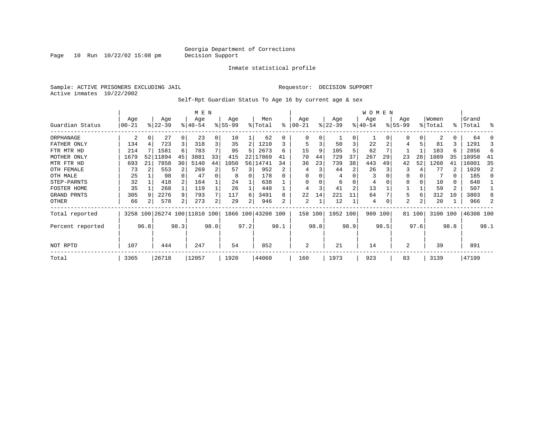Page  $10$  Run  $10/22/02$  15:08 pm

#### Inmate statistical profile

Sample: ACTIVE PRISONERS EXCLUDING JAIL **Requestor: DECISION SUPPORT** Active inmates 10/22/2002

Self-Rpt Guardian Status To Age 16 by current age & sex

|                  |           |      |           |      | M E N                        |          |           |      |                    |      |          |      |          |                | WOMEN     |      |           |        |          |           |           |                |
|------------------|-----------|------|-----------|------|------------------------------|----------|-----------|------|--------------------|------|----------|------|----------|----------------|-----------|------|-----------|--------|----------|-----------|-----------|----------------|
|                  | Age       |      | Age       |      | Age                          |          | Age       |      | Men                |      | Age      |      | Age      |                | Age       |      | Age       |        | Women    |           | Grand     |                |
| Guardian Status  | $00 - 21$ |      | $ 22-39 $ |      | $8 40-54$                    |          | $8 55-99$ |      | % Total            | ႜ    | $ 00-21$ |      | $ 22-39$ |                | $ 40-54 $ |      | $8 55-99$ |        | % Total  | $\approx$ | Total     | န္             |
| ORPHANAGE        | 2         | 0    | 27        |      | 23                           | 0        | 10        |      | 62                 |      | $\Omega$ | 0    |          | $\Omega$       |           |      |           | 0      | 2        | 0         | 64        |                |
| FATHER ONLY      | 134       |      | 723       | 3    | 318                          | 3        | 35        |      | 1210               |      | 5        | 3    | 50       | 3              | 22        |      |           | 5      | 81       | 3         | 1291      |                |
| FTR MTR HD       | 214       |      | 1581      | 6    | 783                          |          | 95        |      | 2673               | 6    | 15       | 9    | 105      |                | 62        |      |           |        | 183      | 6         | 2856      | 6              |
| MOTHER ONLY      | 1679      | 52   | 11894     | 45   | 3881                         | 33       | 415       | 22   | 17869              | 41   | 70       | 44   | 729      | 37             | 267       | 29   | 23        | 28     | 1089     | 35        | 18958     | 41             |
| MTR FTR HD       | 693       | 21   | 7858      | 30   | 5140                         | 44       | 1050      | 56   | 14741              | 34   | 36       | 23   | 739      | 38             | 443       | 49   | 42        | 52     | 1260     | 41        | 16001     | 35             |
| OTH FEMALE       | 73        |      | 553       |      | 269                          | 2        | 57        | 3    | 952                |      |          |      | 44       |                | 26        |      |           |        | 77       |           | 1029      | $\mathfrak{D}$ |
| OTH MALE         | 25        |      | 98        |      | 47                           | $\Omega$ | 8         | 0    | 178                |      | $\Omega$ |      | 4        |                | 3         |      |           |        |          | 0         | 185       |                |
| STEP-PARNTS      | 32        |      | 418       |      | 164                          |          | 24        |      | 638                |      | $\Omega$ |      | 6        |                | 4         |      | 0         |        | 10       | 0         | 648       |                |
| FOSTER HOME      | 35        |      | 268       |      | 119                          |          | 26        |      | 448                |      |          | 3    | 41       | $\overline{2}$ | 13        |      |           |        | 59       | 2         | 507       |                |
| GRAND PRNTS      | 305       |      | 2276      | 9    | 793                          |          | 117       | 6    | 3491               | 8    | 22       | 14   | 221      | 11             | 64        |      | 5         | 6      | 312      | 10        | 3803      |                |
| OTHER            | 66        |      | 578       | 2    | 273                          | 2        | 29        |      | 946                | 2    | 2        | 1    | 12       |                | 4         |      | 2         | 2      | 20       |           | 966       |                |
| Total reported   |           |      |           |      | 3258 100 26274 100 11810 100 |          |           |      | 1866 100 43208 100 |      | 158 100  |      | 1952 100 |                | 909 100   |      |           | 81 100 | 3100 100 |           | 46308 100 |                |
| Percent reported |           | 96.8 |           | 98.3 |                              | 98.0     |           | 97.2 |                    | 98.1 |          | 98.8 |          | 98.9           |           | 98.5 |           | 97.6   |          | 98.8      |           | 98.1           |
| NOT RPTD         | 107       |      | 444       |      | 247                          |          | 54        |      | 852                |      | 2        |      | 21       |                | 14        |      | 2         |        | 39       |           | 891       |                |
| Total            | 3365      |      | 26718     |      | 12057                        |          | 1920      |      | 44060              |      | 160      |      | 1973     |                | 923       |      | 83        |        | 3139     |           | 47199     |                |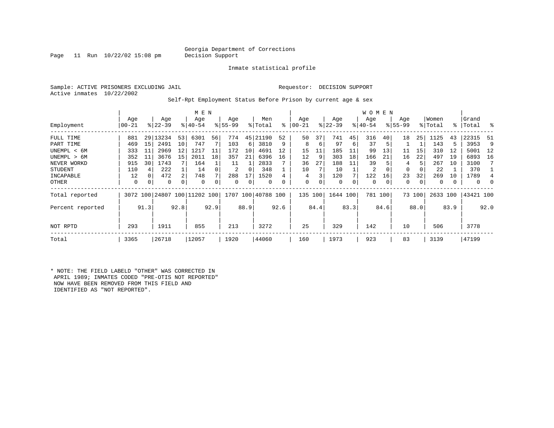### Georgia Department of Corrections<br>Decision Support

Page 11 Run  $10/22/02$  15:08 pm

Inmate statistical profile

Sample: ACTIVE PRISONERS EXCLUDING JAIL Requestor: DECISION SUPPORT Active inmates 10/22/2002

Self-Rpt Employment Status Before Prison by current age & sex

|                  |                 |      |                  |      | M E N                        |      |                 |      |                    |      |                |      |                  |      | <b>WOMEN</b>     |         |                    |        |                  |      |                    |      |
|------------------|-----------------|------|------------------|------|------------------------------|------|-----------------|------|--------------------|------|----------------|------|------------------|------|------------------|---------|--------------------|--------|------------------|------|--------------------|------|
| Employment       | Age<br>$ 00-21$ |      | Age<br>$ 22-39 $ |      | Age<br>$8 40-54$             |      | Age<br>$ 55-99$ |      | Men<br>% Total     | ి    | Age<br>  00-21 |      | Age<br>$ 22-39 $ |      | Age<br>$ 40-54 $ |         | Age<br>$8155 - 99$ |        | Women<br>% Total |      | Grand<br>%   Total | ိ    |
| FULL TIME        | 881             | 29   | 13234            | 53   | 6301                         | 56   | 774             | 45   | 21190              | 52   | 50             | 37   | 741              | 45   | 316              | 40      | 18                 | 25     | 1125             | 43   | 22315              | -51  |
| PART TIME        | 469             | 15   | 2491             | 10   | 747                          |      | 103             | 6    | 3810               | 9    | 8              | 6    | 97               | 6    | 37               | 5       |                    |        | 143              | 5    | 3953               | 9    |
| UNEMPL < 6M      | 333             | 11   | 2969             | 12   | 1217                         | 11   | 172             | 10   | 4691               | 12   | 15             | 11   | 185              | 11   | 99               | 13      | 11                 | 15     | 310              | 12   | 5001               | 12   |
| UNEMPL > 6M      | 352             | 11   | 3676             | 15   | 2011                         | 18   | 357             | 21   | 6396               | 16   | 12             | 9    | 303              | 18   | 166              | 21      | 16                 | 22     | 497              | 19   | 6893               | 16   |
| NEVER WORKD      | 915             | 30   | 1743             |      | 164                          |      | 11              |      | 2833               |      | 36             | 27   | 188              | 11   | 39               |         | 4                  |        | 267              | 10   | 3100               |      |
| <b>STUDENT</b>   | 110             | 4    | 222              |      | 14                           |      | 2               | 0    | 348                |      | 10             |      | 10               |      | 2                | 0       | $\Omega$           | 0      | 22               |      | 370                |      |
| INCAPABLE        | 12              | 0    | 472              | 2    | 748                          |      | 288             | 17   | 1520               |      | 4              |      | 120              |      | 122              | 16      | 23                 | 32     | 269              | 10   | 1789               |      |
| OTHER            | 0               | 0    | 0                | 0    | 0                            |      | 0               | 0    | 0                  | 0    | 0              | 0    | 0                | 0    | 0                | 0       | 0                  | 0      | 0                |      | 0                  | 0    |
| Total reported   |                 |      |                  |      | 3072 100 24807 100 11202 100 |      |                 |      | 1707 100 40788 100 |      | 135            | 100  | 1644 100         |      |                  | 781 100 |                    | 73 100 | 2633 100         |      | 43421 100          |      |
| Percent reported |                 | 91.3 |                  | 92.8 |                              | 92.9 |                 | 88.9 |                    | 92.6 |                | 84.4 |                  | 83.3 |                  | 84.6    |                    | 88.0   |                  | 83.9 |                    | 92.0 |
| NOT RPTD         | 293             |      | 1911             |      | 855                          |      | 213             |      | 3272               |      | 25             |      | 329              |      | 142              |         | 10                 |        | 506              |      | 3778               |      |
| Total            | 3365            |      | 26718            |      | 12057                        |      | 1920            |      | 44060              |      | 160            |      | 1973             |      | 923              |         | 83                 |        | 3139             |      | 47199              |      |

\* NOTE: THE FIELD LABELD "OTHER" WAS CORRECTED IN APRIL 1989; INMATES CODED "PRE-OTIS NOT REPORTED" NOW HAVE BEEN REMOVED FROM THIS FIELD AND IDENTIFIED AS "NOT REPORTED".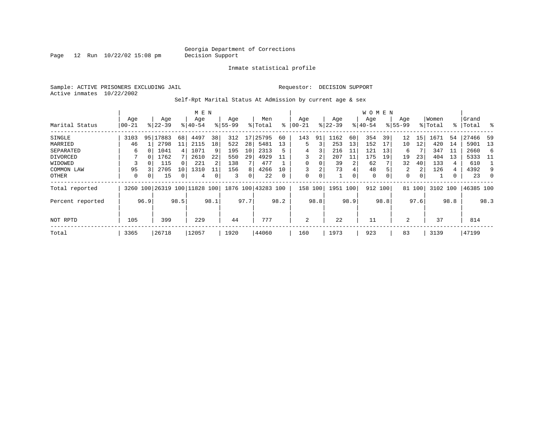Page  $12$  Run  $10/22/02$  15:08 pm

Inmate statistical profile

Sample: ACTIVE PRISONERS EXCLUDING JAIL Requestor: DECISION SUPPORT Active inmates 10/22/2002

Self-Rpt Marital Status At Admission by current age & sex

|                  |           |      |                         |      | M E N       |      |          |      |                    |          |             |             |           |      | W O M E N |      |              |              |          |      |           |      |
|------------------|-----------|------|-------------------------|------|-------------|------|----------|------|--------------------|----------|-------------|-------------|-----------|------|-----------|------|--------------|--------------|----------|------|-----------|------|
|                  | Age       |      | Age                     |      | Age         |      | Age      |      | Men                |          | Age         |             | Age       |      | Age       |      | Age          |              | Women    |      | Grand     |      |
| Marital Status   | $00 - 21$ |      | $8 22-39$               |      | $8140 - 54$ |      | $ 55-99$ |      | % Total            | ႜ        | $ 00-21$    |             | $ 22-39 $ |      | $ 40-54$  |      | $8155 - 99$  |              | % Total  | % ิ  | Total     | ွေ   |
| SINGLE           | 3103      |      | 95 17883                | 68   | 4497        | 38   | 312      | 17   | 25795              | 60       | 143         | 91          | 1162      | 60   | 354       | 39   | 12           | 15           | 1671     | 54   | 27466     | -59  |
| MARRIED          | 46        |      | 2798                    | 11   | 2115        | 18   | 522      | 28   | 5481               | 13       | 5           | 3           | 253       | 13   | 152       | 17   | 10           | 12           | 420      | 14   | 5901      | 13   |
| SEPARATED        | 6         |      | 1041                    | 4    | 1071        | 9    | 195      | 10   | 2313               | 5        | 4           | 3           | 216       | 11   | 121       | 13   | 6            |              | 347      | -11  | 2660      | 6    |
| DIVORCED         |           |      | 1762                    |      | 2610        | 22   | 550      | 29   | 4929               | 11       |             | 2           | 207       | 11   | 175       | 19   | 19           | 23           | 404      | 13   | 5333      | -11  |
| WIDOWED          |           |      | 115                     |      | 221         |      | 138      |      | 477                |          | $\mathbf 0$ | 0           | 39        | 2    | 62        |      | 32           | 40           | 133      | 4    | 610       |      |
| COMMON LAW       | 95        |      | 2705                    | 10   | 1310        |      | 156      | 8    | 4266               | 10       |             | 2           | 73        | 4    | 48        |      | 2            | $\mathbf{2}$ | 126      | 4    | 4392      | 9    |
| OTHER            | 0         |      | 15                      |      | 4           | 0    | 3        | 0    | 22                 | $\Omega$ | $\mathbf 0$ | $\mathbf 0$ |           | 0    | 0         |      | $\mathbf{0}$ | 0            |          | 0    | 23        |      |
| Total reported   | 3260      |      | 100 26319 100 11828 100 |      |             |      |          |      | 1876 100 43283 100 |          | 158         | 100         | 1951      | 100  | 912       | 100  |              | 81 100       | 3102 100 |      | 46385 100 |      |
| Percent reported |           | 96.9 |                         | 98.5 |             | 98.1 |          | 97.7 |                    | 98.2     |             | 98.8        |           | 98.9 |           | 98.8 |              | 97.6         |          | 98.8 |           | 98.3 |
| NOT RPTD         | 105       |      | 399                     |      | 229         |      | 44       |      | 777                |          | 2           |             | 22        |      | 11        |      | 2            |              | 37       |      | 814       |      |
| Total            | 3365      |      | 26718                   |      | 12057       |      | 1920     |      | 44060              |          | 160         |             | 1973      |      | 923       |      | 83           |              | 3139     |      | 47199     |      |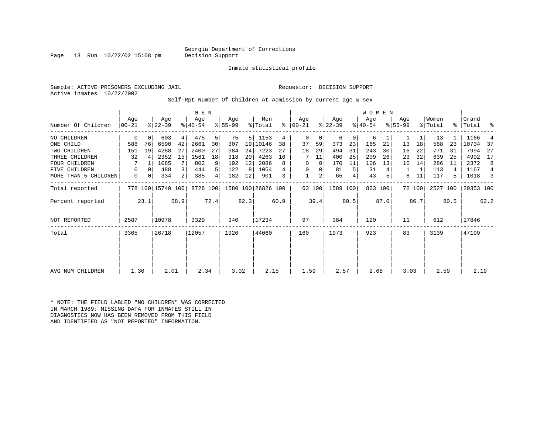### Georgia Department of Corrections<br>Decision Support

Page 13 Run  $10/22/02$  15:08 pm

Inmate statistical profile

Sample: ACTIVE PRISONERS EXCLUDING JAIL Requestor: DECISION SUPPORT Active inmates 10/22/2002

Self-Rpt Number Of Children At Admission by current age & sex

| Number Of Children   | Age<br>$ 00-21$ |                | Age<br>$ 22-39 $  |                | M E N<br>Age<br>$ 40-54 $ |                | Age<br>$8 55-99$ |                | Men<br>% Total              | ႜ    | Age<br>  00-21 |        | Age<br>$ 22-39 $ |                | WOMEN<br>Age<br>$ 40-54$ |         | Age<br>$ 55-99$ |        | Women<br>% Total | ႜ    | Grand<br> Total | ್ಠಿ  |
|----------------------|-----------------|----------------|-------------------|----------------|---------------------------|----------------|------------------|----------------|-----------------------------|------|----------------|--------|------------------|----------------|--------------------------|---------|-----------------|--------|------------------|------|-----------------|------|
| NO CHILDREN          | 0               | $\Omega$       | 603               | 4 <sup>1</sup> | 475                       | 5              | 75               | 5 <sup>1</sup> | 1153                        | 4    | 0              | 0      | 6                | 0 <sup>1</sup> | 6                        |         |                 |        | 13               |      | 1166            | 4    |
| ONE CHILD            | 588             | 76             | 6590              | 42             | 2661                      | 30             | 307              |                | 19 10146                    | 38   | 37             | 59     | 373              | 23             | 165                      | 21      | 13              | 18     | 588              | 23   | 10734           | -37  |
| TWO CHILDREN         | 151             | 19             | 4288              | 27             | 2400                      | 27             | 384              | 24             | 7223                        | 27   | 18             | 29     | 494              | 31             | 243                      | 30      | 16              | 22     | 771              | 31   | 7994            | 27   |
| THREE CHILDREN       | 32              | $\overline{4}$ | 2352              | 15             | 1561                      | 18             | 318              | 20             | 4263                        | 16   |                | 11     | 400              | 25             | 209                      | 26      | 23              | 32     | 639              | 25   | 4902            | 17   |
| <b>FOUR CHILDREN</b> |                 |                | 1085              |                | 802                       | 9              | 192              | 12             | 2086                        | 8    | 0              | 0      | 170              | 11             | 106                      | 13      | 10              | 14     | 286              | 11   | 2372            | 8    |
| FIVE CHILDREN        | 0               | $\Omega$       | 488               | 3              | 444                       | 5 <sup>1</sup> | 122              | 8              | 1054                        |      | 0              | 0      | 81               | 5              | 31                       |         |                 |        | 113              | 4    | 1167            | 4    |
| MORE THAN 5 CHILDREN | 0               | 0              | 334               | $\overline{2}$ | 385                       | 4              | 182              | 12             | 901                         |      |                | 2      | 65               |                | 43                       |         | 8               |        | 117              | 5    | 1018            | 3    |
| Total reported       |                 |                | 778 100 15740 100 |                |                           |                |                  |                | 8728 100 1580 100 26826 100 |      |                | 63 100 | 1589 100         |                |                          | 803 100 |                 | 72 100 | 2527 100         |      | 29353 100       |      |
| Percent reported     |                 | 23.1           |                   | 58.9           |                           | 72.4           |                  | 82.3           |                             | 60.9 |                | 39.4   |                  | 80.5           |                          | 87.0    |                 | 86.7   |                  | 80.5 |                 | 62.2 |
| NOT REPORTED         | 2587            |                | 10978             |                | 3329                      |                | 340              |                | 17234                       |      | 97             |        | 384              |                | 120                      |         | 11              |        | 612              |      | 17846           |      |
| Total                | 3365            |                | 26718             |                | 12057                     |                | 1920             |                | 44060                       |      | 160            |        | 1973             |                | 923                      |         | 83              |        | 3139             |      | 47199           |      |
|                      |                 |                |                   |                |                           |                |                  |                |                             |      |                |        |                  |                |                          |         |                 |        |                  |      |                 |      |
| AVG NUM CHILDREN     | 1.30            |                | 2.01              |                | 2.34                      |                | 3.02             |                | 2.15                        |      | 1.59           |        | 2.57             |                | 2.68                     |         | 3.03            |        | 2.59             |      | 2.19            |      |

\* NOTE: THE FIELD LABLED "NO CHILDREN" WAS CORRECTED IN MARCH 1989: MISSING DATA FOR INMATES STILL IN DIAGNOSTICS NOW HAS BEEN REMOVED FROM THIS FIELD AND IDENTIFIED AS "NOT REPORTED" INFORMATION.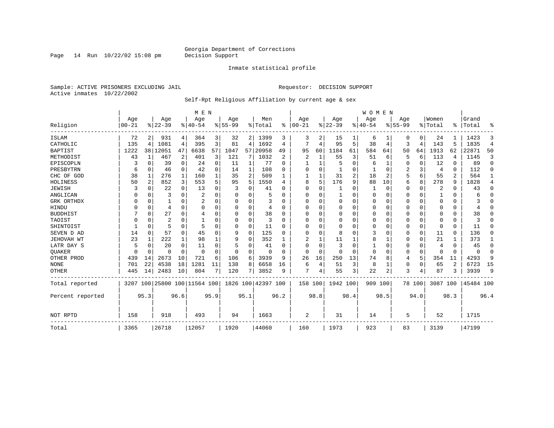Page 14 Run  $10/22/02$  15:08 pm

#### Inmate statistical profile

Sample: ACTIVE PRISONERS EXCLUDING JAIL **Requestor: DECISION SUPPORT** Active inmates 10/22/2002

#### Self-Rpt Religious Affiliation by current age & sex

|                  |            |              |            |                | M E N                        |          |           |              |                    |          |                |              |             |          | <b>WOMEN</b> |          |           |             |          |                |           |                |
|------------------|------------|--------------|------------|----------------|------------------------------|----------|-----------|--------------|--------------------|----------|----------------|--------------|-------------|----------|--------------|----------|-----------|-------------|----------|----------------|-----------|----------------|
|                  | Age        |              | Age        |                | Age                          |          | Age       |              | Men                |          | Age            |              | Age         |          | Age          |          | Age       |             | Women    |                | Grand     |                |
| Religion         | $ 00 - 21$ |              | $8 22-39$  |                | $8 40-54$                    |          | $8 55-99$ |              | % Total            | ႜ        | $ 00 - 21$     |              | $ 22-39$    |          | $8 40-54$    |          | $8 55-99$ |             | % Total  | ႜ              | Total     | ႜ              |
| ISLAM            | 72         |              | 931        | 4              | 364                          | 3        | 32        | 2            | 1399               | 3        | 3              |              | 15          |          | 6            |          | 0         | 0           | 24       |                | 1423      | 3              |
| CATHOLIC         | 135        | 4            | 1081       | 4              | 395                          | 3        | 81        | 4            | 1692               | 4        | 7              | 4            | 95          | 5        | 38           | 4        | 3         | 4           | 143      | 5              | 1835      | $\overline{4}$ |
| <b>BAPTIST</b>   | 1222       |              | 38   12051 | 47             | 6638                         | 57       | 1047      | 57           | 20958              | 49       | 95             | 60           | 1184        | 61       | 584          | 64       | 50        | 64          | 1913     | 62             | 22871     | 50             |
| METHODIST        | 43         | $\mathbf{1}$ | 467        | $\overline{c}$ | 401                          | 3        | 121       | 7            | 1032               | 2        | $\overline{a}$ | $\mathbf{1}$ | 55          | 3        | 51           | 6        | 5         | 6           | 113      | 4              | 1145      | 3              |
| EPISCOPLN        |            | 0            | 39         | 0              | 24                           | 0        | 11        | $\mathbf{1}$ | 77                 | $\Omega$ |                | 1            | 5           | O        | 6            | 1        | 0         | 0           | 12       | 0              | 89        | $\mathbf 0$    |
| PRESBYTRN        | 6          | 0            | 46         | 0              | 42                           | 0        | 14        | 1            | 108                | $\Omega$ | 0              | $\Omega$     |             | 0        |              | 0        | 2         | 3           | 4        | 0              | 112       | 0              |
| CHC OF GOD       | 38         | 1            | 276        | 1              | 160                          |          | 35        | 2            | 509                |          |                |              | 31          | 2        | 18           | 2        | 5         | 6           | 55       | 2              | 564       | 1              |
| HOLINESS         | 50         | 2            | 852        | 3              | 553                          | 5        | 95        | 5            | 1550               | 4        | 8              | 5            | 176         | 9        | 88           | 10       | 6         | 8           | 278      | 9              | 1828      | 4              |
| <b>JEWISH</b>    |            | $\Omega$     | 22         | $\Omega$       | 13                           | $\Omega$ |           | 0            | 41                 | $\Omega$ | $\Omega$       | $\Omega$     |             | O        | 1            | $\Omega$ | 0         | $\mathbf 0$ | 2        | $\Omega$       | 43        | $\Omega$       |
| ANGLICAN         |            | $\Omega$     | 3          | $\Omega$       | $\overline{2}$               |          |           | 0            |                    | ∩        | 0              | U            |             | U        | 0            | 0        | 0         | 0           |          | $\Omega$       | 6         | $\Omega$       |
| GRK ORTHDX       | U          | $\Omega$     |            | $\Omega$       |                              | O        | U         | 0            | 3                  | ∩        | O              | U            | $\mathbf 0$ | U        | 0            | $\Omega$ | 0         | $\Omega$    | $\Omega$ | $\Omega$       |           | 0              |
| HINDU            |            | $\Omega$     | 4          | $\Omega$       | $\Omega$                     | O        | n         | O            | 4                  | $\Omega$ | $\Omega$       | $\Omega$     | $\mathbf 0$ | U        | 0            | $\Omega$ | Ω         | $\Omega$    | $\Omega$ | $\Omega$       |           | $\Omega$       |
| <b>BUDDHIST</b>  |            | $\Omega$     | 27         | $\Omega$       | 4                            |          | U         | 0            | 38                 | $\Omega$ | $\Omega$       | $\Omega$     | $\mathbf 0$ | $\Omega$ | $\Omega$     | $\Omega$ | 0         | $\Omega$    | $\Omega$ | $\Omega$       | 38        | $\Omega$       |
| TAOIST           |            | 0            | 2          | O              |                              |          | 0         | 0            | 3                  | $\Omega$ | 0              | O            | $\Omega$    | U        | 0            | $\Omega$ | 0         | $\Omega$    | $\Omega$ | $\Omega$       | 3         | $\Omega$       |
| SHINTOIST        |            | $\Omega$     | 5          | $\Omega$       | 5                            | O        | 0         | 0            | 11                 | $\Omega$ | O              | U            | 0           | U        | 0            | $\Omega$ | 0         | 0           | $\Omega$ | 0              | 11        | $\cap$         |
| SEVEN D AD       | 14         | O            | 57         | $\Omega$       | 45                           | U        | 9         | 0            | 125                | $\cap$   | O              | $\Omega$     | 8           | U        | 3            | $\Omega$ | 0         | $\Omega$    | 11       | $\Omega$       | 136       | O              |
| JEHOVAH WT       | 23         | 1            | 222        | $\mathbf{1}$   | 98                           |          | 9         | O            | 352                |          |                | 1            | 11          |          | 8            | 1        | 0         | $\mathbf 0$ | 21       |                | 373       | 1              |
| LATR DAY S       | 5          | $\Omega$     | 20         | $\Omega$       | 11                           |          |           | O            | 41                 | $\Omega$ | $\Omega$       | $\Omega$     | 3           | $\Omega$ | 1            | $\Omega$ | 0         | $\Omega$    | 4        | $\Omega$       | 45        | 0              |
| <b>OUAKER</b>    | U          | 0            | U          | $\Omega$       | $\Omega$                     | O        | $\Omega$  | 0            | $\Omega$           | ∩        | $\Omega$       | $\Omega$     | $\Omega$    | O        | $\Omega$     | $\Omega$ | 0         | $\Omega$    | $\Omega$ | $\Omega$       | $\Omega$  | 0              |
| OTHER PROD       | 439        | 14           | 2673       | 10             | 721                          | 6        | 106       | 6            | 3939               | 9        | 26             | 16           | 250         | 13       | 74           | 8        | 4         | 5           | 354      | 11             | 4293      | 9              |
| <b>NONE</b>      | 701        | 22           | 4538       | 18             | 1281                         | 11       | 138       | 8            | 6658               | 16       | 6              | 4            | 51          | 3        | 8            | 1        | 0         | 0           | 65       | $\overline{2}$ | 6723      | 15             |
| <b>OTHER</b>     | 445        | 14           | 2483       | 10             | 804                          |          | 120       | 7            | 3852               | 9        | 7              | 4            | 55          | 3        | 22           | 2        | 3         | 4           | 87       | 3              | 3939      | 9              |
| Total reported   |            |              |            |                | 3207 100 25800 100 11564 100 |          |           |              | 1826 100 42397 100 |          | 158 100        |              | 1942 100    |          | 909 100      |          |           | 78 100      | 3087 100 |                | 45484 100 |                |
| Percent reported |            | 95.3         |            | 96.6           |                              | 95.9     |           | 95.1         |                    | 96.2     |                | 98.8         |             | 98.4     |              | 98.5     |           | 94.0        |          | 98.3           |           | 96.4           |
|                  |            |              |            |                |                              |          |           |              |                    |          |                |              |             |          |              |          |           |             |          |                |           |                |
| NOT RPTD         | 158        |              | 918        |                | 493                          |          | 94        |              | 1663               |          | $\overline{2}$ |              | 31          |          | 14           |          | 5         |             | 52       |                | 1715      |                |
| Total            | 3365       |              | 26718      |                | 12057                        |          | 1920      |              | 44060              |          | 160            |              | 1973        |          | 923          |          | 83        |             | 3139     |                | 47199     |                |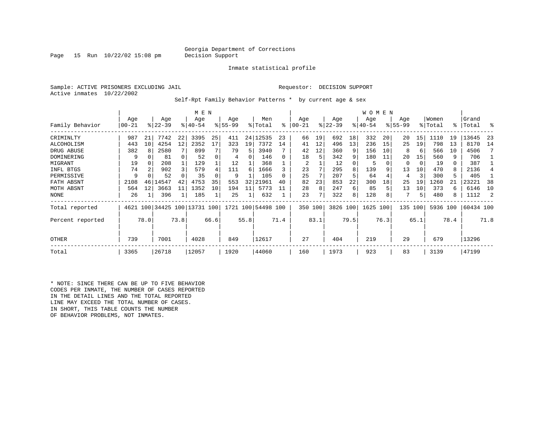### Georgia Department of Corrections<br>Decision Support

Page 15 Run  $10/22/02$  15:08 pm

Inmate statistical profile

Sample: ACTIVE PRISONERS EXCLUDING JAIL Requestor: DECISION SUPPORT Active inmates 10/22/2002

Self-Rpt Family Behavior Patterns \* by current age & sex

|                   |                  |                 |                              |      |                    | M E N |                 |      |                    |      |                |      |                  |      | WOMEN           |      |                    |      |                  |      |                 |      |
|-------------------|------------------|-----------------|------------------------------|------|--------------------|-------|-----------------|------|--------------------|------|----------------|------|------------------|------|-----------------|------|--------------------|------|------------------|------|-----------------|------|
| Family Behavior   | Age<br>$00 - 21$ |                 | Age<br>$ 22-39 $             |      | Age<br>$8140 - 54$ |       | Age<br>$ 55-99$ |      | Men<br>% Total     | ి    | Age<br>  00-21 |      | Age<br>$ 22-39 $ |      | Age<br>$ 40-54$ |      | Age<br>$8155 - 99$ |      | Women<br>% Total | °≈   | Grand<br> Total | ႜ    |
| CRIMINLTY         | 987              | 21              | 7742                         | 22   | 3395               | 25    | 411             | 24   | 12535              | 23   | 66             | 19   | 692              | 18   | 332             | 20   | 20                 | 15   | 1110             | 19   | 13645           | -23  |
| ALCOHOLISM        | 443              | 10 <sup>1</sup> | 4254                         | 12   | 2352               | 17    | 323             | 19   | 7372               | 14   | 41             | 12   | 496              | 13   | 236             | 15   | 25                 | 19   | 798              | 13   | 8170            | 14   |
| DRUG ABUSE        | 382              |                 | 2580                         |      | 899                |       | 79              | 5    | 3940               |      | 42             | 12   | 360              | 9    | 156             | 10   | 8                  | 6    | 566              | 10   | 4506            |      |
| <b>DOMINERING</b> | 9                | 0               | 81                           |      | 52                 |       | 4               |      | 146                |      | 18             | 5    | 342              | 9    | 180             | 11   | 20                 | 15   | 560              | 9    | 706             |      |
| MIGRANT           | 19               | 0               | 208                          |      | 129                |       | 12              |      | 368                |      | 2              |      | 12               |      | 5               |      | 0                  | 0    | 19               | 0    | 387             |      |
| INFL BTGS         | 74               | 2               | 902                          |      | 579                |       | 111             | 6    | 1666               |      | 23             |      | 295              |      | 139             |      | 13                 | 10   | 470              | 8    | 2136            |      |
| PERMISSIVE        | 9                |                 | 52                           |      | 35                 |       | 9               |      | 105                |      | 25             |      | 207              |      | 64              |      | 4                  | 3    | 300              | 5    | 405             |      |
| FATH ABSNT        | 2108             | 46              | 14547                        | 42   | 4753               | 35    | 553             | 32   | 21961              | 40   | 82             | 23   | 853              | 22   | 300             | 18   | 25                 | 19   | 1260             |      | 23221           | 38   |
| MOTH ABSNT        | 564              | 12              | 3663                         | 11   | 1352               | 10    | 194             | 11   | 5773               |      | 28             | 8    | 247              | 6    | 85              |      | 13                 | 10   | 373              | 6    | 6146            | 10   |
| <b>NONE</b>       | 26               |                 | 396                          |      | 185                |       | 25              |      | 632                |      | 23             | 7    | 322              | 8    | 128             |      |                    | 5    | 480              | 8    | 1112            |      |
| Total reported    |                  |                 | 4621 100 34425 100 13731 100 |      |                    |       |                 |      | 1721 100 54498 100 |      | 350 100        |      | 3826 100         |      | 1625 100        |      | 135                | 100  | 5936 100         |      | 60434 100       |      |
| Percent reported  |                  | 78.0            |                              | 73.8 |                    | 66.6  |                 | 55.8 |                    | 71.4 |                | 83.1 |                  | 79.5 |                 | 76.3 |                    | 65.1 |                  | 78.4 |                 | 71.8 |
| OTHER             | 739              |                 | 7001                         |      | 4028               |       | 849             |      | 12617              |      | 27             |      | 404              |      | 219             |      | 29                 |      | 679              |      | 13296           |      |
| Total             | 3365             |                 | 26718                        |      | 12057              |       | 1920            |      | 44060              |      | 160            |      | 1973             |      | 923             |      | 83                 |      | 3139             |      | 47199           |      |

\* NOTE: SINCE THERE CAN BE UP TO FIVE BEHAVIOR CODES PER INMATE, THE NUMBER OF CASES REPORTED IN THE DETAIL LINES AND THE TOTAL REPORTED LINE MAY EXCEED THE TOTAL NUMBER OF CASES. IN SHORT, THIS TABLE COUNTS THE NUMBER OF BEHAVIOR PROBLEMS, NOT INMATES.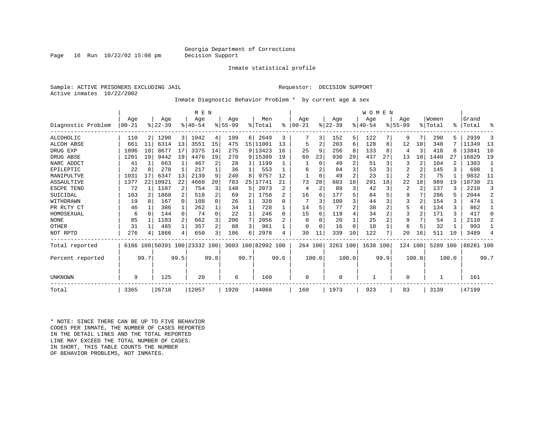### Georgia Department of Corrections<br>Decision Support

Page 16 Run  $10/22/02$  15:08 pm

#### Inmate statistical profile

Sample: ACTIVE PRISONERS EXCLUDING JAIL Requestor: DECISION SUPPORT Active inmates 10/22/2002

Inmate Diagnostic Behavior Problem \* by current age & sex

|                    |       |          |           |                         | M E N                        |                |           |      |                    |      |            |                |             |                | <b>WOMEN</b> |                |           |                |          |       |           |                |
|--------------------|-------|----------|-----------|-------------------------|------------------------------|----------------|-----------|------|--------------------|------|------------|----------------|-------------|----------------|--------------|----------------|-----------|----------------|----------|-------|-----------|----------------|
|                    | Age   |          | Age       |                         | Age                          |                | Age       |      | Men                |      | Age        |                | Age         |                | Age          |                | Age       |                | Women    |       | Grand     |                |
| Diagnostic Problem | 00-21 |          | $8 22-39$ |                         | $8 40-54$                    |                | $8 55-99$ |      | % Total            | ⊱    | $ 00 - 21$ |                | $ 22-39$    |                | $ 40-54$     |                | $8 55-99$ |                | % Total  | ႜ     | Total     | °              |
| ALCOHOLIC          | 110   | 2        | 1298      | $\overline{\mathbf{3}}$ | 1042                         | 4              | 199       | 6    | 2649               | 3    |            | 3              | 152         | 5.             | 122          |                | 9         | 7              | 290      |       | 2939      | 3              |
| <b>ALCOH ABSE</b>  | 661   | 11       | 6314      | 13                      | 3551                         | 15             | 475       |      | 15   11001         | 13   | 5          |                | 203         | 6              | 128          | 8              | 12        | 10             | 348      |       | 11349     | 13             |
| DRUG EXP           | 1096  | 18       | 8677      | 17                      | 3375                         | 14             | 275       |      | 9 13423            | 16   | 25         | 9              | 256         | 8              | 133          | 8              | 4         | 3              | 418      |       | 13841     | 16             |
| DRUG ABSE          | 1201  | 19       | 9442      | 19                      | 4476                         | 19             | 270       |      | 9 15389            | 19   | 60         | 23             | 930         | 29             | 437          | 27             | 13        | 10             | 1440     | 27    | 16829     | 19             |
| NARC ADDCT         | 41    |          | 663       |                         | 467                          |                | 28        | 1    | 1199               |      |            | $\Omega$       | 49          | 2              | 51           | 3              | 3         | $\overline{2}$ | 104      |       | 1303      | $\overline{1}$ |
| EPILEPTIC          | 22    | $\Omega$ | 278       |                         | 217                          |                | 36        |      | 553                |      | 6          |                | 84          | 3              | 53           | 3              | 2         |                | 145      |       | 698       |                |
| MANIPULTVE         | 1031  | 17       | 6347      | 13                      | 2139                         | 9              | 240       | 8    | 9757               | 12   |            | $\Omega$       | 49          | 2              | 23           |                | 2         | $\overline{2}$ | 75       |       | 9832      | 11             |
| ASSAULTIVE         | 1377  | 22       | 10921     | 22                      | 4660                         | 20             | 783       | 25 I | 17741              | 21   | 73         | 28             | 603         | 18             | 291          | 18             | 22        | 18             | 989      | 19    | 18730     | 21             |
| ESCPE TEND         | 72    |          | 1107      | 2                       | 754                          |                | 140       | 5    | 2073               | 2    | 4          | $\overline{c}$ | 89          | 3              | 42           | 3              | 2         | 2              | 137      |       | 2210      | 3              |
| SUICIDAL           | 103   |          | 1068      | 2                       | 518                          |                | 69        | 2    | 1758               |      | 16         | 6              | 177         | 5              | 84           | 5              | 9         |                | 286      |       | 2044      | 2              |
| WITHDRAWN          | 19    | $\cap$   | 167       | $\Omega$                | 108                          | $\Omega$       | 26        |      | 320                | U    |            |                | 100         | 3              | 44           | 3              | 3         | $\overline{2}$ | 154      | 3     | 474       |                |
| PR RLTY CT         | 46    |          | 386       |                         | 262                          |                | 34        |      | 728                |      | 14         |                | 77          | $\overline{2}$ | 38           |                | 5         | 4              | 134      | ς     | 862       | 1              |
| HOMOSEXUAL         | 6     | $\Omega$ | 144       | $\Omega$                | 74                           | $\Omega$       | 22        |      | 246                | 0    | 15         |                | 119         | 4              | 34           | $\overline{2}$ | 3         | $\overline{2}$ | 171      | 3     | 417       | $\Omega$       |
| <b>NONE</b>        | 85    |          | 1103      | 2                       | 662                          |                | 206       | 7    | 2056               |      | U          |                | 20          |                | 25           |                | 9         |                | 54       |       | 2110      | 2              |
| OTHER              | 31    |          | 485       |                         | 357                          | $\overline{a}$ | 88        | 3    | 961                |      | U          |                | 16          | O              | 10           |                | 6         | 5              | 32       |       | 993       |                |
| NOT RPTD           | 276   |          | 1866      | 4                       | 650                          | 3              | 186       | 6    | 2978               |      | 30         | 11             | 339         | 10             | 122          | 7              | 20        | 16             | 511      | 10    | 3489      | 4              |
| Total reported     |       |          |           |                         | 6186 100 50391 100 23332 100 |                |           |      | 3083 100 82992 100 |      | 264 100    |                | 3263 100    |                | 1638 100     |                | 124 100   |                | 5289 100 |       | 88281 100 |                |
| Percent reported   |       | 99.7     |           | 99.5                    |                              | 99.8           |           | 99.7 |                    | 99.6 |            | 100.0          |             | 100.0          |              | 99.9           |           | 100.0          |          | 100.0 |           | 99.7           |
|                    |       |          |           |                         |                              |                |           |      |                    |      |            |                |             |                |              |                |           |                |          |       |           |                |
| UNKNOWN            | 9     |          | 125       |                         | 20                           |                | 6         |      | 160                |      | 0          |                | $\mathbf 0$ |                |              |                | 0         |                |          |       | 161       |                |
| Total              | 3365  |          | 26718     |                         | 12057                        |                | 1920      |      | 44060              |      | 160        |                | 1973        |                | 923          |                | 83        |                | 3139     |       | 47199     |                |

\* NOTE: SINCE THERE CAN BE UP TO FIVE BEHAVIOR CODES PER INMATE, THE NUMBER OF CASES REPORTED IN THE DETAIL LINES AND THE TOTAL REPORTED LINE MAY EXCEED THE TOTAL NUMBER OF CASES.IN SHORT, THIS TABLE COUNTS THE NUMBER OF BEHAVIOR PROBLEMS, NOT INMATES.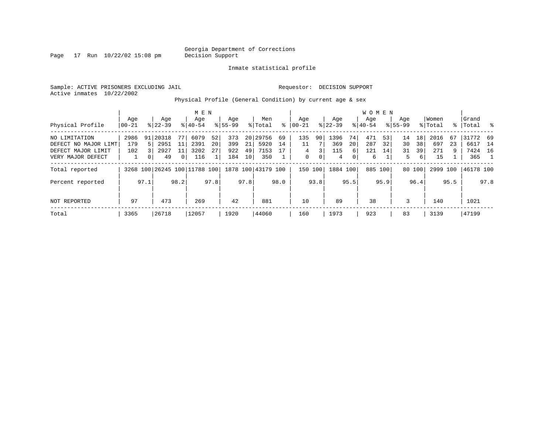Page  $17$  Run  $10/22/02$  15:08 pm

#### Inmate statistical profile

Sample: ACTIVE PRISONERS EXCLUDING JAIL Requestor: DECISION SUPPORT Active inmates 10/22/2002

Physical Profile (General Condition) by current age & sex

|                      |                   |                |                    |              | M E N                        |      |                    |                 |                    |      |                  |      |                  |      | <b>WOMEN</b>     |         |                    |        |                  |      |                    |                |
|----------------------|-------------------|----------------|--------------------|--------------|------------------------------|------|--------------------|-----------------|--------------------|------|------------------|------|------------------|------|------------------|---------|--------------------|--------|------------------|------|--------------------|----------------|
| Physical Profile     | Age<br>$ 00 - 21$ |                | Age<br>$8122 - 39$ |              | Age<br>$8 40-54$             |      | Age<br>$8155 - 99$ |                 | Men<br>% Total     | ႜ    | Aqe<br>$00 - 21$ |      | Aqe<br>$ 22-39 $ |      | Aqe<br>$8 40-54$ |         | Age<br>$8155 - 99$ |        | Women<br>% Total |      | Grand<br>%   Total | - 왕            |
|                      |                   |                |                    |              |                              |      |                    |                 |                    |      |                  |      |                  |      |                  |         |                    |        |                  |      |                    |                |
| NO LIMITATION        | 2986              | 91             | . 20318            | 77           | 6079                         | 52   | 373                |                 | 20 29756           | 69   | 135              | 90   | 1396             | 74   | 471              | 53      | 14                 | 18     | 2016             | 67   | 31772 69           |                |
| DEFECT NO MAJOR LIMT | 179               | 5 <sup>1</sup> | 2951               | 11           | 2391                         | 20   | 399                | 21              | 5920               | 14   | 11               |      | 369              | 20   | 287              | 32      | 30                 | 38     | 697              | 23   | 6617               | 14             |
| DEFECT MAJOR LIMIT   | 102               |                | 2927               | 11           | 3202                         | 27   | 922                | 49              | 7153               | 17   | 4                | 3    | 115              | 6    | 121              | 14      | 31                 | 39     | 271              | 9    | 7424               | 16             |
| VERY MAJOR DEFECT    |                   |                | 49                 | $\mathbf{0}$ | 116                          |      | 184                | 10 <sup>1</sup> | 350                |      | 0                | 0    | 4                | 0    | 6                |         | 5                  | 6      | 15               |      | 365                | $\overline{1}$ |
| Total reported       |                   |                |                    |              | 3268 100 26245 100 11788 100 |      |                    |                 | 1878 100 43179 100 |      | 150 100          |      | 1884 100         |      |                  | 885 100 |                    | 80 100 | 2999             | 100  | 46178 100          |                |
| Percent reported     |                   | 97.1           |                    | 98.2         |                              | 97.8 |                    | 97.8            |                    | 98.0 |                  | 93.8 |                  | 95.5 |                  | 95.9    |                    | 96.4   |                  | 95.5 |                    | 97.8           |
|                      |                   |                |                    |              |                              |      |                    |                 |                    |      |                  |      |                  |      |                  |         |                    |        |                  |      |                    |                |
| NOT REPORTED         | 97                |                | 473                |              | 269                          |      | 42                 |                 | 881                |      | 10               |      | 89               |      | 38               |         | 3                  |        | 140              |      | 1021               |                |
| Total                | 3365              |                | 26718              |              | 12057                        |      | 1920               |                 | 44060              |      | 160              |      | 1973             |      | 923              |         | 83                 |        | 3139             |      | 47199              |                |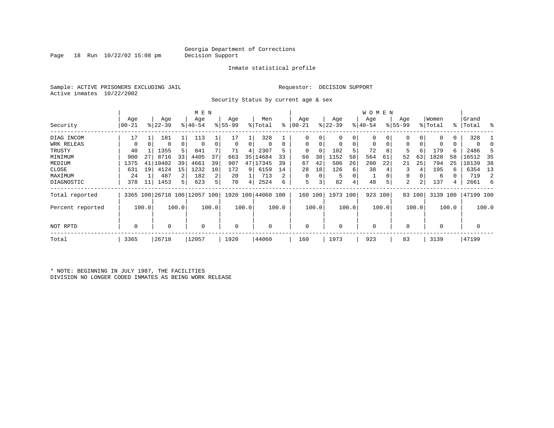Page 18 Run  $10/22/02$  15:08 pm

#### Inmate statistical profile

Sample: ACTIVE PRISONERS EXCLUDING JAIL Requestor: DECISION SUPPORT Active inmates 10/22/2002

Security Status by current age & sex

|                  |       |       |           |       | M E N                        |       |           |       |                    |          |           |          |             |       | W O M E N   |       |             |        |                |             |             |       |
|------------------|-------|-------|-----------|-------|------------------------------|-------|-----------|-------|--------------------|----------|-----------|----------|-------------|-------|-------------|-------|-------------|--------|----------------|-------------|-------------|-------|
|                  | Age   |       | Age       |       | Age                          |       | Age       |       | Men                |          | Age       |          | Age         |       | Age         |       | Age         |        | Women          |             | Grand       |       |
| Security         | 00-21 |       | $8 22-39$ |       | $ 40-54$                     |       | $8 55-99$ |       | % Total            | ి        | $00 - 21$ |          | $ 22-39 $   |       | $ 40-54 $   |       | $8155 - 99$ |        | % Total        | $\approx$ 1 | Total       | ႜ     |
| DIAG INCOM       | 17    |       | 181       |       | 113                          |       | 17        |       | 328                |          |           |          | 0           | 0     |             | 0     | 0           | 0      | $\Omega$       | 0           | 328         |       |
| WRK RELEAS       | 0     |       | 0         | 0     | $\Omega$                     |       | 0         | 0     | 0                  | $\Omega$ | $\Omega$  | $\Omega$ | $\mathbf 0$ | 0     | 0           | 0     | 0           |        |                | 0           | 0           |       |
| TRUSTY           | 40    |       | 1355      | 5     | 841                          |       | 71        | 4     | 2307               | 5        | $\Omega$  | $\Omega$ | 102         | 5     | 72          | 8     | 5           | 6      | 179            | б.          | 2486        |       |
| MINIMUM          | 900   | 27    | 8716      | 33    | 4405                         | 37    | 663       | 35    | 14684              | 33       | 60        | 38       | 1152        | 58    | 564         | 61    | 52          | 63     | 1828           | 58          | 16512       | 35    |
| MEDIUM           | 1375  | 41    | 10402     | 39    | 4661                         | 39    | 907       | 47    | 17345              | 39       | 67        | 42       | 506         | 26    | 200         | 22    | 21          | 25     | 794            | 25          | 18139       | 38    |
| CLOSE            | 631   | 19    | 4124      | 15    | 1232                         | 10    | 172       | 9     | 6159               | 14       | 28        | 18       | 126         | 6     | 38          |       |             |        | 195            | 6           | 6354        | 13    |
| MAXIMUM          | 24    |       | 487       | 2     | 182                          |       | 20        |       | 713                | 2        | $\Omega$  | $\Omega$ | 5           |       |             |       | 0           |        | 6              |             | 719         | 2     |
| DIAGNOSTIC       | 378   | 11    | 1453      | 5     | 623                          |       | 70        | 4     | 2524               | 6        | 5         | 3        | 82          | 4     | 48          | 5     | 2           |        | 137            | 4           | 2661        | 6     |
| Total reported   |       |       |           |       | 3365 100 26718 100 12057 100 |       |           |       | 1920 100 44060 100 |          | 160       | 100      | 1973 100    |       | 923 100     |       |             | 83 100 | 3139 100       |             | 47199 100   |       |
| Percent reported |       | 100.0 |           | 100.0 |                              | 100.0 |           | 100.0 |                    | 100.0    |           | 100.0    |             | 100.0 |             | 100.0 |             | 100.0  |                | 100.0       |             | 100.0 |
| NOT RPTD         | 0     |       | 0         |       | $\mathbf 0$                  |       | 0         |       |                    |          | $\Omega$  |          | $\mathbf 0$ |       | $\mathbf 0$ |       | $\Omega$    |        | $\overline{0}$ |             | $\mathbf 0$ |       |
| Total            | 3365  |       | 26718     |       | 12057                        |       | 1920      |       | 44060              |          | 160       |          | 1973        |       | 923         |       | 83          |        | 3139           |             | 47199       |       |

\* NOTE: BEGINNING IN JULY 1987, THE FACILITIES DIVISION NO LONGER CODED INMATES AS BEING WORK RELEASE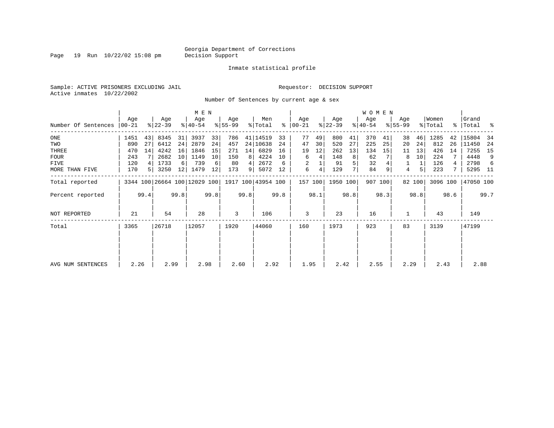Page 19 Run  $10/22/02$  15:08 pm

#### Inmate statistical profile

Sample: ACTIVE PRISONERS EXCLUDING JAIL Requestor: DECISION SUPPORT Active inmates 10/22/2002

Number Of Sentences by current age & sex

|                     |       |                |                              |      | M E N       |      |           |      |                    |      |               |      |           |      | WOMEN     |         |             |        |          |      |           |      |
|---------------------|-------|----------------|------------------------------|------|-------------|------|-----------|------|--------------------|------|---------------|------|-----------|------|-----------|---------|-------------|--------|----------|------|-----------|------|
|                     | Age   |                | Age                          |      | Age         |      | Age       |      | Men                |      | Age           |      | Age       |      | Age       |         | Age         |        | Women    |      | Grand     |      |
| Number Of Sentences | 00-21 |                | $ 22-39 $                    |      | $8140 - 54$ |      | $8 55-99$ |      | % Total            |      | $8   00 - 21$ |      | $ 22-39 $ |      | $ 40-54 $ |         | $8155 - 99$ |        | % Total  |      | %   Total | ႜ    |
| $_{\rm ONE}$        | 1451  | 43             | 8345                         | 31   | 3937        | 33   | 786       |      | 41   14519         | 33   | 77            | 49   | 800       | 41   | 370       | 41      | 38          | 46     | 1285     | 42   | 15804     | -34  |
| TWO                 | 890   | 27             | 6412                         | 24   | 2879        | 24   | 457       |      | 24 10638           | 24   | 47            | 30   | 520       | 27   | 225       | 25      | 20          | 24     | 812      | 26   | 11450     | -24  |
| THREE               | 470   | 14             | 4242                         | 16   | 1846        | 15   | 271       | 14   | 6829               | 16   | 19            | 12   | 262       | 13   | 134       | 15      | 11          | 13     | 426      | 14   | 7255      | 15   |
| <b>FOUR</b>         | 243   |                | 2682                         | 10   | 1149        | 10   | 150       | 8    | 4224               | 10   | 6             | 4    | 148       | 8    | 62        |         | 8           | 10     | 224      |      | 4448      | 9    |
| <b>FIVE</b>         | 120   | 4              | 1733                         | 6    | 739         | 6    | 80        | 4    | 2672               | 6    | 2             |      | 91        | 5    | 32        |         |             | 1      | 126      | 4    | 2798      | 6    |
| MORE THAN FIVE      | 170   | 5 <sup>1</sup> | 3250                         | 12   | 1479        | 12   | 173       | 9    | 5072               | 12   | 6             | 4    | 129       | 7    | 84        | 9       | 4           | 5      | 223      | 7    | 5295      | - 11 |
| Total reported      |       |                | 3344 100 26664 100 12029 100 |      |             |      |           |      | 1917 100 43954 100 |      | 157 100       |      | 1950 100  |      |           | 907 100 |             | 82 100 | 3096 100 |      | 47050 100 |      |
| Percent reported    |       | 99.4           |                              | 99.8 |             | 99.8 |           | 99.8 |                    | 99.8 |               | 98.1 |           | 98.8 |           | 98.3    |             | 98.8   |          | 98.6 |           | 99.7 |
| NOT REPORTED        | 21    |                | 54                           |      | 28          |      | 3         |      | 106                |      | 3             |      | 23        |      | 16        |         |             |        | 43       |      | 149       |      |
| Total               | 3365  |                | 26718                        |      | 12057       |      | 1920      |      | 44060              |      | 160           |      | 1973      |      | 923       |         | 83          |        | 3139     |      | 47199     |      |
|                     |       |                |                              |      |             |      |           |      |                    |      |               |      |           |      |           |         |             |        |          |      |           |      |
| AVG NUM SENTENCES   | 2.26  |                | 2.99                         |      | 2.98        |      | 2.60      |      | 2.92               |      | 1.95          |      | 2.42      |      | 2.55      |         | 2.29        |        | 2.43     |      | 2.88      |      |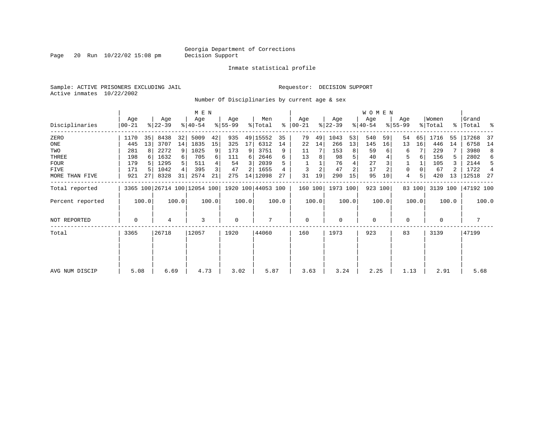Page 20 Run  $10/22/02$  15:08 pm

#### Inmate statistical profile

Sample: ACTIVE PRISONERS EXCLUDING JAIL Requestor: DECISION SUPPORT Active inmates 10/22/2002

Number Of Disciplinaries by current age & sex

|                  |                  |       |                              |                | M E N           |       |                 |       |                    |       |                 |       |                  |       | <b>WOMEN</b>     |         |                  |        |                  |       |                    |       |
|------------------|------------------|-------|------------------------------|----------------|-----------------|-------|-----------------|-------|--------------------|-------|-----------------|-------|------------------|-------|------------------|---------|------------------|--------|------------------|-------|--------------------|-------|
| Disciplinaries   | Age<br>$00 - 21$ |       | Age<br>$ 22-39 $             |                | Age<br>$ 40-54$ |       | Age<br>$ 55-99$ |       | Men<br>% Total     | ႜ     | Age<br>$ 00-21$ |       | Age<br>$ 22-39 $ |       | Age<br>$ 40-54 $ |         | Age<br>$8 55-99$ |        | Women<br>% Total |       | Grand<br>%   Total | ್ಠಿ   |
| ZERO             | 1170             | 35    | 8438                         | 32             | 5009            | 42    | 935             |       | 49 15552           | 35    | 79              | 49    | 1043             | 53    | 540              | 59      | 54               | 65     | 1716             | 55    | 17268              | -37   |
| ONE              | 445              | 13    | 3707                         | 14             | 1835            | 15    | 325             | 17    | 6312               | 14    | 22              | 14    | 266              | 13    | 145              | 16      | 13               | 16     | 446              | 14    | 6758               | 14    |
| TWO              | 281              | 8     | 2272                         | 9              | 1025            | 9     | 173             | 9     | 3751               | 9     | 11              |       | 153              | 8     | 59               | 6       | 6                |        | 229              |       | 3980               | 8     |
| THREE            | 198              |       | 1632                         | $6 \mid$       | 705             | 6     | 111             | 6     | 2646               | б     | 13              | 8     | 98               | 5     | 40               |         | 5                | 6      | 156              | 5     | 2802               | 6     |
| <b>FOUR</b>      | 179              |       | 1295                         | 5 <sup>1</sup> | 511             |       | 54              | 3     | 2039               | 5     |                 |       | 76               |       | 27               |         |                  |        | 105              |       | 2144               | 5     |
| FIVE             | 171              |       | 1042                         | 4              | 395             | 3     | 47              |       | 1655               |       | 3               |       | 47               |       | 17               |         | 0                |        | 67               |       | 1722               | 4     |
| MORE THAN FIVE   | 921              | 27    | 8328                         | 31             | 2574            | 21    | 275             |       | 14   12098         | 27    | 31              | 19    | 290              | 15    | 95               | 10      | 4                | 5      | 420              | 13    | 12518              | -27   |
| Total reported   |                  |       | 3365 100 26714 100 12054 100 |                |                 |       |                 |       | 1920 100 44053 100 |       | 160 100         |       | 1973 100         |       |                  | 923 100 |                  | 83 100 | 3139 100         |       | 47192 100          |       |
| Percent reported |                  | 100.0 |                              | 100.0          |                 | 100.0 |                 | 100.0 |                    | 100.0 |                 | 100.0 |                  | 100.0 |                  | 100.0   |                  | 100.0  |                  | 100.0 |                    | 100.0 |
| NOT REPORTED     | 0                |       | 4                            |                | 3               |       | $\mathbf 0$     |       | 7                  |       | $\mathbf 0$     |       | 0                |       | $\mathbf 0$      |         | 0                |        | $\mathbf 0$      |       | 7                  |       |
| Total            | 3365             |       | 26718                        |                | 12057           |       | 1920            |       | 44060              |       | 160             |       | 1973             |       | 923              |         | 83               |        | 3139             |       | 47199              |       |
|                  |                  |       |                              |                |                 |       |                 |       |                    |       |                 |       |                  |       |                  |         |                  |        |                  |       |                    |       |
|                  |                  |       |                              |                |                 |       |                 |       |                    |       |                 |       |                  |       |                  |         |                  |        |                  |       |                    |       |
| AVG NUM DISCIP   | 5.08             |       | 6.69                         |                | 4.73            |       | 3.02            |       | 5.87               |       | 3.63            |       | 3.24             |       | 2.25             |         | 1.13             |        | 2.91             |       | 5.68               |       |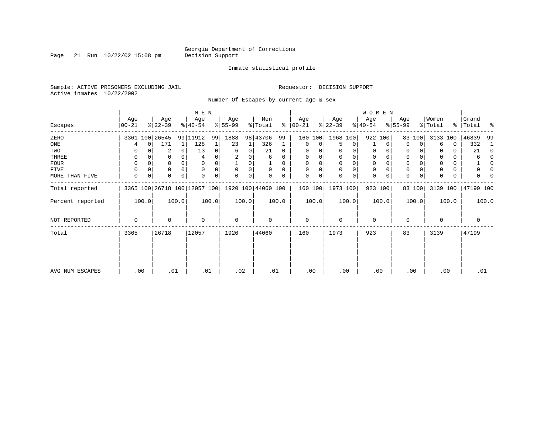Page 21 Run  $10/22/02$  15:08 pm

#### Inmate statistical profile

Sample: ACTIVE PRISONERS EXCLUDING JAIL Requestor: DECISION SUPPORT Active inmates 10/22/2002

Number Of Escapes by current age & sex

|                  |                  |             |                  |          | M E N                                               |          |                 |       |                |          |                  |          |                  |             | WOMEN            |          |                  |        |                  |       |                    |          |
|------------------|------------------|-------------|------------------|----------|-----------------------------------------------------|----------|-----------------|-------|----------------|----------|------------------|----------|------------------|-------------|------------------|----------|------------------|--------|------------------|-------|--------------------|----------|
| Escapes          | Age<br>$ 00-21 $ |             | Age<br>$ 22-39 $ |          | Age<br>$8 40-54$                                    |          | Age<br>$ 55-99$ |       | Men<br>% Total | ∻        | Age<br>$ 00-21 $ |          | Age<br>$ 22-39 $ |             | Age<br>$ 40-54 $ |          | Age<br>$8 55-99$ |        | Women<br>% Total |       | Grand<br>% Total % |          |
| ZERO             |                  |             | 3361 100 26545   |          | 99 11912                                            | 99       | 1888            |       | 98 43706       | 99       | 160              | 100      | 1968 100         |             |                  | 922 100  | 83               | 100    | 3133 100         |       | 46839              | -99      |
| ONE              | 4                | $\mathbf 0$ | 171              | 1        | 128                                                 |          | 23              | 1     | 326            | 1        | 0                | 0        | 5                | 0           |                  | 0        | $\Omega$         | 0      | 6                | 0     | 332                | 1        |
| TWO              | 0                |             | 2                | 0        | 13                                                  |          | 6               | 0     | 21             | 0        | 0                |          | 0                | 0           | 0                | 0        | 0                |        |                  | 0     | 21                 | 0        |
| THREE            | 0                |             | 0                |          |                                                     |          |                 |       | 6              | 0        | 0                |          | 0                | 0           | 0                |          | 0                |        |                  | 0     | 6                  | $\Omega$ |
| <b>FOUR</b>      | 0                |             | 0                | $\Omega$ | $\Omega$                                            |          |                 | 0     |                | $\Omega$ | $\Omega$         | $\Omega$ | $\Omega$         | $\mathbf 0$ | $\mathbf 0$      | $\Omega$ | $\Omega$         |        |                  | 0     |                    | $\Omega$ |
| FIVE             | 0                | 0           | 0                | $\Omega$ | $\Omega$                                            |          | 0               | 0     | 0              | $\Omega$ | $\Omega$         |          | $\mathbf 0$      | 0           | 0                | $\Omega$ | 0                |        |                  | 0     | 0                  | 0        |
| MORE THAN FIVE   | 0                | 0           | 0                | $\Omega$ |                                                     | $\Omega$ | $\Omega$        | 0     |                | 0        | $\Omega$         | 0        | $\Omega$         | 0           | $\mathbf 0$      | 0        | 0                | 0      |                  | 0     | U                  |          |
| Total reported   |                  |             |                  |          | 3365 100 26718 100 12057 100   1920 100   44060 100 |          |                 |       |                |          | 160 100          |          | 1973 100         |             |                  | 923 100  |                  | 83 100 | 3139 100         |       | 47199 100          |          |
| Percent reported |                  | 100.0       |                  | 100.0    |                                                     | 100.0    |                 | 100.0 |                | 100.0    |                  | 100.0    |                  | 100.0       |                  | 100.0    |                  | 100.0  |                  | 100.0 |                    | 100.0    |
| NOT REPORTED     | 0                |             | 0                |          | $\Omega$                                            |          | 0               |       | 0              |          | $\mathbf 0$      |          | $\mathbf 0$      |             | $\mathbf 0$      |          | $\mathbf 0$      |        | 0                |       | $\mathbf 0$        |          |
| Total            | 3365             |             | 26718            |          | 12057                                               |          | 1920            |       | 44060          |          | 160              |          | 1973             |             | 923              |          | 83               |        | 3139             |       | 47199              |          |
|                  |                  |             |                  |          |                                                     |          |                 |       |                |          |                  |          |                  |             |                  |          |                  |        |                  |       |                    |          |
| AVG NUM ESCAPES  |                  | .00         | .01              |          | .01                                                 |          | .02             |       | .01            |          | .00              |          | .00              |             | .00              |          |                  | .00    | .00              |       | .01                |          |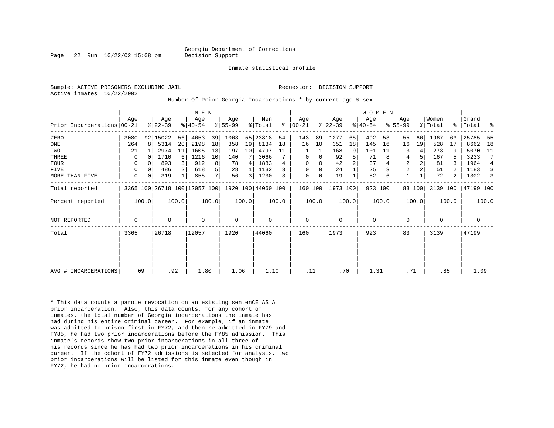Page 22 Run  $10/22/02$  15:08 pm Decision Support

Inmate statistical profile

Active inmates 10/22/2002

Sample: ACTIVE PRISONERS EXCLUDING JAIL **Requestor: DECISION SUPPORT** 

Number Of Prior Georgia Incarcerations \* by current age & sex

|                            |             |       |                  |          | M E N                                           |                |                  |       |                |       |                  |       |                  |       | <b>WOMEN</b>    |       |                  |                |                  |       |                |       |
|----------------------------|-------------|-------|------------------|----------|-------------------------------------------------|----------------|------------------|-------|----------------|-------|------------------|-------|------------------|-------|-----------------|-------|------------------|----------------|------------------|-------|----------------|-------|
| Prior Incarcerations 00-21 | Age         |       | Age<br>$ 22-39 $ |          | Age<br>$ 40-54 $                                |                | Age<br>$ 55-99 $ |       | Men<br>% Total | ႜ     | Age<br>$ 00-21 $ |       | Age<br>$ 22-39 $ |       | Age<br>$ 40-54$ |       | Age<br>$ 55-99 $ |                | Women<br>% Total | ႜ     | Grand<br>Total | ್ಠಿ   |
| ZERO                       | 3080        |       | 92 15022         | 56       | 4653                                            | 39             | 1063             |       | 55 23818       | 54    | 143              | 89    | 1277             | 65    | 492             | 53    | 55               | 66             | 1967             | 63    | 25785          | -55   |
| ONE                        | 264         | 8     | 5314             | 20       | 2198                                            | 18             | 358              | 19    | 8134           | 18    | 16               | 10    | 351              | 18    | 145             | 16    | 16               | 19             | 528              | 17    | 8662           | 18    |
| TWO                        | 21          |       | 2974             | 11       | 1605                                            | 13             | 197              | 10    | 4797           | 11    |                  |       | 168              | 9     | 101             | 11    | 3                | 4              | 273              | 9     | 5070           | 11    |
| THREE                      | 0           |       | 1710             | $6 \mid$ | 1216                                            | 10             | 140              |       | 3066           |       | 0                | 0     | 92               | 5     | 71              | 8     | 4                | 5              | 167              |       | 3233           | 7     |
| <b>FOUR</b>                | $\Omega$    |       | 893              |          | 912                                             | 8              | 78               | 4     | 1883           | 4     | $\mathbf 0$      |       | 42               |       | 37              |       | 2                | $\overline{a}$ | 81               |       | 1964           | 4     |
| <b>FIVE</b>                | 0           |       | 486              |          | 618                                             | 5              | 28               |       | 1132           |       | $\Omega$         | 0     | 24               |       | 25              |       | 2                |                | 51               |       | 1183           | 3     |
| MORE THAN FIVE             | 0           | 0     | 319              |          | 855                                             | 7 <sup>1</sup> | 56               | 3     | 1230           | 3     | $\mathbf 0$      | 0     | 19               |       | 52              |       | $\mathbf{1}$     |                | 72               | 2     | 1302           |       |
| Total reported             |             |       |                  |          | 3365 100 26718 100 12057 100 1920 100 44060 100 |                |                  |       |                |       | 160 100          |       | 1973 100         |       | 923 100         |       |                  | 83 100         | 3139 100         |       | 47199 100      |       |
| Percent reported           |             | 100.0 |                  | 100.0    |                                                 | 100.0          |                  | 100.0 |                | 100.0 |                  | 100.0 |                  | 100.0 |                 | 100.0 |                  | 100.0          |                  | 100.0 |                | 100.0 |
| NOT REPORTED               | $\mathbf 0$ |       | $\Omega$         |          | $\Omega$                                        |                | $\mathbf 0$      |       | 0              |       | $\mathbf 0$      |       | $\Omega$         |       | $\mathbf 0$     |       | $\mathbf 0$      |                | $\Omega$         |       | 0              |       |
| Total                      | 3365        |       | 26718            |          | 12057                                           |                | 1920             |       | 44060          |       | 160              |       | 1973             |       | 923             |       | 83               |                | 3139             |       | 47199          |       |
|                            |             |       |                  |          |                                                 |                |                  |       |                |       |                  |       |                  |       |                 |       |                  |                |                  |       |                |       |
|                            |             |       |                  |          |                                                 |                |                  |       |                |       |                  |       |                  |       |                 |       |                  |                |                  |       |                |       |
| AVG # INCARCERATIONS       |             | .09   |                  | .92      | 1.80                                            |                | 1.06             |       | 1.10           |       | .11              |       | .70              |       | 1.31            |       | .71              |                | .85              |       | 1.09           |       |

\* This data counts a parole revocation on an existing sentenCE AS A prior incarceration. Also, this data counts, for any cohort of inmates, the total number of Georgia incarcerations the inmate has had during his entire criminal career. For example, if an inmate was admitted to prison first in FY72, and then re-admitted in FY79 and FY85, he had two prior incarcerations before the FY85 admission. This inmate's records show two prior incarcerations in all three of his records since he has had two prior incarcerations in his criminal career. If the cohort of FY72 admissions is selected for analysis, two prior incarcerations will be listed for this inmate even though in FY72, he had no prior incarcerations.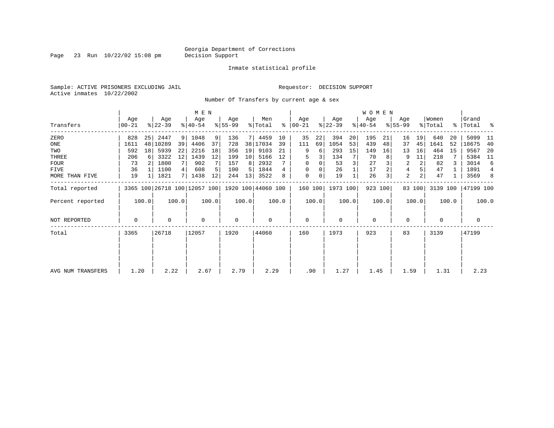Page 23 Run  $10/22/02$  15:08 pm

#### Inmate statistical profile

Sample: ACTIVE PRISONERS EXCLUDING JAIL **Requestor: DECISION SUPPORT** Active inmates 10/22/2002

Number Of Transfers by current age & sex

|                   |                  |                |                  |       | M E N                        |       |                  |                 |                    |       |                  |                |                  |       | WOMEN            |       |                |                |                              |       |                      |                |
|-------------------|------------------|----------------|------------------|-------|------------------------------|-------|------------------|-----------------|--------------------|-------|------------------|----------------|------------------|-------|------------------|-------|----------------|----------------|------------------------------|-------|----------------------|----------------|
| Transfers         | Age<br>$00 - 21$ |                | Age<br>$ 22-39 $ |       | Age<br>$ 40-54 $             |       | Age<br>$ 55-99 $ |                 | Men<br>% Total     | ႜ     | Age<br>$ 00-21 $ |                | Age<br>$ 22-39 $ |       | Age<br>$ 40-54 $ |       | Age<br>% 55-99 |                | Women<br>$\frac{1}{2}$ Total |       | Grand<br>%   Total % |                |
| ZERO              | 828              | 25             | 2447             | 9     | 1048                         | 9     | 136              |                 | 7 4459             | 10    | 35               | 22             | 394              | 20    | 195              | 21    | 16             | 19             | 640                          | 20    | 5099                 | - 11           |
| ONE               | 1611             | 48             | 10289            | 39    | 4406                         | 37    | 728              |                 | 38 17034           | 39    | 111              | 69             | 1054             | 53    | 439              | 48    | 37             | 45             | 1641                         | 52    | 18675                | 40             |
| TWO               | 592              | 18             | 5939             | 22    | 2216                         | 18    | 356              | 19              | 9103               | 21    | 9                | 6              | 293              | 15    | 149              | 16    | 13             | 16             | 464                          | 15    | 9567                 | -20            |
| THREE             | 206              | 6              | 3322             | 12    | 1439                         | 12    | 199              | 10 <sup>1</sup> | 5166               | 12    |                  |                | 134              | 7     | 70               |       | 9              | 11             | 218                          |       | 5384                 | - 11           |
| <b>FOUR</b>       | 73               | 2 <sup>1</sup> | 1800             | 7     | 902                          |       | 157              | 8               | 2932               |       | $\Omega$         |                | 53               |       | 27               |       | 2              | 2              | 82                           |       | 3014                 | 6              |
| FIVE              | 36               |                | 1100             | 4     | 608                          |       | 100              | 5               | 1844               |       | $\Omega$         |                | 26               |       | 17               |       | 4              |                | 47                           |       | 1891                 | $\overline{4}$ |
| MORE THAN FIVE    | 19               |                | 1821             | 71    | 1438                         | 12    | 244              | 13              | 3522               |       | 0                | $\overline{0}$ | 19               |       | 26               |       | $\overline{a}$ | 2 <sub>1</sub> | 47                           |       | 3569                 | 8              |
| Total reported    |                  |                |                  |       | 3365 100 26718 100 12057 100 |       |                  |                 | 1920 100 44060 100 |       | 160 100          |                | 1973 100         |       | 923 100          |       |                | 83 100         | 3139 100                     |       | 47199 100            |                |
| Percent reported  |                  | 100.0          |                  | 100.0 |                              | 100.0 |                  | 100.0           |                    | 100.0 |                  | 100.0          |                  | 100.0 |                  | 100.0 |                | 100.0          |                              | 100.0 |                      | 100.0          |
| NOT REPORTED      | 0                |                | $\Omega$         |       | 0                            |       | $\mathbf 0$      |                 | $\Omega$           |       | $\Omega$         |                | $\mathbf 0$      |       | 0                |       | 0              |                | $\Omega$                     |       | 0                    |                |
| Total             | 3365             |                | 26718            |       | 12057                        |       | 1920             |                 | 44060              |       | 160              |                | 1973             |       | 923              |       | 83             |                | 3139                         |       | 47199                |                |
|                   |                  |                |                  |       |                              |       |                  |                 |                    |       |                  |                |                  |       |                  |       |                |                |                              |       |                      |                |
|                   |                  |                |                  |       |                              |       |                  |                 |                    |       |                  |                |                  |       |                  |       |                |                |                              |       |                      |                |
| AVG NUM TRANSFERS | 1.20             |                | 2.22             |       | 2.67                         |       | 2.79             |                 | 2.29               |       | .90              |                | 1.27             |       | 1.45             |       | 1.59           |                | 1.31                         |       | 2.23                 |                |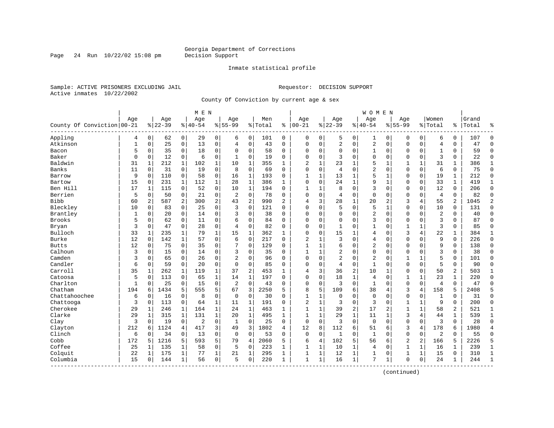Page 24 Run  $10/22/02$  15:08 pm

#### Inmate statistical profile

Sample: ACTIVE PRISONERS EXCLUDING JAIL **Requestor: DECISION SUPPORT** Active inmates 10/22/2002

County Of Conviction by current age & sex

| Age<br>Age<br>Women<br>Age<br>Men<br>Grand<br>Age<br>Age<br>Age<br>Age<br>Aqe<br>$ 00-21$<br>$8 22-39$<br>County Of Conviction 00-21<br>$8 22-39$<br>$ 40-54$<br>$8155 - 99$<br>%   Total<br>$8140 - 54$<br>$8155 - 99$<br>% Total<br>ႜ<br>Total<br>ႜ<br>န္<br>Appling<br>$\overline{0}$<br>62<br>$\overline{0}$<br>29<br>0<br>$\mathbf 0$<br>0<br>0<br>$\mathbf 0$<br>6<br>0<br>$\Omega$<br>6<br>101<br>$\Omega$<br>5<br>0<br>1<br>0<br>$\Omega$<br>107<br>4<br>Atkinson<br>25<br>$\mathbf 0$<br>13<br>0<br>43<br>$\Omega$<br>0<br>2<br>0<br>2<br>$\mathbf 0$<br>$\mathbf{0}$<br>47<br>$\mathbf{1}$<br>$\Omega$<br>$\mathbf 0$<br>$\Omega$<br>$\mathbf 0$<br>$\overline{4}$<br>$\Omega$<br>$\Omega$<br>4<br>18<br>58<br>59<br>$\Omega$<br>Bacon<br>5<br>0<br>35<br>0<br>0<br>$\Omega$<br>0<br>0<br>$\Omega$<br>0<br>$\mathbf 0$<br>0<br>1<br>0<br>$\Omega$<br>$\mathbf 0$<br>1<br>0<br>3<br>Baker<br>0<br>0<br>12<br>6<br>0<br>$\mathbf 0$<br>19<br>$\Omega$<br>0<br>3<br>$\Omega$<br>$\Omega$<br>$\Omega$<br>0<br>22<br>$\Omega$<br>0<br>$\Omega$<br>$\mathbf 0$<br>0<br>-1<br>Baldwin<br>212<br>$\mathbf{1}$<br>10<br>$\overline{a}$<br>23<br>5<br>$\mathbf{1}$<br>31<br>$\mathbf{1}$<br>31<br>1<br>1<br>102<br>1<br>355<br>1<br>1<br>1<br>$\mathbf{1}$<br>386<br>$\mathbf{1}$<br>1<br>$\mathbf 0$<br>$\mathbf 0$<br>0<br>$\overline{2}$<br>6<br>Banks<br>11<br>19<br>0<br>69<br>$\mathbf 0$<br>0<br>$\overline{4}$<br>$\mathbf 0$<br>$\Omega$<br>$\mathbf 0$<br>0<br>75<br>$\Omega$<br>$\Omega$<br>31<br>8<br>$\Omega$<br>5<br>9<br>$\mathbf 0$<br>0<br>$\mathbf{1}$<br>$\mathbf{1}$<br>13<br>$\mathbf 1$<br>$\mathbf 0$<br>$\mathbf{1}$<br>212<br>0<br>110<br>58<br>16<br>193<br>$\Omega$<br>1<br>$\mathbf{1}$<br>$\Omega$<br>19<br>$\Omega$<br>Barrow<br>9<br>15<br>$\mathbf{1}$<br>112<br>$\mathbf{1}$<br>28<br>$\mathbf 1$<br>386<br>$\Omega$<br>0<br>24<br>1<br>$\mathbf 1$<br>0<br>33<br>$\mathbf{1}$<br>419<br>$\mathbf{1}$<br>Bartow<br>0<br>231<br>$\mathbf{1}$<br>$\Omega$<br>Ben Hill<br>17<br>$\mathbf 0$<br>52<br>0<br>10<br>194<br>8<br>$\mathbf 0$<br>3<br>12<br>206<br>$\Omega$<br>115<br>1<br>$\Omega$<br>$\mathbf{1}$<br>1<br>$\mathbf 0$<br>$\Omega$<br>$\Omega$<br>0<br>1<br>Berrien<br>5<br>21<br>0<br>$\overline{2}$<br>$\mathbf 0$<br>78<br>0<br>$\mathbf{0}$<br>$\Omega$<br>$\overline{4}$<br>50<br>0<br>0<br>$\Omega$<br>0<br>$\mathbf 0$<br>0<br>0<br>82<br>$\Omega$<br>0<br>4<br>$\overline{a}$<br>Bibb<br>2<br>300<br>2<br>990<br>$\overline{a}$<br>3<br>28<br>1<br>20<br>3<br>4<br>55<br>2<br>$\overline{2}$<br>60<br>2<br>587<br>43<br>4<br>2<br>1045<br>$\Omega$<br>$\Omega$<br>$\Omega$<br>5<br>Bleckley<br>$\Omega$<br>25<br>3<br>0<br>5<br>$\mathbf{1}$<br>$\Omega$<br>$\Omega$<br>10<br>131<br>10<br>$\Omega$<br>83<br>121<br>$\Omega$<br>$\Omega$<br>$\Omega$<br>$\Omega$<br>Brantley<br>$\mathbf 0$<br>0<br>$\overline{2}$<br>$\overline{2}$<br>40<br>$\mathbf{1}$<br>0<br>20<br>14<br>3<br>$\Omega$<br>38<br>$\Omega$<br>$\Omega$<br>$\Omega$<br>$\Omega$<br>$\Omega$<br>$\mathbf 0$<br>$\Omega$<br>$\Omega$<br>$\Omega$<br>$\Omega$<br><b>Brooks</b><br>84<br>3<br>3<br>87<br>5<br>62<br>$\mathbf 0$<br>11<br>0<br>6<br>$\Omega$<br>$\Omega$<br>$\Omega$<br>$\Omega$<br>$\Omega$<br>$\Omega$<br>$\mathbf 0$<br>$\Omega$<br>$\Omega$<br>$\Omega$<br>$\Omega$<br>$\Omega$<br>3<br>3<br>47<br>28<br>0<br>$\mathbf 0$<br>82<br>85<br>Bryan<br>0<br>0<br>4<br>0<br>$\Omega$<br>0<br>$\Omega$<br>1<br>$\mathbf 0$<br>1<br>1<br>0<br>$\Omega$<br>Bulloch<br>79<br>$\mathbf{1}$<br>15<br>15<br>3<br>22<br>33<br>1<br>235<br>1<br>362<br>$\Omega$<br>0<br>1<br>$\Omega$<br>4<br>1<br>384<br>1<br>1<br>$\mathbf{1}$<br>4<br>Burke<br>12<br>57<br>$\Omega$<br>217<br>$\overline{2}$<br>3<br>$\Omega$<br>$\Omega$<br>9<br>$\Omega$<br>$\Omega$<br>142<br>$\mathbf{1}$<br>$\Omega$<br>6<br>$\Omega$<br>$\mathbf{1}$<br>4<br>$\Omega$<br>$\Omega$<br>226<br>$\Omega$<br>12<br>$\Omega$<br>35<br>$\Omega$<br>129<br>$\Omega$<br>$\overline{2}$<br>9<br><b>Butts</b><br>75<br>$\Omega$<br>7<br>$\mathbf{1}$<br>1<br>6<br>$\Omega$<br>$\Omega$<br>$\Omega$<br>$\Omega$<br>138<br>$\Omega$<br>$\Omega$<br>$\Omega$<br>Calhoun<br>0<br>$\mathbf{1}$<br>$\overline{2}$<br>$\Omega$<br>3<br>38<br>3<br>0<br>15<br>$\mathbf 0$<br>14<br>3<br>$\mathbf 0$<br>35<br>$\Omega$<br>1<br>$\Omega$<br>$\Omega$<br>$\Omega$<br>$\Omega$<br>$\Omega$<br>$\Omega$<br>Camden<br>26<br>96<br>$\Omega$<br>$\overline{2}$<br>$\overline{2}$<br>5<br>3<br>65<br>$\mathbf 0$<br>0<br>$\overline{2}$<br>$\Omega$<br>0<br>0<br>$\Omega$<br>$\mathbf{1}$<br>$\mathbf 1$<br>101<br>0<br>$\Omega$<br>$\Omega$<br>$\Omega$<br>Candler<br>5<br>6<br>59<br>20<br>0<br>$\mathbf 0$<br>85<br>0<br>$\Omega$<br>$\mathbf 0$<br>90<br>0<br>$\Omega$<br>$\Omega$<br>0<br>4<br>1<br>0<br>0<br>$\Omega$<br>0<br>0<br>Carroll<br>35<br>2<br>3<br>$\overline{2}$<br>10<br>$\Omega$<br>50<br>$\overline{a}$<br>503<br>$\mathbf{1}$<br>262<br>$\mathbf{1}$<br>119<br>$\mathbf{1}$<br>37<br>453<br>36<br>$\mathbf{1}$<br>$\Omega$<br>$\mathbf{1}$<br>4<br>$\mathbf{1}$<br>Catoosa<br>1<br>$\mathbf{1}$<br>23<br>220<br>5<br>113<br>$\Omega$<br>$\mathbf{1}$<br>14<br>$\mathbf{1}$<br>197<br>$\Omega$<br>0<br>18<br>$\overline{4}$<br>$\Omega$<br>$\mathbf{1}$<br>$\mathbf{1}$<br>$\Omega$<br>$\Omega$<br>65<br>$\Omega$<br>Charlton<br>$\overline{3}$<br>$\Omega$<br>15<br>0<br>$\overline{2}$<br>$\Omega$<br>0<br>$\Omega$<br>$\Omega$<br>$\overline{4}$<br>$\mathbf{1}$<br>25<br>$\Omega$<br>43<br>$\Omega$<br>$\mathbf{1}$<br>$\Omega$<br>$\Omega$<br>47<br>$\Omega$<br>$\Omega$<br>$\Omega$<br>Chatham<br>5<br>8<br>5<br>38<br>5<br>194<br>6<br>1434<br>5<br>555<br>67<br>3<br>2250<br>5<br>109<br>6<br>3<br>4<br>158<br>2408<br>4<br>Chattahoochee<br>6<br>16<br>$\mathbf 0$<br>8<br>0<br>$\mathbf 0$<br>$\mathbf 0$<br>30<br>$\mathbf{1}$<br>$\Omega$<br>$\mathbf 0$<br>$\mathbf{0}$<br>$\mathbf{1}$<br>0<br>31<br>$\Omega$<br>0<br>$\Omega$<br>1<br>$\mathbf 0$<br>$\Omega$<br>$\mathbf 0$<br>Chattooga<br>3<br>113<br>1<br>$\overline{2}$<br>1<br>3<br>0<br>3<br>9<br>200<br>$\mathbf{0}$<br>0<br>64<br>11<br>1<br>191<br>0<br>1<br>1<br>0<br>0<br>0<br>Cherokee<br>$\overline{2}$<br>$\overline{a}$<br>29<br>246<br>164<br>$\mathbf 1$<br>$\mathbf 1$<br>463<br>$\mathbf{1}$<br>$\mathbf{1}$<br>39<br>17<br>$\overline{2}$<br>$\mathbf{1}$<br>$\mathbf{1}$<br>58<br>521<br>$\mathbf 1$<br>1<br>1<br>2.4<br>$\mathbf{1}$<br>Clarke<br>$\mathbf 1$<br>$\mathbf{1}$<br>$\mathbf 1$<br>3<br>$\mathbf{1}$<br>29<br>315<br>$\mathbf{1}$<br>131<br>20<br>$\mathbf{1}$<br>495<br>$\mathbf{1}$<br>29<br>11<br>4<br>44<br>539<br>$\mathbf{1}$<br>1<br>$\mathbf{1}$<br>$\mathbf{1}$<br>3<br>$\Omega$<br>$\mathbf 0$<br>0<br>$\Omega$<br>$\mathbf 0$<br>$\Omega$<br>$\Omega$<br>$\Omega$<br>$\overline{3}$<br>3<br>19<br>2<br>25<br>$\Omega$<br>$\mathbf 0$<br>$\Omega$<br>$\Omega$<br>28<br>$\Omega$<br>Clay<br>$\Omega$<br>1<br>212<br>3<br>1802<br>1124<br>4<br>417<br>49<br>3<br>12<br>8<br>112<br>6<br>51<br>3<br>4<br>178<br>6<br>1980<br>Clayton<br>6<br>4<br>6<br>$\overline{4}$<br>$\mathbf 0$<br>$\overline{2}$<br>Clinch<br>6<br>34<br>$\mathbf 0$<br>13<br>0<br>$\mathbf 0$<br>$\mathbf 0$<br>53<br>$\Omega$<br>$\mathbf 0$<br>0<br>$\mathbf{1}$<br>0<br>$\mathbf{1}$<br>$\mathbf 0$<br>55<br>$\mathbf 0$<br>$\Omega$<br>$\Omega$<br>0<br>Cobb<br>172<br>593<br>5<br>5<br>$\overline{2}$<br>$\overline{a}$<br>166<br>2226<br>1216<br>5<br>79<br>$\overline{4}$<br>2060<br>5<br>6<br>4<br>102<br>56<br>6<br>5<br>5<br>5<br>Coffee<br>0<br>$\mathbf{1}$<br>25<br>58<br>$\mathbf 0$<br>223<br>$\mathbf{1}$<br>1<br>1<br>$\mathbf{1}$<br>239<br>$\mathbf 1$<br>135<br>1<br>.5<br>$\mathbf{1}$<br>10<br>4<br>$\Omega$<br>16<br>1<br>1<br>Colquit<br>22<br>77<br>$\mathbf 1$<br>295<br>$\mathbf{1}$<br>1<br>$\mathbf{1}$<br>1<br>175<br>1<br>21<br>1<br>1<br>1<br>12<br>1<br>$\mathbf 0$<br>1<br>15<br>$\Omega$<br>310<br>$\mathbf{1}$<br>Columbia<br>15<br>7<br>56<br>$\overline{0}$<br>$\mathbf 0$<br>220<br>$\mathbf{1}$<br>$\mathbf{1}$<br>16<br>$\mathbf{1}$<br>$\Omega$<br>$\mathbf 0$<br>24<br>244<br>0<br>144<br>1<br>.5<br>1<br>1<br>1<br>$\mathbf{1}$<br>-------- |  |  | M E N |  |  |  |  | W O M E N |  |  |  |  |
|----------------------------------------------------------------------------------------------------------------------------------------------------------------------------------------------------------------------------------------------------------------------------------------------------------------------------------------------------------------------------------------------------------------------------------------------------------------------------------------------------------------------------------------------------------------------------------------------------------------------------------------------------------------------------------------------------------------------------------------------------------------------------------------------------------------------------------------------------------------------------------------------------------------------------------------------------------------------------------------------------------------------------------------------------------------------------------------------------------------------------------------------------------------------------------------------------------------------------------------------------------------------------------------------------------------------------------------------------------------------------------------------------------------------------------------------------------------------------------------------------------------------------------------------------------------------------------------------------------------------------------------------------------------------------------------------------------------------------------------------------------------------------------------------------------------------------------------------------------------------------------------------------------------------------------------------------------------------------------------------------------------------------------------------------------------------------------------------------------------------------------------------------------------------------------------------------------------------------------------------------------------------------------------------------------------------------------------------------------------------------------------------------------------------------------------------------------------------------------------------------------------------------------------------------------------------------------------------------------------------------------------------------------------------------------------------------------------------------------------------------------------------------------------------------------------------------------------------------------------------------------------------------------------------------------------------------------------------------------------------------------------------------------------------------------------------------------------------------------------------------------------------------------------------------------------------------------------------------------------------------------------------------------------------------------------------------------------------------------------------------------------------------------------------------------------------------------------------------------------------------------------------------------------------------------------------------------------------------------------------------------------------------------------------------------------------------------------------------------------------------------------------------------------------------------------------------------------------------------------------------------------------------------------------------------------------------------------------------------------------------------------------------------------------------------------------------------------------------------------------------------------------------------------------------------------------------------------------------------------------------------------------------------------------------------------------------------------------------------------------------------------------------------------------------------------------------------------------------------------------------------------------------------------------------------------------------------------------------------------------------------------------------------------------------------------------------------------------------------------------------------------------------------------------------------------------------------------------------------------------------------------------------------------------------------------------------------------------------------------------------------------------------------------------------------------------------------------------------------------------------------------------------------------------------------------------------------------------------------------------------------------------------------------------------------------------------------------------------------------------------------------------------------------------------------------------------------------------------------------------------------------------------------------------------------------------------------------------------------------------------------------------------------------------------------------------------------------------------------------------------------------------------------------------------------------------------------------------------------------------------------------------------------------------------------------------------------------------------------------------------------------------------------------------------------------------------------------------------------------------------------------------------------------------------------------------------------------------------------------------------------------------------------------------------------------------------------------------------------------------------------------------------------------------------------------------------------------------------------------------------------------------------------------------------------------------------------------------------------------------------------------------------------------------------------------------------------------------------------------------------------------------------------------------------------------------------------------------------------------------------------------------------------------------------------------------------------------------------------------------------------------------------------------------------------------------------------------------------------------------------------------------------------------------------------------------------------------------------------------------------------------------------------------------------------------------------------------------------------------------------------------------------------------------------------------------------------------------------------------------------------------------------------------------------------------------------------------------------------------------------------------------------------------------------------------------------------------------------------------------------------------------------------------------------------------------------------------------------------------------------------------------------------------------------------------------------------------------------------------------------------------------------------------------------------------------------------------------------------------------------------------------------------------|--|--|-------|--|--|--|--|-----------|--|--|--|--|
|                                                                                                                                                                                                                                                                                                                                                                                                                                                                                                                                                                                                                                                                                                                                                                                                                                                                                                                                                                                                                                                                                                                                                                                                                                                                                                                                                                                                                                                                                                                                                                                                                                                                                                                                                                                                                                                                                                                                                                                                                                                                                                                                                                                                                                                                                                                                                                                                                                                                                                                                                                                                                                                                                                                                                                                                                                                                                                                                                                                                                                                                                                                                                                                                                                                                                                                                                                                                                                                                                                                                                                                                                                                                                                                                                                                                                                                                                                                                                                                                                                                                                                                                                                                                                                                                                                                                                                                                                                                                                                                                                                                                                                                                                                                                                                                                                                                                                                                                                                                                                                                                                                                                                                                                                                                                                                                                                                                                                                                                                                                                                                                                                                                                                                                                                                                                                                                                                                                                                                                                                                                                                                                                                                                                                                                                                                                                                                                                                                                                                                                                                                                                                                                                                                                                                                                                                                                                                                                                                                                                                                                                                                                                                                                                                                                                                                                                                                                                                                                                                                                                                                                                                                                                                                                                                                                                                                                                                                                                                                                                                                                                                                                                                                |  |  |       |  |  |  |  |           |  |  |  |  |
|                                                                                                                                                                                                                                                                                                                                                                                                                                                                                                                                                                                                                                                                                                                                                                                                                                                                                                                                                                                                                                                                                                                                                                                                                                                                                                                                                                                                                                                                                                                                                                                                                                                                                                                                                                                                                                                                                                                                                                                                                                                                                                                                                                                                                                                                                                                                                                                                                                                                                                                                                                                                                                                                                                                                                                                                                                                                                                                                                                                                                                                                                                                                                                                                                                                                                                                                                                                                                                                                                                                                                                                                                                                                                                                                                                                                                                                                                                                                                                                                                                                                                                                                                                                                                                                                                                                                                                                                                                                                                                                                                                                                                                                                                                                                                                                                                                                                                                                                                                                                                                                                                                                                                                                                                                                                                                                                                                                                                                                                                                                                                                                                                                                                                                                                                                                                                                                                                                                                                                                                                                                                                                                                                                                                                                                                                                                                                                                                                                                                                                                                                                                                                                                                                                                                                                                                                                                                                                                                                                                                                                                                                                                                                                                                                                                                                                                                                                                                                                                                                                                                                                                                                                                                                                                                                                                                                                                                                                                                                                                                                                                                                                                                                                |  |  |       |  |  |  |  |           |  |  |  |  |
|                                                                                                                                                                                                                                                                                                                                                                                                                                                                                                                                                                                                                                                                                                                                                                                                                                                                                                                                                                                                                                                                                                                                                                                                                                                                                                                                                                                                                                                                                                                                                                                                                                                                                                                                                                                                                                                                                                                                                                                                                                                                                                                                                                                                                                                                                                                                                                                                                                                                                                                                                                                                                                                                                                                                                                                                                                                                                                                                                                                                                                                                                                                                                                                                                                                                                                                                                                                                                                                                                                                                                                                                                                                                                                                                                                                                                                                                                                                                                                                                                                                                                                                                                                                                                                                                                                                                                                                                                                                                                                                                                                                                                                                                                                                                                                                                                                                                                                                                                                                                                                                                                                                                                                                                                                                                                                                                                                                                                                                                                                                                                                                                                                                                                                                                                                                                                                                                                                                                                                                                                                                                                                                                                                                                                                                                                                                                                                                                                                                                                                                                                                                                                                                                                                                                                                                                                                                                                                                                                                                                                                                                                                                                                                                                                                                                                                                                                                                                                                                                                                                                                                                                                                                                                                                                                                                                                                                                                                                                                                                                                                                                                                                                                                |  |  |       |  |  |  |  |           |  |  |  |  |
|                                                                                                                                                                                                                                                                                                                                                                                                                                                                                                                                                                                                                                                                                                                                                                                                                                                                                                                                                                                                                                                                                                                                                                                                                                                                                                                                                                                                                                                                                                                                                                                                                                                                                                                                                                                                                                                                                                                                                                                                                                                                                                                                                                                                                                                                                                                                                                                                                                                                                                                                                                                                                                                                                                                                                                                                                                                                                                                                                                                                                                                                                                                                                                                                                                                                                                                                                                                                                                                                                                                                                                                                                                                                                                                                                                                                                                                                                                                                                                                                                                                                                                                                                                                                                                                                                                                                                                                                                                                                                                                                                                                                                                                                                                                                                                                                                                                                                                                                                                                                                                                                                                                                                                                                                                                                                                                                                                                                                                                                                                                                                                                                                                                                                                                                                                                                                                                                                                                                                                                                                                                                                                                                                                                                                                                                                                                                                                                                                                                                                                                                                                                                                                                                                                                                                                                                                                                                                                                                                                                                                                                                                                                                                                                                                                                                                                                                                                                                                                                                                                                                                                                                                                                                                                                                                                                                                                                                                                                                                                                                                                                                                                                                                                |  |  |       |  |  |  |  |           |  |  |  |  |
|                                                                                                                                                                                                                                                                                                                                                                                                                                                                                                                                                                                                                                                                                                                                                                                                                                                                                                                                                                                                                                                                                                                                                                                                                                                                                                                                                                                                                                                                                                                                                                                                                                                                                                                                                                                                                                                                                                                                                                                                                                                                                                                                                                                                                                                                                                                                                                                                                                                                                                                                                                                                                                                                                                                                                                                                                                                                                                                                                                                                                                                                                                                                                                                                                                                                                                                                                                                                                                                                                                                                                                                                                                                                                                                                                                                                                                                                                                                                                                                                                                                                                                                                                                                                                                                                                                                                                                                                                                                                                                                                                                                                                                                                                                                                                                                                                                                                                                                                                                                                                                                                                                                                                                                                                                                                                                                                                                                                                                                                                                                                                                                                                                                                                                                                                                                                                                                                                                                                                                                                                                                                                                                                                                                                                                                                                                                                                                                                                                                                                                                                                                                                                                                                                                                                                                                                                                                                                                                                                                                                                                                                                                                                                                                                                                                                                                                                                                                                                                                                                                                                                                                                                                                                                                                                                                                                                                                                                                                                                                                                                                                                                                                                                                |  |  |       |  |  |  |  |           |  |  |  |  |
|                                                                                                                                                                                                                                                                                                                                                                                                                                                                                                                                                                                                                                                                                                                                                                                                                                                                                                                                                                                                                                                                                                                                                                                                                                                                                                                                                                                                                                                                                                                                                                                                                                                                                                                                                                                                                                                                                                                                                                                                                                                                                                                                                                                                                                                                                                                                                                                                                                                                                                                                                                                                                                                                                                                                                                                                                                                                                                                                                                                                                                                                                                                                                                                                                                                                                                                                                                                                                                                                                                                                                                                                                                                                                                                                                                                                                                                                                                                                                                                                                                                                                                                                                                                                                                                                                                                                                                                                                                                                                                                                                                                                                                                                                                                                                                                                                                                                                                                                                                                                                                                                                                                                                                                                                                                                                                                                                                                                                                                                                                                                                                                                                                                                                                                                                                                                                                                                                                                                                                                                                                                                                                                                                                                                                                                                                                                                                                                                                                                                                                                                                                                                                                                                                                                                                                                                                                                                                                                                                                                                                                                                                                                                                                                                                                                                                                                                                                                                                                                                                                                                                                                                                                                                                                                                                                                                                                                                                                                                                                                                                                                                                                                                                                |  |  |       |  |  |  |  |           |  |  |  |  |
|                                                                                                                                                                                                                                                                                                                                                                                                                                                                                                                                                                                                                                                                                                                                                                                                                                                                                                                                                                                                                                                                                                                                                                                                                                                                                                                                                                                                                                                                                                                                                                                                                                                                                                                                                                                                                                                                                                                                                                                                                                                                                                                                                                                                                                                                                                                                                                                                                                                                                                                                                                                                                                                                                                                                                                                                                                                                                                                                                                                                                                                                                                                                                                                                                                                                                                                                                                                                                                                                                                                                                                                                                                                                                                                                                                                                                                                                                                                                                                                                                                                                                                                                                                                                                                                                                                                                                                                                                                                                                                                                                                                                                                                                                                                                                                                                                                                                                                                                                                                                                                                                                                                                                                                                                                                                                                                                                                                                                                                                                                                                                                                                                                                                                                                                                                                                                                                                                                                                                                                                                                                                                                                                                                                                                                                                                                                                                                                                                                                                                                                                                                                                                                                                                                                                                                                                                                                                                                                                                                                                                                                                                                                                                                                                                                                                                                                                                                                                                                                                                                                                                                                                                                                                                                                                                                                                                                                                                                                                                                                                                                                                                                                                                                |  |  |       |  |  |  |  |           |  |  |  |  |
|                                                                                                                                                                                                                                                                                                                                                                                                                                                                                                                                                                                                                                                                                                                                                                                                                                                                                                                                                                                                                                                                                                                                                                                                                                                                                                                                                                                                                                                                                                                                                                                                                                                                                                                                                                                                                                                                                                                                                                                                                                                                                                                                                                                                                                                                                                                                                                                                                                                                                                                                                                                                                                                                                                                                                                                                                                                                                                                                                                                                                                                                                                                                                                                                                                                                                                                                                                                                                                                                                                                                                                                                                                                                                                                                                                                                                                                                                                                                                                                                                                                                                                                                                                                                                                                                                                                                                                                                                                                                                                                                                                                                                                                                                                                                                                                                                                                                                                                                                                                                                                                                                                                                                                                                                                                                                                                                                                                                                                                                                                                                                                                                                                                                                                                                                                                                                                                                                                                                                                                                                                                                                                                                                                                                                                                                                                                                                                                                                                                                                                                                                                                                                                                                                                                                                                                                                                                                                                                                                                                                                                                                                                                                                                                                                                                                                                                                                                                                                                                                                                                                                                                                                                                                                                                                                                                                                                                                                                                                                                                                                                                                                                                                                                |  |  |       |  |  |  |  |           |  |  |  |  |
|                                                                                                                                                                                                                                                                                                                                                                                                                                                                                                                                                                                                                                                                                                                                                                                                                                                                                                                                                                                                                                                                                                                                                                                                                                                                                                                                                                                                                                                                                                                                                                                                                                                                                                                                                                                                                                                                                                                                                                                                                                                                                                                                                                                                                                                                                                                                                                                                                                                                                                                                                                                                                                                                                                                                                                                                                                                                                                                                                                                                                                                                                                                                                                                                                                                                                                                                                                                                                                                                                                                                                                                                                                                                                                                                                                                                                                                                                                                                                                                                                                                                                                                                                                                                                                                                                                                                                                                                                                                                                                                                                                                                                                                                                                                                                                                                                                                                                                                                                                                                                                                                                                                                                                                                                                                                                                                                                                                                                                                                                                                                                                                                                                                                                                                                                                                                                                                                                                                                                                                                                                                                                                                                                                                                                                                                                                                                                                                                                                                                                                                                                                                                                                                                                                                                                                                                                                                                                                                                                                                                                                                                                                                                                                                                                                                                                                                                                                                                                                                                                                                                                                                                                                                                                                                                                                                                                                                                                                                                                                                                                                                                                                                                                                |  |  |       |  |  |  |  |           |  |  |  |  |
|                                                                                                                                                                                                                                                                                                                                                                                                                                                                                                                                                                                                                                                                                                                                                                                                                                                                                                                                                                                                                                                                                                                                                                                                                                                                                                                                                                                                                                                                                                                                                                                                                                                                                                                                                                                                                                                                                                                                                                                                                                                                                                                                                                                                                                                                                                                                                                                                                                                                                                                                                                                                                                                                                                                                                                                                                                                                                                                                                                                                                                                                                                                                                                                                                                                                                                                                                                                                                                                                                                                                                                                                                                                                                                                                                                                                                                                                                                                                                                                                                                                                                                                                                                                                                                                                                                                                                                                                                                                                                                                                                                                                                                                                                                                                                                                                                                                                                                                                                                                                                                                                                                                                                                                                                                                                                                                                                                                                                                                                                                                                                                                                                                                                                                                                                                                                                                                                                                                                                                                                                                                                                                                                                                                                                                                                                                                                                                                                                                                                                                                                                                                                                                                                                                                                                                                                                                                                                                                                                                                                                                                                                                                                                                                                                                                                                                                                                                                                                                                                                                                                                                                                                                                                                                                                                                                                                                                                                                                                                                                                                                                                                                                                                                |  |  |       |  |  |  |  |           |  |  |  |  |
|                                                                                                                                                                                                                                                                                                                                                                                                                                                                                                                                                                                                                                                                                                                                                                                                                                                                                                                                                                                                                                                                                                                                                                                                                                                                                                                                                                                                                                                                                                                                                                                                                                                                                                                                                                                                                                                                                                                                                                                                                                                                                                                                                                                                                                                                                                                                                                                                                                                                                                                                                                                                                                                                                                                                                                                                                                                                                                                                                                                                                                                                                                                                                                                                                                                                                                                                                                                                                                                                                                                                                                                                                                                                                                                                                                                                                                                                                                                                                                                                                                                                                                                                                                                                                                                                                                                                                                                                                                                                                                                                                                                                                                                                                                                                                                                                                                                                                                                                                                                                                                                                                                                                                                                                                                                                                                                                                                                                                                                                                                                                                                                                                                                                                                                                                                                                                                                                                                                                                                                                                                                                                                                                                                                                                                                                                                                                                                                                                                                                                                                                                                                                                                                                                                                                                                                                                                                                                                                                                                                                                                                                                                                                                                                                                                                                                                                                                                                                                                                                                                                                                                                                                                                                                                                                                                                                                                                                                                                                                                                                                                                                                                                                                                |  |  |       |  |  |  |  |           |  |  |  |  |
|                                                                                                                                                                                                                                                                                                                                                                                                                                                                                                                                                                                                                                                                                                                                                                                                                                                                                                                                                                                                                                                                                                                                                                                                                                                                                                                                                                                                                                                                                                                                                                                                                                                                                                                                                                                                                                                                                                                                                                                                                                                                                                                                                                                                                                                                                                                                                                                                                                                                                                                                                                                                                                                                                                                                                                                                                                                                                                                                                                                                                                                                                                                                                                                                                                                                                                                                                                                                                                                                                                                                                                                                                                                                                                                                                                                                                                                                                                                                                                                                                                                                                                                                                                                                                                                                                                                                                                                                                                                                                                                                                                                                                                                                                                                                                                                                                                                                                                                                                                                                                                                                                                                                                                                                                                                                                                                                                                                                                                                                                                                                                                                                                                                                                                                                                                                                                                                                                                                                                                                                                                                                                                                                                                                                                                                                                                                                                                                                                                                                                                                                                                                                                                                                                                                                                                                                                                                                                                                                                                                                                                                                                                                                                                                                                                                                                                                                                                                                                                                                                                                                                                                                                                                                                                                                                                                                                                                                                                                                                                                                                                                                                                                                                                |  |  |       |  |  |  |  |           |  |  |  |  |
|                                                                                                                                                                                                                                                                                                                                                                                                                                                                                                                                                                                                                                                                                                                                                                                                                                                                                                                                                                                                                                                                                                                                                                                                                                                                                                                                                                                                                                                                                                                                                                                                                                                                                                                                                                                                                                                                                                                                                                                                                                                                                                                                                                                                                                                                                                                                                                                                                                                                                                                                                                                                                                                                                                                                                                                                                                                                                                                                                                                                                                                                                                                                                                                                                                                                                                                                                                                                                                                                                                                                                                                                                                                                                                                                                                                                                                                                                                                                                                                                                                                                                                                                                                                                                                                                                                                                                                                                                                                                                                                                                                                                                                                                                                                                                                                                                                                                                                                                                                                                                                                                                                                                                                                                                                                                                                                                                                                                                                                                                                                                                                                                                                                                                                                                                                                                                                                                                                                                                                                                                                                                                                                                                                                                                                                                                                                                                                                                                                                                                                                                                                                                                                                                                                                                                                                                                                                                                                                                                                                                                                                                                                                                                                                                                                                                                                                                                                                                                                                                                                                                                                                                                                                                                                                                                                                                                                                                                                                                                                                                                                                                                                                                                                |  |  |       |  |  |  |  |           |  |  |  |  |
|                                                                                                                                                                                                                                                                                                                                                                                                                                                                                                                                                                                                                                                                                                                                                                                                                                                                                                                                                                                                                                                                                                                                                                                                                                                                                                                                                                                                                                                                                                                                                                                                                                                                                                                                                                                                                                                                                                                                                                                                                                                                                                                                                                                                                                                                                                                                                                                                                                                                                                                                                                                                                                                                                                                                                                                                                                                                                                                                                                                                                                                                                                                                                                                                                                                                                                                                                                                                                                                                                                                                                                                                                                                                                                                                                                                                                                                                                                                                                                                                                                                                                                                                                                                                                                                                                                                                                                                                                                                                                                                                                                                                                                                                                                                                                                                                                                                                                                                                                                                                                                                                                                                                                                                                                                                                                                                                                                                                                                                                                                                                                                                                                                                                                                                                                                                                                                                                                                                                                                                                                                                                                                                                                                                                                                                                                                                                                                                                                                                                                                                                                                                                                                                                                                                                                                                                                                                                                                                                                                                                                                                                                                                                                                                                                                                                                                                                                                                                                                                                                                                                                                                                                                                                                                                                                                                                                                                                                                                                                                                                                                                                                                                                                                |  |  |       |  |  |  |  |           |  |  |  |  |
|                                                                                                                                                                                                                                                                                                                                                                                                                                                                                                                                                                                                                                                                                                                                                                                                                                                                                                                                                                                                                                                                                                                                                                                                                                                                                                                                                                                                                                                                                                                                                                                                                                                                                                                                                                                                                                                                                                                                                                                                                                                                                                                                                                                                                                                                                                                                                                                                                                                                                                                                                                                                                                                                                                                                                                                                                                                                                                                                                                                                                                                                                                                                                                                                                                                                                                                                                                                                                                                                                                                                                                                                                                                                                                                                                                                                                                                                                                                                                                                                                                                                                                                                                                                                                                                                                                                                                                                                                                                                                                                                                                                                                                                                                                                                                                                                                                                                                                                                                                                                                                                                                                                                                                                                                                                                                                                                                                                                                                                                                                                                                                                                                                                                                                                                                                                                                                                                                                                                                                                                                                                                                                                                                                                                                                                                                                                                                                                                                                                                                                                                                                                                                                                                                                                                                                                                                                                                                                                                                                                                                                                                                                                                                                                                                                                                                                                                                                                                                                                                                                                                                                                                                                                                                                                                                                                                                                                                                                                                                                                                                                                                                                                                                                |  |  |       |  |  |  |  |           |  |  |  |  |
|                                                                                                                                                                                                                                                                                                                                                                                                                                                                                                                                                                                                                                                                                                                                                                                                                                                                                                                                                                                                                                                                                                                                                                                                                                                                                                                                                                                                                                                                                                                                                                                                                                                                                                                                                                                                                                                                                                                                                                                                                                                                                                                                                                                                                                                                                                                                                                                                                                                                                                                                                                                                                                                                                                                                                                                                                                                                                                                                                                                                                                                                                                                                                                                                                                                                                                                                                                                                                                                                                                                                                                                                                                                                                                                                                                                                                                                                                                                                                                                                                                                                                                                                                                                                                                                                                                                                                                                                                                                                                                                                                                                                                                                                                                                                                                                                                                                                                                                                                                                                                                                                                                                                                                                                                                                                                                                                                                                                                                                                                                                                                                                                                                                                                                                                                                                                                                                                                                                                                                                                                                                                                                                                                                                                                                                                                                                                                                                                                                                                                                                                                                                                                                                                                                                                                                                                                                                                                                                                                                                                                                                                                                                                                                                                                                                                                                                                                                                                                                                                                                                                                                                                                                                                                                                                                                                                                                                                                                                                                                                                                                                                                                                                                                |  |  |       |  |  |  |  |           |  |  |  |  |
|                                                                                                                                                                                                                                                                                                                                                                                                                                                                                                                                                                                                                                                                                                                                                                                                                                                                                                                                                                                                                                                                                                                                                                                                                                                                                                                                                                                                                                                                                                                                                                                                                                                                                                                                                                                                                                                                                                                                                                                                                                                                                                                                                                                                                                                                                                                                                                                                                                                                                                                                                                                                                                                                                                                                                                                                                                                                                                                                                                                                                                                                                                                                                                                                                                                                                                                                                                                                                                                                                                                                                                                                                                                                                                                                                                                                                                                                                                                                                                                                                                                                                                                                                                                                                                                                                                                                                                                                                                                                                                                                                                                                                                                                                                                                                                                                                                                                                                                                                                                                                                                                                                                                                                                                                                                                                                                                                                                                                                                                                                                                                                                                                                                                                                                                                                                                                                                                                                                                                                                                                                                                                                                                                                                                                                                                                                                                                                                                                                                                                                                                                                                                                                                                                                                                                                                                                                                                                                                                                                                                                                                                                                                                                                                                                                                                                                                                                                                                                                                                                                                                                                                                                                                                                                                                                                                                                                                                                                                                                                                                                                                                                                                                                                |  |  |       |  |  |  |  |           |  |  |  |  |
|                                                                                                                                                                                                                                                                                                                                                                                                                                                                                                                                                                                                                                                                                                                                                                                                                                                                                                                                                                                                                                                                                                                                                                                                                                                                                                                                                                                                                                                                                                                                                                                                                                                                                                                                                                                                                                                                                                                                                                                                                                                                                                                                                                                                                                                                                                                                                                                                                                                                                                                                                                                                                                                                                                                                                                                                                                                                                                                                                                                                                                                                                                                                                                                                                                                                                                                                                                                                                                                                                                                                                                                                                                                                                                                                                                                                                                                                                                                                                                                                                                                                                                                                                                                                                                                                                                                                                                                                                                                                                                                                                                                                                                                                                                                                                                                                                                                                                                                                                                                                                                                                                                                                                                                                                                                                                                                                                                                                                                                                                                                                                                                                                                                                                                                                                                                                                                                                                                                                                                                                                                                                                                                                                                                                                                                                                                                                                                                                                                                                                                                                                                                                                                                                                                                                                                                                                                                                                                                                                                                                                                                                                                                                                                                                                                                                                                                                                                                                                                                                                                                                                                                                                                                                                                                                                                                                                                                                                                                                                                                                                                                                                                                                                                |  |  |       |  |  |  |  |           |  |  |  |  |
|                                                                                                                                                                                                                                                                                                                                                                                                                                                                                                                                                                                                                                                                                                                                                                                                                                                                                                                                                                                                                                                                                                                                                                                                                                                                                                                                                                                                                                                                                                                                                                                                                                                                                                                                                                                                                                                                                                                                                                                                                                                                                                                                                                                                                                                                                                                                                                                                                                                                                                                                                                                                                                                                                                                                                                                                                                                                                                                                                                                                                                                                                                                                                                                                                                                                                                                                                                                                                                                                                                                                                                                                                                                                                                                                                                                                                                                                                                                                                                                                                                                                                                                                                                                                                                                                                                                                                                                                                                                                                                                                                                                                                                                                                                                                                                                                                                                                                                                                                                                                                                                                                                                                                                                                                                                                                                                                                                                                                                                                                                                                                                                                                                                                                                                                                                                                                                                                                                                                                                                                                                                                                                                                                                                                                                                                                                                                                                                                                                                                                                                                                                                                                                                                                                                                                                                                                                                                                                                                                                                                                                                                                                                                                                                                                                                                                                                                                                                                                                                                                                                                                                                                                                                                                                                                                                                                                                                                                                                                                                                                                                                                                                                                                                |  |  |       |  |  |  |  |           |  |  |  |  |
|                                                                                                                                                                                                                                                                                                                                                                                                                                                                                                                                                                                                                                                                                                                                                                                                                                                                                                                                                                                                                                                                                                                                                                                                                                                                                                                                                                                                                                                                                                                                                                                                                                                                                                                                                                                                                                                                                                                                                                                                                                                                                                                                                                                                                                                                                                                                                                                                                                                                                                                                                                                                                                                                                                                                                                                                                                                                                                                                                                                                                                                                                                                                                                                                                                                                                                                                                                                                                                                                                                                                                                                                                                                                                                                                                                                                                                                                                                                                                                                                                                                                                                                                                                                                                                                                                                                                                                                                                                                                                                                                                                                                                                                                                                                                                                                                                                                                                                                                                                                                                                                                                                                                                                                                                                                                                                                                                                                                                                                                                                                                                                                                                                                                                                                                                                                                                                                                                                                                                                                                                                                                                                                                                                                                                                                                                                                                                                                                                                                                                                                                                                                                                                                                                                                                                                                                                                                                                                                                                                                                                                                                                                                                                                                                                                                                                                                                                                                                                                                                                                                                                                                                                                                                                                                                                                                                                                                                                                                                                                                                                                                                                                                                                                |  |  |       |  |  |  |  |           |  |  |  |  |
|                                                                                                                                                                                                                                                                                                                                                                                                                                                                                                                                                                                                                                                                                                                                                                                                                                                                                                                                                                                                                                                                                                                                                                                                                                                                                                                                                                                                                                                                                                                                                                                                                                                                                                                                                                                                                                                                                                                                                                                                                                                                                                                                                                                                                                                                                                                                                                                                                                                                                                                                                                                                                                                                                                                                                                                                                                                                                                                                                                                                                                                                                                                                                                                                                                                                                                                                                                                                                                                                                                                                                                                                                                                                                                                                                                                                                                                                                                                                                                                                                                                                                                                                                                                                                                                                                                                                                                                                                                                                                                                                                                                                                                                                                                                                                                                                                                                                                                                                                                                                                                                                                                                                                                                                                                                                                                                                                                                                                                                                                                                                                                                                                                                                                                                                                                                                                                                                                                                                                                                                                                                                                                                                                                                                                                                                                                                                                                                                                                                                                                                                                                                                                                                                                                                                                                                                                                                                                                                                                                                                                                                                                                                                                                                                                                                                                                                                                                                                                                                                                                                                                                                                                                                                                                                                                                                                                                                                                                                                                                                                                                                                                                                                                                |  |  |       |  |  |  |  |           |  |  |  |  |
|                                                                                                                                                                                                                                                                                                                                                                                                                                                                                                                                                                                                                                                                                                                                                                                                                                                                                                                                                                                                                                                                                                                                                                                                                                                                                                                                                                                                                                                                                                                                                                                                                                                                                                                                                                                                                                                                                                                                                                                                                                                                                                                                                                                                                                                                                                                                                                                                                                                                                                                                                                                                                                                                                                                                                                                                                                                                                                                                                                                                                                                                                                                                                                                                                                                                                                                                                                                                                                                                                                                                                                                                                                                                                                                                                                                                                                                                                                                                                                                                                                                                                                                                                                                                                                                                                                                                                                                                                                                                                                                                                                                                                                                                                                                                                                                                                                                                                                                                                                                                                                                                                                                                                                                                                                                                                                                                                                                                                                                                                                                                                                                                                                                                                                                                                                                                                                                                                                                                                                                                                                                                                                                                                                                                                                                                                                                                                                                                                                                                                                                                                                                                                                                                                                                                                                                                                                                                                                                                                                                                                                                                                                                                                                                                                                                                                                                                                                                                                                                                                                                                                                                                                                                                                                                                                                                                                                                                                                                                                                                                                                                                                                                                                                |  |  |       |  |  |  |  |           |  |  |  |  |
|                                                                                                                                                                                                                                                                                                                                                                                                                                                                                                                                                                                                                                                                                                                                                                                                                                                                                                                                                                                                                                                                                                                                                                                                                                                                                                                                                                                                                                                                                                                                                                                                                                                                                                                                                                                                                                                                                                                                                                                                                                                                                                                                                                                                                                                                                                                                                                                                                                                                                                                                                                                                                                                                                                                                                                                                                                                                                                                                                                                                                                                                                                                                                                                                                                                                                                                                                                                                                                                                                                                                                                                                                                                                                                                                                                                                                                                                                                                                                                                                                                                                                                                                                                                                                                                                                                                                                                                                                                                                                                                                                                                                                                                                                                                                                                                                                                                                                                                                                                                                                                                                                                                                                                                                                                                                                                                                                                                                                                                                                                                                                                                                                                                                                                                                                                                                                                                                                                                                                                                                                                                                                                                                                                                                                                                                                                                                                                                                                                                                                                                                                                                                                                                                                                                                                                                                                                                                                                                                                                                                                                                                                                                                                                                                                                                                                                                                                                                                                                                                                                                                                                                                                                                                                                                                                                                                                                                                                                                                                                                                                                                                                                                                                                |  |  |       |  |  |  |  |           |  |  |  |  |
|                                                                                                                                                                                                                                                                                                                                                                                                                                                                                                                                                                                                                                                                                                                                                                                                                                                                                                                                                                                                                                                                                                                                                                                                                                                                                                                                                                                                                                                                                                                                                                                                                                                                                                                                                                                                                                                                                                                                                                                                                                                                                                                                                                                                                                                                                                                                                                                                                                                                                                                                                                                                                                                                                                                                                                                                                                                                                                                                                                                                                                                                                                                                                                                                                                                                                                                                                                                                                                                                                                                                                                                                                                                                                                                                                                                                                                                                                                                                                                                                                                                                                                                                                                                                                                                                                                                                                                                                                                                                                                                                                                                                                                                                                                                                                                                                                                                                                                                                                                                                                                                                                                                                                                                                                                                                                                                                                                                                                                                                                                                                                                                                                                                                                                                                                                                                                                                                                                                                                                                                                                                                                                                                                                                                                                                                                                                                                                                                                                                                                                                                                                                                                                                                                                                                                                                                                                                                                                                                                                                                                                                                                                                                                                                                                                                                                                                                                                                                                                                                                                                                                                                                                                                                                                                                                                                                                                                                                                                                                                                                                                                                                                                                                                |  |  |       |  |  |  |  |           |  |  |  |  |
|                                                                                                                                                                                                                                                                                                                                                                                                                                                                                                                                                                                                                                                                                                                                                                                                                                                                                                                                                                                                                                                                                                                                                                                                                                                                                                                                                                                                                                                                                                                                                                                                                                                                                                                                                                                                                                                                                                                                                                                                                                                                                                                                                                                                                                                                                                                                                                                                                                                                                                                                                                                                                                                                                                                                                                                                                                                                                                                                                                                                                                                                                                                                                                                                                                                                                                                                                                                                                                                                                                                                                                                                                                                                                                                                                                                                                                                                                                                                                                                                                                                                                                                                                                                                                                                                                                                                                                                                                                                                                                                                                                                                                                                                                                                                                                                                                                                                                                                                                                                                                                                                                                                                                                                                                                                                                                                                                                                                                                                                                                                                                                                                                                                                                                                                                                                                                                                                                                                                                                                                                                                                                                                                                                                                                                                                                                                                                                                                                                                                                                                                                                                                                                                                                                                                                                                                                                                                                                                                                                                                                                                                                                                                                                                                                                                                                                                                                                                                                                                                                                                                                                                                                                                                                                                                                                                                                                                                                                                                                                                                                                                                                                                                                                |  |  |       |  |  |  |  |           |  |  |  |  |
|                                                                                                                                                                                                                                                                                                                                                                                                                                                                                                                                                                                                                                                                                                                                                                                                                                                                                                                                                                                                                                                                                                                                                                                                                                                                                                                                                                                                                                                                                                                                                                                                                                                                                                                                                                                                                                                                                                                                                                                                                                                                                                                                                                                                                                                                                                                                                                                                                                                                                                                                                                                                                                                                                                                                                                                                                                                                                                                                                                                                                                                                                                                                                                                                                                                                                                                                                                                                                                                                                                                                                                                                                                                                                                                                                                                                                                                                                                                                                                                                                                                                                                                                                                                                                                                                                                                                                                                                                                                                                                                                                                                                                                                                                                                                                                                                                                                                                                                                                                                                                                                                                                                                                                                                                                                                                                                                                                                                                                                                                                                                                                                                                                                                                                                                                                                                                                                                                                                                                                                                                                                                                                                                                                                                                                                                                                                                                                                                                                                                                                                                                                                                                                                                                                                                                                                                                                                                                                                                                                                                                                                                                                                                                                                                                                                                                                                                                                                                                                                                                                                                                                                                                                                                                                                                                                                                                                                                                                                                                                                                                                                                                                                                                                |  |  |       |  |  |  |  |           |  |  |  |  |
|                                                                                                                                                                                                                                                                                                                                                                                                                                                                                                                                                                                                                                                                                                                                                                                                                                                                                                                                                                                                                                                                                                                                                                                                                                                                                                                                                                                                                                                                                                                                                                                                                                                                                                                                                                                                                                                                                                                                                                                                                                                                                                                                                                                                                                                                                                                                                                                                                                                                                                                                                                                                                                                                                                                                                                                                                                                                                                                                                                                                                                                                                                                                                                                                                                                                                                                                                                                                                                                                                                                                                                                                                                                                                                                                                                                                                                                                                                                                                                                                                                                                                                                                                                                                                                                                                                                                                                                                                                                                                                                                                                                                                                                                                                                                                                                                                                                                                                                                                                                                                                                                                                                                                                                                                                                                                                                                                                                                                                                                                                                                                                                                                                                                                                                                                                                                                                                                                                                                                                                                                                                                                                                                                                                                                                                                                                                                                                                                                                                                                                                                                                                                                                                                                                                                                                                                                                                                                                                                                                                                                                                                                                                                                                                                                                                                                                                                                                                                                                                                                                                                                                                                                                                                                                                                                                                                                                                                                                                                                                                                                                                                                                                                                                |  |  |       |  |  |  |  |           |  |  |  |  |
|                                                                                                                                                                                                                                                                                                                                                                                                                                                                                                                                                                                                                                                                                                                                                                                                                                                                                                                                                                                                                                                                                                                                                                                                                                                                                                                                                                                                                                                                                                                                                                                                                                                                                                                                                                                                                                                                                                                                                                                                                                                                                                                                                                                                                                                                                                                                                                                                                                                                                                                                                                                                                                                                                                                                                                                                                                                                                                                                                                                                                                                                                                                                                                                                                                                                                                                                                                                                                                                                                                                                                                                                                                                                                                                                                                                                                                                                                                                                                                                                                                                                                                                                                                                                                                                                                                                                                                                                                                                                                                                                                                                                                                                                                                                                                                                                                                                                                                                                                                                                                                                                                                                                                                                                                                                                                                                                                                                                                                                                                                                                                                                                                                                                                                                                                                                                                                                                                                                                                                                                                                                                                                                                                                                                                                                                                                                                                                                                                                                                                                                                                                                                                                                                                                                                                                                                                                                                                                                                                                                                                                                                                                                                                                                                                                                                                                                                                                                                                                                                                                                                                                                                                                                                                                                                                                                                                                                                                                                                                                                                                                                                                                                                                                |  |  |       |  |  |  |  |           |  |  |  |  |
|                                                                                                                                                                                                                                                                                                                                                                                                                                                                                                                                                                                                                                                                                                                                                                                                                                                                                                                                                                                                                                                                                                                                                                                                                                                                                                                                                                                                                                                                                                                                                                                                                                                                                                                                                                                                                                                                                                                                                                                                                                                                                                                                                                                                                                                                                                                                                                                                                                                                                                                                                                                                                                                                                                                                                                                                                                                                                                                                                                                                                                                                                                                                                                                                                                                                                                                                                                                                                                                                                                                                                                                                                                                                                                                                                                                                                                                                                                                                                                                                                                                                                                                                                                                                                                                                                                                                                                                                                                                                                                                                                                                                                                                                                                                                                                                                                                                                                                                                                                                                                                                                                                                                                                                                                                                                                                                                                                                                                                                                                                                                                                                                                                                                                                                                                                                                                                                                                                                                                                                                                                                                                                                                                                                                                                                                                                                                                                                                                                                                                                                                                                                                                                                                                                                                                                                                                                                                                                                                                                                                                                                                                                                                                                                                                                                                                                                                                                                                                                                                                                                                                                                                                                                                                                                                                                                                                                                                                                                                                                                                                                                                                                                                                                |  |  |       |  |  |  |  |           |  |  |  |  |
|                                                                                                                                                                                                                                                                                                                                                                                                                                                                                                                                                                                                                                                                                                                                                                                                                                                                                                                                                                                                                                                                                                                                                                                                                                                                                                                                                                                                                                                                                                                                                                                                                                                                                                                                                                                                                                                                                                                                                                                                                                                                                                                                                                                                                                                                                                                                                                                                                                                                                                                                                                                                                                                                                                                                                                                                                                                                                                                                                                                                                                                                                                                                                                                                                                                                                                                                                                                                                                                                                                                                                                                                                                                                                                                                                                                                                                                                                                                                                                                                                                                                                                                                                                                                                                                                                                                                                                                                                                                                                                                                                                                                                                                                                                                                                                                                                                                                                                                                                                                                                                                                                                                                                                                                                                                                                                                                                                                                                                                                                                                                                                                                                                                                                                                                                                                                                                                                                                                                                                                                                                                                                                                                                                                                                                                                                                                                                                                                                                                                                                                                                                                                                                                                                                                                                                                                                                                                                                                                                                                                                                                                                                                                                                                                                                                                                                                                                                                                                                                                                                                                                                                                                                                                                                                                                                                                                                                                                                                                                                                                                                                                                                                                                                |  |  |       |  |  |  |  |           |  |  |  |  |
|                                                                                                                                                                                                                                                                                                                                                                                                                                                                                                                                                                                                                                                                                                                                                                                                                                                                                                                                                                                                                                                                                                                                                                                                                                                                                                                                                                                                                                                                                                                                                                                                                                                                                                                                                                                                                                                                                                                                                                                                                                                                                                                                                                                                                                                                                                                                                                                                                                                                                                                                                                                                                                                                                                                                                                                                                                                                                                                                                                                                                                                                                                                                                                                                                                                                                                                                                                                                                                                                                                                                                                                                                                                                                                                                                                                                                                                                                                                                                                                                                                                                                                                                                                                                                                                                                                                                                                                                                                                                                                                                                                                                                                                                                                                                                                                                                                                                                                                                                                                                                                                                                                                                                                                                                                                                                                                                                                                                                                                                                                                                                                                                                                                                                                                                                                                                                                                                                                                                                                                                                                                                                                                                                                                                                                                                                                                                                                                                                                                                                                                                                                                                                                                                                                                                                                                                                                                                                                                                                                                                                                                                                                                                                                                                                                                                                                                                                                                                                                                                                                                                                                                                                                                                                                                                                                                                                                                                                                                                                                                                                                                                                                                                                                |  |  |       |  |  |  |  |           |  |  |  |  |
|                                                                                                                                                                                                                                                                                                                                                                                                                                                                                                                                                                                                                                                                                                                                                                                                                                                                                                                                                                                                                                                                                                                                                                                                                                                                                                                                                                                                                                                                                                                                                                                                                                                                                                                                                                                                                                                                                                                                                                                                                                                                                                                                                                                                                                                                                                                                                                                                                                                                                                                                                                                                                                                                                                                                                                                                                                                                                                                                                                                                                                                                                                                                                                                                                                                                                                                                                                                                                                                                                                                                                                                                                                                                                                                                                                                                                                                                                                                                                                                                                                                                                                                                                                                                                                                                                                                                                                                                                                                                                                                                                                                                                                                                                                                                                                                                                                                                                                                                                                                                                                                                                                                                                                                                                                                                                                                                                                                                                                                                                                                                                                                                                                                                                                                                                                                                                                                                                                                                                                                                                                                                                                                                                                                                                                                                                                                                                                                                                                                                                                                                                                                                                                                                                                                                                                                                                                                                                                                                                                                                                                                                                                                                                                                                                                                                                                                                                                                                                                                                                                                                                                                                                                                                                                                                                                                                                                                                                                                                                                                                                                                                                                                                                                |  |  |       |  |  |  |  |           |  |  |  |  |
|                                                                                                                                                                                                                                                                                                                                                                                                                                                                                                                                                                                                                                                                                                                                                                                                                                                                                                                                                                                                                                                                                                                                                                                                                                                                                                                                                                                                                                                                                                                                                                                                                                                                                                                                                                                                                                                                                                                                                                                                                                                                                                                                                                                                                                                                                                                                                                                                                                                                                                                                                                                                                                                                                                                                                                                                                                                                                                                                                                                                                                                                                                                                                                                                                                                                                                                                                                                                                                                                                                                                                                                                                                                                                                                                                                                                                                                                                                                                                                                                                                                                                                                                                                                                                                                                                                                                                                                                                                                                                                                                                                                                                                                                                                                                                                                                                                                                                                                                                                                                                                                                                                                                                                                                                                                                                                                                                                                                                                                                                                                                                                                                                                                                                                                                                                                                                                                                                                                                                                                                                                                                                                                                                                                                                                                                                                                                                                                                                                                                                                                                                                                                                                                                                                                                                                                                                                                                                                                                                                                                                                                                                                                                                                                                                                                                                                                                                                                                                                                                                                                                                                                                                                                                                                                                                                                                                                                                                                                                                                                                                                                                                                                                                                |  |  |       |  |  |  |  |           |  |  |  |  |
|                                                                                                                                                                                                                                                                                                                                                                                                                                                                                                                                                                                                                                                                                                                                                                                                                                                                                                                                                                                                                                                                                                                                                                                                                                                                                                                                                                                                                                                                                                                                                                                                                                                                                                                                                                                                                                                                                                                                                                                                                                                                                                                                                                                                                                                                                                                                                                                                                                                                                                                                                                                                                                                                                                                                                                                                                                                                                                                                                                                                                                                                                                                                                                                                                                                                                                                                                                                                                                                                                                                                                                                                                                                                                                                                                                                                                                                                                                                                                                                                                                                                                                                                                                                                                                                                                                                                                                                                                                                                                                                                                                                                                                                                                                                                                                                                                                                                                                                                                                                                                                                                                                                                                                                                                                                                                                                                                                                                                                                                                                                                                                                                                                                                                                                                                                                                                                                                                                                                                                                                                                                                                                                                                                                                                                                                                                                                                                                                                                                                                                                                                                                                                                                                                                                                                                                                                                                                                                                                                                                                                                                                                                                                                                                                                                                                                                                                                                                                                                                                                                                                                                                                                                                                                                                                                                                                                                                                                                                                                                                                                                                                                                                                                                |  |  |       |  |  |  |  |           |  |  |  |  |
|                                                                                                                                                                                                                                                                                                                                                                                                                                                                                                                                                                                                                                                                                                                                                                                                                                                                                                                                                                                                                                                                                                                                                                                                                                                                                                                                                                                                                                                                                                                                                                                                                                                                                                                                                                                                                                                                                                                                                                                                                                                                                                                                                                                                                                                                                                                                                                                                                                                                                                                                                                                                                                                                                                                                                                                                                                                                                                                                                                                                                                                                                                                                                                                                                                                                                                                                                                                                                                                                                                                                                                                                                                                                                                                                                                                                                                                                                                                                                                                                                                                                                                                                                                                                                                                                                                                                                                                                                                                                                                                                                                                                                                                                                                                                                                                                                                                                                                                                                                                                                                                                                                                                                                                                                                                                                                                                                                                                                                                                                                                                                                                                                                                                                                                                                                                                                                                                                                                                                                                                                                                                                                                                                                                                                                                                                                                                                                                                                                                                                                                                                                                                                                                                                                                                                                                                                                                                                                                                                                                                                                                                                                                                                                                                                                                                                                                                                                                                                                                                                                                                                                                                                                                                                                                                                                                                                                                                                                                                                                                                                                                                                                                                                                |  |  |       |  |  |  |  |           |  |  |  |  |
|                                                                                                                                                                                                                                                                                                                                                                                                                                                                                                                                                                                                                                                                                                                                                                                                                                                                                                                                                                                                                                                                                                                                                                                                                                                                                                                                                                                                                                                                                                                                                                                                                                                                                                                                                                                                                                                                                                                                                                                                                                                                                                                                                                                                                                                                                                                                                                                                                                                                                                                                                                                                                                                                                                                                                                                                                                                                                                                                                                                                                                                                                                                                                                                                                                                                                                                                                                                                                                                                                                                                                                                                                                                                                                                                                                                                                                                                                                                                                                                                                                                                                                                                                                                                                                                                                                                                                                                                                                                                                                                                                                                                                                                                                                                                                                                                                                                                                                                                                                                                                                                                                                                                                                                                                                                                                                                                                                                                                                                                                                                                                                                                                                                                                                                                                                                                                                                                                                                                                                                                                                                                                                                                                                                                                                                                                                                                                                                                                                                                                                                                                                                                                                                                                                                                                                                                                                                                                                                                                                                                                                                                                                                                                                                                                                                                                                                                                                                                                                                                                                                                                                                                                                                                                                                                                                                                                                                                                                                                                                                                                                                                                                                                                                |  |  |       |  |  |  |  |           |  |  |  |  |
|                                                                                                                                                                                                                                                                                                                                                                                                                                                                                                                                                                                                                                                                                                                                                                                                                                                                                                                                                                                                                                                                                                                                                                                                                                                                                                                                                                                                                                                                                                                                                                                                                                                                                                                                                                                                                                                                                                                                                                                                                                                                                                                                                                                                                                                                                                                                                                                                                                                                                                                                                                                                                                                                                                                                                                                                                                                                                                                                                                                                                                                                                                                                                                                                                                                                                                                                                                                                                                                                                                                                                                                                                                                                                                                                                                                                                                                                                                                                                                                                                                                                                                                                                                                                                                                                                                                                                                                                                                                                                                                                                                                                                                                                                                                                                                                                                                                                                                                                                                                                                                                                                                                                                                                                                                                                                                                                                                                                                                                                                                                                                                                                                                                                                                                                                                                                                                                                                                                                                                                                                                                                                                                                                                                                                                                                                                                                                                                                                                                                                                                                                                                                                                                                                                                                                                                                                                                                                                                                                                                                                                                                                                                                                                                                                                                                                                                                                                                                                                                                                                                                                                                                                                                                                                                                                                                                                                                                                                                                                                                                                                                                                                                                                                |  |  |       |  |  |  |  |           |  |  |  |  |
|                                                                                                                                                                                                                                                                                                                                                                                                                                                                                                                                                                                                                                                                                                                                                                                                                                                                                                                                                                                                                                                                                                                                                                                                                                                                                                                                                                                                                                                                                                                                                                                                                                                                                                                                                                                                                                                                                                                                                                                                                                                                                                                                                                                                                                                                                                                                                                                                                                                                                                                                                                                                                                                                                                                                                                                                                                                                                                                                                                                                                                                                                                                                                                                                                                                                                                                                                                                                                                                                                                                                                                                                                                                                                                                                                                                                                                                                                                                                                                                                                                                                                                                                                                                                                                                                                                                                                                                                                                                                                                                                                                                                                                                                                                                                                                                                                                                                                                                                                                                                                                                                                                                                                                                                                                                                                                                                                                                                                                                                                                                                                                                                                                                                                                                                                                                                                                                                                                                                                                                                                                                                                                                                                                                                                                                                                                                                                                                                                                                                                                                                                                                                                                                                                                                                                                                                                                                                                                                                                                                                                                                                                                                                                                                                                                                                                                                                                                                                                                                                                                                                                                                                                                                                                                                                                                                                                                                                                                                                                                                                                                                                                                                                                                |  |  |       |  |  |  |  |           |  |  |  |  |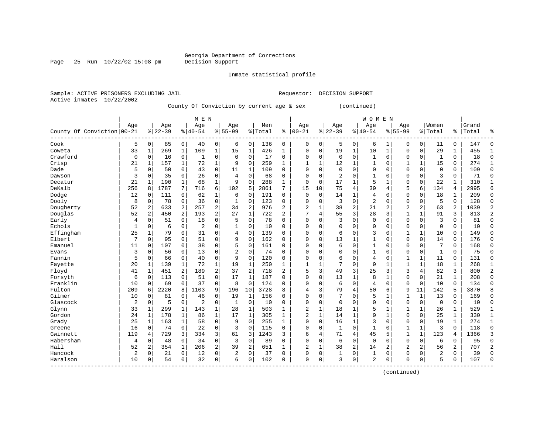### Georgia Department of Corrections<br>Decision Support

Page 25 Run  $10/22/02$  15:08 pm

Inmate statistical profile

Sample: ACTIVE PRISONERS EXCLUDING JAIL Requestor: DECISION SUPPORT Active inmates 10/22/2002

County Of Conviction by current age & sex (continued)

|                            |                |                |          |                | M E N          |                |             |                |         |              |                |                |                |              | <b>WOMEN</b>   |                |              |              |                |                |       |                |
|----------------------------|----------------|----------------|----------|----------------|----------------|----------------|-------------|----------------|---------|--------------|----------------|----------------|----------------|--------------|----------------|----------------|--------------|--------------|----------------|----------------|-------|----------------|
|                            | Age            |                | Age      |                | Age            |                | Age         |                | Men     |              | Age            |                | Age            |              | Age            |                | Aqe          |              | Women          |                | Grand |                |
| County Of Conviction 00-21 |                |                | $ 22-39$ |                | $8 40-54$      |                | $8155 - 99$ |                | % Total | ႜ            | $ 00-21$       |                | $ 22-39$       |              | $8 40-54$      |                | $8155 - 99$  |              | % Total        | ႜ              | Total | ిక             |
| Cook                       | 5              | $\overline{0}$ | 85       | 0              | 40             | $\overline{0}$ | 6           | 0              | 136     | 0            | $\mathbf 0$    | 0              | 5              | 0            | 6              | 1              | 0            | $\mathbf 0$  | 11             | 0              | 147   | 0              |
| Coweta                     | 33             | $\mathbf{1}$   | 269      | $\mathbf{1}$   | 109            | 1              | 15          | $\mathbf 1$    | 426     | $\mathbf 1$  | $\Omega$       | $\mathbf 0$    | 19             | $\mathbf 1$  | 10             | $\mathbf{1}$   | 0            | 0            | 29             | 1              | 455   | $\mathbf{1}$   |
| Crawford                   | $\Omega$       | $\mathbf 0$    | 16       | 0              | 1              | 0              | $\Omega$    | $\mathsf 0$    | 17      | $\mathbf 0$  | $\Omega$       | $\mathbf 0$    | $\mathbf 0$    | 0            | 1              | $\mathbf 0$    | $\Omega$     | $\mathbf 0$  | 1              | $\Omega$       | 18    | $\mathbf 0$    |
| Crisp                      | 21             | 1              | 157      | $\mathbf{1}$   | 72             | $\mathbf{1}$   | 9           | $\mathbf 0$    | 259     | 1            | $\mathbf{1}$   | $\mathbf{1}$   | 12             | 1            | $\mathbf{1}$   | $\Omega$       | 1            | $\mathbf{1}$ | 15             | $\Omega$       | 274   | $\mathbf{1}$   |
| Dade                       | 5              | $\mathbf 0$    | 50       | $\Omega$       | 43             | 0              | 11          | 1              | 109     | $\Omega$     | $\Omega$       | $\Omega$       | $\Omega$       | $\Omega$     | $\Omega$       | $\Omega$       | $\Omega$     | $\Omega$     | $\mathbf 0$    | $\Omega$       | 109   | $\mathbf 0$    |
| Dawson                     | 3              | $\mathbf 0$    | 35       | $\Omega$       | 26             | 0              | 4           | $\Omega$       | 68      | $\Omega$     | $\Omega$       | $\Omega$       | $\overline{2}$ | $\Omega$     |                | $\Omega$       | $\Omega$     | $\Omega$     | 3              | $\Omega$       | 71    | 0              |
| Decatur                    | 21             | 1              | 190      | $\mathbf{1}$   | 68             | $\mathbf 1$    | 9           | $\mathbf 0$    | 288     | $\mathbf{1}$ | $\Omega$       | $\Omega$       | 17             | 1            | 5              | 1              | 0            | $\Omega$     | 22             |                | 310   | $\mathbf{1}$   |
| DeKalb                     | 256            | 8              | 1787     | 7              | 716            | б.             | 102         | 5              | 2861    | 7            | 15             | 10             | 75             | 4            | 39             | $\overline{4}$ | 5            | 6            | 134            | 4              | 2995  | 6              |
| Dodge                      | 12             | $\mathbf 0$    | 111      | 0              | 62             | $\mathbf{1}$   | 6           | $\mathbf 0$    | 191     | 0            | $\mathbf 0$    | $\mathbf 0$    | 14             | $\mathbf{1}$ | 4              | $\Omega$       | 0            | $\Omega$     | 18             | 1              | 209   | $\mathbf 0$    |
| Dooly                      | 8              | $\mathbf 0$    | 78       | 0              | 36             | 0              | 1           | $\mathbf 0$    | 123     | $\mathbf 0$  | $\Omega$       | $\Omega$       | 3              | 0            | $\overline{2}$ | $\mathbf 0$    | 0            | $\mathbf 0$  | 5              | $\Omega$       | 128   | $\mathbf 0$    |
| Dougherty                  | 52             | 2              | 633      | 2              | 257            | 2              | 34          | 2              | 976     | 2            | $\overline{2}$ | $\mathbf 1$    | 38             | 2            | 21             | 2              | 2            | 2            | 63             | $\overline{2}$ | 1039  | 2              |
| Douglas                    | 52             | 2              | 450      | 2              | 193            | 2              | 27          | $\mathbf 1$    | 722     | 2            | 7              | $\overline{4}$ | 55             | 3            | 28             | 3              | $\mathbf{1}$ | $\mathbf{1}$ | 91             | 3              | 813   | $\overline{2}$ |
| Early                      | 4              | $\mathbf 0$    | 51       | 0              | 18             | 0              | 5           | 0              | 78      | $\Omega$     | $\Omega$       | $\Omega$       | 3              | 0            | $\Omega$       | $\Omega$       | $\Omega$     | 0            | 3              | $\Omega$       | 81    | $\mathbf 0$    |
| Echols                     | 1              | 0              | 6        | 0              | 2              | 0              |             | $\mathbf 0$    | 10      | $\Omega$     | $\Omega$       | $\Omega$       | $\mathbf 0$    | 0            | $\Omega$       | 0              | $\Omega$     | 0            | $\Omega$       | $\Omega$       | 10    | 0              |
| Effingham                  | 25             | 1              | 79       | 0              | 31             | 0              | 4           | $\mathbf 0$    | 139     | $\Omega$     | $\Omega$       | $\Omega$       | 6              | $\Omega$     | 3              | $\Omega$       |              | $\mathbf{1}$ | 10             | $\Omega$       | 149   | $\mathbf 0$    |
| Elbert                     | 7              | $\mathbf 0$    | 95       | $\Omega$       | 51             | $\Omega$       | 9           | $\mathbf 0$    | 162     | $\Omega$     | $\Omega$       | $\Omega$       | 13             | 1            |                | $\Omega$       | 0            | $\Omega$     | 14             | $\Omega$       | 176   | $\Omega$       |
| Emanuel                    | 11             | $\Omega$       | 107      | $\Omega$       | 38             | 0              | 5           | $\mathbf 0$    | 161     | $\Omega$     | $\Omega$       | $\Omega$       | 6              | $\Omega$     | $\mathbf{1}$   | $\Omega$       | 0            | $\Omega$     | 7              | $\Omega$       | 168   | $\Omega$       |
| Evans                      | 3              | $\mathbf 0$    | 56       | $\Omega$       | 13             | 0              | 2           | $\mathbf 0$    | 74      | $\Omega$     | $\Omega$       | $\Omega$       | $\mathbf 0$    | $\Omega$     |                | $\Omega$       | 0            | $\Omega$     | 1              | $\Omega$       | 75    | $\mathbf 0$    |
| Fannin                     | 5              | $\mathbf 0$    | 66       | 0              | 40             | 0              | 9           | $\mathbf 0$    | 120     | 0            | $\Omega$       | $\Omega$       | 6              | 0            | 4              | $\mathbf 0$    | 1            | $\mathbf{1}$ | 11             | $\mathbf 0$    | 131   | $\mathbf 0$    |
| Fayette                    | 20             | $\mathbf{1}$   | 139      | $\mathbf{1}$   | 72             | $\mathbf{1}$   | 19          | $\mathbf{1}$   | 250     | 1            | $\mathbf{1}$   | 1              | 7              | 0            | 9              | $\mathbf{1}$   | $\mathbf{1}$ | $\mathbf{1}$ | 18             | $\mathbf{1}$   | 268   | $\mathbf{1}$   |
| Floyd                      | 41             | $\mathbf{1}$   | 451      | $\overline{a}$ | 189            | 2              | 37          | $\overline{2}$ | 718     | 2            | 5              | 3              | 49             | 3            | 25             | 3              | 3            | 4            | 82             | 3              | 800   | $\overline{2}$ |
| Forsyth                    | 6              | 0              | 113      | 0              | 51             | 0              | 17          | $\mathbf{1}$   | 187     | 0            | $\Omega$       | $\Omega$       | 13             | $\mathbf{1}$ | 8              | 1              | 0            | 0            | 21             | 1              | 208   | 0              |
| Franklin                   | 10             | 0              | 69       | 0              | 37             | 0              | 8           | $\mathbf 0$    | 124     | 0            | $\Omega$       | $\Omega$       | 6              | 0            | 4              | $\mathbf 0$    | $\Omega$     | $\mathbf 0$  | 10             | $\Omega$       | 134   | 0              |
| Fulton                     | 209            | 6              | 2220     | 8              | 1103           | 9              | 196         | 10             | 3728    | R            | $\overline{4}$ | 3              | 79             | 4            | 50             | 6              | 9            | 11           | 142            | 5              | 3870  | 8              |
| Gilmer                     | 10             | $\Omega$       | 81       | $\Omega$       | 46             | 0              | 19          | 1              | 156     | $\Omega$     | $\Omega$       | $\Omega$       | 7              | $\Omega$     | 5              | 1              | $\mathbf{1}$ | 1            | 13             | $\Omega$       | 169   | $\Omega$       |
| Glascock                   | $\overline{2}$ | $\mathbf 0$    | 5        | $\mathbf 0$    | $\overline{2}$ | 0              | 1           | $\mathbf 0$    | 10      | $\Omega$     | $\mathbf 0$    | $\Omega$       | $\mathbf 0$    | $\Omega$     | $\Omega$       | $\Omega$       | 0            | $\Omega$     | $\Omega$       | $\Omega$       | 10    | $\mathbf 0$    |
| Glynn                      | 33             | 1              | 299      | 1              | 143            | 1              | 28          | 1              | 503     | 1            | $\overline{c}$ | 1              | 18             | 1            | 5              | 1              |              | 1            | 26             | 1              | 529   | $\mathbf{1}$   |
| Gordon                     | 24             | $\mathbf{1}$   | 178      | 1              | 86             | $\mathbf{1}$   | 17          | $\mathbf 1$    | 305     | 1            | $\overline{2}$ | $\mathbf{1}$   | 14             | 1            | 9              | $\mathbf 1$    | 0            | $\Omega$     | 25             | 1              | 330   | $1\,$          |
| Grady                      | 25             | 1              | 163      | $\mathbf{1}$   | 58             | $\mathbf 0$    | 9           | $\Omega$       | 255     | 1            | $\Omega$       | $\Omega$       | 16             | $\mathbf{1}$ | 3              | $\Omega$       | $\Omega$     | $\Omega$     | 19             | $\mathbf{1}$   | 274   | $\mathbf{1}$   |
| Greene                     | 16             | $\Omega$       | 74       | $\Omega$       | 22             | 0              | 3           | $\mathbf 0$    | 115     | $\Omega$     | $\Omega$       | $\Omega$       | $\mathbf{1}$   | $\Omega$     | 1              | $\Omega$       | 1            | 1            | 3              | $\Omega$       | 118   | $\mathbf 0$    |
| Gwinnett                   | 119            | 4              | 729      | 3              | 334            | 3              | 61          | 3              | 1243    | 3            | 6              | 4              | 71             | 4            | 45             | 5              | 1            | $\mathbf{1}$ | 123            | 4              | 1366  | 3              |
| Habersham                  | 4              | 0              | 48       | 0              | 34             | 0              | 3           | $\mathbf 0$    | 89      | $\Omega$     | $\Omega$       | $\Omega$       | 6              | $\Omega$     | $\Omega$       | $\Omega$       | $\Omega$     | $\Omega$     | 6              | $\Omega$       | 95    | $\mathbf 0$    |
| Hall                       | 52             | 2              | 354      | $\mathbf{1}$   | 206            | $\overline{2}$ | 39          | 2              | 651     | 1            | $\overline{c}$ | $\mathbf{1}$   | 38             | 2            | 14             | 2              | 2            | 2            | 56             | 2              | 707   | 2              |
| Hancock                    | 2              | $\mathbf 0$    | 21       | 0              | 12             | 0              | 2           | $\mathbf 0$    | 37      | 0            | $\mathbf 0$    | 0              | 1              | 0            | $\mathbf{1}$   | 0              | 0            | 0            | $\overline{2}$ | $\Omega$       | 39    | $\mathbf 0$    |
| Haralson<br>----------     | 10             | 0              | 54       | 0              | 32             | 0              | 6           | $\mathbf 0$    | 102     | 0            | $\Omega$       | $\mathbf 0$    | 3              | 0            | 2              | 0              | $\Omega$     | 0            | 5              | 0              | 107   | $\Omega$       |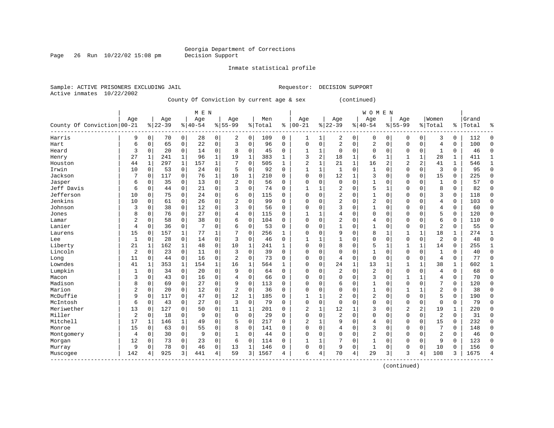Page 26 Run  $10/22/02$  15:08 pm

Inmate statistical profile

Active inmates 10/22/2002

Sample: ACTIVE PRISONERS EXCLUDING JAIL Requestor: DECISION SUPPORT

County Of Conviction by current age & sex (continued)

|                            |                |              |           |              | M E N     |             |                |              |         |              |                |          |                |              | <b>WOMEN</b>   |              |                |             |                |               |       |              |
|----------------------------|----------------|--------------|-----------|--------------|-----------|-------------|----------------|--------------|---------|--------------|----------------|----------|----------------|--------------|----------------|--------------|----------------|-------------|----------------|---------------|-------|--------------|
|                            | Age            |              | Age       |              | Age       |             | Age            |              | Men     |              | Age            |          | Age            |              | Age            |              | Age            |             | Women          |               | Grand |              |
| County Of Conviction 00-21 |                |              | $8 22-39$ |              | $8 40-54$ |             | $8155 - 99$    |              | % Total | ႜ            | $ 00-21$       |          | $ 22-39$       |              | $8 40-54$      |              | $8155 - 99$    |             | % Total        | $\frac{1}{6}$ | Total | န္           |
| Harris                     | 9              | 0            | 70        | 0            | 28        | 0           | 2              | 0            | 109     | 0            | 1              | 1        | 2              | 0            | 0              | 0            | $\Omega$       | $\mathbf 0$ | 3              | 0             | 112   | U            |
| Hart                       | 6              | 0            | 65        | $\mathbf 0$  | 22        | 0           | 3              | $\Omega$     | 96      | $\Omega$     | $\Omega$       | 0        | $\overline{c}$ | 0            | 2              | $\mathbf 0$  | $\Omega$       | $\mathbf 0$ | $\overline{4}$ | 0             | 100   | $\Omega$     |
| Heard                      | 3              | 0            | 20        | $\mathbf 0$  | 14        | 0           | 8              | $\mathbf 0$  | 45      | 0            | 1              | 1        | $\mathbf 0$    | $\Omega$     | $\Omega$       | $\Omega$     | $\Omega$       | $\mathbf 0$ | 1              | 0             | 46    | $\Omega$     |
| Henry                      | 27             | 1            | 241       | $\mathbf{1}$ | 96        | $\mathbf 1$ | 19             | $\mathbf{1}$ | 383     | 1            | 3              | 2        | 18             | 1            | 6              | 1            | 1              | $\mathbf 1$ | 28             | 1             | 411   | $\mathbf{1}$ |
| Houston                    | 44             | $\mathbf{1}$ | 297       | $\mathbf{1}$ | 157       | $\mathbf 1$ |                | $\mathbf 0$  | 505     | 1            | $\overline{2}$ | 1        | 21             | 1            | 16             | 2            | $\overline{2}$ | 2           | 41             | $\mathbf 1$   | 546   | $\mathbf{1}$ |
| Irwin                      | 10             | 0            | 53        | 0            | 24        | 0           | 5              | 0            | 92      | $\Omega$     | $\mathbf{1}$   | 1        | $\mathbf{1}$   | $\Omega$     | $\mathbf{1}$   | $\Omega$     | $\Omega$       | 0           | 3              | $\Omega$      | 95    | $\Omega$     |
| Jackson                    | 7              | 0            | 117       | $\mathbf 0$  | 76        | $\mathbf 1$ | 10             | 1            | 210     | $\Omega$     | $\Omega$       | 0        | 12             | 1            | 3              | $\Omega$     | $\mathbf{0}$   | 0           | 15             | 0             | 225   | $\Omega$     |
| Jasper                     | 6              | 0            | 35        | 0            | 13        | 0           | 2              | 0            | 56      | 0            | $\Omega$       | 0        | $\mathbf 0$    | $\Omega$     | 1              | 0            | 0              | 0           | $\mathbf{1}$   | 0             | 57    | $\Omega$     |
| Jeff Davis                 | 6              | 0            | 44        | 0            | 21        | 0           | 3              | $\mathbf 0$  | 74      | 0            |                | 1        | 2              | $\Omega$     | 5              | $\mathbf{1}$ | $\Omega$       | 0           | 8              | 0             | 82    | $\Omega$     |
| Jefferson                  | 10             | 0            | 75        | 0            | 24        | 0           | 6              | $\Omega$     | 115     | $\Omega$     | $\Omega$       | O        | $\overline{2}$ | $\Omega$     | $\mathbf{1}$   | $\mathbf 0$  | $\Omega$       | $\Omega$    | 3              | 0             | 118   | $\Omega$     |
| Jenkins                    | 10             | 0            | 61        | $\Omega$     | 26        | 0           | $\overline{a}$ | $\Omega$     | 99      | $\Omega$     | $\Omega$       | O        | $\overline{a}$ | $\Omega$     | $\overline{2}$ | $\Omega$     | $\Omega$       | $\Omega$    | 4              | 0             | 103   | ∩            |
| Johnson                    | 3              | $\Omega$     | 38        | $\Omega$     | 12        | 0           | 3              | $\Omega$     | 56      | $\Omega$     | $\Omega$       | $\Omega$ | 3              | $\Omega$     | $\mathbf{1}$   | $\Omega$     | $\Omega$       | $\Omega$    | 4              | 0             | 60    | ∩            |
| Jones                      | 8              | 0            | 76        | $\Omega$     | 27        | 0           | 4              | $\mathbf 0$  | 115     | 0            | $\mathbf{1}$   | 1        | 4              | $\Omega$     | $\Omega$       | $\Omega$     | $\Omega$       | 0           | 5              | 0             | 120   | $\cap$       |
| Lamar                      | $\overline{2}$ | 0            | 58        | $\mathbf 0$  | 38        | 0           | 6              | $\mathbf 0$  | 104     | $\Omega$     | $\Omega$       | $\Omega$ | 2              | $\Omega$     | 4              | 0            | $\Omega$       | 0           | 6              | 0             | 110   | $\Omega$     |
| Lanier                     | 4              | 0            | 36        | $\mathbf 0$  | 7         | 0           | 6              | $\mathbf 0$  | 53      | $\Omega$     | $\Omega$       | 0        | $\mathbf{1}$   | $\Omega$     | $\mathbf{1}$   | $\Omega$     | $\mathbf{0}$   | 0           | $\overline{2}$ | 0             | 55    | $\Omega$     |
| Laurens                    | 15             | 0            | 157       | 1            | 77        | 1           | 7              | 0            | 256     | 1            | $\Omega$       | 0        | 9              | $\Omega$     | 8              | 1            | 1              | 1           | 18             | 1             | 274   | $\mathbf{1}$ |
| Lee                        | 1              | 0            | 28        | 0            | 14        | 0           | 3              | 0            | 46      | 0            | 1              |          |                | $\Omega$     | 0              | $\mathbf 0$  | 0              | $\mathbf 0$ | $\overline{c}$ | 0             | 48    | $\Omega$     |
| Liberty                    | 21             | 1            | 162       | 1            | 48        | 0           | 10             | 1            | 241     | 1            | $\Omega$       | 0        | 8              | $\Omega$     | 5              | 1            | 1              | $\mathbf 1$ | 14             | 0             | 255   | 1            |
| Lincoln                    | $\overline{c}$ | $\Omega$     | 23        | $\Omega$     | 11        | 0           | 3              | $\Omega$     | 39      | $\Omega$     | $\Omega$       | O        | $\Omega$       | $\Omega$     | $\mathbf{1}$   | $\Omega$     | $\Omega$       | $\Omega$    | $\mathbf{1}$   | $\Omega$      | 40    | $\Omega$     |
| Long                       | 11             | $\Omega$     | 44        | $\mathbf 0$  | 16        | 0           | $\overline{2}$ | $\Omega$     | 73      | $\Omega$     | $\Omega$       | 0        | 4              | 0            | $\mathbf{0}$   | $\Omega$     | $\Omega$       | $\mathbf 0$ | $\overline{4}$ | 0             | 77    | $\Omega$     |
| Lowndes                    | 41             | 1            | 353       | $\mathbf 1$  | 154       | 1           | 16             | $\mathbf 1$  | 564     | $\mathbf{1}$ | 0              | 0        | 24             | $\mathbf{1}$ | 13             | 1            | 1              | 1           | 38             | 1             | 602   |              |
| Lumpkin                    | 1              | 0            | 34        | $\mathbf 0$  | 20        | 0           | 9              | $\mathbf 0$  | 64      | 0            | 0              | 0        | $\overline{2}$ | 0            | 2              | 0            | 0              | 0           | $\overline{4}$ | 0             | 68    | $\Omega$     |
| Macon                      | 3              | 0            | 43        | $\mathbf 0$  | 16        | 0           | 4              | $\mathbf 0$  | 66      | 0            | $\Omega$       | 0        | $\Omega$       | $\Omega$     | 3              | 0            | 1              | 1           | 4              | 0             | 70    | $\Omega$     |
| Madison                    | 8              | 0            | 69        | 0            | 27        | 0           | 9              | $\Omega$     | 113     | $\Omega$     | $\Omega$       | 0        | 6              | $\Omega$     | $\mathbf{1}$   | $\Omega$     | $\mathbf{0}$   | 0           | 7              | 0             | 120   | $\Omega$     |
| Marion                     | $\overline{2}$ | 0            | 20        | 0            | 12        | 0           | $\overline{2}$ | $\Omega$     | 36      | $\Omega$     | $\Omega$       | 0        | $\Omega$       | $\Omega$     | 1              | $\Omega$     | 1              |             | 2              | 0             | 38    | $\Omega$     |
| McDuffie                   | 9              | 0            | 117       | 0            | 47        | 0           | 12             | 1            | 185     | 0            | $\mathbf{1}$   | 1        | 2              | $\Omega$     | $\overline{2}$ | $\Omega$     | 0              | 0           | 5              | 0             | 190   | $\Omega$     |
| McIntosh                   | 6              | 0            | 43        | 0            | 27        | 0           | 3              | $\mathbf 0$  | 79      | O            | $\Omega$       | 0        | $\Omega$       | $\Omega$     | 0              | $\Omega$     | $\Omega$       | 0           | $\mathbf 0$    | 0             | 79    | ∩            |
| Meriwether                 | 13             | 0            | 127       | $\Omega$     | 50        | $\Omega$    | 11             | $\mathbf{1}$ | 201     | 0            | 2              | 1        | 12             | 1            | 3              | $\Omega$     | $\overline{2}$ | 2           | 19             | 1             | 220   | ∩            |
| Miller                     | $\overline{2}$ | 0            | 18        | 0            | 9         | 0           | $\mathbf 0$    | $\Omega$     | 29      | $\Omega$     | $\Omega$       | 0        | $\overline{c}$ | $\Omega$     | $\Omega$       | $\Omega$     | $\Omega$       | 0           | $\overline{2}$ | 0             | 31    | ∩            |
| Mitchell                   | 17             | 1            | 146       | $\mathbf{1}$ | 49        | 0           | 5              | $\mathbf 0$  | 217     | $\Omega$     | 2              | 1        | 9              | 0            | 4              | $\mathbf 0$  | $\Omega$       | $\mathbf 0$ | 15             | 0             | 232   | $\Omega$     |
| Monroe                     | 15             | 0            | 63        | $\mathbf 0$  | 55        | 0           | 8              | $\mathbf 0$  | 141     | 0            | $\Omega$       | 0        | 4              | $\Omega$     | 3              | 0            | $\Omega$       | 0           | 7              | 0             | 148   |              |
| Montgomery                 | 4              | 0            | 30        | $\mathbf 0$  | 9         | 0           | 1              | 0            | 44      | $\Omega$     | $\Omega$       | 0        | $\Omega$       | $\Omega$     | $\overline{2}$ | 0            | $\Omega$       | 0           | $\overline{2}$ | 0             | 46    | $\Omega$     |
| Morgan                     | 12             | 0            | 73        | $\Omega$     | 23        | 0           | 6              | $\Omega$     | 114     | 0            | 1              | 1        | 7              | 0            | 1              | $\Omega$     | $\Omega$       | $\Omega$    | 9              | $\Omega$      | 123   | $\Omega$     |
| Murray                     | 9              | 0            | 78        | 0            | 46        | 0           | 13             | 1            | 146     | 0            | $\Omega$       | 0        | 9              | $\Omega$     | $\mathbf{1}$   | $\Omega$     | $\Omega$       | $\Omega$    | 10             | 0             | 156   | ∩            |
| Muscogee                   | 142            |              | 925       | 3            | 441       | 4           | 59             | 3            | 1567    | 4            | 6              | 4        | 70             | 4            | 29             | 3            | 3              | 4           | 108            | 3             | 1675  |              |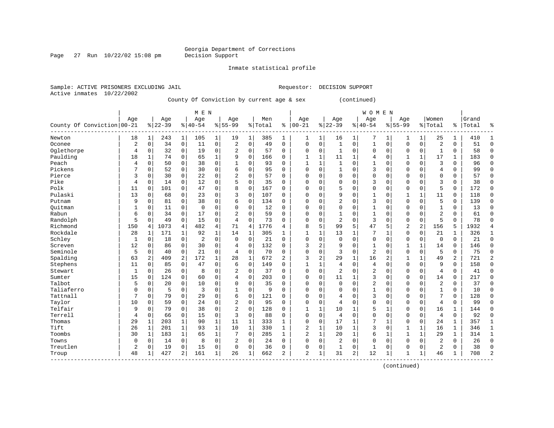Page 27 Run  $10/22/02$  15:08 pm

Inmate statistical profile

Sample: ACTIVE PRISONERS EXCLUDING JAIL Requestor: DECISION SUPPORT Active inmates 10/22/2002

County Of Conviction by current age & sex (continued)

|                            |                |             |           |             | M E N       |              |                |              |         |                |                |              |                |              | <b>WOMEN</b>   |                |                |              |                |              |       |                |
|----------------------------|----------------|-------------|-----------|-------------|-------------|--------------|----------------|--------------|---------|----------------|----------------|--------------|----------------|--------------|----------------|----------------|----------------|--------------|----------------|--------------|-------|----------------|
|                            | Age            |             | Age       |             | Age         |              | Age            |              | Men     |                | Age            |              | Age            |              | Age            |                | Age            |              | Women          |              | Grand |                |
| County Of Conviction 00-21 |                |             | $8 22-39$ |             | $ 40-54$    |              | $8155 - 99$    |              | % Total | ి              | $ 00-21$       |              | $8 22-39$      |              | $8 40-54$      |                | $8155 - 99$    |              | % Total        | ႜ            | Total | ٩,             |
| Newton                     | 18             | 1           | 243       | 1           | 105         | 1            | 19             | 1            | 385     | 1              | 1              | 1            | 16             | 1            | 7              | 1              | 1              | 1            | 25             | 1            | 410   | 1              |
| Oconee                     | $\overline{2}$ | $\mathbf 0$ | 34        | $\mathbf 0$ | 11          | $\mathbf 0$  | 2              | $\mathbf 0$  | 49      | 0              | $\mathbf 0$    | 0            | $\mathbf{1}$   | 0            | $\mathbf{1}$   | $\mathbf 0$    | $\mathbf 0$    | $\mathbf 0$  | $\overline{2}$ | $\mathbf 0$  | 51    | $\mathbf{0}$   |
| Oglethorpe                 | 4              | 0           | 32        | $\mathbf 0$ | 19          | $\mathbf 0$  | $\overline{2}$ | $\mathbf 0$  | 57      | $\Omega$       | $\Omega$       | 0            | 1              | 0            | $\Omega$       | $\mathbf 0$    | 0              | $\mathbf 0$  | $\mathbf{1}$   | 0            | 58    | $\mathbf 0$    |
| Paulding                   | 18             | 1           | 74        | 0           | 65          | $\mathbf 1$  | 9              | $\mathbf 0$  | 166     | 0              |                | 1            | 11             | 1            | 4              | 0              | 1              | $\mathbf 1$  | 17             | 1            | 183   | $\Omega$       |
| Peach                      | 4              | $\Omega$    | 50        | $\mathbf 0$ | 38          | 0            | $\mathbf{1}$   | $\mathbf 0$  | 93      | 0              | $\mathbf{1}$   | 1            | $\mathbf{1}$   | $\Omega$     |                | $\mathbf 0$    | $\mathbf 0$    | $\mathbf 0$  | 3              | $\mathbf 0$  | 96    | $\Omega$       |
| Pickens                    | 7              | O           | 52        | $\mathbf 0$ | 30          | 0            | 6              | $\mathbf 0$  | 95      | $\Omega$       | $\Omega$       | 0            | 1              | $\Omega$     | 3              | $\mathbf 0$    | $\mathbf 0$    | 0            | 4              | 0            | 99    | $\mathbf{0}$   |
| Pierce                     | 3              | 0           | 30        | $\mathbf 0$ | 22          | $\mathbf 0$  | $\overline{2}$ | $\mathbf 0$  | 57      | $\Omega$       | $\Omega$       | 0            | $\mathbf 0$    | $\Omega$     | 0              | $\mathbf 0$    | $\mathbf 0$    | $\Omega$     | $\mathbf 0$    | 0            | 57    | $\mathbf 0$    |
| Pike                       | 4              | $\Omega$    | 14        | 0           | 12          | 0            | 5              | 0            | 35      | 0              | $\Omega$       | 0            | 0              | $\Omega$     | 3              | 0              | $\Omega$       | $\Omega$     | 3              | 0            | 38    | 0              |
| Polk                       | 11             | $\Omega$    | 101       | 0           | 47          | 0            | 8              | 0            | 167     | O              | $\Omega$       | 0            | 5              | $\Omega$     | $\Omega$       | $\mathbf 0$    | 0              | 0            | 5              | 0            | 172   | 0              |
| Pulaski                    | 13             | $\Omega$    | 68        | 0           | 23          | 0            | 3              | 0            | 107     | 0              | $\Omega$       | O            | 9              | $\Omega$     |                | $\Omega$       | 1              | $\mathbf{1}$ | 11             | 0            | 118   | 0              |
| Putnam                     | 9              | $\Omega$    | 81        | 0           | 38          | $\mathbf 0$  | 6              | $\mathbf 0$  | 134     | $\Omega$       | $\Omega$       | 0            | $\overline{2}$ | $\Omega$     | 3              | $\Omega$       | $\mathbf 0$    | $\Omega$     | 5              | $\mathbf 0$  | 139   | $\Omega$       |
| Ouitman                    | 1              | $\Omega$    | 11        | $\mathbf 0$ | $\mathbf 0$ | $\mathbf 0$  | $\Omega$       | $\mathbf 0$  | 12      | $\Omega$       | 0              | 0            | $\mathbf{0}$   | 0            | 1              | $\mathbf 0$    | $\Omega$       | $\Omega$     | $\mathbf{1}$   | 0            | 13    | $\Omega$       |
| Rabun                      | 6              | 0           | 34        | $\mathbf 0$ | 17          | $\mathbf 0$  | $\overline{2}$ | $\mathbf 0$  | 59      | 0              | 0              | 0            | $\mathbf{1}$   | 0            | $\mathbf{1}$   | $\mathbf 0$    | 0              | $\mathbf 0$  | $\overline{2}$ | $\mathbf 0$  | 61    | $\Omega$       |
| Randolph                   | 5              | 0           | 49        | $\mathbf 0$ | 15          | $\mathbf 0$  | 4              | $\mathbf 0$  | 73      | 0              | $\Omega$       | 0            | $\overline{2}$ | $\Omega$     | 3              | $\mathbf 0$    | $\mathbf 0$    | $\mathbf 0$  | 5              | $\mathbf 0$  | 78    | $\Omega$       |
| Richmond                   | 150            | 4           | 1073      | 4           | 482         | $\,4$        | 71             | 4            | 1776    | 4              | 8              | 5            | 99             | 5            | 47             | 5              | $\overline{c}$ | $\sqrt{2}$   | 156            | 5            | 1932  | $\overline{4}$ |
| Rockdale                   | 28             | 1           | 171       | 1           | 92          | $\mathbf{1}$ | 14             | 1            | 305     | $\mathbf{1}$   | $\mathbf{1}$   | 1            | 13             | 1            | 7              | 1              | 0              | 0            | 21             | 1            | 326   | 1              |
| Schley                     | $\mathbf{1}$   | 0           | 18        | $\mathbf 0$ | 2           | 0            | $\mathbf 0$    | $\mathbf 0$  | 21      | $\Omega$       | $\Omega$       | 0            | $\mathbf{0}$   | 0            | $\mathbf{0}$   | $\mathbf 0$    | $\mathbf 0$    | $\mathbf 0$  | $\mathbf 0$    | $\mathbf 0$  | 21    | $\mathbf 0$    |
| Screven                    | 12             | $\Omega$    | 86        | 0           | 30          | 0            | 4              | $\mathbf 0$  | 132     | 0              | 3              | 2            | 9              | $\Omega$     | 1              | 0              | $\mathbf{1}$   | $\mathbf{1}$ | 14             | $\mathbf 0$  | 146   | $\mathbf 0$    |
| Seminole                   | 5              | 0           | 40        | $\mathbf 0$ | 21          | $\mathbf 0$  | 4              | $\mathbf 0$  | 70      | 0              | $\Omega$       | 0            | 3              | $\Omega$     | $\overline{2}$ | $\mathbf 0$    | $\mathbf 0$    | $\mathbf 0$  | 5              | $\mathbf 0$  | 75    | $\Omega$       |
| Spalding                   | 63             | 2           | 409       | 2           | 172         | $\mathbf 1$  | 28             | $\mathbf{1}$ | 672     | $\overline{a}$ | 3              | 2            | 29             | $\mathbf 1$  | 16             | $\overline{2}$ | $\mathbf{1}$   | $\mathbf{1}$ | 49             | 2            | 721   | $\overline{2}$ |
| Stephens                   | 11             | $\Omega$    | 85        | 0           | 47          | $\mathbf 0$  | 6              | $\mathbf 0$  | 149     | $\Omega$       | 1              | 1            | 4              | $\Omega$     | $\overline{4}$ | $\Omega$       | $\Omega$       | $\Omega$     | 9              | 0            | 158   | $\Omega$       |
| Stewart                    | 1              | $\Omega$    | 26        | 0           | 8           | $\mathbf 0$  | 2              | $\mathbf 0$  | 37      | $\Omega$       | $\Omega$       | 0            | $\overline{2}$ | $\Omega$     | $\overline{2}$ | $\mathbf 0$    | $\Omega$       | $\Omega$     | $\overline{4}$ | 0            | 41    | $\Omega$       |
| Sumter                     | 15             | $\mathbf 0$ | 124       | $\mathbf 0$ | 60          | 0            | 4              | $\mathbf 0$  | 203     | 0              | $\Omega$       | 0            | 11             | $\mathbf{1}$ | 3              | $\mathbf 0$    | 0              | $\mathbf 0$  | 14             | $\mathbf 0$  | 217   | $\Omega$       |
| Talbot                     | 5              | 0           | 20        | $\mathbf 0$ | 10          | $\mathbf 0$  | 0              | $\mathbf 0$  | 35      | 0              | $\Omega$       | 0            | $\mathbf 0$    | $\Omega$     | 2              | $\mathbf 0$    | $\mathbf 0$    | $\mathbf 0$  | $\overline{2}$ | $\mathbf 0$  | 37    | $\Omega$       |
| Taliaferro                 | $\Omega$       | 0           | 5         | $\mathbf 0$ | 3           | $\mathbf 0$  | 1              | $\mathbf 0$  | 9       | $\Omega$       | $\Omega$       | 0            | $\mathbf 0$    | $\Omega$     | 1              | $\mathbf 0$    | $\mathbf 0$    | 0            | $\mathbf{1}$   | 0            | 10    | $\Omega$       |
| Tattnall                   | 7              | 0           | 79        | 0           | 29          | $\mathbf 0$  | 6              | 0            | 121     | 0              | $\Omega$       | 0            | 4              | $\Omega$     | 3              | $\mathbf 0$    | 0              | 0            | 7              | 0            | 128   | $\mathbf 0$    |
| Taylor                     | 10             | 0           | 59        | 0           | 24          | 0            | $\overline{c}$ | $\mathbf 0$  | 95      | 0              | $\Omega$       | 0            | 4              | $\Omega$     | $\Omega$       | $\mathbf 0$    | $\Omega$       | $\Omega$     | 4              | $\Omega$     | 99    | $\mathbf 0$    |
| Telfair                    | 9              | $\Omega$    | 79        | 0           | 38          | 0            | $\overline{2}$ | 0            | 128     | O              | $\mathbf{1}$   | 1            | 10             | 1            | 5              | $\mathbf{1}$   | $\Omega$       | 0            | 16             | 1            | 144   | $\Omega$       |
| Terrell                    | 4              | $\mathbf 0$ | 66        | 0           | 15          | 0            | 3              | $\mathbf 0$  | 88      | 0              | $\Omega$       | 0            | 4              | $\Omega$     | $\Omega$       | $\mathbf 0$    | $\mathbf 0$    | $\mathbf 0$  | $\overline{4}$ | $\mathbf 0$  | 92    | $\Omega$       |
| Thomas                     | 29             | 1           | 203       | 1           | 90          | $\mathbf 1$  | 11             | 1            | 333     | $\mathbf{1}$   | $\Omega$       | 0            | 17             | $\mathbf{1}$ | 7              | 1              | $\mathbf 0$    | $\Omega$     | 24             | 1            | 357   | $\mathbf{1}$   |
| Tift                       | 26             | 1           | 201       | 1           | 93          | $\mathbf{1}$ | 10             | $\mathbf{1}$ | 330     | 1              | 2              | 1            | 10             | 1            | 3              | $\mathbf 0$    | 1              | 1            | 16             | 1            | 346   | 1              |
| Toombs                     | 30             | 1           | 183       | $\mathbf 1$ | 65          | $\mathbf 1$  | 7              | $\mathbf 0$  | 285     | $\mathbf{1}$   | 2              | 1            | 20             | $\mathbf 1$  | 6              | 1              | $\mathbf 1$    | $\mathbf{1}$ | 29             | $\mathbf{1}$ | 314   | $\mathbf{1}$   |
| Towns                      | $\Omega$       | 0           | 14        | $\mathbf 0$ | 8           | 0            | 2              | 0            | 24      | $\Omega$       | $\Omega$       | 0            | $\overline{c}$ | 0            | $\Omega$       | $\mathbf 0$    | 0              | 0            | $\overline{c}$ | 0            | 26    | $\Omega$       |
| Treutlen                   | 2              | 0           | 19        | 0           | 15          | 0            | 0              | 0            | 36      | 0              | $\Omega$       | 0            | 1              | $\mathbf 0$  | 1              | 0              | 0              | 0            | 2              | 0            | 38    | $\Omega$       |
| Troup                      | 48             | 1           | 427       | 2           | 161         | $\mathbf 1$  | 26             | 1            | 662     | 2              | $\overline{a}$ | $\mathbf{1}$ | 31             | 2            | 12             | 1              | $\mathbf{1}$   | $\mathbf{1}$ | 46             | $\mathbf 1$  | 708   | $\overline{2}$ |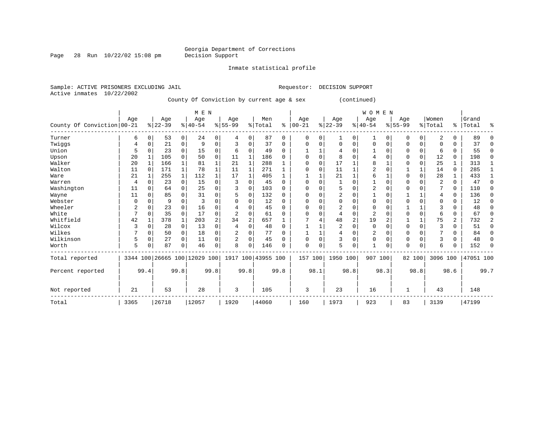Inmate statistical profile

Sample: ACTIVE PRISONERS EXCLUDING JAIL **Requestor: DECISION SUPPORT** Active inmates 10/22/2002 County Of Conviction by current age & sex (continued)

|                            |      |          |           |                | M E N     |                |                                                 |                |         |          |           |             |                |                | <b>WOMEN</b>   |          |          |          |          |          |           |          |
|----------------------------|------|----------|-----------|----------------|-----------|----------------|-------------------------------------------------|----------------|---------|----------|-----------|-------------|----------------|----------------|----------------|----------|----------|----------|----------|----------|-----------|----------|
|                            | Age  |          | Age       |                | Age       |                | Age                                             |                | Men     |          | Age       |             | Age            |                | Age            |          | Age      |          | Women    |          | Grand     |          |
| County Of Conviction 00-21 |      |          | $8 22-39$ |                | $8 40-54$ |                | $8 55-99$                                       |                | % Total | ႜ        | $00 - 21$ |             | $ 22-39$       |                | $ 40-54$       |          | $ 55-99$ |          | % Total  |          | %   Total | ႜ        |
| Turner                     | 6    | 0        | 53        | $\overline{0}$ | 24        | 0              | 4                                               | 0              | 87      | $\Omega$ | 0         | 0           |                | 0              |                | 0        | 0        | 0        | 2        |          | 89        | $\Omega$ |
| Twiggs                     |      |          | 21        | 0              | 9         | $\Omega$       |                                                 | $\Omega$       | 37      | $\Omega$ | $\Omega$  | $\Omega$    | $\Omega$       | 0              | $\Omega$       | $\Omega$ |          | $\Omega$ | $\Omega$ |          | 37        | $\Omega$ |
| Union                      | 5    |          | 23        | 0              | 15        | 0              | 6                                               | $\Omega$       | 49      | $\Omega$ |           |             | 4              | 0              |                | U        | 0        | $\Omega$ | 6        | 0        | 55        | $\Omega$ |
| Upson                      | 20   |          | 105       |                | 50        | 0              | 11                                              | 1              | 186     | $\Omega$ | $\Omega$  | $\mathbf 0$ | 8              | O              |                |          | U        | $\Omega$ | 12       | $\Omega$ | 198       | $\Omega$ |
| Walker                     | 20   |          | 166       |                | 81        |                | 21                                              |                | 288     |          | $\Omega$  | $\Omega$    | 17             |                | 8              |          | 0        | $\Omega$ | 25       |          | 313       |          |
| Walton                     | 11   |          | 171       |                | 78        |                | 11                                              |                | 271     |          | $\Omega$  | 0           | 11             |                |                |          |          |          | 14       | $\Omega$ | 285       |          |
| Ware                       | 21   |          | 255       | 1              | 112       | 1              | 17                                              |                | 405     |          |           |             | 21             |                | 6              |          |          | $\Omega$ | 28       |          | 433       |          |
| Warren                     | 4    |          | 23        | $\Omega$       | 15        | 0              |                                                 | $\Omega$       | 45      | U        | $\Omega$  | 0           |                | U              |                |          | 0        | U        | 2        | 0        | 47        | $\Omega$ |
| Washington                 | 11   |          | 64        | $\Omega$       | 25        | $\Omega$       |                                                 | 0              | 103     | $\Omega$ |           | 0           | 5              | O              | $\overline{2}$ |          |          |          |          | $\Omega$ | 110       | $\Omega$ |
| Wayne                      | 11   |          | 85        |                | 31        | O              |                                                 | $\Omega$       | 132     | 0        | $\Omega$  | $\Omega$    | 2              | O              |                | n        |          |          |          | 0        | 136       | $\Omega$ |
| Webster                    | 0    |          | 9         |                |           | O              |                                                 | $\Omega$       | 12      | $\Omega$ |           |             | $\Omega$       | O              | <sup>0</sup>   |          |          | U        | $\Omega$ |          | 12        | $\Omega$ |
| Wheeler                    | 2    |          | 23        |                | 16        | U              |                                                 | ∩              | 45      | 0        | O         | O           | 2              |                |                |          |          |          | 3        |          | 48        | O        |
| White                      | 7    |          | 35        | 0              | 17        | 0              |                                                 | $\Omega$       | 61      | U        |           | 0           |                | 0              | $\overline{2}$ |          |          | $\Omega$ | 6        | 0        | 67        | $\Omega$ |
| Whitfield                  | 42   |          | 378       | 1              | 203       | $\overline{a}$ | 34                                              | $\overline{2}$ | 657     |          |           | 4           | 48             | $\overline{2}$ | 19             | 2        |          | 1        | 75       | 2        | 732       | 2        |
| Wilcox                     | ζ    | $\Omega$ | 28        | $\Omega$       | 13        | $\Omega$       | 4                                               | $\Omega$       | 48      | $\Omega$ |           |             | $\overline{2}$ | 0              | $\Omega$       | $\cap$   | U        | $\Omega$ | 3        | $\Omega$ | 51        | 0        |
| Wilkes                     |      |          | 50        | $\Omega$       | 18        | 0              | 2                                               | $\Omega$       | 77      | 0        |           |             | 4              | 0              | 2              |          | 0        | 0        |          |          | 84        | $\Omega$ |
| Wilkinson                  | 5    | 0        | 27        | $\Omega$       | 11        | 0              | 2                                               | $\Omega$       | 45      | 0        | $\Omega$  | $\mathbf 0$ | 3              | 0              | $\Omega$       | $\Omega$ | 0        | $\Omega$ | 3        | 0        | 48        | $\Omega$ |
| Worth                      | 5    |          | 87        | O              | 46        | 0              | 8                                               | $\Omega$       | 146     | U        | $\Omega$  | 0           | 5              | 0              |                | 0        | U        | 0        | 6        |          | 152       | $\Omega$ |
| Total reported             |      |          |           |                |           |                | 3344 100 26665 100 12029 100 1917 100 43955 100 |                |         |          | 157 100   |             | 1950 100       |                | 907 100        |          |          | 82 100   | 3096 100 |          | 47051 100 |          |
| Percent reported           |      | 99.4     |           | 99.8           |           | 99.8           |                                                 | 99.8           |         | 99.8     |           | 98.1        |                | 98.8           |                | 98.3     |          | 98.8     |          | 98.6     |           | 99.7     |
| Not reported               | 21   |          | 53        |                | 28        |                | 3                                               |                | 105     |          | 3         |             | 23             |                | 16             |          |          |          | 43       |          | 148       |          |
| Total                      | 3365 |          | 26718     |                | 12057     |                | 1920                                            |                | 44060   |          | 160       |             | 1973           |                | 923            |          | 83       |          | 3139     |          | 47199     |          |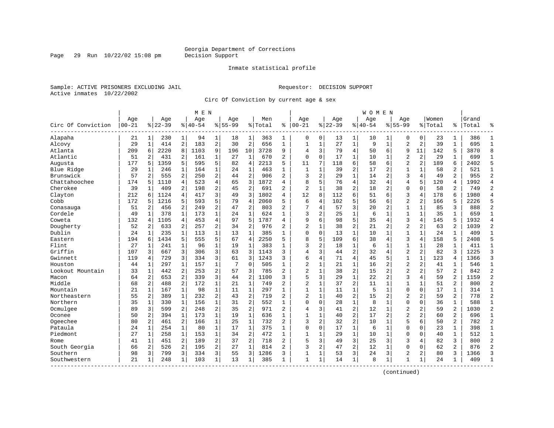Page 29 Run  $10/22/02$  15:08 pm

#### Inmate statistical profile

Sample: ACTIVE PRISONERS EXCLUDING JAIL Requestor: DECISION SUPPORT Active inmates 10/22/2002

Circ Of Conviction by current age & sex

|                    |                  |                |                  |                | M E N            |                |                    |                |                |                |                   |              |                  |                         | W O M E N          |                |                    |                |                  |                |                |                |
|--------------------|------------------|----------------|------------------|----------------|------------------|----------------|--------------------|----------------|----------------|----------------|-------------------|--------------|------------------|-------------------------|--------------------|----------------|--------------------|----------------|------------------|----------------|----------------|----------------|
| Circ Of Conviction | Age<br>$00 - 21$ |                | Age<br>$8 22-39$ |                | Age<br>$8 40-54$ |                | Aqe<br>$8155 - 99$ |                | Men<br>% Total | ి              | Aqe<br>$ 00 - 21$ |              | Aqe<br>$8 22-39$ |                         | Aqe<br>$8140 - 54$ |                | Aqe<br>$8155 - 99$ |                | Women<br>% Total | ‱              | Grand<br>Total | °              |
| Alapaha            | 21               | 1              | 230              | 1              | 94               | 1              | 18                 | 1              | 363            | 1              | 0                 | $\mathbf 0$  | 13               | 1                       | 10                 | 1              | $\Omega$           | $\mathbf 0$    | 23               | 1              | 386            | $\mathbf{1}$   |
| Alcovy             | 29               | $\mathbf{1}$   | 414              | 2              | 183              | $\overline{2}$ | 30                 | $\overline{2}$ | 656            | $\mathbf{1}$   | $\mathbf{1}$      | $\mathbf{1}$ | 27               | $\mathbf 1$             | 9                  | $\mathbf{1}$   | $\overline{a}$     | 2              | 39               | $\mathbf{1}$   | 695            | $\mathbf{1}$   |
| Atlanta            | 209              | 6              | 2220             | 8              | 1103             | 9              | 196                | 10             | 3728           | 9              | 4                 | 3            | 79               | $\overline{4}$          | 50                 | 6              | 9                  | 11             | 142              | 5              | 3870           | 8              |
| Atlantic           | 51               | 2              | 431              | 2              | 161              | $\mathbf 1$    | 27                 | 1              | 670            | 2              | $\mathbf 0$       | $\mathbf 0$  | 17               | $\mathbf{1}$            | 10                 | 1              | $\overline{2}$     | 2              | 29               | 1              | 699            | $\mathbf{1}$   |
| Augusta            | 177              | 5              | 1359             | 5              | 595              | 5              | 82                 | $\overline{4}$ | 2213           | 5              | 11                | 7            | 118              | 6                       | 58                 | 6              | $\overline{2}$     | 2              | 189              | 6              | 2402           | 5              |
| Blue Ridge         | 29               | $\mathbf{1}$   | 246              | 1              | 164              | $\mathbf{1}$   | 24                 | $\mathbf{1}$   | 463            | 1              | 1                 | $\mathbf{1}$ | 39               | $\overline{c}$          | 17                 | 2              | $\mathbf{1}$       | 1              | 58               | $\overline{a}$ | 521            | $\mathbf{1}$   |
| Brunswick          | 57               | 2              | 555              | 2              | 250              | 2              | 44                 | $\overline{2}$ | 906            | $\overline{a}$ | 3                 | 2            | 29               | $\mathbf{1}$            | 14                 | $\overline{2}$ | 3                  | 4              | 49               | $\overline{a}$ | 955            | $\overline{2}$ |
| Chattahoochee      | 174              | 5              | 1110             | 4              | 523              | 4              | 65                 | 3              | 1872           | 4              | 8                 | 5            | 76               | $\overline{4}$          | 32                 | 4              | 4                  | 5              | 120              | 4              | 1992           | $\overline{4}$ |
| Cherokee           | 39               | 1              | 409              | 2              | 198              | 2              | 45                 | $\overline{2}$ | 691            | 2              | $\overline{c}$    | $\mathbf{1}$ | 38               | $\overline{c}$          | 18                 | 2              | $\mathbf{0}$       | $\Omega$       | 58               | 2              | 749            | $\overline{2}$ |
| Clayton            | 212              | 6              | 1124             | 4              | 417              | 3              | 49                 | 3              | 1802           | 4              | 12                | 8            | 112              | 6                       | 51                 | 6              | 3                  | 4              | 178              | 6              | 1980           | $\overline{4}$ |
| Cobb               | 172              | 5              | 1216             | 5              | 593              | 5              | 79                 | $\overline{4}$ | 2060           | 5              | 6                 | 4            | 102              | 5                       | 56                 | 6              | $\overline{2}$     | $\overline{a}$ | 166              | 5              | 2226           | 5              |
| Conasauga          | 51               | $\overline{a}$ | 456              | 2              | 249              | $\overline{2}$ | 47                 | $\overline{2}$ | 803            | $\overline{a}$ | 7                 | 4            | 57               | 3                       | 20                 | $\overline{2}$ | $\mathbf{1}$       | $\mathbf{1}$   | 85               | 3              | 888            | $\overline{2}$ |
| Cordele            | 49               | $\mathbf{1}$   | 378              | $\mathbf{1}$   | 173              | $\mathbf{1}$   | 24                 | $\mathbf{1}$   | 624            | $\mathbf{1}$   | 3                 | 2            | 25               | $\mathbf{1}$            | 6                  | $\mathbf{1}$   | $\mathbf{1}$       | $\mathbf{1}$   | 35               | $\mathbf{1}$   | 659            | $\overline{1}$ |
| Coweta             | 132              | 4              | 1105             | $\overline{4}$ | 453              | 4              | 97                 | 5              | 1787           | 4              | 9                 | б            | 98               | 5                       | 35                 | $\overline{4}$ | 3                  | 4              | 145              | 5              | 1932           | $\overline{4}$ |
| Dougherty          | 52               | 2              | 633              | $\overline{2}$ | 257              | 2              | 34                 | $\sqrt{2}$     | 976            | 2              | $\overline{a}$    | 1            | 38               | $\overline{\mathbf{c}}$ | 21                 | 2              | $\overline{2}$     | 2              | 63               | 2              | 1039           | $\overline{c}$ |
| Dublin             | 24               | 1              | 235              | 1              | 113              | $\mathbf{1}$   | 13                 | 1              | 385            | $\mathbf{1}$   | $\Omega$          | $\mathbf 0$  | 13               | $\mathbf{1}$            | 10                 | 1              | $\mathbf{1}$       | 1              | 24               | 1              | 409            | $\mathbf{1}$   |
| Eastern            | 194              | 6              | 1434             | 5              | 555              | 5              | 67                 | $\overline{4}$ | 2250           | 5              | 8                 | 5            | 109              | 6                       | 38                 | 4              | 3                  | 4              | 158              | 5              | 2408           | 5              |
| Flint              | 27               | -1             | 241              | $\mathbf{1}$   | 96               | $\mathbf{1}$   | 19                 | 1              | 383            | $\mathbf{1}$   | 3                 | 2            | 18               | $\mathbf{1}$            | 6                  | $\mathbf{1}$   | $\mathbf{1}$       | $\mathbf 1$    | 28               | $\mathbf{1}$   | 411            | $\mathbf{1}$   |
| Griffin            | 107              | 3              | 667              | 3              | 306              | 3              | 63                 | 3              | 1143           | 3              | $\overline{4}$    | 3            | 44               | $\overline{c}$          | 32                 | $\overline{4}$ | $\overline{2}$     | 2              | 82               | ζ              | 1225           | 3              |
| Gwinnett           | 119              | 4              | 729              | 3              | 334              | 3              | 61                 | 3              | 1243           | 3              | 6                 | 4            | 71               | $\overline{4}$          | 45                 | 5              | $\mathbf{1}$       | $\mathbf{1}$   | 123              | 4              | 1366           | $\overline{3}$ |
| Houston            | 44               | 1              | 297              | 1              | 157              | $\mathbf 1$    | 7                  | $\mathbf 0$    | 505            | 1              | $\overline{2}$    | 1            | 21               | 1                       | 16                 | 2              | $\overline{2}$     | $\overline{c}$ | 41               | 1              | 546            | $\mathbf{1}$   |
| Lookout Mountain   | 33               | $\mathbf{1}$   | 442              | 2              | 253              | 2              | 57                 | 3              | 785            | 2              | $\overline{c}$    | $\mathbf{1}$ | 38               | $\overline{c}$          | 15                 | 2              | $\overline{2}$     | $\overline{a}$ | 57               | $\overline{2}$ | 842            | $\overline{2}$ |
| Macon              | 64               | $\overline{a}$ | 653              | 2              | 339              | 3              | 44                 | $\overline{2}$ | 1100           | 3              | 5                 | 3            | 29               | $\mathbf{1}$            | 2.2                | $\overline{a}$ | 3                  | 4              | 59               | $\overline{a}$ | 1159           | $\overline{a}$ |
| Middle             | 68               | $\overline{a}$ | 488              | $\overline{a}$ | 172              | $\mathbf{1}$   | 21                 | $\mathbf{1}$   | 749            | 2              | $\overline{c}$    | $\mathbf{1}$ | 37               | $\overline{a}$          | 11                 | $\mathbf{1}$   | $\mathbf{1}$       | $\mathbf{1}$   | 51               | $\overline{a}$ | 800            | $\overline{2}$ |
| Mountain           | 21               | $\mathbf{1}$   | 167              | $\mathbf{1}$   | 98               | $\mathbf{1}$   | 11                 | $\mathbf{1}$   | 297            | $\mathbf{1}$   | $\mathbf{1}$      | $\mathbf 1$  | 11               | $\mathbf 1$             | 5                  | $\mathbf{1}$   | $\mathbf 0$        | $\mathbf 0$    | 17               | $\mathbf{1}$   | 314            | $\mathbf{1}$   |
| Northeastern       | 55               | 2              | 389              | $\mathbf{1}$   | 232              | 2              | 43                 | $\overline{2}$ | 719            | $\overline{2}$ | $\overline{2}$    | $\mathbf 1$  | 40               | $\overline{2}$          | 15                 | $\overline{2}$ | $\overline{2}$     | $\overline{c}$ | 59               | $\overline{a}$ | 778            | $\overline{2}$ |
| Northern           | 35               | 1              | 330              | 1              | 156              | $\mathbf 1$    | 31                 | $\overline{2}$ | 552            | 1              | $\Omega$          | 0            | 28               | $\mathbf 1$             | 8                  | 1              | $\Omega$           | 0              | 36               | 1              | 588            | $\mathbf{1}$   |
| Ocmulgee           | 89               | 3              | 599              | 2              | 248              | 2              | 35                 | $\overline{2}$ | 971            | 2              | 4                 | 3            | 41               | $\overline{2}$          | 12                 | $\mathbf 1$    | $\overline{2}$     | $\overline{a}$ | 59               | $\overline{2}$ | 1030           | $\overline{2}$ |
| Oconee             | 50               | $\overline{a}$ | 394              | $\mathbf{1}$   | 173              | $\mathbf{1}$   | 19                 | 1              | 636            | $\mathbf{1}$   | $\mathbf{1}$      | $\mathbf{1}$ | 40               | $\overline{2}$          | 17                 | $\overline{a}$ | $\overline{a}$     | $\overline{a}$ | 60               | $\overline{2}$ | 696            | $\mathbf{1}$   |
| Ogeechee           | 80               | $\overline{2}$ | 461              | $\overline{a}$ | 166              | $\mathbf{1}$   | 25                 | 1              | 732            | $\overline{2}$ | $\overline{3}$    | 2            | 32               | $\overline{a}$          | 10                 | $\mathbf{1}$   | 5                  | 6              | 50               | $\overline{a}$ | 782            | $\overline{2}$ |
| Pataula            | 24               | $\mathbf{1}$   | 254              | $\mathbf 1$    | 80               | $\mathbf{1}$   | 17                 | $\mathbf{1}$   | 375            | $\mathbf{1}$   | $\mathbf 0$       | 0            | 17               | $\mathbf 1$             | 6                  | $\mathbf{1}$   | $\mathbf{0}$       | $\mathbf 0$    | 23               | $\mathbf{1}$   | 398            | $\mathbf{1}$   |
| Piedmont           | 27               | 1              | 258              | $\mathbf{1}$   | 153              | $\mathbf{1}$   | 34                 | $\overline{2}$ | 472            | $\mathbf{1}$   | $\mathbf{1}$      | $\mathbf 1$  | 29               | $\mathbf 1$             | 10                 | $\mathbf{1}$   | $\mathbf{0}$       | 0              | 40               | $\mathbf{1}$   | 512            | $\mathbf{1}$   |
| Rome               | 41               | 1              | 451              | 2              | 189              | 2              | 37                 | $\overline{2}$ | 718            | $\overline{a}$ | 5                 | 3            | 49               | 3                       | 25                 | 3              | 3                  | 4              | 82               | 3              | 800            | $\overline{2}$ |
| South Georgia      | 66               | 2              | 526              | $\overline{a}$ | 195              | 2              | 27                 | $\mathbf{1}$   | 814            | 2              | 3                 | 2            | 47               | $\overline{2}$          | 12                 | 1              | $\Omega$           | $\Omega$       | 62               | $\overline{a}$ | 876            | $\overline{2}$ |
| Southern           | 98               | 3              | 799              | 3              | 334              | 3              | 55                 | 3              | 1286           | 3              | 1                 | 1            | 53               | 3                       | 24                 | 3              | $\overline{2}$     | $\overline{a}$ | 80               | 3              | 1366           | 3              |
| Southwestern       | 21               | -1             | 248              | $\mathbf{1}$   | 103              | $\mathbf{1}$   | 13                 | 1              | 385            | 1              | $\mathbf{1}$      | $\mathbf 1$  | 14               | $\mathbf{1}$            | 8                  | 1              | 1                  | 1              | 24               | 1              | 409            | $\mathbf{1}$   |
|                    |                  |                |                  |                |                  |                |                    |                |                |                |                   |              |                  |                         |                    |                |                    |                |                  |                |                |                |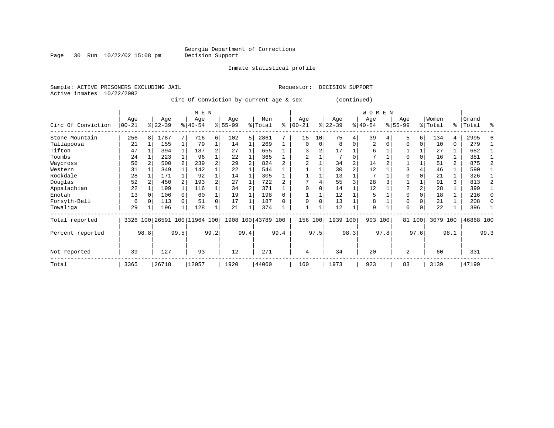Page 30 Run  $10/22/02$  15:08 pm

Inmate statistical profile

Active inmates 10/22/2002

Sample: ACTIVE PRISONERS EXCLUDING JAIL Requestor: DECISION SUPPORT

Circ Of Conviction by current age & sex (continued)

|                    |                  |      |                  |      | M E N                        |      |                  |      |                    |      |                  |          |                  |          | <b>WOMEN</b>     |      |                 |          |                  |                |                |              |
|--------------------|------------------|------|------------------|------|------------------------------|------|------------------|------|--------------------|------|------------------|----------|------------------|----------|------------------|------|-----------------|----------|------------------|----------------|----------------|--------------|
| Circ Of Conviction | Age<br>$00 - 21$ |      | Age<br>$ 22-39 $ |      | Age<br>$ 40-54 $             |      | Age<br>$8 55-99$ |      | Men<br>% Total     | ႜ    | Age<br>$00 - 21$ | %        | Age<br>$22 - 39$ |          | Age<br>$ 40-54 $ |      | Age<br>$ 55-99$ |          | Women<br>% Total | ွေ             | Grand<br>Total | ႜ            |
| Stone Mountain     | 256              | 8    | 1787             |      | 716                          | б.   | 102              | 5    | 2861               |      | 15               | 10       | 75               | 4        | 39               |      | 5               | 6        | 134              | 4              | 2995           |              |
| Tallapoosa         | 21               |      | 155              |      | 79                           |      | 14               |      | 269                |      | $\Omega$         | $\Omega$ | 8                | $\Omega$ | 2                |      | $\Omega$        | 0        | 10               | 0              | 279            |              |
| Tifton             | 47               |      | 394              |      | 187                          | 2    | 27               |      | 655                |      |                  |          | 17               |          | 6                |      |                 |          | 27               |                | 682            |              |
| Toombs             | 24               |      | 223              |      | 96                           |      | 22               |      | 365                |      | 2                |          |                  | $\Omega$ | 7                |      | $\Omega$        |          | 16               |                | 381            |              |
| Waycross           | 56               |      | 500              |      | 239                          |      | 29               |      | 824                |      |                  |          | 34               |          | 14               |      |                 |          | 51               | $\overline{2}$ | 875            |              |
| Western            | 31               |      | 349              |      | 142                          |      | 22               |      | 544                |      |                  |          | 30               |          | 12               |      | 3               |          | 46               |                | 590            |              |
| Rockdale           | 28               |      | 171              |      | 92                           |      | 14               |      | 305                |      |                  |          | 13               |          |                  |      | <sup>0</sup>    |          | 21               |                | 326            |              |
| Douglas            | 52               |      | 450              |      | 193                          | 2    | 27               |      | 722                |      |                  |          | 55               | 3        | 28               |      |                 |          | 91               | 3              | 813            |              |
| Appalachian        | 22               |      | 199              |      | 116                          |      | 34               |      | 371                |      |                  |          | 14               |          | 12               |      | 2               |          | 28               |                | 399            |              |
| Enotah             | 13               |      | 106              |      | 60                           |      | 19               |      | 198                |      |                  |          | 12               |          | 5                |      | $\cap$          |          | 18               |                | 216            | $\Omega$     |
| Forsyth-Bell       | 6                |      | 113              |      | 51                           | 0    | 17               |      | 187                |      | $\Omega$         |          | 13               |          | 8                |      | $\Omega$        |          | 21               |                | 208            | <sup>0</sup> |
| Towaliga           | 29               |      | 196              |      | 128                          |      | 21               |      | 374                |      |                  |          | 12               |          | 9                |      | $\Omega$        | $\Omega$ | 22               |                | 396            |              |
| Total reported     |                  |      |                  |      | 3326 100 26591 100 11964 100 |      |                  |      | 1908 100 43789 100 |      | 156              | 100      | 1939 100         |          | 903 100          |      |                 | 81 100   | 3079             | 100            | 46868 100      |              |
| Percent reported   |                  | 98.8 |                  | 99.5 |                              | 99.2 |                  | 99.4 |                    | 99.4 |                  | 97.5     |                  | 98.3     |                  | 97.8 |                 | 97.6     |                  | 98.1           |                | 99.3         |
| Not reported       | 39               |      | 127              |      | 93                           |      | 12               |      | 271                |      | 4                |          | 34               |          | 20               |      | $\overline{2}$  |          | 60               |                | 331            |              |
| Total              | 3365             |      | 26718            |      | 12057                        |      | 1920             |      | 44060              |      | 160              |          | 1973             |          | 923              |      | 83              |          | 3139             |                | 47199          |              |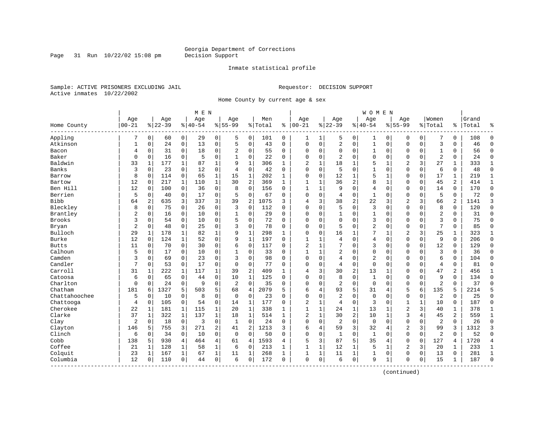Page 31 Run  $10/22/02$  15:08 pm

#### Inmate statistical profile

Sample: ACTIVE PRISONERS EXCLUDING JAIL Requestor: DECISION SUPPORT Active inmates 10/22/2002

Home County by current age & sex

|               |              |                |           |                | M E N    |                |                |                |         |              |                |              |                |                | <b>WOMEN</b>   |              |                |             |                |                |       |                |
|---------------|--------------|----------------|-----------|----------------|----------|----------------|----------------|----------------|---------|--------------|----------------|--------------|----------------|----------------|----------------|--------------|----------------|-------------|----------------|----------------|-------|----------------|
|               | Age          |                | Age       |                | Age      |                | Age            |                | Men     |              | Age            |              | Age            |                | Age            |              | Aqe            |             | Women          |                | Grand |                |
| Home County   | $00 - 21$    |                | $8 22-39$ |                | $ 40-54$ |                | $8155 - 99$    |                | % Total | ి            | $ 00-21$       |              | $ 22-39$       |                | $8140 - 54$    |              | $8155 - 99$    |             | % Total        | ి              | Total | န္             |
| Appling       | 7            | $\overline{0}$ | 60        | $\overline{0}$ | 29       | $\overline{0}$ | 5              | 0              | 101     | 0            | 1              | $\mathbf{1}$ | 5              | 0              | 1              | 0            | 0              | $\mathbf 0$ | 7              | 0              | 108   | $\Omega$       |
| Atkinson      | $\mathbf{1}$ | 0              | 24        | 0              | 13       | 0              | 5              | $\mathbf 0$    | 43      | $\Omega$     | $\Omega$       | 0            | 2              | $\mathbf 0$    | $\mathbf 1$    | $\mathbf 0$  | $\mathbf{0}$   | $\mathbf 0$ | $\overline{3}$ | $\Omega$       | 46    | $\Omega$       |
| Bacon         | 4            | 0              | 31        | 0              | 18       | 0              | 2              | 0              | 55      | 0            | $\Omega$       | 0            | $\mathbf 0$    | 0              | 1              | $\mathbf 0$  | $\Omega$       | 0           | 1              | 0              | 56    | $\Omega$       |
| Baker         | 0            | 0              | 16        | 0              | 5        | 0              |                | $\mathbf 0$    | 22      | 0            | $\Omega$       | 0            | 2              | $\Omega$       | 0              | $\Omega$     | $\Omega$       | 0           | $\overline{2}$ | 0              | 24    | $\mathbf 0$    |
| Baldwin       | 33           | $\mathbf{1}$   | 177       | $\mathbf{1}$   | 87       | $\mathbf{1}$   | 9              | $\mathbf{1}$   | 306     | $\mathbf{1}$ | $\overline{2}$ | $\mathbf{1}$ | 18             | $\mathbf{1}$   | 5              | $\mathbf{1}$ | $\overline{2}$ | 3           | 27             | $\mathbf{1}$   | 333   | 1              |
| Banks         | 3            | $\Omega$       | 23        | $\mathbf 0$    | 12       | 0              | $\overline{4}$ | $\Omega$       | 42      | $\Omega$     | $\mathbf{0}$   | $\Omega$     | 5              | $\Omega$       | $\mathbf{1}$   | $\Omega$     | $\Omega$       | $\Omega$    | 6              | 0              | 48    | $\Omega$       |
| Barrow        | 8            | 0              | 114       | $\mathbf 0$    | 65       | 1              | 15             | $\mathbf 1$    | 202     | 1            | $\Omega$       | 0            | 12             | 1              | 5              | $\mathbf 1$  | $\Omega$       | $\mathbf 0$ | 17             | 1              | 219   | $\mathbf{1}$   |
| Bartow        | 12           | 0              | 217       | $\mathbf{1}$   | 110      | $\mathbf{1}$   | 30             | 2              | 369     | $\mathbf{1}$ | $\mathbf{1}$   | 1            | 36             | 2              | 8              | $\mathbf 1$  | $\Omega$       | 0           | 45             | 2              | 414   | 1              |
| Ben Hill      | 12           | 0              | 100       | 0              | 36       | 0              | 8              | $\mathbf 0$    | 156     | $\Omega$     | 1              | 1            | 9              | 0              | 4              | $\mathbf 0$  | $\mathbf 0$    | $\mathbf 0$ | 14             | 0              | 170   | $\mathbf{0}$   |
| Berrien       | 5            | 0              | 40        | $\mathbf 0$    | 17       | 0              | 5              | $\mathbf 0$    | 67      | $\Omega$     | $\Omega$       | $\Omega$     | 4              | $\Omega$       | $\mathbf{1}$   | $\mathbf 0$  | $\Omega$       | $\Omega$    | 5              | $\Omega$       | 72    | $\Omega$       |
| Bibb          | 64           | 2              | 635       | 3              | 337      | 3              | 39             | 2              | 1075    | 3            | 4              | 3            | 38             | $\overline{2}$ | 22             | 3            | $\overline{2}$ | 3           | 66             | 2              | 1141  | 3              |
| Bleckley      | 8            | $\Omega$       | 75        | $\Omega$       | 26       | 0              | 3              | $\Omega$       | 112     | $\Omega$     | $\Omega$       | 0            | 5              | $\Omega$       | 3              | $\Omega$     | $\Omega$       | $\Omega$    | 8              | $\mathbf 0$    | 120   | $\Omega$       |
| Brantley      | 2            | 0              | 16        | $\mathbf 0$    | 10       | 0              | 1              | $\mathbf 0$    | 29      | $\Omega$     | $\Omega$       | 0            | $\mathbf{1}$   | 0              | $\mathbf{1}$   | $\mathbf 0$  | $\Omega$       | $\Omega$    | $\overline{a}$ | 0              | 31    | $\Omega$       |
| <b>Brooks</b> | 3            | 0              | 54        | 0              | 10       | 0              | 5              | 0              | 72      | $\Omega$     | $\Omega$       | 0            | $\mathbf{0}$   | $\Omega$       | 3              | $\Omega$     | $\Omega$       | $\Omega$    | $\overline{3}$ | 0              | 75    | $\Omega$       |
| Bryan         | 2            | 0              | 48        | 0              | 25       | 0              | 3              | 0              | 78      | 0            | $\Omega$       | 0            | 5              | $\Omega$       | $\overline{2}$ | $\mathbf 0$  | $\Omega$       | $\Omega$    | 7              | 0              | 85    | $\Omega$       |
| Bulloch       | 29           | 1              | 178       | 1              | 82       | 1              | 9              | $\mathbf 1$    | 298     | $\mathbf{1}$ | $\Omega$       | 0            | 16             | $\mathbf{1}$   | 7              | $\mathbf{1}$ | $\overline{2}$ | 3           | 25             | 1              | 323   | 1              |
| Burke         | 12           | $\Omega$       | 124       | $\mathbf{1}$   | 52       | $\Omega$       | 9              | $\mathbf{1}$   | 197     | $\Omega$     | $\mathbf{1}$   |              | 4              | $\Omega$       | 4              | $\Omega$     | $\Omega$       | $\Omega$    | 9              | $\Omega$       | 206   | $\Omega$       |
| <b>Butts</b>  | 11           | $\Omega$       | 70        | $\mathbf 0$    | 30       | 0              | 6              | $\Omega$       | 117     | $\Omega$     | $\overline{2}$ | $\mathbf{1}$ | 7              | $\Omega$       | 3              | $\Omega$     | $\Omega$       | $\Omega$    | 12             | 0              | 129   | $\Omega$       |
| Calhoun       | 5            | 0              | 17        | $\mathbf 0$    | 10       | 0              |                | $\mathbf 0$    | 33      | $\Omega$     | 1              | $\mathbf{1}$ | 2              | 0              | 0              | $\mathbf 0$  | $\Omega$       | 0           | $\overline{3}$ | 0              | 36    | $\Omega$       |
| Camden        | 3            | 0              | 69        | 0              | 23       | 0              | 3              | 0              | 98      | $\Omega$     | $\Omega$       | 0            | 4              | 0              | 2              | $\mathbf 0$  | $\Omega$       | 0           | 6              | 0              | 104   | $\Omega$       |
| Candler       | 7            | 0              | 53        | 0              | 17       | 0              | $\Omega$       | 0              | 77      | $\Omega$     | $\Omega$       | 0            | 4              | 0              | $\mathbf 0$    | $\mathbf 0$  | $\Omega$       | 0           | $\overline{4}$ | 0              | 81    | $\Omega$       |
| Carroll       | 31           | 1              | 222       | 1              | 117      | $1\vert$       | 39             | $\overline{2}$ | 409     | $\mathbf{1}$ | 4              | 3            | 30             | $\overline{c}$ | 13             | 1            | $\Omega$       | $\Omega$    | 47             | 2              | 456   | 1              |
| Catoosa       | 6            | $\Omega$       | 65        | $\mathbf 0$    | 44       | 0              | 10             | $\mathbf{1}$   | 125     | $\Omega$     | $\Omega$       | $\Omega$     | 8              | $\Omega$       | $\mathbf{1}$   | $\Omega$     | $\Omega$       | $\Omega$    | 9              | $\Omega$       | 134   | $\Omega$       |
| Charlton      | 0            | $\Omega$       | 24        | $\mathbf 0$    | 9        | 0              | $\overline{2}$ | $\Omega$       | 35      | 0            | $\mathbf 0$    | 0            | $\overline{2}$ | $\Omega$       | $\mathbf 0$    | $\Omega$     | $\Omega$       | $\mathbf 0$ | $\overline{2}$ | 0              | 37    | $\Omega$       |
| Chatham       | 181          | 6              | 1327      | 5              | 503      | 5              | 68             | $\overline{4}$ | 2079    | 5            | 6              | 4            | 93             | 5              | 31             | 4            | 5              | 6           | 135            | 5              | 2214  | 5              |
| Chattahoochee | 5            | 0              | 10        | $\mathbf 0$    | 8        | 0              | $\mathbf 0$    | $\mathbf 0$    | 23      | $\Omega$     | 0              | 0            | $\overline{2}$ | 0              | $\mathbf 0$    | $\Omega$     | $\mathbf{0}$   | 0           | $\overline{2}$ | 0              | 25    | $\Omega$       |
| Chattooga     | 4            | 0              | 105       | 0              | 54       | 0              | 14             | 1              | 177     | 0            | $\overline{2}$ | 1            | 4              | 0              | 3              | $\mathbf 0$  | 1              | 1           | 10             | 0              | 187   | $\mathbf 0$    |
| Cherokee      | 22           | 1              | 181       | 1              | 115      | $\mathbf 1$    | 20             | 1              | 338     | 1            | $\mathbf{1}$   | 1            | 24             | 1              | 13             | 1            | $\overline{2}$ | 3           | 40             | 1              | 378   | 1              |
| Clarke        | 37           | 1              | 322       | $\mathbf{1}$   | 137      | $\mathbf 1$    | 18             | 1              | 514     | 1            | $\overline{2}$ | $\mathbf{1}$ | 30             | $\overline{c}$ | 10             | $\mathbf{1}$ | 3              | 4           | 45             | $\overline{2}$ | 559   | 1              |
| Clay          | 2            | 0              | 18        | 0              | 3        | 0              | 1              | $\Omega$       | 24      | 0            | $\mathbf 0$    | 0            | $\overline{2}$ | $\mathbf 0$    | $\mathbf 0$    | $\mathbf 0$  | $\mathbf{0}$   | $\Omega$    | 2              | 0              | 26    | $\Omega$       |
| Clayton       | 146          | 5              | 755       | 3              | 271      | 2              | 41             | 2              | 1213    | 3            | 6              | 4            | 59             | 3              | 32             | 4            | $\overline{2}$ | 3           | 99             | 3              | 1312  | 3              |
| Clinch        | 6            | 0              | 34        | $\mathbf 0$    | 10       | 0              | $\mathbf 0$    | $\mathbf 0$    | 50      | $\Omega$     | $\Omega$       | 0            | $\mathbf{1}$   | 0              | 1              | $\mathbf 0$  | $\mathbf{0}$   | 0           | $\overline{2}$ | $\Omega$       | 52    | $\Omega$       |
| Cobb          | 138          | 5              | 930       | $\overline{4}$ | 464      | 4              | 61             | 4              | 1593    | 4            | 5              | 3            | 87             | 5              | 35             | 4            | $\mathbf{0}$   | $\Omega$    | 127            | 4              | 1720  | $\overline{4}$ |
| Coffee        | 21           | 1              | 128       | 1              | 58       | $\mathbf 1$    | 6              | 0              | 213     | 1            | $\mathbf{1}$   | 1            | 12             | $\mathbf{1}$   | 5              | 1            | $\overline{2}$ | 3           | 20             | 1              | 233   | 1              |
| Colquit       | 23           | 1              | 167       | 1              | 67       | $\mathbf 1$    | 11             | 1              | 268     | 1            | 1              | 1            | 11             | 1              |                | 0            | $\mathbf{0}$   | 0           | 13             | 0              | 281   | 1              |
| Columbia      | 12           | 0              | 110       | 0              | 44       | 0              | 6              | 0              | 172     | 0            | $\mathbf 0$    | $\mathbf 0$  | 6              | $\mathbf 0$    | 9              | 1            | $\Omega$       | $\mathbf 0$ | 15             | $\mathbf{1}$   | 187   | $\Omega$       |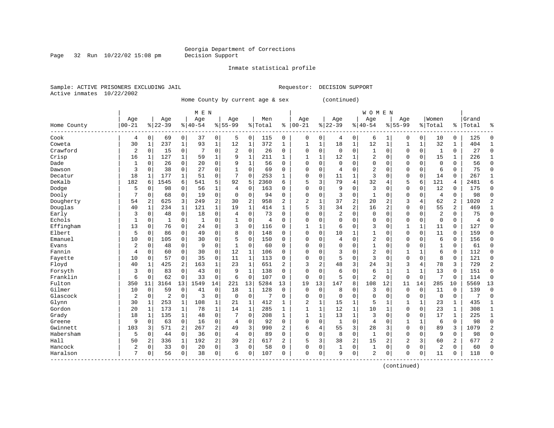Page 32 Run  $10/22/02$  15:08 pm

#### Inmate statistical profile

Sample: ACTIVE PRISONERS EXCLUDING JAIL Requestor: DECISION SUPPORT Active inmates 10/22/2002

Home County by current age & sex (continued)

|                        |           |                |                |             | M E N        |             |                |                |         |                |                |          |                |                | <b>WOMEN</b>   |                |                |             |                |                |       |              |
|------------------------|-----------|----------------|----------------|-------------|--------------|-------------|----------------|----------------|---------|----------------|----------------|----------|----------------|----------------|----------------|----------------|----------------|-------------|----------------|----------------|-------|--------------|
|                        | Age       |                | Age            |             | Age          |             | Age            |                | Men     |                | Age            |          | Age            |                | Age            |                | Age            |             | Women          |                | Grand |              |
| Home County<br>------- | $00 - 21$ |                | $8 22-39$      |             | $8 40-54$    |             | $8155 - 99$    |                | % Total | ి              | $ 00-21$       |          | $ 22-39$       |                | $ 40-54$       |                | $8155 - 99$    |             | % Total        | ి              | Total |              |
| Cook                   | 4         | 0              | 69             | 0           | 37           | 0           | 5              | 0              | 115     | 0              | 0              | 0        | 4              | 0              | 6              | 1              | 0              | 0           | 10             | 0              | 125   | $\cap$       |
| Coweta                 | 30        | $\mathbf{1}$   | 237            | $\mathbf 1$ | 93           | $\mathbf 1$ | 12             | $\mathbf{1}$   | 372     | 1              | 1              | 1        | 18             | $\mathbf{1}$   | 12             | $\mathbf{1}$   |                | $\mathbf 1$ | 32             | 1              | 404   |              |
| Crawford               | 2         | 0              | 15             | 0           | 7            | 0           | 2              | $\mathsf 0$    | 26      | 0              | 0              | 0        | $\mathbf 0$    | $\mathbf 0$    | 1              | 0              | 0              | $\mathbf 0$ | $\mathbf{1}$   | 0              | 27    | <sup>0</sup> |
| Crisp                  | 16        | $\mathbf{1}$   | 127            | $\mathbf 1$ | 59           | 1           | 9              | $\mathbf 1$    | 211     | $\mathbf{1}$   | $\mathbf{1}$   | 1        | 12             | 1              | 2              | $\Omega$       | $\Omega$       | $\mathbf 0$ | 15             | 1              | 226   |              |
| Dade                   | 1         | $\mathbf 0$    | 26             | 0           | 20           | 0           | 9              | $\mathbf 1$    | 56      | $\Omega$       | $\Omega$       | 0        | $\mathbf 0$    | $\Omega$       | 0              | $\mathsf{C}$   | $\Omega$       | $\Omega$    | $\mathbf 0$    | 0              | 56    | $\Omega$     |
| Dawson                 | 3         | $\mathbf 0$    | 38             | $\mathbf 0$ | 27           | 0           |                | $\mathbf 0$    | 69      | $\Omega$       | $\Omega$       | 0        | 4              | $\Omega$       | $\overline{2}$ | $\Omega$       | $\Omega$       | $\mathbf 0$ | 6              | 0              | 75    | $\Omega$     |
| Decatur                | 18        | 1              | 177            | 1           | 51           | 0           | 7              | $\mathbf 0$    | 253     | 1              | $\Omega$       | 0        | 11             | 1              | 3              | $\Omega$       | $\Omega$       | $\mathbf 0$ | 14             | 0              | 267   | $\mathbf{1}$ |
| DeKalb                 | 182       | 6              | 1545           | 6           | 541          | 5           | 92             | 5              | 2360    | 6              | 5              | 3        | 79             | $\overline{4}$ | 32             | 4              | 5              | 6           | 121            | 4              | 2481  | б            |
| Dodge                  | 5         | $\mathbf 0$    | 98             | 0           | 56           | 1           | $\overline{4}$ | $\Omega$       | 163     | $\Omega$       | $\Omega$       | 0        | 9              | $\Omega$       | 3              | C              | $\Omega$       | $\Omega$    | 12             | 0              | 175   | $\Omega$     |
| Dooly                  |           | $\mathbf 0$    | 68             | 0           | 19           | 0           | $\Omega$       | $\Omega$       | 94      | $\Omega$       | $\Omega$       | $\Omega$ | 3              | $\Omega$       | $\mathbf{1}$   | C              | $\Omega$       | $\Omega$    | 4              | $\Omega$       | 98    | ∩            |
| Dougherty              | 54        | $\overline{2}$ | 625            | 3           | 249          | 2           | 30             | $\overline{2}$ | 958     | $\overline{a}$ | 2              | 1        | 37             | $\overline{2}$ | 20             | 2              | 3              | 4           | 62             | $\overline{2}$ | 1020  |              |
| Douglas                | 40        | 1              | 234            | $\mathbf 1$ | 121          | 1           | 19             | $\mathbf{1}$   | 414     | $\mathbf{1}$   | 5              | 3        | 34             | $\overline{2}$ | 16             | $\overline{2}$ | $\mathbf 0$    | $\Omega$    | 55             | 2              | 469   |              |
| Early                  | 3         | 0              | 48             | $\mathbf 0$ | 18           | 0           | 4              | $\mathbf 0$    | 73      | $\Omega$       | $\Omega$       | 0        | $\overline{2}$ | $\Omega$       | 0              | $\Omega$       | $\Omega$       | $\Omega$    | $\overline{2}$ | 0              | 75    | <sup>0</sup> |
| Echols                 | 1         | $\mathbf 0$    | 1              | 0           | $\mathbf{1}$ | 0           |                | 0              | 4       | $\Omega$       | $\Omega$       | O        | $\Omega$       | $\Omega$       | $\Omega$       | $\Omega$       | $\Omega$       | $\Omega$    | $\mathbf 0$    | 0              | 4     | $\Omega$     |
| Effingham              | 13        | 0              | 76             | 0           | 24           | 0           | 3              | $\mathbf 0$    | 116     | $\Omega$       | 1              | 1        | 6              | $\Omega$       | 3              | $\Omega$       | 1              | 1           | 11             | 0              | 127   | $\Omega$     |
| Elbert                 | 5         | 0              | 86             | $\mathbf 0$ | 49           | 0           | 8              | $\mathbf 0$    | 148     | $\Omega$       | $\Omega$       | 0        | 10             | 1              | 1              | $\Omega$       | $\Omega$       | $\mathbf 0$ | 11             | 0              | 159   | $\Omega$     |
| Emanuel                | 10        | $\mathbf 0$    | 105            | $\Omega$    | 30           | 0           | 5              | $\Omega$       | 150     | 0              | $\Omega$       | 0        | 4              | $\Omega$       | $\overline{2}$ | $\Omega$       | $\Omega$       | $\Omega$    | 6              | 0              | 156   | $\Omega$     |
| Evans                  | 2         | $\mathbf 0$    | 48             | 0           | 9            | 0           |                | $\mathbf 0$    | 60      | 0              | $\Omega$       | 0        | $\Omega$       | $\Omega$       | 1              | $\mathsf{C}$   | $\Omega$       | $\Omega$    | $\mathbf{1}$   | 0              | 61    | <sup>0</sup> |
| Fannin                 | 4         | $\mathbf 0$    | 60             | $\Omega$    | 30           | 0           | 12             | 1              | 106     | 0              | $\Omega$       | O        | 3              | $\Omega$       | $\overline{2}$ | C              | 1              | 1           | 6              | 0              | 112   | <sup>0</sup> |
| Fayette                | 10        | $\mathbf 0$    | 57             | 0           | 35           | 0           | 11             | 1              | 113     | $\Omega$       | $\Omega$       | O        | 5              | $\Omega$       | 3              | $\Omega$       | $\Omega$       | $\Omega$    | 8              | 0              | 121   | $\Omega$     |
| Floyd                  | 40        | 1              | 425            | 2           | 163          | 1           | 23             | $\mathbf{1}$   | 651     | 2              | 3              | 2        | 48             | 3              | 24             | 3              | 3              | 4           | 78             | 3              | 729   |              |
| Forsyth                | 3         | $\mathbf 0$    | 83             | $\Omega$    | 43           | 0           | 9              | $\mathbf{1}$   | 138     | $\Omega$       | $\Omega$       | 0        | 6              | $\Omega$       | 6              |                |                | 1           | 13             | 0              | 151   | $\Omega$     |
| Franklin               | 6         | $\mathbf 0$    | 62             | 0           | 33           | 0           | 6              | $\mathbf 0$    | 107     | $\Omega$       | $\Omega$       | 0        | 5              | $\Omega$       | $\overline{a}$ | $\mathbf 0$    | $\Omega$       | $\mathbf 0$ | 7              | 0              | 114   | $\Omega$     |
| Fulton                 | 350       | 11             | 3164           | 13          | 1549         | 14          | 221            | 13             | 5284    | 13             | 19             | 13       | 147            | 8              | 108            | 12             | 11             | 14          | 285            | 10             | 5569  | 13           |
| Gilmer                 | 10        | $\mathbf 0$    | 59             | 0           | 41           | 0           | 18             | 1              | 128     | 0              | $\mathbf 0$    | 0        | 8              | $\Omega$       | 3              | $\mathbf 0$    | $\Omega$       | $\mathbf 0$ | 11             | 0              | 139   | $\Omega$     |
| Glascock               | 2         | $\mathbf 0$    | $\overline{2}$ | 0           | 3            | 0           | $\mathbf 0$    | $\mathbf 0$    | 7       | 0              | $\Omega$       | 0        | $\Omega$       | $\mathbf 0$    | 0              | $\Omega$       | $\Omega$       | $\mathbf 0$ | $\mathbf 0$    | 0              | 7     | $\Omega$     |
| Glynn                  | 30        | 1              | 253            | 1           | 108          | 1           | 21             | 1              | 412     | 1              | $\overline{2}$ | 1        | 15             | 1              | 5              |                |                | 1           | 23             | $\mathbf{1}$   | 435   | $\mathbf{1}$ |
| Gordon                 | 20        | 1              | 173            | 1           | 78           | 1           | 14             | 1              | 285     | 1              | $\mathbf{1}$   | 1        | 12             | 1              | 10             | 1              | $\Omega$       | $\Omega$    | 23             | 1              | 308   | 1            |
| Grady                  | 18        | 1              | 135            | 1           | 48           | 0           | 7              | $\Omega$       | 208     | $\mathbf{1}$   | $\mathbf{1}$   | 1        | 13             | $\mathbf{1}$   | 3              | $\sqrt{ }$     | $\Omega$       | $\Omega$    | 17             | 1              | 225   | $\mathbf{1}$ |
| Greene                 | 9         | $\mathbf 0$    | 63             | $\mathbf 0$ | 16           | 0           | 4              | 0              | 92      | $\Omega$       | $\Omega$       | 0        | $\mathbf{1}$   | $\Omega$       | 4              | $\sqrt{ }$     | $\mathbf{1}$   | 1           | 6              | $\Omega$       | 98    | $\Omega$     |
| Gwinnett               | 103       | 3              | 571            | 2           | 267          | 2           | 49             | 3              | 990     | 2              | 6              | 4        | 55             | 3              | 28             | 3              | $\Omega$       | $\mathbf 0$ | 89             | 3              | 1079  |              |
| Habersham              | 5         | $\mathbf 0$    | 44             | $\mathbf 0$ | 36           | 0           | 4              | $\mathbf 0$    | 89      | 0              | $\Omega$       | 0        | 8              | $\mathbf 0$    | 1              | $\Omega$       | $\mathbf 0$    | $\mathbf 0$ | 9              | 0              | 98    | $\Omega$     |
| Hall                   | 50        | 2              | 336            | $\mathbf 1$ | 192          | 2           | 39             | $\overline{2}$ | 617     | 2              | 5              | 3        | 38             | $\overline{2}$ | 15             | 2              | $\overline{c}$ | 3           | 60             | 2              | 677   | 2            |
| Hancock                | 2         | 0              | 33             | 0           | 20           | 0           | 3              | 0              | 58      | $\Omega$       | $\Omega$       | 0        | $\mathbf{1}$   | 0              | 1              | $\Omega$       | $\Omega$       | $\Omega$    | $\overline{2}$ | 0              | 60    | $\cap$       |
| Haralson               | 7         | $\mathbf 0$    | 56             | 0           | 38           | 0           | 6              | 0              | 107     | $\Omega$       | $\Omega$       | 0        | 9              | $\mathbf 0$    | 2              | 0              | $\Omega$       | 0           | 11             | 0              | 118   | $\cap$       |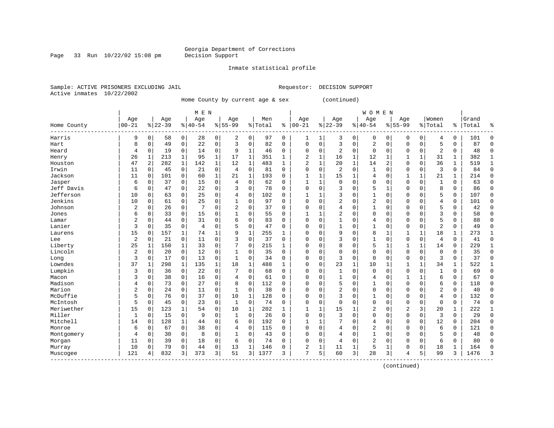Page 33 Run  $10/22/02$  15:08 pm

#### Inmate statistical profile

Sample: ACTIVE PRISONERS EXCLUDING JAIL Requestor: DECISION SUPPORT Active inmates 10/22/2002

Home County by current age & sex (continued)

|             |                |             |           |              | M E N          |             |                |              |         |              |                |              |                |              | <b>WOMEN</b>   |              |                |          |                |              |       |              |
|-------------|----------------|-------------|-----------|--------------|----------------|-------------|----------------|--------------|---------|--------------|----------------|--------------|----------------|--------------|----------------|--------------|----------------|----------|----------------|--------------|-------|--------------|
|             | Age            |             | Age       |              | Age            |             | Age            |              | Men     |              | Age            |              | Age            |              | Age            |              | Age            |          | Women          |              | Grand |              |
| Home County | $00 - 21$      |             | $8 22-39$ |              | $8 40-54$      |             | $8155 - 99$    |              | % Total | ి            | $00 - 21$      |              | $8 22-39$      |              | $8 40-54$      |              | $8155 - 99$    |          | % Total        | ႜ            | Total | 욲            |
| Harris      | 9              | $\mathbf 0$ | 58        | 0            | 28             | 0           | 2              | 0            | 97      | 0            | 1              | 1            | 3              | 0            | $\mathbf 0$    | 0            | 0              | 0        | 4              | 0            | 101   | $\Omega$     |
| Hart        | 8              | $\mathbf 0$ | 49        | $\mathbf 0$  | 22             | 0           | 3              | $\mathbf 0$  | 82      | 0            | $\mathbf 0$    | $\mathbf 0$  | 3              | $\mathbf 0$  | 2              | $\mathbf 0$  | $\Omega$       | 0        | 5              | 0            | 87    | $\mathbf 0$  |
| Heard       | 4              | 0           | 19        | 0            | 14             | 0           | 9              | 1            | 46      | 0            | $\mathbf 0$    | 0            | 2              | $\mathbf 0$  | 0              | $\mathbf 0$  | $\Omega$       | 0        | 2              | 0            | 48    | $\Omega$     |
| Henry       | 26             | 1           | 213       | $\mathbf 1$  | 95             | 1           | 17             | 1            | 351     | 1            | 2              | $\mathbf 1$  | 16             | $\mathbf 1$  | 12             | 1            | 1              | 1        | 31             | 1            | 382   | $\mathbf{1}$ |
| Houston     | 47             | 2           | 282       | $\mathbf{1}$ | 142            | $\mathbf 1$ | 12             | 1            | 483     | $\mathbf{1}$ | $\overline{2}$ | $\mathbf 1$  | 20             | $\mathbf 1$  | 14             | 2            | $\Omega$       | 0        | 36             | $\mathbf{1}$ | 519   | $\mathbf{1}$ |
| Irwin       | 11             | 0           | 45        | $\mathbf 0$  | 21             | 0           | $\overline{4}$ | $\mathbf 0$  | 81      | $\mathbf 0$  | $\mathbf 0$    | $\mathbf 0$  | 2              | $\mathbf 0$  | $\mathbf{1}$   | $\Omega$     | $\Omega$       | 0        | 3              | $\mathbf 0$  | 84    | $\mathbf 0$  |
| Jackson     | 11             | $\mathbf 0$ | 101       | $\mathbf 0$  | 60             | 1           | 21             | $\mathbf{1}$ | 193     | 0            | $\mathbf{1}$   | 1            | 15             | $\mathbf{1}$ | 4              | $\Omega$     | 1              |          | 21             | 1            | 214   | $\mathbf 0$  |
| Jasper      | 6              | 0           | 37        | 0            | 15             | 0           | 4              | 0            | 62      | 0            |                | 1            | 0              | $\Omega$     | 0              | $\Omega$     | $\Omega$       | $\Omega$ | $\mathbf{1}$   | 0            | 63    | $\Omega$     |
| Jeff Davis  | 6              | 0           | 47        | 0            | 22             | 0           | 3              | 0            | 78      | O            | $\Omega$       | 0            | 3              | $\Omega$     | 5              | 1            | $\Omega$       | $\Omega$ | 8              | 0            | 86    | $\mathbf 0$  |
| Jefferson   | 10             | $\mathbf 0$ | 63        | 0            | 25             | 0           | 4              | $\Omega$     | 102     | O            | 1              | 1            | 3              | $\Omega$     | 1              | $\Omega$     | $\Omega$       | $\Omega$ | 5              | 0            | 107   | $\Omega$     |
| Jenkins     | 10             | $\mathbf 0$ | 61        | $\mathbf 0$  | 25             | 0           | 1              | 0            | 97      | $\Omega$     | $\Omega$       | $\Omega$     | $\overline{2}$ | $\Omega$     | 2              | $\Omega$     | $\Omega$       | $\Omega$ | 4              | 0            | 101   | $\Omega$     |
| Johnson     | 2              | $\mathbf 0$ | 26        | $\mathbf 0$  | 7              | 0           | 2              | 0            | 37      | 0            | $\Omega$       | $\Omega$     | 4              | $\Omega$     | 1              | $\Omega$     | $\Omega$       | $\Omega$ | 5              | 0            | 42    | $\Omega$     |
| Jones       | 6              | $\mathbf 0$ | 33        | $\mathbf 0$  | 15             | 0           |                | 0            | 55      | 0            |                | $\mathbf{1}$ | 2              | $\Omega$     | $\Omega$       | $\Omega$     | $\Omega$       | 0        | 3              | 0            | 58    | $\Omega$     |
| Lamar       | $\overline{2}$ | $\mathbf 0$ | 44        | $\mathbf 0$  | 31             | 0           | 6              | 0            | 83      | 0            | $\mathbf 0$    | $\mathbf 0$  | $\mathbf{1}$   | $\Omega$     | 4              | 0            | $\Omega$       | 0        | 5              | 0            | 88    | $\bigcap$    |
| Lanier      | 3              | $\mathbf 0$ | 35        | $\mathbf 0$  | $\overline{4}$ | 0           | 5              | $\mathbf 0$  | 47      | 0            | $\Omega$       | $\Omega$     | $\mathbf{1}$   | $\Omega$     | $\mathbf{1}$   | $\Omega$     | $\Omega$       | $\Omega$ | $\overline{2}$ | 0            | 49    | $\Omega$     |
| Laurens     | 15             | 0           | 157       | 1            | 74             | 1           | 9              | 1            | 255     | 1            | $\Omega$       | $\Omega$     | 9              | $\Omega$     | 8              | 1            | 1              | 1        | 18             | 1            | 273   | 1            |
| Lee         | $\overline{c}$ | $\mathbf 0$ | 21        | 0            | 11             | 0           | 3              | $\mathbf 0$  | 37      | 0            | $\mathbf 0$    | $\Omega$     | 3              | $\Omega$     |                | $\Omega$     | $\Omega$       | 0        | 4              | 0            | 41    | $\mathbf 0$  |
| Liberty     | 25             | 1           | 150       | $\mathbf 1$  | 33             | 0           |                | $\Omega$     | 215     | 1            | $\Omega$       | $\Omega$     | 8              | $\Omega$     | 5              | $\mathbf{1}$ | 1              | 1        | 14             | 0            | 229   | $\mathbf{1}$ |
| Lincoln     | 2              | $\mathbf 0$ | 20        | $\mathbf 0$  | 12             | 0           |                | 0            | 35      | 0            | $\Omega$       | $\Omega$     | $\Omega$       | $\Omega$     | $\Omega$       | $\Omega$     | $\Omega$       | 0        | $\Omega$       | 0            | 35    | $\Omega$     |
| Long        | 3              | $\mathbf 0$ | 17        | $\mathbf 0$  | 13             | 0           | 1              | 0            | 34      | 0            | $\mathbf 0$    | $\Omega$     | 3              | $\Omega$     | $\mathbf{0}$   | $\Omega$     | $\Omega$       | 0        | 3              | 0            | 37    | $\Omega$     |
| Lowndes     | 37             | 1           | 298       | 1            | 135            | 1           | 18             | 1            | 488     | 1            | $\mathbf 0$    | $\Omega$     | 23             | $\mathbf 1$  | 10             | 1            | $\mathbf{1}$   | 1        | 34             | 1            | 522   | -1           |
| Lumpkin     | 3              | 0           | 36        | $\mathbf 0$  | 22             | 0           |                | 0            | 68      | 0            | $\Omega$       | $\Omega$     | 1              | 0            | $\Omega$       | $\Omega$     | $\Omega$       | $\Omega$ | $\mathbf{1}$   | 0            | 69    | $\Omega$     |
| Macon       | 3              | $\mathbf 0$ | 38        | 0            | 16             | 0           | 4              | $\mathbf 0$  | 61      | 0            | $\Omega$       | 0            | $\mathbf{1}$   | $\Omega$     | 4              | $\Omega$     | $\mathbf{1}$   |          | б              | 0            | 67    | $\mathbf 0$  |
| Madison     | 4              | $\mathbf 0$ | 73        | $\mathbf 0$  | 27             | 0           | 8              | $\mathbf 0$  | 112     | 0            | $\Omega$       | 0            | 5              | $\Omega$     | $\mathbf{1}$   | 0            | $\Omega$       | $\Omega$ | б              | 0            | 118   | $\Omega$     |
| Marion      | 2              | $\mathbf 0$ | 24        | $\mathbf 0$  | 11             | 0           | 1              | $\mathbf 0$  | 38      | 0            | $\mathbf 0$    | 0            | $\overline{2}$ | $\Omega$     | 0              | $\Omega$     | $\Omega$       | $\Omega$ | $\overline{2}$ | 0            | 40    | $\mathbf 0$  |
| McDuffie    | 5              | 0           | 76        | 0            | 37             | 0           | 10             | $\mathbf{1}$ | 128     | 0            | $\mathbf 0$    | 0            | 3              | $\Omega$     | 1              | 0            | 0              | 0        | 4              | 0            | 132   | $\mathbf 0$  |
| McIntosh    | 5              | $\mathbf 0$ | 45        | 0            | 23             | 0           | 1              | 0            | 74      | 0            | $\mathbf 0$    | 0            | $\Omega$       | $\Omega$     | 0              | $\Omega$     | $\Omega$       | $\Omega$ | 0              | 0            | 74    | $\mathbf 0$  |
| Meriwether  | 15             | 0           | 123       | 1            | 54             | 0           | 10             | 1            | 202     | 1            | $\mathbf{1}$   | $\mathbf{1}$ | 15             | 1            | 2              | $\Omega$     | $\overline{2}$ | 3        | 20             | 1            | 222   | 1            |
| Miller      | 1              | $\mathbf 0$ | 15        | $\mathbf 0$  | 9              | 0           | 1              | 0            | 26      | $\Omega$     | $\mathbf 0$    | $\Omega$     | 3              | $\Omega$     | $\Omega$       | $\Omega$     | $\Omega$       | $\Omega$ | 3              | 0            | 29    | $\Omega$     |
| Mitchell    | 14             | $\mathbf 0$ | 128       | $\mathbf{1}$ | 44             | 0           | 6              | 0            | 192     | $\Omega$     | 1              | 1            | 7              | $\Omega$     | 4              | $\Omega$     | $\Omega$       | $\Omega$ | 12             | 0            | 204   | $\Omega$     |
| Monroe      | 6              | $\mathbf 0$ | 67        | $\mathbf 0$  | 38             | 0           | 4              | $\mathbf 0$  | 115     | 0            | $\mathbf 0$    | 0            | 4              | $\Omega$     | $\overline{2}$ | $\Omega$     | $\Omega$       | $\Omega$ | 6              | 0            | 121   | $\Omega$     |
| Montgomery  | 4              | 0           | 30        | $\mathbf 0$  | 8              | $\Omega$    |                | 0            | 43      | 0            | $\Omega$       | $\Omega$     | 4              | $\Omega$     | 1              | $\Omega$     | $\Omega$       | $\Omega$ | 5              | 0            | 48    | $\Omega$     |
| Morgan      | 11             | 0           | 39        | 0            | 18             | 0           | 6              | $\mathbf 0$  | 74      | 0            | $\Omega$       | 0            | 4              | $\Omega$     | 2              | $\Omega$     | $\Omega$       | $\Omega$ | 6              | 0            | 80    | $\cap$       |
| Murray      | 10             | $\mathbf 0$ | 79        | 0            | 44             | 0           | 13             | 1            | 146     | 0            | 2              | 1            | 11             | 1            | 5              | 1            | $\Omega$       | 0        | 18             | 1            | 164   | $\cap$       |
| Muscogee    | 121            | 4           | 832       | 3            | 373            | 3           | 51             | 3            | 1377    | 3            | 7              | 5            | 60             | 3            | 28             | 3            | $\overline{4}$ | 5        | 99             | 3            | 1476  | 3            |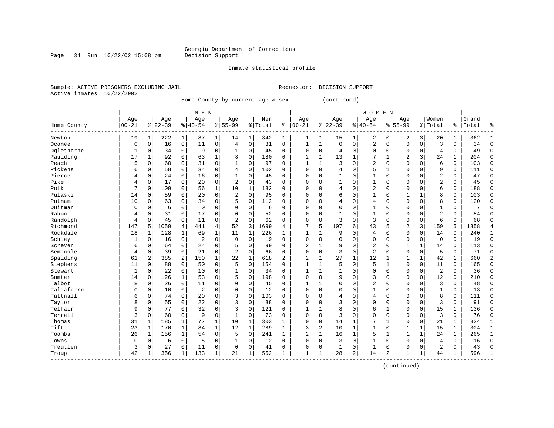Page 34 Run  $10/22/02$  15:08 pm

#### Inmate statistical profile

Sample: ACTIVE PRISONERS EXCLUDING JAIL Requestor: DECISION SUPPORT Active inmates 10/22/2002

Home County by current age & sex (continued)

|             |            |             |           |              | M E N          |              |                |              |         |              |                |                |              |               | W O M E N      |              |                |              |                |              |           |               |
|-------------|------------|-------------|-----------|--------------|----------------|--------------|----------------|--------------|---------|--------------|----------------|----------------|--------------|---------------|----------------|--------------|----------------|--------------|----------------|--------------|-----------|---------------|
|             | Age        |             | Age       |              | Age            |              | Age            |              | Men     |              | Age            |                | Age          |               | Age            |              | Age            |              | Women          |              | Grand     |               |
| Home County | $ 00 - 21$ |             | $8 22-39$ |              | $8 40-54$      |              | $8155 - 99$    |              | % Total | ి            | $00 - 21$      |                | $ 22-39$     | $\frac{1}{6}$ | $40 - 54$      |              | $8155 - 99$    |              | % Total        |              | %   Total | ႜ             |
| Newton      | 19         | 1           | 222       | $\mathbf{1}$ | 87             | 1            | 14             | 1            | 342     | 1            | 1              | $\mathbf 1$    | 15           | 1             | 2              | 0            | 2              | 3            | 20             | 1            | 362       | -1            |
| Oconee      | $\Omega$   | $\mathbf 0$ | 16        | $\mathbf 0$  | 11             | 0            | 4              | $\mathbf 0$  | 31      | 0            | $\mathbf{1}$   | 1              | $\Omega$     | $\Omega$      | 2              | $\mathbf 0$  | $\Omega$       | $\Omega$     | 3              | $\mathbf 0$  | 34        | $\Omega$      |
| Oglethorpe  | 1          | $\mathbf 0$ | 34        | 0            | 9              | 0            | 1              | 0            | 45      | 0            | $\mathbf 0$    | $\mathbf 0$    | 4            | $\mathbf 0$   | $\Omega$       | 0            | 0              | $\Omega$     | $\overline{4}$ | 0            | 49        | $\Omega$      |
| Paulding    | 17         | 1           | 92        | 0            | 63             | 1            | 8              | 0            | 180     | 0            | $\overline{2}$ | $\mathbf{1}$   | 13           | 1             |                | 1            | 2              | 3            | 24             | 1            | 204       | $\Omega$      |
| Peach       | 5          | $\mathbf 0$ | 60        | 0            | 31             | 0            |                | 0            | 97      | 0            | $\mathbf{1}$   | $\mathbf{1}$   | 3            | $\mathbf 0$   | $\overline{2}$ | $\mathbf 0$  | $\mathbf 0$    | $\mathbf 0$  | 6              | $\mathbf 0$  | 103       | $\Omega$      |
| Pickens     | 6          | $\mathbf 0$ | 58        | 0            | 34             | 0            | $\overline{4}$ | 0            | 102     | 0            | $\Omega$       | 0              | 4            | $\Omega$      | 5              | 1            | $\mathbf 0$    | $\Omega$     | 9              | $\mathbf 0$  | 111       | $\Omega$      |
| Pierce      | 4          | $\mathbf 0$ | 24        | 0            | 16             | 0            | 1              | 0            | 45      | 0            | $\Omega$       | 0              | $\mathbf{1}$ | 0             | $\mathbf{1}$   | $\mathbf 0$  | 0              | $\Omega$     | $\overline{2}$ | 0            | 47        | $\Omega$      |
| Pike        | 4          | $\mathbf 0$ | 17        | $\Omega$     | 20             | 0            | 2              | $\Omega$     | 43      | 0            | $\Omega$       | $\Omega$       | -1           | $\Omega$      | 1              | $\mathbf 0$  | 0              | $\Omega$     | 2              | 0            | 45        | $\Omega$      |
| Polk        |            | $\mathbf 0$ | 109       | 0            | 56             | 1            | 10             | 1            | 182     | 0            | $\Omega$       | $\Omega$       | 4            | $\Omega$      | $\overline{2}$ | $\mathbf 0$  | $\Omega$       | $\Omega$     | 6              | 0            | 188       | $\Omega$      |
| Pulaski     | 14         | n           | 59        | $\Omega$     | 20             | 0            | 2              | $\Omega$     | 95      | U            | $\bigcap$      | $\Omega$       | 6            | $\Omega$      | 1              | $\mathbf 0$  | 1              | $\mathbf{1}$ | 8              | $\Omega$     | 103       | $\Omega$      |
| Putnam      | 10         | $\Omega$    | 63        | $\Omega$     | 34             | 0            | 5              | $\Omega$     | 112     | O            | $\Omega$       | $\Omega$       | 4            | $\Omega$      | 4              | $\Omega$     | $\Omega$       | $\Omega$     | 8              | $\Omega$     | 120       | $\Omega$      |
| Ouitman     | $\Omega$   | $\Omega$    | 6         | 0            | $\overline{0}$ | 0            | $\Omega$       | 0            | 6       | O            | $\mathbf 0$    | $\Omega$       | $\Omega$     | $\Omega$      | $\mathbf{1}$   | $\mathbf 0$  | $\Omega$       | $\Omega$     | $\mathbf{1}$   | 0            |           |               |
| Rabun       | 4          | $\mathbf 0$ | 31        | $\mathbf 0$  | 17             | 0            | $\Omega$       | 0            | 52      | 0            | $\mathbf 0$    | $\mathbf 0$    | $\mathbf{1}$ | $\Omega$      | 1              | $\mathbf 0$  | 0              | $\Omega$     | $\overline{c}$ | 0            | 54        | ∩             |
| Randolph    | 4          | 0           | 45        | 0            | 11             | 0            | $\overline{2}$ | 0            | 62      | 0            | $\mathbf 0$    | 0              | 3            | $\mathsf 0$   | 3              | $\mathbf 0$  | $\mathsf 0$    | 0            | 6              | 0            | 68        |               |
| Richmond    | 147        | 5           | 1059      | 4            | 441            | 4            | 52             | 3            | 1699    | 4            | 7              | 5              | 107          | 6             | 43             | 5            | $\overline{2}$ | 3            | 159            | 5            | 1858      |               |
| Rockdale    | 18         | 1           | 128       | $\mathbf 1$  | 69             | $\mathbf{1}$ | 11             | 1            | 226     | 1            | $\mathbf{1}$   | 1              | 9            | $\Omega$      | 4              | $\mathbf 0$  | $\mathbf 0$    | $\Omega$     | 14             | $\Omega$     | 240       | $\mathbf{1}$  |
| Schley      | 1          | $\mathbf 0$ | 16        | $\mathbf 0$  | 2              | 0            | $\Omega$       | $\Omega$     | 19      | $\Omega$     | $\Omega$       | 0              | $\Omega$     | $\Omega$      | $\Omega$       | $\mathbf 0$  | 0              | $\Omega$     | $\mathbf 0$    | 0            | 19        | $\Omega$      |
| Screven     | 6          | $\mathbf 0$ | 64        | $\Omega$     | 24             | 0            | 5              | $\Omega$     | 99      | 0            | $\overline{2}$ | 1              | 9            | $\Omega$      | $\overline{2}$ | 0            | 1              | 1            | 14             | 0            | 113       | $\Omega$      |
| Seminole    | 4          | $\mathbf 0$ | 39        | 0            | 21             | 0            | 2              | 0            | 66      | 0            | $\Omega$       | 0              | 3            | 0             | $\overline{2}$ | $\mathbf 0$  | 0              | 0            | 5              | 0            | 71        | $\Omega$      |
| Spalding    | 61         | 2           | 385       | 2            | 150            | 1            | 22             | 1            | 618     | 2            | $\overline{2}$ | $\mathbf{1}$   | 27           | 1             | 12             | 1            | 1              | $\mathbf{1}$ | 42             | 1            | 660       | $\mathcal{D}$ |
| Stephens    | 11         | $\Omega$    | 88        | 0            | 50             | 0            | 5              | 0            | 154     | 0            | $\mathbf{1}$   | $\mathbf{1}$   | 5            | $\mathbf 0$   | 5              | $\mathbf{1}$ | $\mathbf 0$    | $\mathbf 0$  | 11             | $\mathbf 0$  | 165       | $\Omega$      |
| Stewart     | 1          | $\mathbf 0$ | 22        | $\mathbf 0$  | 10             | 0            | 1              | 0            | 34      | 0            | 1              | 1              | $\mathbf{1}$ | 0             | $\Omega$       | $\mathbf 0$  | $\Omega$       | $\mathbf 0$  | $\overline{2}$ | 0            | 36        |               |
| Sumter      | 14         | $\mathbf 0$ | 126       | $\mathbf{1}$ | 53             | 0            | 5              | 0            | 198     | 0            | $\Omega$       | $\Omega$       | 9            | $\mathbf 0$   | 3              | $\mathbf 0$  | $\Omega$       | $\Omega$     | 12             | $\Omega$     | 210       |               |
| Talbot      | 8          | $\mathbf 0$ | 26        | $\Omega$     | 11             | 0            | $\Omega$       | 0            | 45      | 0            | $\mathbf{1}$   | 1              | $\Omega$     | $\Omega$      | $\overline{2}$ | $\mathbf 0$  | 0              | $\Omega$     | 3              | $\Omega$     | 48        | $\Omega$      |
| Taliaferro  | 0          | $\Omega$    | 10        | 0            | $\overline{2}$ | 0            | $\Omega$       | $\Omega$     | 12      | $\Omega$     | $\Omega$       | $\Omega$       | $\Omega$     | $\Omega$      | 1              | $\mathbf 0$  | 0              | $\Omega$     | $\mathbf{1}$   | $\Omega$     | 13        | $\Omega$      |
| Tattnall    | 6          | $\mathbf 0$ | 74        | 0            | 20             | 0            | 3              | 0            | 103     | $\Omega$     | $\Omega$       | 0              | 4            | 0             | 4              | $\mathbf 0$  | 0              | $\Omega$     | 8              | 0            | 111       | $\Omega$      |
| Taylor      | 8          | $\mathbf 0$ | 55        | 0            | 22             | 0            | 3              | 0            | 88      | 0            | $\Omega$       | 0              | 3            | $\Omega$      | $\Omega$       | 0            | $\Omega$       | 0            | 3              | 0            | 91        | $\Omega$      |
| Telfair     | 9          | $\Omega$    | 77        | 0            | 32             | 0            | 3              | 0            | 121     | 0            |                | 1              | 8            | $\Omega$      | 6              | $\mathbf{1}$ | 0              | 0            | 15             | 1            | 136       | $\Omega$      |
| Terrell     | 3          | $\mathbf 0$ | 60        | 0            | 9              | 0            | -1             | 0            | 73      | O            | $\Omega$       | $\mathbf 0$    | 3            | $\Omega$      | $\Omega$       | $\mathbf 0$  | $\mathbf 0$    | 0            | $\overline{3}$ | $\mathbf 0$  | 76        | $\Omega$      |
| Thomas      | 31         | 1           | 185       | 1            | 77             | $\mathbf{1}$ | 10             | 1            | 303     | 1            | $\mathbf 0$    | $\mathbf 0$    | 14           | $\mathbf{1}$  | 7              | 1            | $\mathbf 0$    | $\Omega$     | 21             | $\mathbf{1}$ | 324       | 1             |
| Tift        | 23         | 1           | 170       | $\mathbf{1}$ | 84             | $\mathbf 1$  | 12             | $\mathbf{1}$ | 289     | $\mathbf{1}$ | 3              | $\overline{a}$ | 10           | $\mathbf{1}$  | 1              | 0            | 1              | $\mathbf{1}$ | 15             | 1            | 304       | $\mathbf{1}$  |
| Toombs      | 26         | 1           | 156       | 1            | 54             | 0            | 5              | $\mathbf 0$  | 241     | $\mathbf{1}$ | $\overline{a}$ | $\mathbf{1}$   | 16           | $\mathbf 1$   | 5              | $\mathbf{1}$ | $\mathbf{1}$   | $\mathbf{1}$ | 24             | 1            | 265       | $\mathbf{1}$  |
| Towns       | 0          | $\mathbf 0$ | 6         | 0            | 5              | 0            |                | 0            | 12      | 0            | $\Omega$       | $\mathbf 0$    | 3            | $\mathbf 0$   | 1              | $\mathbf 0$  | 0              | 0            | 4              | 0            | 16        | $\Omega$      |
| Treutlen    | 3          | $\mathbf 0$ | 27        | $\mathbf 0$  | 11             | 0            | $\Omega$       | $\mathbf 0$  | 41      | 0            | $\Omega$       | 0              | $\mathbf{1}$ | $\mathsf 0$   | $\mathbf{1}$   | 0            | $\Omega$       | 0            | $\overline{c}$ | 0            | 43        | $\Omega$      |
| Troup       | 42         | 1           | 356       | 1            | 133            | 1            | 21             | 1            | 552     | 1            | $\mathbf{1}$   | 1              | 28           | 2             | 14             | 2            | $\mathbf{1}$   | 1            | 44             | 1            | 596       | $\mathbf{1}$  |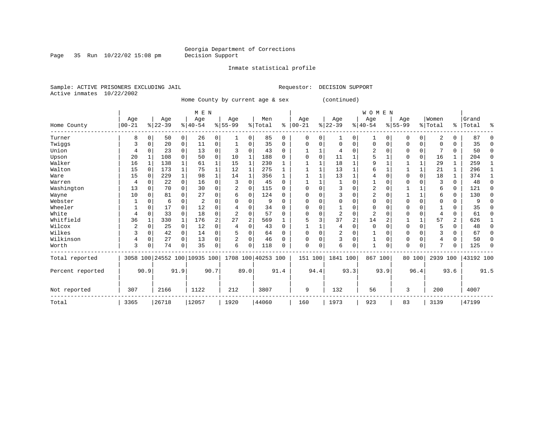Inmate statistical profile

Page 35 Run  $10/22/02$  15:08 pm

Sample: ACTIVE PRISONERS EXCLUDING JAIL Requestor: DECISION SUPPORT

Active inmates 10/22/2002

Home County by current age & sex (continued)

|                  |                |          |          |              | M E N                        |                |                |                |                    |          |              |          |                |      | <b>WOMEN</b> |          |             |          |                |               |           |             |
|------------------|----------------|----------|----------|--------------|------------------------------|----------------|----------------|----------------|--------------------|----------|--------------|----------|----------------|------|--------------|----------|-------------|----------|----------------|---------------|-----------|-------------|
|                  | Age            |          | Age      |              | Age                          |                | Age            |                | Men                |          | Age          |          | Age            |      | Age          |          | Age         |          | Women          |               | Grand     |             |
| Home County      | $00 - 21$      |          | $ 22-39$ |              | $8 40-54$                    |                | $8155 - 99$    |                | % Total            | ៖        | $ 00 - 21$   |          | $ 22-39 $      |      | $8 40-54$    |          | $8155 - 99$ |          | % Total        | $\frac{1}{6}$ | Total     | ៖           |
| Turner           | 8              | 0        | 50       | 0            | 26                           | 0              | 1              | 0              | 85                 | 0        | $\Omega$     | $\Omega$ | 1              | 0    | 1            | $\Omega$ | 0           | 0        | 2              | 0             | 87        | $\Omega$    |
| Twiggs           | 3              | 0        | 20       | 0            | 11                           | 0              |                | 0              | 35                 | $\Omega$ | <sup>0</sup> |          | $\Omega$       | O    | $\mathbf 0$  | $\Omega$ | U           | 0        | O              | U             | 35        | $\Omega$    |
| Union            | 4              |          | 23       | 0            | 13                           | 0              |                | 0              | 43                 | $\Omega$ |              |          | 4              | U    |              |          |             | 0        |                | U             | 50        | $\Omega$    |
| Upson            | 20             |          | 108      | 0            | 50                           | 0              | 10             | 1              | 188                | $\Omega$ |              | $\Omega$ | 11             |      |              |          |             | 0        | 16             | 1             | 204       | $\mathbf 0$ |
| Walker           | 16             |          | 138      | $\mathbf{1}$ | 61                           | 1              | 15             | 1              | 230                |          |              |          | 18             |      | 9            |          |             |          | 29             | 1             | 259       | 1           |
| Walton           | 15             | 0        | 173      | $\mathbf{1}$ | 75                           |                | 12             | 1              | 275                | 1        |              |          | 13             |      |              |          |             | 1        | 21             | 1             | 296       | 1           |
| Ware             | 15             | $\Omega$ | 229      | $\mathbf{1}$ | 98                           |                | 14             | 1              | 356                | 1        |              |          | 13             |      |              |          | U           | $\Omega$ | 18             |               | 374       | -1          |
| Warren           | 4              | O        | 22       | 0            | 16                           | 0              |                | 0              | 45                 | $\Omega$ |              |          |                |      |              |          |             |          | 3              | $\Omega$      | 48        | $\Omega$    |
| Washington       | 13             | 0        | 70       | $\Omega$     | 30                           | 0              |                | $\Omega$       | 115                | $\Omega$ |              |          | 3              |      | 2            |          |             |          | б              | 0             | 121       | $\Omega$    |
| Wayne            | 10             | 0        | 81       | 0            | 27                           | 0              | 6              | 0              | 124                | $\Omega$ |              |          | 3              | U    |              |          |             | 1        | 6              | 0             | 130       | $\Omega$    |
| Webster          |                |          | 6        | 0            | $\overline{2}$               | U              |                | 0              | q                  | $\Omega$ |              |          | $\Omega$       | U    |              |          |             | 0        |                | 0             |           | $\Omega$    |
| Wheeler          |                | O        | 17       | $\Omega$     | 12                           | U              |                | O              | 34                 | $\Omega$ |              |          |                |      |              |          |             | U        |                | U             | 35        | O           |
| White            | 4              |          | 33       | $\Omega$     | 18                           | 0              | $\overline{c}$ | 0              | 57                 | $\Omega$ |              |          | $\overline{2}$ | 0    | 2            |          |             | O        | $\overline{4}$ | U             | 61        | $\Omega$    |
| Whitfield        | 36             |          | 330      | $\mathbf{1}$ | 176                          | $\overline{a}$ | 27             | $\overline{2}$ | 569                |          |              |          | 37             | 2    | 14           | 2        |             |          | 57             | 2             | 626       |             |
| Wilcox           | $\overline{c}$ | $\Omega$ | 25       | 0            | 12                           | 0              | 4              | 0              | 43                 | $\Omega$ |              |          | 4              | O    | $\Omega$     |          | U           | 0        |                | O             | 48        | $\Omega$    |
| Wilkes           |                | O        | 42       | 0            | 14                           | 0              |                | 0              | 64                 | 0        |              |          | $\overline{2}$ | O    |              |          | 0           | 0        |                | O             | 67        | $\Omega$    |
| Wilkinson        | 4              | 0        | 27       | $\Omega$     | 13                           | 0              | 2              | 0              | 46                 | $\Omega$ | <sup>0</sup> |          | $\overline{3}$ | 0    |              | $\Omega$ | 0           | $\Omega$ | 4              | $\Omega$      | 50        | $\Omega$    |
| Worth            | 3              | 0        | 74       | 0            | 35                           | 0              | 6              | 0              | 118                | $\Omega$ | $\Omega$     | $\Omega$ | 6              | 0    |              | 0        | 0           | 0        |                |               | 125       | $\Omega$    |
| Total reported   |                |          |          |              | 3058 100 24552 100 10935 100 |                |                |                | 1708 100 40253 100 |          | 151          | 100      | 1841 100       |      | 867 100      |          |             | 80 100   | 2939 100       |               | 43192 100 |             |
| Percent reported |                | 90.9     |          | 91.9         |                              | 90.7           |                | 89.0           |                    | 91.4     |              | 94.4     |                | 93.3 |              | 93.9     |             | 96.4     |                | 93.6          |           | 91.5        |
| Not reported     | 307            |          | 2166     |              | 1122                         |                | 212            |                | 3807               |          | 9            |          | 132            |      | 56           |          | 3           |          | 200            |               | 4007      |             |
| Total            | 3365           |          | 26718    |              | 12057                        |                | 1920           |                | 44060              |          | 160          |          | 1973           |      | 923          |          | 83          |          | 3139           |               | 47199     |             |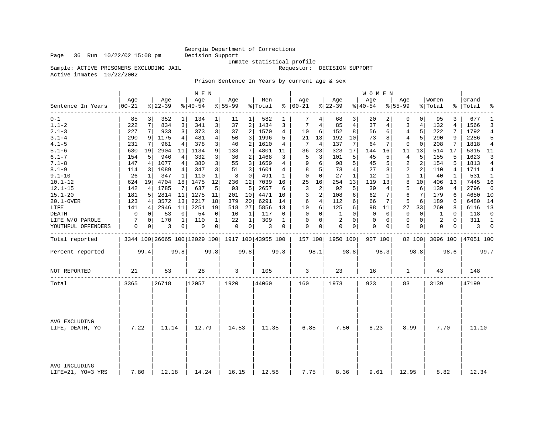### Georgia Department of Corrections<br>Decision Support

Sample: ACTIVE PRISONERS EXCLUDING JAIL

Inmate statistical profile<br>Requestor: DECISION SUPPORT

Active inmates 10/22/2002

Prison Sentence In Years by current age & sex

|                                    |                  |      |                  |              | M E N                        |              |                  |                 |                                                   |                |                   |                |                  |                | WOMEN           |                |                  |                |                  |              |                    |                |
|------------------------------------|------------------|------|------------------|--------------|------------------------------|--------------|------------------|-----------------|---------------------------------------------------|----------------|-------------------|----------------|------------------|----------------|-----------------|----------------|------------------|----------------|------------------|--------------|--------------------|----------------|
| Sentence In Years                  | Age<br>$00 - 21$ |      | Age<br>$8 22-39$ |              | Age<br>$\frac{1}{6}$   40-54 |              | Age<br>$8 55-99$ |                 | Men<br>% Total                                    |                | Age<br>$% 100-21$ |                | Age<br>$ 22-39$  |                | Aqe<br>$ 40-54$ |                | Aqe<br>$8 55-99$ |                | Women<br>% Total |              | Grand<br>%   Total | ႜ              |
| $0 - 1$                            | 85               | 3    | 352              | $\mathbf 1$  | 134                          | 1            | 11               | 1 <sup>1</sup>  | 582                                               | 1              | 7                 | 4              | 68               | 3              | 20              | $\overline{2}$ | $\mathbf 0$      | $\overline{0}$ | 95               | 3            | 677                | 1              |
| $1.1 - 2$                          | 222              | 7    | 834              | 3            | 341                          | 3            | 37               | 2               | 1434                                              | 3              | 7                 | 4              | 85               | 4              | 37              | 4              | 3                | $\overline{4}$ | 132              | 4            | 1566               | 3              |
| $2.1 - 3$                          | 227              | 7    | 933              | 3            | 373                          | 3            | 37               | $\overline{2}$  | 1570                                              | $\overline{4}$ | 10                | 6              | 152              | 8              | 56              | 6              | $\overline{4}$   | 5              | 222              | 7            | 1792               | $\overline{4}$ |
| $3.1 - 4$                          | 290              | 9    | 1175             | 4            | 481                          | 4            | 50               | 3               | 1996                                              | 5              | 21                | 13             | 192              | 10             | 73              | 8              | $\overline{4}$   | 5              | 290              | 9            | 2286               | 5              |
| $4.1 - 5$                          | 231              | 7    | 961              | 4            | 378                          | 3            | 40               | $\overline{2}$  | 1610                                              | 4              | 7                 | 4              | 137              | 7              | 64              | 7              | $\mathbf{0}$     | $\Omega$       | 208              | 7            | 1818               | $\overline{4}$ |
| $5.1 - 6$                          | 630              | 19   | 2904             | 11           | 1134                         | 9            | 133              | 7               | 4801                                              | 11             | 36                | 23             | 323              | 17             | 144             | 16             | 11               | 13             | 514              | 17           | 5315               | 11             |
| $6.1 - 7$                          | 154              | 5    | 946              | 4            | 332                          | 3            | 36               | 2               | 1468                                              | 3              | 5                 | 3              | 101              | 5              | 45              | 5              | 4                | 5              | 155              | 5            | 1623               | २              |
| $7.1 - 8$                          | 147              | 4    | 1077             | 4            | 380                          | 3            | 55               | $\overline{3}$  | 1659                                              | 4              | 9                 | 6              | 98               | 5              | 45              | 5              | $\overline{2}$   | 2              | 154              | 5            | 1813               | $\overline{4}$ |
| $8.1 - 9$                          | 114              | 3    | 1089             | 4            | 347                          | 3            | 51               | 3               | 1601                                              | 4              | 8                 | 5              | 73               | $\overline{4}$ | 27              | 3              | 2                | 2              | 110              | 4            | 1711               | 4              |
| $9.1 - 10$                         | 26               | 1    | 347              | 1            | 110                          | $\mathbf{1}$ | 8                | $\mathbf 0$     | 491                                               | $\mathbf{1}$   | $\mathbf 0$       | 0              | 27               | $\mathbf{1}$   | 12              | 1              | 1                | 1              | 40               | $\mathbf{1}$ | 531                | $\mathbf{1}$   |
| $10.1 - 12$                        | 624              | 19   | 4704             | 18           | 1475                         | 12           | 236              | 12              | 7039                                              | 16             | 25                | 16             | 254              | 13             | 119             | 13             | 8                | 10             | 406              | 13           | 7445               | 16             |
| $12.1 - 15$                        | 142              | 4    | 1785             | 7            | 637                          | 5            | 93               | 5               | 2657                                              | 6              | 3                 | $\overline{c}$ | 92               | 5              | 39              | 4              | 5                | 6              | 139              | 4            | 2796               | 6              |
| $15.1 - 20$                        | 181              | 5    | 2814             | 11           | 1275                         | 11           | 201              | 10              | 4471                                              | 10             | 3                 | 2              | 108              | 6              | 62              | 7              | 6                | 7              | 179              | 6            | 4650               | - 10           |
| 20.1-OVER                          | 123              | 4    | 3572             | 13           | 2217                         | 18           | 379              | 20 <sup>1</sup> | 6291                                              | 14             | 6                 | $\overline{4}$ | 112              | 6              | 66              | 7 <sup>1</sup> | 5                | 6              | 189              | 6            | 6480               | 14             |
| LIFE                               | 141              | 4    | 2946             | 11           | 2251                         | 19           | 518              | 27              | 5856                                              | 13             | 10                | 6              | 125              | 6              | 98              | 11             | 27               | 33             | 260              | 8            | 6116               | 13             |
| DEATH                              | 0                | 0    | 53               | 0            | 54                           | $\mathbf 0$  | 10               | 1               | 117                                               | 0              | $\mathbf 0$       | 0              | 1                | $\Omega$       | 0               | 0              | $\mathbf 0$      | $\mathbf 0$    | 1                | 0            | 118                | $\mathbf 0$    |
| LIFE W/O PAROLE                    | 7                | 0    | 170              | $\mathbf{1}$ | 110                          | $\mathbf{1}$ | 22               | $\mathbf{1}$    | 309                                               | $\mathbf{1}$   | $\mathbf 0$       | 0              | $\overline{2}$   | $\Omega$       | 0               | 0              | $\mathbf{0}$     | $\overline{0}$ | 2                | $\Omega$     | 311                | $\mathbf{1}$   |
| YOUTHFUL OFFENDERS                 | 0                | 0    | 3                | 0            | 0                            | 0            | $\mathbf 0$      | 0 <sup>1</sup>  | 3                                                 | 0              | 0                 | 0              | $\mathbf 0$      | 0              | 0               | 0              | $\mathbf 0$      | $\circ$        | 0                | 0            | 3                  | $\overline{0}$ |
| Total reported                     |                  |      |                  |              |                              |              |                  |                 | 3344 100 26665 100 12029 100   1917 100 43955 100 |                |                   |                | 157 100 1950 100 |                | 907 100         |                |                  | 82 100         | 3096 100         |              | 47051 100          |                |
| Percent reported                   |                  | 99.4 |                  | 99.8         |                              | 99.8         |                  | 99.8            |                                                   | 99.8           |                   | 98.1           |                  | 98.8           |                 | 98.3           |                  | 98.8           |                  | 98.6         |                    | 99.7           |
| NOT REPORTED                       | 21               |      | 53               |              | 28                           |              | 3                |                 | 105                                               |                | 3                 |                | 23               |                | 16              |                | 1                |                | 43               |              | 148                |                |
| Total                              | 3365             |      | 26718            |              | 12057                        |              | 1920             |                 | 44060                                             |                | 160               |                | 1973             |                | 923             |                | 83               |                | 3139             |              | 47199              |                |
| AVG EXCLUDING<br>LIFE, DEATH, YO   | 7.22             |      | 11.14            |              | 12.79                        |              | 14.53            |                 | 11.35                                             |                | 6.85              |                | 7.50             |                | 8.23            |                | 8.99             |                | 7.70             |              | 11.10              |                |
| AVG INCLUDING<br>LIFE=21, YO=3 YRS | 7.80             |      | 12.18            |              | 14.24                        |              | 16.15            |                 | 12.58                                             |                | 7.75              |                | 8.36             |                | 9.61            |                | 12.95            |                | 8.82             |              | 12.34              |                |

Page 36 Run  $10/22/02$  15:08 pm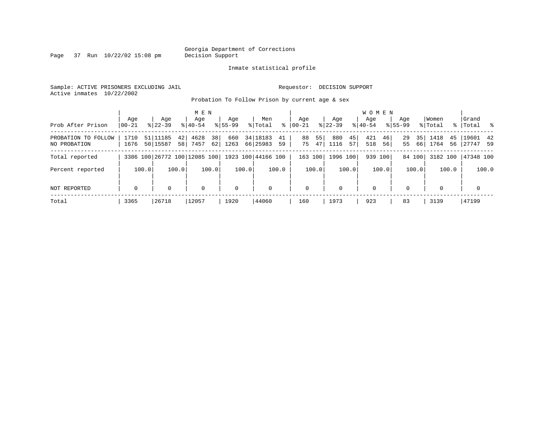Page 37 Run  $10/22/02$  15:08 pm

#### Inmate statistical profile

Sample: ACTIVE PRISONERS EXCLUDING JAIL Requestor: DECISION SUPPORT Active inmates 10/22/2002

Probation To Follow Prison by current age & sex

| Prob After Prison                   | Aqe<br>$ 00-21$ | Age<br>$8122 - 39$                                  |          | M E N<br>Age<br>$8140 - 54$ |          | Aqe<br>$8155 - 99$ |       | Men<br>% Total         | ႜ        | Aqe<br>$00 - 21$ |          | Age<br>$8122 - 39$ |          | <b>WOMEN</b><br>Aqe<br>$8140 - 54$ |          | Aqe<br>$8155 - 99$ |          | Women<br>% Total |          | Grand<br>%   Total    | $\frac{1}{2}$ |
|-------------------------------------|-----------------|-----------------------------------------------------|----------|-----------------------------|----------|--------------------|-------|------------------------|----------|------------------|----------|--------------------|----------|------------------------------------|----------|--------------------|----------|------------------|----------|-----------------------|---------------|
| PROBATION TO FOLLOW<br>NO PROBATION | 1710<br>1676    | 51 11185<br>50 15587                                | 42<br>58 | 4628<br>7457                | 38<br>62 | 660<br>1263        |       | 34   18183<br>66 25983 | 41<br>59 | 88<br>75         | 55<br>47 | 880<br>1116        | 45<br>57 | 421<br>518                         | 46<br>56 | 29<br>55           | 35<br>66 | 1418<br>1764     | 45<br>56 | 19601 42<br> 27747 59 |               |
| Total reported                      |                 | 3386 100 26772 100 12085 100   1923 100   44166 100 |          |                             |          |                    |       |                        |          | 163 100          |          | 1996 100           |          | 939 100                            |          |                    | 84 100   | 3182 100         |          | 47348 100             |               |
| Percent reported                    |                 | 100.0                                               | 100.0    |                             | 100.0    |                    | 100.0 |                        | 100.0    |                  | 100.0    |                    | 100.0    |                                    | 100.0    |                    | 100.0    |                  | 100.0    |                       | 100.0         |
| NOT REPORTED                        | $\mathbf 0$     | $\Omega$                                            |          | $\mathbf 0$                 |          | $\mathbf 0$        |       | $\mathbf 0$            |          | $\mathbf 0$      |          | $\Omega$           |          | $\mathbf 0$                        |          | $\Omega$           |          | $\Omega$         |          | $\mathbf 0$           |               |
| Total                               | 3365            | 26718                                               |          | 12057                       |          | 1920               |       | 44060                  |          | 160              |          | 1973               |          | 923                                |          | 83                 |          | 3139             |          | 47199                 |               |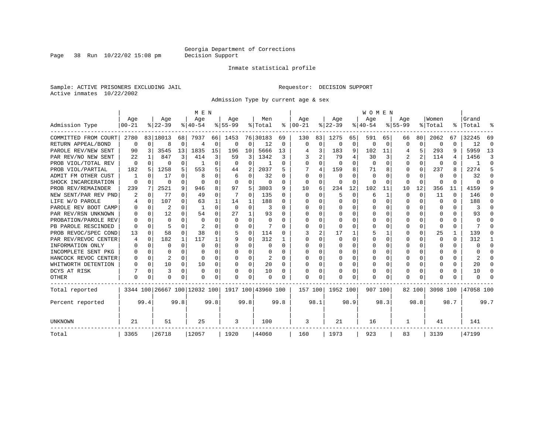Page 38 Run  $10/22/02$  15:08 pm

#### Inmate statistical profile

Sample: ACTIVE PRISONERS EXCLUDING JAIL Requestor: DECISION SUPPORT Active inmates 10/22/2002

Admission Type by current age & sex

|                      |           |          |                              |              | M E N          |          |           |             |                    |          |              |             |              |          | <b>WOMEN</b>   |              |             |          |              |              |           |          |
|----------------------|-----------|----------|------------------------------|--------------|----------------|----------|-----------|-------------|--------------------|----------|--------------|-------------|--------------|----------|----------------|--------------|-------------|----------|--------------|--------------|-----------|----------|
|                      | Age       |          | Age                          |              | Age            |          | Aqe       |             | Men                |          | Age          |             | Age          |          | Age            |              | Age         |          | Women        |              | Grand     |          |
| Admission Type       | $00 - 21$ |          | $8 22-39$                    |              | $8 40-54$      |          | $8 55-99$ |             | % Total            | ႜ        | $ 00-21$     |             | $ 22-39$     |          | $ 40-54 $      |              | $8155 - 99$ |          | % Total      | ႜ            | Total     |          |
| COMMITTED FROM COURT | 2780      |          | 83   18013                   | 68           | 7937           | 66       | 1453      |             | 76 30183           | 69       | 130          | 83          | 1275         | 65       | 591            | 65           | 66          | 80       | 2062         | 67           | 32245     | 69       |
| RETURN APPEAL/BOND   | 0         | $\Omega$ | 8                            | $\Omega$     | $\overline{4}$ | 0        | $\Omega$  | 0           | 12                 | 0        | $\Omega$     | $\mathbf 0$ | $\Omega$     | $\Omega$ | $\mathbf 0$    | $\Omega$     | $\Omega$    | $\Omega$ | $\Omega$     | 0            | 12        | $\Omega$ |
| PAROLE REV/NEW SENT  | 90        | 3        | 3545                         | 13           | 1835           | 15       | 196       | 10          | 5666               | 13       |              | 3           | 183          | 9        | 102            | 11           |             | 5        | 293          | 9            | 5959      | 13       |
| PAR REV/NO NEW SENT  | 22        |          | 847                          | 3            | 414            | 3        | 59        | 3           | 1342               | 3        |              | 2           | 79           | 4        | 30             |              |             | 2        | 114          | 4            | 1456      | 3        |
| PROB VIOL/TOTAL REV  | $\Omega$  | $\Omega$ | U                            | 0            |                | 0        | O         | 0           |                    | O        | $\Omega$     | 0           | $\Omega$     | $\Omega$ | $\overline{0}$ | O            | $\Omega$    | 0        | $\Omega$     | U            |           | ∩        |
| PROB VIOL/PARTIAL    | 182       | 5        | 1258                         | 5.           | 553            | 5        | 44        | 2           | 2037               | 5        |              | 4           | 159          | 8        | 71             | 8            | $\Omega$    | $\Omega$ | 237          | 8            | 2274      | 5        |
| ADMIT FM OTHER CUST  |           | $\Omega$ | 17                           | 0            | 8              | 0        | 6         | $\Omega$    | 32                 | U        | $\Omega$     | $\Omega$    | $\Omega$     | U        | $\Omega$       | O            | $\Omega$    | $\Omega$ | $\Omega$     | U            | 32        | ∩        |
| SHOCK INCARCERATION  | $\Omega$  | $\Omega$ | O                            | 0            | $\cap$         | 0        | $\Omega$  | 0           | 0                  | 0        | $\Omega$     | 0           | $\Omega$     | O        | $\Omega$       | $\Omega$     | $\Omega$    | $\Omega$ | <sup>0</sup> | 0            | U         | ∩        |
| PROB REV/REMAINDER   | 239       | 7        | 2521                         | 9            | 946            | 8        | 97        | 5           | 3803               | 9        | 10           | 6           | 234          | 12       | 102            | 11           | 10          | 12       | 356          | 11           | 4159      | q        |
| NEW SENT/PAR REV PND | 2         | 0        | 77                           | $\Omega$     | 49             | 0        |           | 0           | 135                | 0        | $\Omega$     | $\Omega$    | 5            | $\Omega$ | 6              | $\mathbf{1}$ | $\Omega$    | $\Omega$ | 11           | $\Omega$     | 146       | n        |
| LIFE W/O PAROLE      |           | $\Omega$ | 107                          | 0            | 63             |          | 14        | 1           | 188                | U        |              | $\Omega$    | 0            | $\Omega$ | 0              | $\Omega$     | $\Omega$    | $\Omega$ | <sup>0</sup> | $\Omega$     | 188       | n        |
| PAROLE REV BOOT CAMP |           | $\Omega$ | 2                            | 0            | -1             | $\Omega$ | $\Omega$  | $\Omega$    | 3                  | 0        |              | 0           | 0            | $\Omega$ | 0              | 0            | O           | O        | 0            | 0            | 3         | n        |
| PAR REV/RSN UNKNOWN  |           | $\Omega$ | 12                           | 0            | 54             | 0        | 27        | 1           | 93                 | U        | O            | 0           | 0            | O        | Ω              | O            | O           | $\Omega$ | O            | U            | 93        |          |
| PROBATION/PAROLE REV |           | $\Omega$ | U                            | <sup>n</sup> | $\Omega$       | 0        | $\Omega$  | $\Omega$    | $\Omega$           | 0        | <sup>0</sup> | 0           | <sup>0</sup> | O        | Ω              | O            | $\Omega$    | $\Omega$ | <sup>0</sup> | 0            | U         |          |
| PB PAROLE RESCINDED  |           | ∩        |                              | U            | $\mathfrak{D}$ | 0        | U         | $\Omega$    |                    | U        | ∩            | U           | ∩            | U        | U              | n            | ∩           | $\Omega$ | ∩            | 0            |           |          |
| PROB REVOC/SPEC COND | 13        | $\Omega$ | 58                           | $\Omega$     | 38             | 0        |           | $\Omega$    | 114                | O        |              | 2           | 17           |          | 5              |              | $\Omega$    | $\Omega$ | 25           | $\mathbf{1}$ | 139       |          |
| PAR REV/REVOC CENTER | 4         | $\Omega$ | 182                          | 1            | 117            |          | 9         | $\Omega$    | 312                |          |              | U           |              | O        | Ω              | O            | O           |          | O            | U            | 312       |          |
| INFORMATION ONLY     |           | $\Omega$ | U                            | 0            | $\Omega$       | U        |           | $\Omega$    | O                  | O        | <sup>0</sup> | U           |              | O        | O              | O            | $\Omega$    |          |              | U            | U         | $\Omega$ |
| INCOMPLETE SENT PKG  |           | $\Omega$ | U                            | 0            | $\Omega$       | 0        | O         | 0           | 0                  | O        | <sup>0</sup> | 0           | 0            | O        | U              | $\Omega$     | $\Omega$    | $\Omega$ | O            | 0            | U         | ∩        |
| HANCOCK REVOC CENTER |           | $\Omega$ | 2                            | 0            | $\Omega$       | 0        | U         | 0           | 2                  | $\Omega$ | ∩            | 0           | 0            | O        | U              | $\Omega$     | O           | $\Omega$ |              | 0            | 2         | ∩        |
| WHITWORTH DETENTION  |           | $\Omega$ | 10                           | $\Omega$     | 10             | 0        | U         | $\Omega$    | 20                 | $\Omega$ | $\cap$       | $\Omega$    | <sup>0</sup> | $\Omega$ | 0              | $\Omega$     | $\Omega$    | $\Omega$ |              | U            | 20        | ∩        |
| DCYS AT RISK         |           | $\Omega$ | 3                            | $\Omega$     | $\Omega$       | 0        | O         | $\mathbf 0$ | 10                 | O        | <sup>0</sup> | 0           | O            | $\Omega$ | Ω              | 0            | $\Omega$    | $\Omega$ |              | U            | 10        | n        |
| <b>OTHER</b>         | $\Omega$  | $\Omega$ | O                            | 0            | O              | 0        | O         | $\Omega$    | O                  | O        | <sup>0</sup> | 0           |              | 0        | O              | 0            | $\Omega$    | $\Omega$ |              | U            | U         |          |
| Total reported       |           |          | 3344 100 26667 100 12032 100 |              |                |          |           |             | 1917 100 43960 100 |          | 157 100      |             | 1952 100     |          | 907 100        |              |             | 82 100   | 3098 100     |              | 47058 100 |          |
| Percent reported     |           | 99.4     |                              | 99.8         |                | 99.8     |           | 99.8        |                    | 99.8     |              | 98.1        |              | 98.9     |                | 98.3         |             | 98.8     |              | 98.7         |           | 99.7     |
| UNKNOWN              | 21        |          | 51                           |              | 25             |          | 3         |             | 100                |          | 3            |             | 21           |          | 16             |              | 1           |          | 41           |              | 141       |          |
| Total                | 3365      |          | 26718                        |              | 12057          |          | 1920      |             | 44060              |          | 160          |             | 1973         |          | 923            |              | 83          |          | 3139         |              | 47199     |          |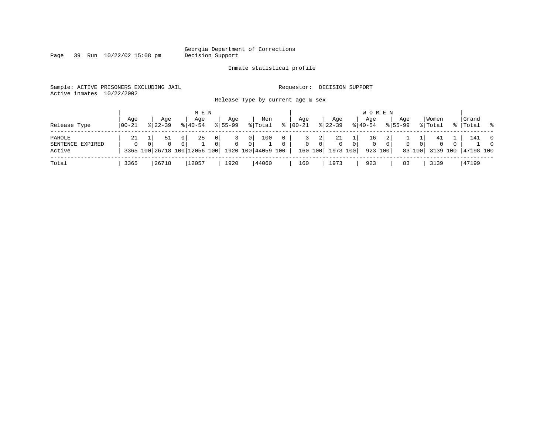Page 39 Run  $10/22/02$  15:08 pm

#### Inmate statistical profile

Sample: ACTIVE PRISONERS EXCLUDING JAIL **Requestor: DECISION SUPPORT** Active inmates 10/22/2002

Release Type by current age & sex

| Release Type                         | Aqe<br>$ 00-21 $ | Aqe<br>$8122 - 39$ | M E N<br>Aqe<br>$8140 - 54$ | Aqe<br>$8155 - 99$                                                                              | Men<br>% Total                          | °≈                       | Age<br>$00 - 21$ | Aqe<br>$ 22-39 $                                           | W O M E N<br>Age<br>$8 40-54$ | Aqe<br>$8155 - 99$      | Women<br>% Total                                           | Grand<br>%   Total % |                            |
|--------------------------------------|------------------|--------------------|-----------------------------|-------------------------------------------------------------------------------------------------|-----------------------------------------|--------------------------|------------------|------------------------------------------------------------|-------------------------------|-------------------------|------------------------------------------------------------|----------------------|----------------------------|
| PAROLE<br>SENTENCE EXPIRED<br>Active | $\Omega$         | 51                 | 25<br>0                     | 0 <sup>1</sup><br>$\Omega$<br>0 <sup>1</sup><br>3365 100 26718 100 12056 100 1920 100 44059 100 | 100<br>0 <sup>1</sup><br>0 <sup>1</sup> | $\mathbf{0}$<br>$\Omega$ | $\Omega$         | 2 <br>21<br>0 <sup>1</sup><br>$\Omega$<br>160 100 1973 100 | 16<br>0 <sup>1</sup><br>0     | $\mathbf{0}$<br>923 100 | 41<br>0 <sup>1</sup><br>$\mathbf{0}$<br>83 100<br>3139 100 | 141<br>47198 100     | $\overline{0}$<br>$\Omega$ |
| Total                                | 3365             | 26718              | 12057                       | 1920                                                                                            | 44060                                   |                          | 160              | 1973                                                       | 923                           | 83                      | 3139                                                       | 47199                |                            |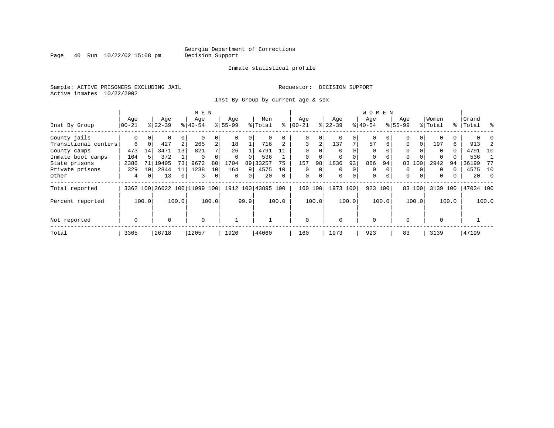Page  $40$  Run  $10/22/02$  15:08 pm

#### Inmate statistical profile

Sample: ACTIVE PRISONERS EXCLUDING JAIL **Requestor: DECISION SUPPORT** Active inmates 10/22/2002

Inst By Group by current age & sex

|                      |             |                 |           |       | M E N                        |                |           |      |                    |          |              |       |           |       | W O M E N   |          |             |          |          |       |           |            |
|----------------------|-------------|-----------------|-----------|-------|------------------------------|----------------|-----------|------|--------------------|----------|--------------|-------|-----------|-------|-------------|----------|-------------|----------|----------|-------|-----------|------------|
|                      | Age         |                 | Age       |       | Age                          |                | Age       |      | Men                |          | Age          |       | Age       |       | Age         |          | Age         |          | Women    |       | Grand     |            |
| Inst By Group        | $ 00 - 21$  |                 | $ 22-39 $ |       | $8 40-54$                    |                | $8 55-99$ |      | % Total            | ႜ        | $00 - 21$    |       | $ 22-39 $ |       | $ 40-54 $   |          | $8155 - 99$ |          | % Total  |       | %   Total | $\approx$  |
| County jails         | 0           | $\overline{0}$  | 0         | 0     |                              |                |           | 0    |                    |          | 0            |       | $\Omega$  | 0     | $\mathbf 0$ |          | $\Omega$    |          |          |       |           |            |
| Transitional centers | 6           | $\Omega$        | 427       | 2     | 265                          | $\overline{a}$ | 18        |      | 716                |          | 3            | 2     | 137       | 7     | 57          | 6        | 0           | $\Omega$ | 197      | 6     | 913       |            |
| County camps         | 473         | 14              | 3471      | 13    | 821                          |                | 26        |      | 4791               |          | $\Omega$     |       | $\Omega$  |       | $\Omega$    |          | $\Omega$    |          | $\Omega$ | 0     | 4791      | 10         |
| Inmate boot camps    | 164         |                 | 372       |       | $\Omega$                     |                | 0         | 0    | 536                |          | 0            |       | 0         |       | 0           |          | $\Omega$    |          | $\Omega$ |       | 536       |            |
| State prisons        | 2386        | 71              | 19495     | 73    | 9672                         | 80             | 1704      |      | 89 33257           | 75       | 157          | 98    | 1836      | 93    | 866         | 94       | 83          | 100      | 2942     | 94    | 36199     | 77         |
| Private prisons      | 329         | 10 <sup>1</sup> | 2844      | 11    | 1238                         | 10             | 164       | 91   | 4575               | 10       | 0            |       | 0         | 0     | 0           |          | 0           |          | $\Omega$ |       | 4575      | 10         |
| Other                | 4           |                 | 13        | 0     | 3                            | 0              | $\Omega$  | 0    | 20                 | $\Omega$ | $\mathbf 0$  | 0     | 0         | 0     | 0           | $\Omega$ | $\Omega$    | 0        | $\Omega$ | 0     | 20        | $\bigcirc$ |
| Total reported       |             |                 |           |       | 3362 100 26622 100 11999 100 |                |           |      | 1912 100 43895 100 |          | 160          | 100   | 1973 100  |       | 923 100     |          | 83          | 100      | 3139     | 100   | 47034 100 |            |
| Percent reported     |             | 100.0           |           | 100.0 |                              | 100.0          |           | 99.9 |                    | 100.0    |              | 100.0 |           | 100.0 |             | 100.0    |             | 100.0    |          | 100.0 |           | 100.0      |
| Not reported         | $\mathbf 0$ |                 | 0         |       | $\mathbf 0$                  |                |           |      |                    |          | $\mathbf{0}$ |       | $\Omega$  |       | $\mathbf 0$ |          | $\Omega$    |          | $\Omega$ |       |           |            |
| Total                | 3365        |                 | 26718     |       | 12057                        |                | 1920      |      | 44060              |          | 160          |       | 1973      |       | 923         |          | 83          |          | 3139     |       | 47199     |            |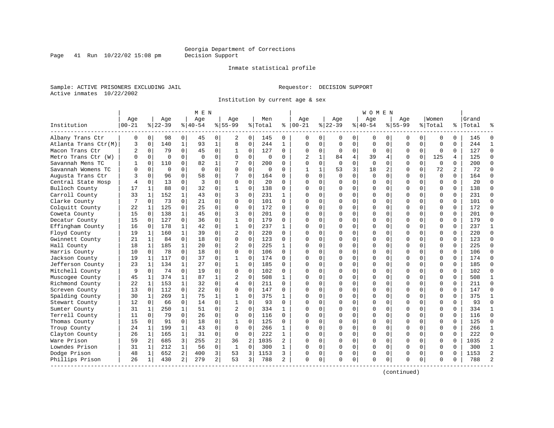Page 41 Run  $10/22/02$  15:08 pm

#### Inmate statistical profile

Sample: ACTIVE PRISONERS EXCLUDING JAIL **Requestor: DECISION SUPPORT** Active inmates 10/22/2002

Institution by current age & sex

|                      |           |                |           |                | M E N          |                |                |                |          |              |                |              |          |             | W O M E N |             |             |              |              |          |       |                |
|----------------------|-----------|----------------|-----------|----------------|----------------|----------------|----------------|----------------|----------|--------------|----------------|--------------|----------|-------------|-----------|-------------|-------------|--------------|--------------|----------|-------|----------------|
|                      | Age       |                | Age       |                | Age            |                | Aqe            |                | Men      |              | Age            |              | Aqe      |             | Aqe       |             | Aqe         |              | Women        |          | Grand |                |
| Institution          | $00 - 21$ |                | $8 22-39$ |                | $8 40-54$      |                | $8155 - 99$    |                | % Total  | နွ           | $ 00-21$       |              | $ 22-39$ |             | $ 40-54$  |             | $8155 - 99$ |              | % Total      | ి        | Total |                |
| Albany Trans Ctr     | 0         | $\overline{0}$ | 98        | 0              | 45             | 0              | 2              | 0              | 145      | 0            | 0              | 0            | 0        | 0           | 0         | 0           | 0           | 0            | $\Omega$     | 0        | 145   | O              |
| Atlanta Trans Ctr(M) | 3         | $\mathbf 0$    | 140       | $\mathbf{1}$   | 93             | $\mathbf{1}$   | 8              | 0              | 244      | $\mathbf{1}$ | $\Omega$       | $\mathbf 0$  | 0        | $\mathbf 0$ | 0         | 0           | $\Omega$    | 0            | $\Omega$     | 0        | 244   | $\mathbf{1}$   |
| Macon Trans Ctr      | 2         | 0              | 79        | 0              | 45             | 0              | 1              | 0              | 127      | 0            | $\Omega$       | 0            | 0        | 0           | 0         | $\mathbf 0$ | $\Omega$    | 0            | $\mathbf 0$  | 0        | 127   | $\Omega$       |
| Metro Trans Ctr (W)  |           | $\Omega$       | $\Omega$  | $\Omega$       | $\Omega$       | $\mathbf 0$    | $\Omega$       | $\Omega$       | $\Omega$ | $\Omega$     | $\overline{2}$ | 1            | 84       | 4           | 39        | 4           | $\Omega$    | $\Omega$     | 125          | 4        | 125   | $\Omega$       |
| Savannah Mens TC     |           | $\Omega$       | 110       | 0              | 82             | $\mathbf{1}$   |                | $\Omega$       | 200      | $\Omega$     | $\cap$         | $\Omega$     | $\Omega$ | $\Omega$    | $\Omega$  | $\Omega$    | $\Omega$    | $\Omega$     | $\Omega$     | $\Omega$ | 200   | $\Omega$       |
| Savannah Womens TC   |           | $\cap$         | 0         | 0              | $\Omega$       | 0              | O              | $\mathbf 0$    | $\Omega$ | 0            | -1             | $\mathbf{1}$ | 53       | 3           | 18        | 2           | $\Omega$    | $\Omega$     | 72           | 2        | 72    | $\Omega$       |
| Augusta Trans Ctr    |           | $\Omega$       | 96        | 0              | 58             | $\mathbf 0$    |                | $\mathbf 0$    | 164      | 0            | ∩              | $\Omega$     | $\Omega$ | $\mathbf 0$ | $\Omega$  | $\Omega$    | $\Omega$    | 0            | $\Omega$     | 0        | 164   | $\Omega$       |
| Central State Hosp   |           | $\Omega$       | 13        | $\Omega$       | $\overline{3}$ | 0              | $\Omega$       | $\mathbf 0$    | 20       | $\Omega$     | $\Omega$       | $\Omega$     | $\Omega$ | 0           | 0         | $\Omega$    | $\Omega$    | $\Omega$     | $\Omega$     | 0        | 20    | $\cap$         |
| Bulloch County       | 17        | $\mathbf{1}$   | 88        | $\Omega$       | 32             | 0              | $\mathbf{1}$   | $\mathbf 0$    | 138      | $\Omega$     | $\cap$         | $\Omega$     | $\Omega$ | $\Omega$    | O         | $\Omega$    | $\Omega$    | $\Omega$     | $\Omega$     | $\Omega$ | 138   | $\Omega$       |
| Carroll County       | 33        | 1              | 152       | 1              | 43             | 0              | 3              | $\mathbf 0$    | 231      | 1            | ∩              | $\Omega$     | U        | $\Omega$    | 0         | 0           | $\Omega$    | $\Omega$     | $\Omega$     | 0        | 231   | $\Omega$       |
| Clarke County        |           | $\Omega$       | 73        | $\Omega$       | 21             | 0              | $\Omega$       | $\Omega$       | 101      | 0            | ∩              | $\Omega$     | U        | $\Omega$    | O         | $\Omega$    | $\cap$      | <sup>0</sup> | $\Omega$     | 0        | 101   | $\Omega$       |
| Colquitt County      | 22        | 1              | 125       | 0              | 25             | 0              | O              | 0              | 172      | 0            | ∩              | $\Omega$     | $\Omega$ | 0           | 0         | n           | U           | <sup>0</sup> | $\Omega$     | 0        | 172   | $\Omega$       |
| Coweta County        | 15        | 0              | 138       | $\mathbf{1}$   | 45             | $\mathbf 0$    | 3              | $\mathbf 0$    | 201      | 0            | <sup>0</sup>   | $\Omega$     | $\Omega$ | $\mathbf 0$ | 0         | 0           | $\Omega$    | $\Omega$     | $\Omega$     | 0        | 201   | $\Omega$       |
| Decatur County       | 15        | $\Omega$       | 127       | $\Omega$       | 36             | $\Omega$       | $\mathbf 1$    | $\Omega$       | 179      | $\Omega$     | $\cap$         | $\Omega$     | $\Omega$ | $\Omega$    | Ω         | $\Omega$    | $\Omega$    | $\Omega$     | $\Omega$     | $\Omega$ | 179   | $\bigcap$      |
| Effingham County     | 16        | $\Omega$       | 178       | $\mathbf{1}$   | 42             | 0              | $\mathbf{1}$   | $\mathbf 0$    | 237      | 1            | $\cap$         | $\Omega$     | U        | $\Omega$    | O         | $\Omega$    | $\Omega$    | $\Omega$     | $\Omega$     | $\Omega$ | 237   | 1              |
| Floyd County         | 19        | 1              | 160       | $\mathbf{1}$   | 39             | 0              | 2              | 0              | 220      | 0            | ∩              | $\Omega$     | 0        | $\Omega$    | 0         | 0           | 0           | $\Omega$     | 0            | 0        | 220   | $\mathbf 0$    |
| Gwinnett County      | 21        | $\mathbf{1}$   | 84        | 0              | 18             | 0              | $\Omega$       | 0              | 123      | $\Omega$     | $\cap$         | $\Omega$     | $\Omega$ | $\Omega$    | $\Omega$  | $\Omega$    | $\Omega$    | $\Omega$     | $\Omega$     | 0        | 123   | $\Omega$       |
| Hall County          | 18        | $\mathbf{1}$   | 185       | $\mathbf{1}$   | 20             | $\Omega$       | $\overline{c}$ | $\Omega$       | 225      | 1            | ∩              | $\Omega$     | $\Omega$ | $\Omega$    | 0         | $\Omega$    | $\Omega$    | $\Omega$     | $\Omega$     | 0        | 225   | $\Omega$       |
| Harris County        | 10        | $\Omega$       | 78        | $\Omega$       | 18             | $\mathbf 0$    | $\Omega$       | $\mathbf 0$    | 106      | $\Omega$     |                | $\Omega$     | $\Omega$ | 0           | 0         | $\Omega$    | $\Omega$    | $\Omega$     | $\Omega$     | $\Omega$ | 106   | $\Omega$       |
| Jackson County       | 19        | 1              | 117       | 0              | 37             | 0              | 1              | $\mathbf 0$    | 174      | $\Omega$     | ∩              | $\Omega$     | $\Omega$ | $\Omega$    | Ω         | $\mathbf 0$ | $\Omega$    | $\Omega$     | $\Omega$     | $\Omega$ | 174   | $\Omega$       |
| Jefferson County     | 23        | 1              | 134       | 1              | 27             | 0              | $\mathbf{1}$   | 0              | 185      | $\Omega$     | ∩              | 0            | $\Omega$ | 0           | O         | 0           | $\Omega$    | $\Omega$     | <sup>0</sup> | 0        | 185   | $\Omega$       |
| Mitchell County      | 9         | $\Omega$       | 74        | $\Omega$       | 19             | $\Omega$       | $\Omega$       | $\Omega$       | 102      | $\Omega$     | $\cap$         | $\Omega$     | $\Omega$ | $\Omega$    | 0         | $\Omega$    | $\Omega$    | $\Omega$     | $\Omega$     | $\Omega$ | 102   | $\Omega$       |
| Muscogee County      | 45        | $\mathbf{1}$   | 374       | $\mathbf{1}$   | 87             | 1              |                | $\Omega$       | 508      | $\mathbf{1}$ | $\cap$         | $\Omega$     | $\Omega$ | $\Omega$    | $\Omega$  | $\Omega$    | $\Omega$    | $\Omega$     | $\Omega$     | O        | 508   | $\mathbf{1}$   |
| Richmond County      | 22        | $\mathbf{1}$   | 153       | $\mathbf{1}$   | 32             | $\Omega$       | 4              | $\Omega$       | 211      | $\Omega$     | <sup>0</sup>   | $\Omega$     | $\Omega$ | $\Omega$    | O         | $\Omega$    | $\Omega$    | $\Omega$     | $\Omega$     | 0        | 211   | $\Omega$       |
| Screven County       | 13        | $\Omega$       | 112       | 0              | 22             | $\mathbf 0$    | 0              | $\mathbf 0$    | 147      | 0            | ∩              | $\Omega$     | $\Omega$ | $\mathbf 0$ | O         | $\Omega$    | $\Omega$    | $\Omega$     | $\Omega$     | 0        | 147   | $\Omega$       |
| Spalding County      | 30        | 1              | 269       | $\mathbf{1}$   | 75             | $\mathbf 1$    | 1              | $\mathbf 0$    | 375      | 1            | <sup>0</sup>   | $\Omega$     | $\Omega$ | $\Omega$    | 0         | $\mathbf 0$ | $\Omega$    | 0            | $\Omega$     | 0        | 375   | $\mathbf{1}$   |
| Stewart County       | 12        | $\overline{0}$ | 66        | 0              | 14             | 0              | $\mathbf{1}$   | 0              | 93       | $\Omega$     | $\Omega$       | 0            | $\Omega$ | 0           | $\Omega$  | $\mathbf 0$ | $\Omega$    | 0            | $\Omega$     | 0        | 93    | $\mathbf 0$    |
| Sumter County        | 31        | 1              | 250       | $\mathbf{1}$   | 51             | 0              | $\overline{c}$ | $\Omega$       | 334      | 1            | ∩              | $\Omega$     | $\Omega$ | $\Omega$    | O         | $\Omega$    | $\Omega$    | $\Omega$     | <sup>0</sup> | 0        | 334   | 1              |
| Terrell County       | 11        | $\Omega$       | 79        | $\Omega$       | 26             | 0              | $\Omega$       | $\mathbf 0$    | 116      | 0            |                | $\Omega$     | $\Omega$ | $\Omega$    | 0         | $\Omega$    | $\cap$      | <sup>0</sup> | $\cap$       | 0        | 116   | $\mathbf 0$    |
| Thomas County        | 15        | $\Omega$       | 91        | $\Omega$       | 18             | 0              | $\mathbf{1}$   | $\Omega$       | 125      | 0            | ∩              | $\Omega$     | $\Omega$ | $\Omega$    | O         | $\Omega$    | $\cap$      | <sup>0</sup> | $\Omega$     | $\Omega$ | 125   | $\Omega$       |
| Troup County         | 24        | 1              | 199       | $\mathbf{1}$   | 43             | $\mathbf 0$    | $\Omega$       | $\mathbf 0$    | 266      | 1            |                | $\Omega$     | $\Omega$ | 0           | $\Omega$  | $\mathbf 0$ | $\Omega$    | $\Omega$     | $\Omega$     | $\Omega$ | 266   | $\mathbf{1}$   |
| Clayton County       | 26        | $\mathbf{1}$   | 165       | $\mathbf{1}$   | 31             | $\mathbf 0$    | $\Omega$       | $\mathbf 0$    | 222      | $\mathbf{1}$ |                | $\Omega$     | $\Omega$ | $\Omega$    | $\Omega$  | $\Omega$    | $\Omega$    | $\Omega$     | $\Omega$     | $\Omega$ | 222   | $\Omega$       |
| Ware Prison          | 59        | 2 <sup>1</sup> | 685       | 3              | 255            | 2              | 36             | $\overline{2}$ | 1035     | 2            | $\cap$         | $\Omega$     | 0        | 0           | O         | $\mathbf 0$ | $\Omega$    | $\Omega$     | $\Omega$     | $\Omega$ | 1035  | $\overline{a}$ |
| Lowndes Prison       | 31        | 1              | 212       | 1              | 56             | 0              | 1              | 0              | 300      | 1            | ∩              | $\Omega$     | $\Omega$ | 0           | 0         | 0           | $\Omega$    | $\Omega$     | $\Omega$     | 0        | 300   | 1              |
| Dodge Prison         | 48        | 1              | 652       | $\overline{a}$ | 400            | 3              | 53             | 3              | 1153     | 3            |                | 0            | 0        | 0           | 0         | 0           | 0           | 0            | $\Omega$     | 0        | 1153  | $\overline{2}$ |
| Phillips Prison      | 26        | 1              | 430       | $\overline{2}$ | 279            | $\overline{a}$ | 53             | 3              | 788      | 2            | $\Omega$       | 0            | $\Omega$ | 0           | $\cap$    | $\Omega$    | $\cap$      | 0            | $\Omega$     | 0        | 788   |                |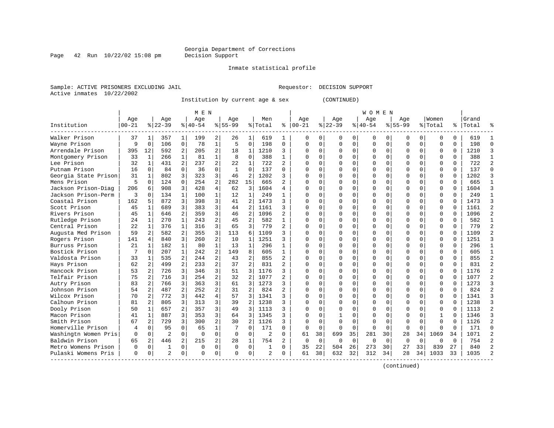Page  $42$  Run  $10/22/02$  15:08 pm

#### Inmate statistical profile

Sample: ACTIVE PRISONERS EXCLUDING JAIL Requestor: DECISION SUPPORT Active inmates 10/22/2002

Institution by current age & sex (CONTINUED)

|                      |           |                |                |                | M E N     |                |              |                |                |                |               |             |          |             | W O M E N |          |             |              |              |          |       |                |
|----------------------|-----------|----------------|----------------|----------------|-----------|----------------|--------------|----------------|----------------|----------------|---------------|-------------|----------|-------------|-----------|----------|-------------|--------------|--------------|----------|-------|----------------|
|                      | Age       |                | Age            |                | Age       |                | Age          |                | Men            |                | Age           |             | Age      |             | Age       |          | Age         |              | Women        |          | Grand |                |
| Institution          | $00 - 21$ |                | $ 22-39$       |                | $8 40-54$ |                | $8 55-99$    |                | % Total        |                | $8   00 - 21$ |             | $ 22-39$ |             | $ 40-54$  |          | $8155 - 99$ |              | % Total      | ႜ        | Total |                |
| Walker Prison        | 37        | -1             | 357            | 1              | 199       | 2              | 26           | 1              | 619            | 1              | 0             | 0           | O        | 0           | 0         | 0        | n           | 0            | 0            | 0        | 619   |                |
| Wayne Prison         | 9         | $\mathbf 0$    | 106            | $\mathbf 0$    | 78        | $\mathbf{1}$   | 5            | $\mathbf 0$    | 198            | 0              | $\Omega$      | 0           | $\Omega$ | $\mathbf 0$ | $\Omega$  | $\Omega$ | $\Omega$    | $\Omega$     | $\Omega$     | 0        | 198   | $\cap$         |
| Arrendale Prison     | 395       | 12             | 592            | 2              | 205       | 2              | 18           | 1              | 1210           | 3              | Ω             | 0           |          | 0           | 0         | 0        |             | $\Omega$     | U            | $\Omega$ | 1210  | κ              |
| Montgomery Prison    | 33        | 1              | 266            | 1              | 81        | $\mathbf{1}$   |              | $\mathbf 0$    | 388            | $\mathbf{1}$   |               | 0           |          | $\Omega$    | ი         | $\Omega$ |             | $\Omega$     | $\Omega$     | 0        | 388   |                |
| Lee Prison           | 32        | $\mathbf{1}$   | 431            | 2              | 237       | 2              | 22           | 1              | 722            | $\overline{a}$ | U             | 0           |          | $\Omega$    | N         | O        |             | 0            | $\Omega$     | $\Omega$ | 722   |                |
| Putnam Prison        | 16        | $\Omega$       | 84             | $\Omega$       | 36        | 0              | $\mathbf{1}$ | $\Omega$       | 137            | $\Omega$       | ∩             | 0           |          | $\Omega$    | O         | O        | ∩           | 0            | U            | 0        | 137   | ∩              |
| Georgia State Prison | 31        | 1              | 802            | 3              | 323       | 3              | 46           | 2              | 1202           | 3              | Λ             | 0           |          | $\Omega$    | 0         | 0        | ∩           | 0            | U            | 0        | 1202  |                |
| Mens Prison          | 5         | $\Omega$       | 124            | $\Omega$       | 254       | 2              | 282          | 15             | 665            |                | Ω             | 0           |          | $\Omega$    | O         | O        |             | O            | $\Omega$     | O        | 665   |                |
| Jackson Prison-Diag  | 206       | б              | 908            | 3              | 428       | 4              | 62           | 3              | 1604           | 4              | Λ             | 0           |          | $\Omega$    | ი         |          |             | $\Omega$     | $\Omega$     | O        | 1604  |                |
| Jackson Prison-Perm  | 3         | $\cap$         | 134            | $\mathbf{1}$   | 100       | $\mathbf{1}$   | 12           | $\mathbf{1}$   | 249            | 1              | Λ             | 0           |          | $\Omega$    | O         | U        | ∩           | <sup>n</sup> | $\Omega$     | $\Omega$ | 249   |                |
| Coastal Prison       | 162       | 5              | 872            | 3              | 398       | 3              | 41           | 2              | 1473           | ς              | U             | 0           |          | $\Omega$    | O         | n        | ∩           | 0            | $\Omega$     | $\Omega$ | 1473  |                |
| Scott Prison         | 45        | 1              | 689            | 3              | 383       | 3              | 44           | $\overline{2}$ | 1161           | 3              | Ω             | 0           |          | $\Omega$    | 0         | O        | n           | $\Omega$     | 0            | $\Omega$ | 1161  |                |
| Rivers Prison        | 45        | $\mathbf{1}$   | 646            | 2              | 359       | 3              | 46           | 2              | 1096           | 2              |               | 0           |          | $\Omega$    | 0         | 0        |             | $\Omega$     | $\Omega$     | $\Omega$ | 1096  |                |
| Rutledge Prison      | 24        | 1              | 270            | $\mathbf{1}$   | 243       | 2              | 45           | 2              | 582            | $\mathbf{1}$   | Ω             | 0           |          | $\Omega$    | O         | O        | $\Omega$    | 0            | $\Omega$     | $\Omega$ | 582   |                |
| Central Prison       | 22        | $\mathbf{1}$   | 376            | $\mathbf{1}$   | 316       | 3              | 65           | 3              | 779            | $\overline{a}$ | $\cap$        | 0           |          | $\Omega$    | O         | O        | $\Omega$    | $\Omega$     | $\Omega$     | $\Omega$ | 779   | $\mathfrak{D}$ |
| Augusta Med Prison   | 59        | 2              | 582            | $\overline{2}$ | 355       | 3              | 113          | 6              | 1109           | ς              | ∩             | 0           |          | $\Omega$    | O         | O        | ∩           | $\Omega$     | $\Omega$     | $\Omega$ | 1109  |                |
| Rogers Prison        | 141       | 4              | 840            | 3              | 260       | $\overline{a}$ | 10           | 1              | 1251           | ς              | $\Omega$      | 0           |          | $\Omega$    | 0         | O        |             | 0            | U            | O        | 1251  |                |
| Burruss Prison       | 21        | 1              | 182            |                | 80        | $\mathbf{1}$   | 13           | $\mathbf{1}$   | 296            | 1              | ∩             | 0           |          | $\Omega$    | 0         | O        |             | 0            | $\Omega$     | 0        | 296   |                |
| Bostick Prison       |           | $\Omega$       | 207            | $\mathbf{1}$   | 242       | $\overline{a}$ | 149          | 8              | 605            | 1              | <sup>0</sup>  | 0           |          | $\Omega$    | O         | U        | ∩           | 0            | $\Omega$     | O        | 605   |                |
| Valdosta Prison      | 33        | 1              | 535            | $\overline{2}$ | 244       | 2              | 43           | 2              | 855            | $\overline{a}$ | $\Omega$      | 0           |          | $\Omega$    | O         | U        | $\Omega$    | $\Omega$     | $\Omega$     | $\Omega$ | 855   |                |
| Hays Prison          | 62        | 2              | 499            | 2              | 233       | 2              | 37           | $\overline{a}$ | 831            | $\overline{2}$ | <sup>0</sup>  | 0           |          | $\Omega$    | O         | U        | U           | $\Omega$     | $\Omega$     | $\Omega$ | 831   |                |
| Hancock Prison       | 53        | $\overline{2}$ | 726            | 3              | 346       | 3              | 51           | 3              | 1176           | 3              | Ω             | 0           |          | $\Omega$    | 0         | O        |             | $\Omega$     | 0            | $\Omega$ | 1176  |                |
| Telfair Prison       | 75        | 2              | 716            | 3              | 254       | $\overline{a}$ | 32           | 2              | 1077           | $\overline{2}$ |               | 0           |          | $\Omega$    | 0         | 0        |             | $\Omega$     | $\Omega$     | $\Omega$ | 1077  |                |
| Autry Prison         | 83        | 2              | 766            | 3              | 363       | 3              | 61           | 3              | 1273           | 3              | O             | 0           |          | $\Omega$    | O         | O        | $\Omega$    | $\Omega$     | $\Omega$     | $\Omega$ | 1273  |                |
| Johnson Prison       | 54        | 2              | 487            | $\overline{2}$ | 252       | $\overline{a}$ | 31           | 2              | 824            | $\mathfrak{D}$ | $\cap$        | 0           |          | $\Omega$    | O         | U        | $\Omega$    | $\Omega$     | $\Omega$     | $\Omega$ | 824   | $\mathcal{D}$  |
| Wilcox Prison        | 70        | 2              | 772            | 3              | 442       | 4              | 57           | 3              | 1341           | ς              | ∩             | 0           |          | $\Omega$    | 0         | O        | $\Omega$    | $\Omega$     | 0            | $\Omega$ | 1341  | κ              |
| Calhoun Prison       | 81        | 2              | 805            | 3              | 313       | 3              | 39           | 2              | 1238           | 3              | Λ             | 0           |          | $\Omega$    | 0         | O        |             | 0            | 0            | O        | 1238  |                |
| Dooly Prison         | 50        | 1              | 657            | $\overline{a}$ | 357       | 3              | 49           | 3              | 1113           | 3              |               | 0           |          | $\Omega$    | 0         |          |             | 0            | 0            | O        | 1113  |                |
| Macon Prison         | 41        | $\mathbf{1}$   | 887            | 3              | 353       | 3              | 64           | 3              | 1345           | 3              | Λ             | 0           |          | $\Omega$    | ი         | U        | $\Omega$    | $\Omega$     | $\mathbf{1}$ | U        | 1346  |                |
| Smith Prison         | 67        | 2              | 729            | 3              | 300       | 2              | 30           | 2              | 1126           | 3              | ∩             | 0           | $\Omega$ | $\Omega$    | O         | U        | $\Omega$    | $\Omega$     | $\cap$       | $\Omega$ | 1126  | っ              |
| Homerville Prison    | 4         | $\Omega$       | 95             | $\Omega$       | 65        | $\mathbf{1}$   | 7            | $\Omega$       | 171            | 0              | <sup>0</sup>  | $\mathbf 0$ | $\Omega$ | $\Omega$    | $\Omega$  | $\Omega$ | $\Omega$    | $\Omega$     | U            | $\Omega$ | 171   | U              |
| Washingtn Women Pris | 0         | 0              | $\overline{2}$ | $\mathbf 0$    | $\Omega$  | 0              | $\Omega$     | 0              | $\overline{2}$ | $\Omega$       | 61            | 38          | 699      | 35          | 281       | 30       | 28          | 34           | 1069         | 34       | 1071  |                |
| Baldwin Prison       | 65        | 2              | 446            | 2              | 215       | 2              | 28           | 1              | 754            | 2              | 0             | $\mathbf 0$ | 0        | 0           | 0         | $\Omega$ | $\Omega$    | $\Omega$     | U            | $\Omega$ | 754   |                |
| Metro Womens Prison  | 0         | $\mathbf 0$    | 1              | $\Omega$       | $\Omega$  | 0              | $\Omega$     | $\Omega$       | $\mathbf{1}$   | $\Omega$       | 35            | 22          | 504      | 26          | 273       | 30       | 27          | 33           | 839          | 27       | 840   |                |
| Pulaski Womens Pris  | $\Omega$  | 0              | $\mathfrak{D}$ | 0              | $\Omega$  | 0              | $\cap$       | $\Omega$       | $\overline{a}$ | 0              | 61            | 38          | 632      | 32          | 312       | 34       | 28          | 34           | 1033         | 33       | 1035  |                |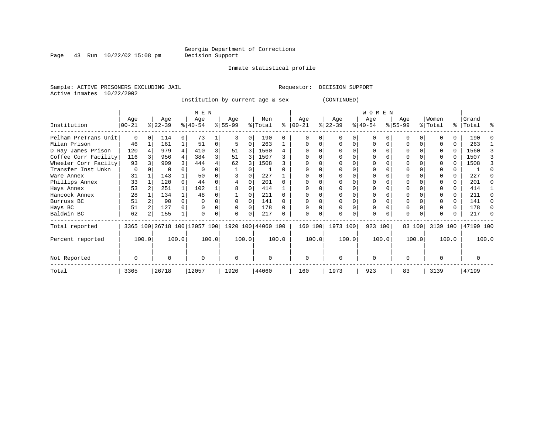Page 43 Run  $10/22/02$  15:08 pm

#### Inmate statistical profile

Sample: ACTIVE PRISONERS EXCLUDING JAIL **Requestor: DECISION SUPPORT** Active inmates 10/22/2002

Institution by current age & sex (CONTINUED)

|                      |                  |       |                              |          | M E N            |       |                    |          |                |       |                  |       |                  |   | W O M E N        |       |                  |        |                  |       |                    |       |
|----------------------|------------------|-------|------------------------------|----------|------------------|-------|--------------------|----------|----------------|-------|------------------|-------|------------------|---|------------------|-------|------------------|--------|------------------|-------|--------------------|-------|
| Institution          | Age<br>$00 - 21$ |       | Age<br>$ 22-39 $             |          | Age<br>$8 40-54$ |       | Age<br>$ 55-99$    |          | Men<br>% Total | ⊱     | Age<br>$00 - 21$ |       | Age<br>$ 22-39 $ |   | Age<br>$ 40-54 $ |       | Age<br>$8 55-99$ |        | Women<br>% Total |       | Grand<br>%   Total | ႜ     |
| Pelham PreTrans Unit | $\Omega$         |       | 114                          | $\Omega$ | 73               |       |                    | $\Omega$ | 190            | 0     |                  |       | $\cap$           |   | $\Omega$         |       | $\Omega$         |        |                  |       | 190                |       |
| Milan Prison         | 46               |       | 161                          |          | 51               | 0     |                    | 0        | 263            |       |                  | 0     |                  | 0 | 0                | O     |                  |        |                  | 0     | 263                |       |
| D Ray James Prison   | 120              |       | 979                          |          | 410              | 3     | 51                 | 3        | 1560           |       |                  |       |                  |   |                  |       |                  |        |                  | 0     | 1560               |       |
| Coffee Corr Facility | 116              |       | 956                          |          | 384              | 3     | 51                 | 3        | 1507           |       |                  |       |                  |   |                  |       |                  |        |                  |       | 1507               |       |
| Wheeler Corr Facilty | 93               |       | 909                          |          | 444              |       | 62                 |          | 1508           |       |                  |       |                  |   |                  |       |                  |        |                  |       | 1508               |       |
| Transfer Inst Unkn   | 0                |       |                              |          |                  |       |                    |          |                |       |                  |       |                  |   |                  |       |                  |        |                  |       |                    |       |
| Ware Annex           | 31               |       | 143                          |          | 50               |       |                    |          | 227            |       |                  |       |                  |   |                  |       |                  |        |                  |       | 227                |       |
| Phillips Annex       | 33               |       | 120                          |          | 44               |       |                    |          | 201            |       |                  |       |                  |   |                  |       |                  |        |                  |       | 201                |       |
| Hays Annex           | 53               |       | 251                          |          | 102              |       | 8                  |          | 414            |       |                  |       |                  |   |                  |       |                  |        |                  | U     | 414                |       |
| Hancock Annex        | 28               |       | 134                          |          | 48               |       |                    |          | 211            |       |                  |       |                  |   |                  |       |                  |        |                  | 0     | 211                |       |
| Burruss BC           | 51               |       | 90                           |          |                  |       |                    | $\Omega$ | 141            |       |                  |       |                  |   |                  |       |                  |        |                  | U     | 141                |       |
| Hays BC              | 51               |       | 127                          |          |                  |       | $\Omega$           | $\Omega$ | 178            |       |                  |       |                  |   | 0                |       | $\Omega$         |        |                  | 0     | 178                |       |
| Baldwin BC           | 62               |       | 155                          |          |                  |       | $\Omega$           | 0        | 217            |       |                  | 0     |                  | 0 | 0                |       | 0                |        |                  | 0     | 217                |       |
| Total reported       |                  |       | 3365 100 26718 100 12057 100 |          |                  |       | 1920 100 44060 100 |          |                |       | 160 100          |       | 1973 100         |   | 923 100          |       |                  | 83 100 | 3139 100         |       | 47199 100          |       |
| Percent reported     |                  | 100.0 |                              | 100.0    |                  | 100.0 | 100.0              |          |                | 100.0 |                  | 100.0 | 100.0            |   |                  | 100.0 |                  | 100.0  |                  | 100.0 |                    | 100.0 |
| Not Reported         | $\Omega$         |       | U                            |          | $\Omega$         |       | $\Omega$           |          | $\Omega$       |       | $\Omega$         |       | $\Omega$         |   | $\Omega$         |       | $\Omega$         |        | <sup>0</sup>     |       | O                  |       |
| Total                | 3365             |       | 26718                        |          | 12057            |       | 1920               |          | 44060          |       | 160              |       | 1973             |   | 923              |       | 83               |        | 3139             |       | 47199              |       |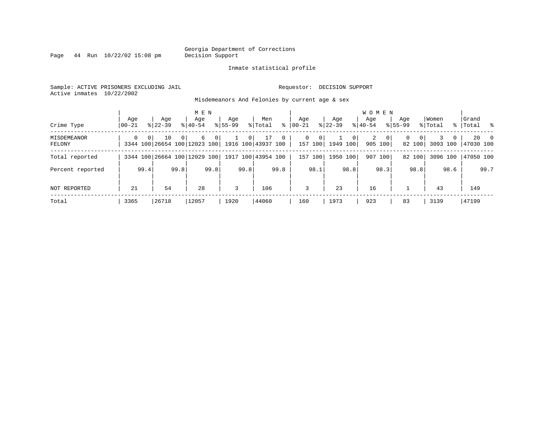Page  $44$  Run  $10/22/02$  15:08 pm

#### Inmate statistical profile

Sample: ACTIVE PRISONERS EXCLUDING JAIL Requestor: DECISION SUPPORT Active inmates 10/22/2002

Misdemeanors And Felonies by current age & sex

| Crime Type            | Age<br>  00-21 | Age<br>$8122 - 39$                                                      | M E N<br>Age<br>$8140 - 54$ | $8155 - 99$    | Age            | Men<br>% Total     | ∻            | Aqe<br>$00 - 21$        | Age<br>$ 22-39 $                        |                | <b>WOMEN</b><br>Aqe<br>$8 40-54$ |              | Age<br>$8155 - 99$ |                    | Women<br>% Total |              | Grand<br>%   Total % |               |
|-----------------------|----------------|-------------------------------------------------------------------------|-----------------------------|----------------|----------------|--------------------|--------------|-------------------------|-----------------------------------------|----------------|----------------------------------|--------------|--------------------|--------------------|------------------|--------------|----------------------|---------------|
| MISDEMEANOR<br>FELONY | $\Omega$       | 0 <sup>1</sup><br>10<br>3344 100 26654 100 12023 100 1916 100 43937 100 | 6<br>$\Omega$               | $\overline{0}$ | 0 <sup>1</sup> | 17                 | $\mathbf{0}$ | $\mathbf{0}$<br>157 100 | $\mathbf 0$<br>$\mathbf{1}$<br>1949 100 | 0 <sup>1</sup> | 2<br>905 100                     | $\mathbf{0}$ | 0                  | $\Omega$<br>82 100 | 3093 100         | $\mathbf{0}$ | 147030 100           | $20 \qquad 0$ |
| Total reported        |                | 3344 100 26664 100 12029 100                                            |                             |                |                | 1917 100 43954 100 |              | 157<br>100              | 1950 100                                |                | 907 100                          |              |                    | 82 100             | 3096 100         |              | 47050 100            |               |
| Percent reported      |                | 99.4                                                                    | 99.8                        | 99.8           | 99.8           | 99.8               |              | 98.1                    |                                         | 98.8           |                                  | 98.3         |                    | 98.8               |                  | 98.6         |                      | 99.7          |
| NOT REPORTED          | 21             | 54                                                                      | 28                          |                | 3              | 106                |              | 3                       | 23                                      |                | 16                               |              |                    |                    | 43               |              | 149                  |               |
| Total                 | 3365           | 26718                                                                   | 12057                       |                | 1920           | 44060              |              | 160                     | 1973                                    |                | 923                              |              | 83                 |                    | 3139             |              | 47199                |               |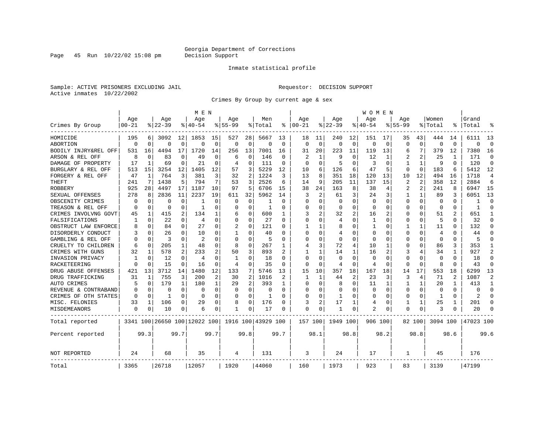Page 45 Run  $10/22/02$  15:08 pm

#### Inmate statistical profile

Sample: ACTIVE PRISONERS EXCLUDING JAIL Requestor: DECISION SUPPORT Active inmates 10/22/2002

Crimes By Group by current age & sex

|                      |           |             |           |          | M E N                        |             |                |                |                    |             |                         |              |              |                | W O M E N      |                |                |              |             |                |           |                |
|----------------------|-----------|-------------|-----------|----------|------------------------------|-------------|----------------|----------------|--------------------|-------------|-------------------------|--------------|--------------|----------------|----------------|----------------|----------------|--------------|-------------|----------------|-----------|----------------|
|                      | Age       |             | Age       |          | Age                          |             | Age            |                | Men                |             | Age                     |              | Age          |                | Aqe            |                | Age            |              | Women       |                | Grand     |                |
| Crimes By Group      | $00 - 21$ |             | $8 22-39$ |          | % 40-54                      |             | $8155 - 99$    |                | % Total            | ႜ           | $ 00-21$                |              | $ 22-39$     |                | $ 40-54$       |                | $8155 - 99$    |              | % Total     | ⊱              | Total     |                |
| HOMICIDE             | 195       | 6           | 3092      | 12       | 1853                         | 15          | 527            | 28             | 5667               | 13          | 18                      | 11           | 240          | 12             | 151            | 17             | 35             | 43           | 444         | 14             | 6111      | 13             |
| ABORTION             | $\Omega$  | $\mathbf 0$ | $\Omega$  | $\Omega$ | $\Omega$                     | $\mathbf 0$ | $\Omega$       | $\mathbf 0$    | $\Omega$           | $\mathbf 0$ | $\Omega$                | $\mathbf 0$  | $\Omega$     | $\mathbf 0$    | $\Omega$       | $\mathbf 0$    | $\Omega$       | $\Omega$     | $\mathbf 0$ | $\Omega$       | $\Omega$  | $\Omega$       |
| BODILY INJRY&REL OFF | 531       | 16          | 4494      | 17       | 1720                         | 14          | 256            | 13             | 7001               | 16          | 31                      | 20           | 223          | 11             | 119            | 13             | 6              | 7            | 379         | 12             | 7380      | 16             |
| ARSON & REL OFF      | 8         | $\Omega$    | 83        | 0        | 49                           | $\Omega$    | 6              | 0              | 146                | $\Omega$    | $\overline{\mathbf{c}}$ | 1            | 9            | 0              | 12             | 1              | 2              | 2            | 25          | 1              | 171       | $\Omega$       |
| DAMAGE OF PROPERTY   | 17        | 1           | 69        | $\Omega$ | 21                           | $\Omega$    | 4              | 0              | 111                | $\Omega$    | $\Omega$                | $\Omega$     | 5            | $\Omega$       | 3              | 0              | 1              | $\mathbf{1}$ | 9           | $\Omega$       | 120       | $\Omega$       |
| BURGLARY & REL OFF   | 513       | 15          | 3254      | 12       | 1405                         | 12          | 57             | 3              | 5229               | 12          | 10                      | 6            | 126          | 6              | 47             | 5              | 0              | $\Omega$     | 183         | 6              | 5412      | 12             |
| FORGERY & REL OFF    | 47        | 1           | 764       | 3        | 381                          | 3           | 32             | $\overline{a}$ | 1224               | 3           | 13                      | 8            | 351          | 18             | 120            | 13             | 10             | 12           | 494         | 16             | 1718      | $\overline{4}$ |
| THEFT                | 241       | 7           | 1438      | 5        | 794                          | 7           | 53             | 3              | 2526               | 6           | 14                      | 9            | 205          | 11             | 137            | 15             | 2              | 2            | 358         | 12             | 2884      | 6              |
| <b>ROBBERY</b>       | 925       | 28          | 4497      | 17       | 1187                         | 10          | 97             | 5              | 6706               | 15          | 38                      | 24           | 163          | 8              | 38             | 4              | $\overline{2}$ | 2            | 241         | 8              | 6947      | 15             |
| SEXUAL OFFENSES      | 278       | 8           | 2836      | 11       | 2237                         | 19          | 611            | 32             | 5962               | 14          | 3                       | 2            | 61           | 3              | 24             | 3              | 1              | $\mathbf{1}$ | 89          | 3              | 6051      | 13             |
| OBSCENITY CRIMES     | 0         | 0           | $\Omega$  | $\Omega$ |                              | $\Omega$    | 0              | 0              |                    | 0           | ∩                       | 0            | $\Omega$     | U              | $\Omega$       | $\Omega$       | $\Omega$       | $\Omega$     | $\Omega$    | $\Omega$       | -1        | ∩              |
| TREASON & REL OFF    | $\Omega$  | 0           | 0         | $\Omega$ | -1                           | $\Omega$    | O              | 0              | 1                  | O           | <sup>0</sup>            | $\Omega$     | $\Omega$     | 0              | $\Omega$       | 0              | 0              | $\Omega$     | 0           | 0              | -1        | ∩              |
| CRIMES INVOLVNG GOVT | 45        | 1           | 415       | 2        | 134                          | 1           | 6              | 0              | 600                | 1           | 3                       | 2            | 32           | 2              | 16             | 2              | $\Omega$       | $\Omega$     | 51          |                | 651       | -1             |
| FALSIFICATIONS       | 1         | $\mathbf 0$ | 22        | $\Omega$ | $\overline{4}$               | 0           | O              | 0              | 27                 | $\Omega$    | $\Omega$                | 0            | 4            | 0              | 1              | $\mathbf 0$    | $\Omega$       | 0            | 5           | $\Omega$       | 32        | $\Omega$       |
| OBSTRUCT LAW ENFORCE | 8         | $\mathbf 0$ | 84        | 0        | 27                           | $\Omega$    |                | $\Omega$       | 121                | 0           |                         |              | 8            | 0              | 1              | 0              | 1              | $\mathbf{1}$ | 11          | O              | 132       | $\Omega$       |
| DISORDERLY CONDUCT   | 3         | 0           | 26        | U        | 10                           | 0           |                | 0              | 40                 | O           | <sup>0</sup>            | $\Omega$     | 4            | U              | $\Omega$       | 0              | U              | $\Omega$     | 4           | N              | 44        | ∩              |
| GAMBLING & REL OFF   | O         | $\Omega$    | 3         | U        | 2                            | 0           | $\Omega$       | $\Omega$       | 5                  | U           | ∩                       | 0            | $\Omega$     | U              | $\Omega$       | $\Omega$       | O              | 0            | $\Omega$    | 0              | 5         | $\cap$         |
| CRUELTY TO CHILDREN  | 6         | 0           | 205       | 1        | 48                           | 0           | 8              | $\mathbf 0$    | 267                | 1           | 4                       | 3            | 72           | 4              | 10             | 1              | O              | $\Omega$     | 86          | 3              | 353       | -1             |
| CRIMES WITH GUNS     | 32        | 1           | 578       | 2        | 233                          | 2           | 50             | 3              | 893                | 2           | -1                      | $\mathbf{1}$ | 14           | $\mathbf{1}$   | 16             | $\overline{2}$ | 3              | 4            | 34          | 1              | 927       | $\overline{2}$ |
| INVASION PRIVACY     | 1         | $\mathbf 0$ | 12        | $\Omega$ | $\overline{4}$               | 0           | 1              | 0              | 18                 | $\Omega$    | $\Omega$                | 0            | $\Omega$     | $\Omega$       | $\mathbf 0$    | 0              | 0              | $\Omega$     | $\mathbf 0$ | $\Omega$       | 18        | $\Omega$       |
| RACKETEERING         | $\Omega$  | $\mathbf 0$ | 15        | 0        | 16                           | 0           | $\overline{4}$ | 0              | 35                 | 0           | $\Omega$                | 0            | 4            | 0              | 4              | 0              | $\Omega$       | 0            | 8           | O              | 43        | $\Omega$       |
| DRUG ABUSE OFFENSES  | 421       | 13          | 3712      | 14       | 1480                         | 12          | 133            | 7              | 5746               | 13          | 15                      | 10           | 357          | 18             | 167            | 18             | 14             | 17           | 553         | 18             | 6299      | 13             |
| DRUG TRAFFICKING     | 31        | 1           | 755       | 3        | 200                          | 2           | 30             | 2              | 1016               | 2           | -1                      | 1            | 44           | $\overline{2}$ | 23             | 3              | 3              | 4            | 71          | $\mathfrak{D}$ | 1087      | $\mathcal{D}$  |
| AUTO CRIMES          | 5         | $\mathbf 0$ | 179       | 1        | 180                          | 1           | 29             | 2              | 393                | 1           | <sup>0</sup>            | $\Omega$     | 8            | $\Omega$       | 11             | 1              | 1              | 1            | 20          | 1              | 413       | $\mathbf{1}$   |
| REVENUE & CONTRABAND | $\Omega$  | $\mathbf 0$ | $\Omega$  | $\Omega$ | $\Omega$                     | $\Omega$    | O              | $\mathbf 0$    | O                  | $\Omega$    | 0                       | $\Omega$     | $\Omega$     | $\Omega$       | 0              | $\mathbf 0$    | 0              | $\Omega$     | $\mathbf 0$ | $\Omega$       | $\Omega$  | $\Omega$       |
| CRIMES OF OTH STATES | 0         | 0           | 1         | $\Omega$ | $\Omega$                     | 0           | $\Omega$       | 0              | 1                  | $\Omega$    | $\Omega$                | 0            | 1            | $\Omega$       | $\Omega$       | 0              | 0              | $\Omega$     | 1           | 0              | 2         | $\Omega$       |
| MISC. FELONIES       | 33        | 1           | 106       | 0        | 29                           | 0           | 8              | 0              | 176                | U           | 3                       | 2            | 17           | 1              | 4              | $\mathbf 0$    | 1              | 1            | 25          |                | 201       | $\Omega$       |
| MISDEMEANORS         | 0         | 0           | 10        | 0        | 6                            | 0           |                | 0              | 17                 | 0           | $\Omega$                | 0            | $\mathbf{1}$ | 0              | $\overline{2}$ | 0              | $\Omega$       | 0            | 3           | 0              | 20        |                |
| Total reported       |           |             |           |          | 3341 100 26650 100 12022 100 |             |                |                | 1916 100 43929 100 |             | 157 100                 |              | 1949 100     |                | 906 100        |                |                | 82 100       | 3094 100    |                | 47023 100 |                |
| Percent reported     |           | 99.3        |           | 99.7     |                              | 99.7        |                | 99.8           |                    | 99.7        |                         | 98.1         |              | 98.8           |                | 98.2           |                | 98.8         |             | 98.6           |           | 99.6           |
| NOT REPORTED         | 24        |             | 68        |          | 35                           |             | 4              |                | 131                |             | 3                       |              | 24           |                | 17             |                | $\mathbf{1}$   |              | 45          |                | 176       |                |
| Total                | 3365      |             | 26718     |          | 12057                        |             | 1920           |                | 44060              |             | 160                     |              | 1973         |                | 923            |                | 83             |              | 3139        |                | 47199     |                |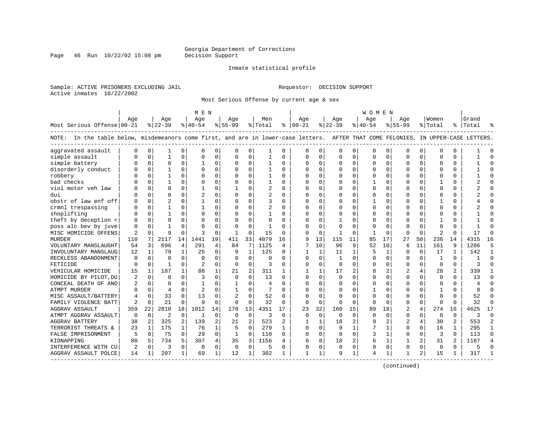Page 46 Run  $10/22/02$  15:08 pm

#### Inmate statistical profile

Sample: ACTIVE PRISONERS EXCLUDING JAIL Requestor: DECISION SUPPORT Active inmates 10/22/2002

Most Serious Offense by current age & sex

|                                                                                                                                    |                |              |                |              | M E N          |              |                |                |                |          |               |              |              |              | W O M E N   |              |                |          |              |                |                |                |
|------------------------------------------------------------------------------------------------------------------------------------|----------------|--------------|----------------|--------------|----------------|--------------|----------------|----------------|----------------|----------|---------------|--------------|--------------|--------------|-------------|--------------|----------------|----------|--------------|----------------|----------------|----------------|
|                                                                                                                                    | Age            |              | Age            |              | Aqe            |              | Age            |                | Men            |          | Age           |              | Aqe          |              | Aqe         |              | Age            |          | Women        |                | Grand          |                |
| Most Serious Offense 00-21                                                                                                         |                |              | $ 22-39$       |              | $ 40-54 $      |              | $ 55-99$       |                | % Total        |          | $8   00 - 21$ |              | $ 22-39$     |              | $ 40-54$    |              | $8155 - 99$    |          | % Total      |                | %   Total      |                |
| NOTE: In the table below, misdemeanors come first, and are in lower-case letters. AFTER THAT COME FELONIES, IN UPPER-CASE LETTERS. |                |              |                |              |                |              |                |                |                |          |               |              |              |              |             |              |                |          |              |                |                |                |
| aggravated assault                                                                                                                 | $\Omega$       | $\mathbf 0$  | 1              | 0            | $\Omega$       | $\Omega$     | O              | 0              | 1              | 0        | $\cap$        | 0            | $\Omega$     | 0            | $\mathbf 0$ | 0            | $\Omega$       | $\Omega$ | $\mathbf 0$  | $\Omega$       |                |                |
| simple assault                                                                                                                     |                | $\mathbf 0$  | 1              | $\Omega$     | $\Omega$       | $\Omega$     | $\Omega$       | $\mathbf 0$    | -1             | $\Omega$ | $\Omega$      | $\Omega$     | $\Omega$     | $\Omega$     | $\Omega$    | $\mathbf 0$  | $\Omega$       | $\Omega$ | $\Omega$     | $\Omega$       |                | $\Omega$       |
| simple battery                                                                                                                     |                | $\mathbf 0$  | $\Omega$       | $\Omega$     | $\mathbf{1}$   | $\Omega$     | $\Omega$       | $\Omega$       | -1             | $\Omega$ | $\Omega$      | $\Omega$     | $\Omega$     | $\Omega$     | $\Omega$    | 0            | $\Omega$       | $\Omega$ | $\Omega$     | $\Omega$       |                | $\Omega$       |
| disorderly conduct                                                                                                                 |                | $\Omega$     | $\mathbf{1}$   | U            | $\Omega$       | $\Omega$     | O              | $\Omega$       |                | $\Omega$ | $\Omega$      | $\Omega$     | $\Omega$     | $\Omega$     | $\Omega$    | $\Omega$     | $\Omega$       | $\Omega$ | $\Omega$     | $\Omega$       |                | $\cap$         |
| robbery                                                                                                                            |                | $\Omega$     | 1              | 0            | $\Omega$       | 0            | O              | $\Omega$       | $\mathbf{1}$   | 0        | <sup>0</sup>  | $\Omega$     | $\Omega$     | $\Omega$     | $\Omega$    | 0            | U              | $\Omega$ | $\Omega$     | $\Omega$       |                | $\cap$         |
| bad checks                                                                                                                         |                | $\Omega$     | 1              | 0            | $\Omega$       | 0            | 0              | $\Omega$       | 1              | $\Omega$ | 0             | $\Omega$     | $\Omega$     | $\Omega$     |             | 0            | 0              | $\Omega$ | 1            | $\Omega$       |                | $\cap$         |
| viol motor veh law                                                                                                                 |                | $\mathbf 0$  | $\Omega$       | 0            | 1              | 0            |                | 0              | $\overline{2}$ | 0        | $\Omega$      | $\Omega$     | $\Omega$     | 0            | $\Omega$    | 0            | $\Omega$       | $\Omega$ | $\mathbf 0$  | $\Omega$       |                |                |
| dui                                                                                                                                |                | $\mathbf 0$  | $\Omega$       | U            | 2              | $\Omega$     | $\Omega$       | $\Omega$       | $\overline{a}$ | $\Omega$ | $\Omega$      | $\Omega$     | $\Omega$     | 0            | $\Omega$    | $\mathbf 0$  | $\Omega$       | $\Omega$ | $\Omega$     | $\Omega$       |                | $\Omega$       |
| obstr of law enf off                                                                                                               |                | $\Omega$     | $\mathfrak{D}$ | O            | $\mathbf{1}$   | $\Omega$     | $\Omega$       | $\Omega$       | ζ              | $\Omega$ | $\Omega$      | $\Omega$     | $\Omega$     | $\Omega$     | -1          | 0            | $\Omega$       | $\Omega$ | -1           | $\Omega$       |                | $\Omega$       |
| crmnl trespassing                                                                                                                  |                | 0            | $\mathbf{1}$   | 0            | $\mathbf{1}$   | $\Omega$     | $\Omega$       | $\Omega$       | 2              | $\Omega$ | $\Omega$      | $\Omega$     | $\Omega$     | 0            | $\Omega$    | 0            | $\Omega$       | $\Omega$ | $\Omega$     | $\Omega$       |                |                |
| shoplifting                                                                                                                        |                | $\Omega$     |                | O            | $\Omega$       | $\Omega$     | O              | $\Omega$       |                | O        | <sup>0</sup>  | $\Omega$     | $\Omega$     | 0            |             | $\mathbf 0$  | 0              | 0        | $\cap$       | O              |                |                |
| theft by deception <                                                                                                               |                | $\Omega$     | $\cap$         | U            | $\Omega$       | $\Omega$     | U              | $\Omega$       | $\Omega$       | $\Omega$ | <sup>0</sup>  | $\Omega$     | $\mathbf{1}$ | O            | ∩           | $\Omega$     | $\Omega$       | U        |              | 0              |                |                |
| poss alc bev by juve                                                                                                               | $\Omega$       | $\Omega$     | $\mathbf{1}$   | U            | $\Omega$       | $\Omega$     | $\Omega$       | $\Omega$       | $\mathbf{1}$   | O        | $\cap$        | $\Omega$     | $\Omega$     | 0            | $\Omega$    | 0            | O              | $\Omega$ | $\Omega$     | 0              |                |                |
| MISC HOMICIDE OFFENS                                                                                                               | 2              | 0            | 9              | $\Omega$     | 3              | $\Omega$     | -1             | 0              | 15             | $\Omega$ | $\cap$        | $\Omega$     | -1           | $\Omega$     | 1           | 0            | $\Omega$       | $\Omega$ | 2            | $\Omega$       | 17             | ∩              |
| MURDER                                                                                                                             | 110            | 7            | 2117           | 14           | 1441           | 19           | 411            | 33             | 4079           | 16       | 9             | 13           | 115          | 11           | 85          | 17           | 27             | 50       | 236          | 14             | 4315           | 16             |
| VOLUNTARY MANSLAUGHT                                                                                                               | 54             | 3            | 696            | 4            | 291            | 4            | 84             | 7              | 1125           | 4        | 7             | 10           | 96           | 9            | 52          | 10           | 6              | 11       | 161          | 9              | 1286           | 5              |
| INVOLUNTARY MANSLAUG                                                                                                               | 12             | $\mathbf{1}$ | 79             | $\mathbf{1}$ | 25             | $\Omega$     | 9              | $\mathbf{1}$   | 125            | $\Omega$ | $\mathbf{1}$  | $\mathbf{1}$ | 11           | $\mathbf{1}$ | 5           | 1            | $\Omega$       | $\Omega$ | 17           | $\mathbf{1}$   | 142            | $\mathbf{1}$   |
| RECKLESS ABANDONMENT                                                                                                               | 0              | 0            | $\Omega$       | $\Omega$     | $\Omega$       | $\Omega$     | $\Omega$       | 0              | O              | $\Omega$ | $\Omega$      | $\Omega$     | -1           | 0            | C           | 0            | 0              | $\Omega$ | -1           | $\Omega$       |                | $\Omega$       |
| FETICIDE                                                                                                                           | $\Omega$       | 0            | 1              | $\Omega$     |                | 0            | 0              | 0              | 3              | O        | $\Omega$      | 0            | $\mathbf 0$  | 0            | $\Omega$    | 0            | $\Omega$       | $\Omega$ | $\Omega$     | $\Omega$       | ঽ              | $\cap$         |
| VEHICULAR HOMICIDE                                                                                                                 | 15             | 1            | 187            | $\mathbf{1}$ | 88             | 1            | 21             | $\overline{2}$ | 311            | 1        | -1            | 1            | 17           | 2            | 8           | 2            | $\overline{2}$ | 4        | 28           | 2              | 339            | -1             |
| HOMICIDE BY PILOT, DU                                                                                                              | $\overline{2}$ | 0            | $\mathsf{R}$   | 0            | 3              | $\Omega$     | $\Omega$       | $\Omega$       | 13             | $\Omega$ | $\Omega$      | $\Omega$     | $\Omega$     | 0            | $\Omega$    | $\Omega$     | $\Omega$       | $\Omega$ | $\Omega$     | $\Omega$       | 13             | $\Omega$       |
| CONCEAL DEATH OF ANO                                                                                                               | 2              | $\Omega$     | $\Omega$       | $\Omega$     | $\mathbf{1}$   | $\Omega$     | 1              | $\Omega$       | $\overline{4}$ | $\Omega$ | $\Omega$      | $\Omega$     | $\Omega$     | $\Omega$     | $\Omega$    | $\Omega$     | $\Omega$       | $\Omega$ | $\Omega$     | $\Omega$       | $\overline{4}$ | $\Omega$       |
| <b>ATMPT MURDER</b>                                                                                                                | O              | 0            | $\overline{4}$ | 0            | $\overline{c}$ | $\Omega$     | 1              | $\Omega$       |                | O        |               | $\Omega$     | $\Omega$     | O            |             | 0            | $\Omega$       | $\Omega$ | $\mathbf{1}$ | $\Omega$       |                |                |
| MISC ASSAULT/BATTERY                                                                                                               | 4              | $\Omega$     | 33             | O            | 13             | $\Omega$     | $\overline{c}$ | $\Omega$       | 52             | $\Omega$ | $\Omega$      | $\Omega$     | $\Omega$     | O            | $\Omega$    | $\Omega$     | $\Omega$       | $\Omega$ | $\Omega$     | 0              | 52             | $\Omega$       |
| FAMILY VIOLENCE BATT                                                                                                               | 2              | 0            | 21             | 0            | 9              | 0            | $\Omega$       | 0              | 32             | 0        | $\Omega$      | $\mathbf 0$  | $\Omega$     | $\Omega$     | $\Omega$    | 0            | 0              | $\Omega$ | $\Omega$     | $\Omega$       | 32             | $\Omega$       |
| AGGRAV ASSAULT                                                                                                                     | 359            | 22           | 2810           | 18           | 1012           | 14           | 170            | 13             | 4351           | 17       | 23            | 32           | 160          | 15           | 89          | 18           | 2              | 4        | 274          | 16             | 4625           | 17             |
| ATMPT AGGRAV ASSAULT                                                                                                               | 0              | 0            | $\overline{2}$ | $\mathbf 0$  | 1              | 0            | 0              | 0              | 3              | 0        | $\Omega$      | $\Omega$     | $\Omega$     | $\mathbf 0$  | $\Omega$    | 0            | $\Omega$       | 0        | 0            | 0              | 3              | $\Omega$       |
| AGGRAV BATTERY                                                                                                                     | 38             | 2            | 325            | 2            | 139            | 2            | 21             | $\overline{c}$ | 523            | 2        | -1            | $\mathbf{1}$ | 18           | 2            | q           | 2            | $\overline{c}$ | 4        | 30           | $\overline{a}$ | 553            | $\overline{2}$ |
| TERRORIST THREATS &                                                                                                                | 23             | 1            | 175            | $\mathbf{1}$ | 76             | $\mathbf{1}$ | 5              | $\Omega$       | 279            | 1        | $\Omega$      | $\Omega$     | 9            | $\mathbf{1}$ |             | 1            | $\Omega$       | $\Omega$ | 16           | 1              | 295            | $\mathbf{1}$   |
| FALSE IMPRISONMENT                                                                                                                 | 5              | $\Omega$     | 75             | $\Omega$     | 29             | $\Omega$     | $\mathbf{1}$   | $\Omega$       | 110            | $\Omega$ | $\Omega$      | $\Omega$     | $\Omega$     | $\Omega$     | 3           | $\mathbf{1}$ | $\Omega$       | $\Omega$ | 3            | $\Omega$       | 113            | $\Omega$       |
| KIDNAPPING                                                                                                                         | 80             | 5            | 734            | 5.           | 307            | 4            | 35             | 3              | 1156           | 4        | 6             | 8            | 18           | 2            | 6           | 1            | $\mathbf{1}$   | 2        | 31           | 2              | 1187           | $\overline{4}$ |
| INTERFERENCE WITH CU                                                                                                               | 2              | 0            | 3              | $\Omega$     | $\Omega$       | $\Omega$     | 0              | $\mathbf 0$    | 5              | 0        | $\Omega$      | 0            | $\Omega$     | $\mathbf 0$  | 0           | $\mathbf 0$  | $\Omega$       | $\Omega$ | $\mathbf 0$  | $\Omega$       |                |                |
| AGGRAV ASSAULT POLCE                                                                                                               | 14             | 1            | 207            | 1            | 69             | 1            | 12             | 1              | 302            | 1        | 1             | 1            | 9            | 1            | 4           | 1            | 1              | 2        | 15           | 1              | 317            |                |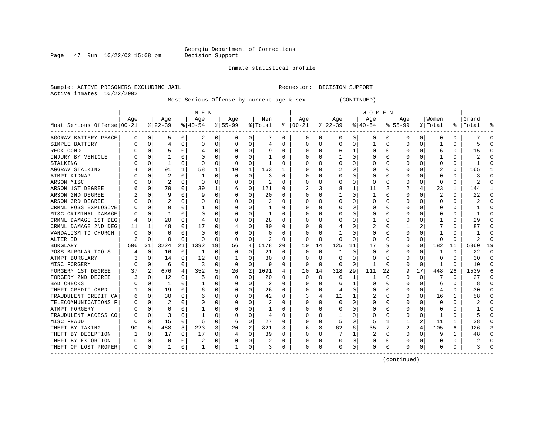Page  $47$  Run  $10/22/02$  15:08 pm

#### Inmate statistical profile

Sample: ACTIVE PRISONERS EXCLUDING JAIL Requestor: DECISION SUPPORT Active inmates 10/22/2002

Most Serious Offense by current age & sex (CONTINUED)

|                            |          |              |          |          | M E N        |          |           |          |         |    |              |          |          |    | W O M E N |          |             |          |         |    |           |    |
|----------------------------|----------|--------------|----------|----------|--------------|----------|-----------|----------|---------|----|--------------|----------|----------|----|-----------|----------|-------------|----------|---------|----|-----------|----|
|                            | Age      |              | Age      |          | Age          |          | Age       |          | Men     |    | Age          |          | Age      |    | Age       |          | Age         |          | Women   |    | Grand     |    |
| Most Serious Offense 00-21 |          |              | $ 22-39$ |          | $ 40-54$     |          | $8 55-99$ |          | % Total | ႜ  | $ 00-21$     |          | $ 22-39$ |    | $ 40-54$  |          | $8155 - 99$ |          | % Total |    | %   Total |    |
| AGGRAV BATTERY PEACE       | O        | 0            | 5        | 0        | 2            | 0        | 0         | 0        | 7       | 0  | 0            | 0        | 0        | 0  | 0         | 0        | 0           | 0        | 0       | 0  |           | C  |
| SIMPLE BATTERY             |          | $\Omega$     | 4        | 0        | $\Omega$     | 0        | 0         | 0        | 4       | 0  | 0            | 0        | U        | 0  |           | 0        | O           | $\Omega$ |         | 0  | 5         |    |
| RECK COND                  |          | $\Omega$     |          |          |              | 0        |           | O        | 9       | 0  | 0            | 0        | 6        |    | 0         | 0        | O           | O        | 6       | 0  | 15        |    |
| INJURY BY VEHICLE          |          | U            |          |          | C            | O        |           | O        |         | U  |              | U        |          | O  | Ω         | n        |             |          |         | U  |           |    |
| STALKING                   |          | $\Omega$     | 1        | U        | 0            | 0        | O         | $\Omega$ |         | U  |              | U        |          | O  | 0         | $\Omega$ |             |          | O       | 0  |           |    |
| AGGRAV STALKING            |          | $\Omega$     | 91       | 1        | 58           | 1        | 10        | 1        | 163     |    |              | 0        |          | O  |           | $\Omega$ |             |          | 2       | 0  | 165       |    |
| ATMPT KIDNAP               |          | 0            | 2        | 0        |              | 0        | 0         | $\Omega$ | 3       | 0  |              | 0        |          | 0  |           | 0        |             | 0        |         | 0  |           |    |
| ARSON MISC                 |          | $\mathbf 0$  | 2        | 0        | $\Omega$     | 0        |           | 0        | 2       | 0  |              | 0        |          | 0  | 0         | 0        |             | 0        | 0       | 0  | 2         |    |
| ARSON 1ST DEGREE           |          | $\mathbf 0$  | 70       | O        | 39           | 1        | 6         | 0        | 121     | U  |              | 3        | 8        | 1  | 11        |          |             | 4        | 23      | 1  | 144       |    |
| ARSON 2ND DEGREE           |          | $\Omega$     | 9        | U        | 9            | O        | U         | 0        | 20      | U  |              | 0        |          | O  |           | $\Omega$ | $\Omega$    | O        | 2       | 0  | 22        | ſ  |
| ARSON 3RD DEGREE           |          | $\Omega$     | 2        | O        | C            | O        |           | O        | 2       | U  | O            | 0        | O        | O  | Ω         | n        | O           | O        | O       | 0  | 2         | ∩  |
| CRMNL POSS EXPLOSIVE       |          | $\Omega$     | 0        | U        |              | 0        |           | 0        |         | 0  | 0            | 0        | 0        | O  | 0         | 0        | O           | O        | C       | 0  |           | O  |
| MISC CRIMINAL DAMAGE       |          | $\mathbf 0$  | 1        | U        | 0            | 0        | $\cup$    | 0        |         | 0  | 0            | O        | O        | O  | 0         | 0        | O           |          |         | 0  |           | n  |
| CRMNL DAMAGE 1ST DEG       |          | 0            | 20       | U        |              | N        |           | 0        | 28      | U  |              | N        |          | O  |           | O        |             |          |         | 0  | 29        |    |
| CRMNL DAMAGE 2ND DEG       | 11       |              | 48       | O        | 17           | 0        |           | 0        | 80      | U  |              | O        |          | O  |           | ſ        |             |          |         | U  | 87        |    |
| VANDALISM TO CHURCH        |          | <sup>0</sup> | U        |          | -C           | O        |           | O        | O       | O  |              | O        |          | O  | Ω         | ſ        |             |          |         | U  |           |    |
| ALTER ID                   |          | $\cap$       | U        | $\Omega$ | $\mathsf{C}$ | $\Omega$ | O         | $\Omega$ | 2       | U  | C            | $\Omega$ | $\Omega$ | O  | 0         | n        |             | $\Omega$ | C       | 0  | 2         |    |
| <b>BURGLARY</b>            | 506      | 31           | 3224     | 21       | 1392         | 19       | 56        | 4        | 5178    | 20 | 10           | 14       | 125      | 11 | 47        |          | O           | 0        | 182     | 11 | 5360      | 19 |
| POSS BURGLAR TOOLS         |          | $\Omega$     | 16       | 0        | -1           | $\Omega$ | O         | O        | 21      | U  | 0            | $\Omega$ |          | O  | Ω         | ſ        | O           | $\Omega$ |         | 0  | 22        | ∩  |
| ATMPT BURGLARY             |          | $\Omega$     | 14       | 0        | 12           | 0        |           | 0        | 30      | 0  | 0            | $\Omega$ | $\Omega$ | O  | 0         | 0        |             | $\Omega$ | O       | 0  | 30        | n  |
| MISC FORGERY               |          | $\Omega$     | 6        | 0        | 3            | $\Omega$ | O         | $\Omega$ | 9       | 0  | 0            | $\Omega$ | $\Omega$ | 0  | 1         | 0        |             | $\Omega$ |         | U  | 10        | ſ  |
| FORGERY 1ST DEGREE         | 37       | 2            | 676      | 4        | 352          | 5        | 26        | 2        | 1091    | 4  | 10           | 14       | 318      | 29 | 111       | 22       |             | 17       | 448     | 26 | 1539      |    |
| FORGERY 2ND DEGREE         |          | $\mathbf 0$  | 12       | 0        |              | $\Omega$ |           | 0        | 20      | U  | 0            | 0        | 6        | 1  |           | 0        |             | 0        |         | 0  | 27        |    |
| <b>BAD CHECKS</b>          |          | 0            | 1        | U        |              | N        |           | 0        | 2       | U  |              | O        | 6        | 1  | 0         | $\Omega$ | $\Omega$    | $\Omega$ | 6       | 0  | 8         | ſ  |
| THEFT CREDIT CARD          |          | $\Omega$     | 19       | 0        | 6            | 0        |           | 0        | 26      | U  |              | 0        | 4        | 0  | 0         | 0        | O           | $\Omega$ |         | 0  | 30        | n  |
| FRAUDULENT CREDIT CA       |          | 0            | 30       | U        | 6            | 0        |           | 0        | 42      | U  |              | 4        | 11       | 1  | 2         | 0        | O           | 0        | 16      | 1  | 58        |    |
| TELECOMMUNICATIONS F       |          | $\Omega$     | 2        | 0        | O            | 0        | U         | $\Omega$ | 2       | U  | O            | $\Omega$ | $\Omega$ | O  | 0         | n        | ∩           | O        | O       | 0  |           | n  |
| ATMPT FORGERY              |          | $\Omega$     | 0        | U        |              | 0        | U         | $\Omega$ |         | 0  | 0            | 0        | $\left($ | U  | 0         | 0        |             | O        | $\Box$  | 0  |           | n  |
| FRAUDULENT ACCESS CO       |          | $\Omega$     | 3        | U        |              | O        | O         | 0        | 4       | 0  | O            | O        |          | O  | 0         | n        |             | O        |         | U  |           | C  |
| MISC FRAUD                 |          | 0            | 15       | 0        | 6            | 0        | 6         | $\Omega$ | 27      | 0  |              | 0        |          | 0  | 5         |          |             | 2        | 11      |    | 38        |    |
| THEFT BY TAKING            | 90       | 5            | 488      | 3        | 223          | 3        | 20        | 2        | 821     | 3  | 6            | 8        | 62       | 6  | 35        |          |             | 4        | 105     | 6  | 926       |    |
| THEFT BY DECEPTION         |          | $\Omega$     | 17       | U        | 17           | $\Omega$ |           | $\Omega$ | 39      | 0  | C            | O        |          |    | 2         | n        | $\Omega$    | O        |         | 1  | 48        |    |
| THEFT BY EXTORTION         |          | $\Omega$     | 0        | 0        |              | 0        |           | 0        |         | 0  |              | 0        | O        | 0  | 0         | C        |             | 0        |         | 0  |           |    |
| THEFT OF LOST PROPER       | $\Omega$ | 0            | 1        | 0        | -1           | 0        |           | 0        | 3       | 0  | <sup>0</sup> | 0        | U        | 0  | U         | $\Omega$ | $\Omega$    | 0        | O       | U  |           |    |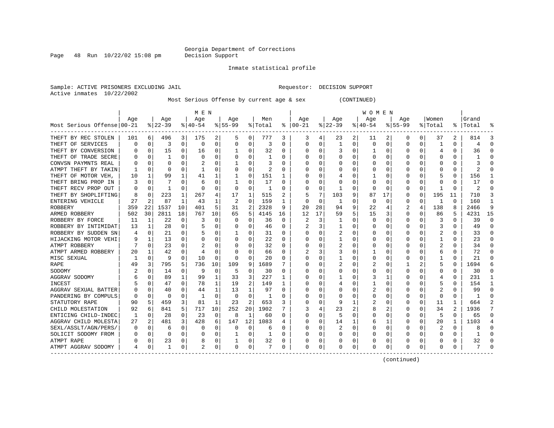Page  $48$  Run  $10/22/02$  15:08 pm

#### Inmate statistical profile

Sample: ACTIVE PRISONERS EXCLUDING JAIL Requestor: DECISION SUPPORT Active inmates 10/22/2002

Most Serious Offense by current age & sex (CONTINUED)

|                            |     |          |          |              | M E N        |          |           |                |         |              |              |          |              |          | W O M E N |             |           |              |              |          |       |          |
|----------------------------|-----|----------|----------|--------------|--------------|----------|-----------|----------------|---------|--------------|--------------|----------|--------------|----------|-----------|-------------|-----------|--------------|--------------|----------|-------|----------|
|                            | Aqe |          | Age      |              | Age          |          | Aqe       |                | Men     |              | Aqe          |          | Aqe          |          | Age       |             | Aqe       |              | Women        |          | Grand |          |
| Most Serious Offense 00-21 |     |          | $ 22-39$ |              | $8 40-54$    |          | $8 55-99$ |                | % Total | ႜ            | $ 00-21$     |          | $ 22-39$     |          | $ 40-54$  |             | $8 55-99$ |              | % Total      | ႜ        | Total |          |
| THEFT BY REC STOLEN        | 101 | 6        | 496      | 3            | 175          | 2        | 5         | 0              | 777     | 3            | 3            | 4        | 23           | 2        | 11        | 2           | 0         | 0            | 37           | 2        | 814   |          |
| THEFT OF SERVICES          | n   | 0        | 3        | 0            | 0            | 0        | $\Omega$  | 0              | 3       | 0            | $\Omega$     | 0        | $\mathbf{1}$ | $\Omega$ | $\Omega$  | $\mathbf 0$ | $\Omega$  | 0            |              | 0        | 4     | $\cap$   |
| THEFT BY CONVERSION        |     | $\Omega$ | 15       | 0            | 16           | 0        |           | $\Omega$       | 32      | 0            | <sup>0</sup> | 0        | 3            | 0        |           | $\Omega$    | U         | O            | 4            | 0        | 36    |          |
| THEFT OF TRADE SECRE       |     | $\Omega$ | 1        |              | $\Omega$     | $\Omega$ |           | $\Omega$       |         | U            |              |          | $\Omega$     | $\Omega$ | U         | $\Omega$    | U         |              | <sup>0</sup> | U        |       |          |
| CONVSN PAYMNTS REAL        |     | $\Omega$ | U        |              |              | $\Omega$ |           | O              | ٦       | O            |              | U        | U            | O        | O         | $\Omega$    |           |              | <sup>0</sup> | U        |       |          |
| ATMPT THEFT BY TAKIN       |     | $\Omega$ | U        | U            |              | $\Omega$ |           | $\Omega$       | 2       | O            |              | $\Omega$ | O            | O        |           | n           |           | U            | O            | U        |       |          |
| THEFT OF MOTOR VEH         | 10  | 1        | 99       | 1            | 41           | 1        |           | $\Omega$       | 151     | 1            |              | $\Omega$ |              | 0        |           | $\Omega$    |           | 0            | 5            | 0        | 156   |          |
| THEFT BRING PROP IN        |     | $\Omega$ |          | U            | 6            | $\Omega$ |           | $\Omega$       | 17      | 0            |              | $\Omega$ |              | 0        | O         | n           |           | 0            | 0            | 0        | 17    |          |
| THEFT RECV PROP OUT        |     | $\Omega$ |          | 0            | $\Omega$     | $\Omega$ | $\Omega$  | $\Omega$       | 1       | 0            |              | $\Omega$ | 1            | 0        | 0         | $\Omega$    | 0         | 0            |              | 0        | 2     |          |
| THEFT BY SHOPLIFTING       |     | 0        | 223      | 1            | 267          | 4        | 17        | 1              | 515     | 2            |              | 7        | 103          | 9        | 87        | 17          | 0         | 0            | 195          | 11       | 710   |          |
| ENTERING VEHICLE           | 27  | 2        | 87       | 1            | 43           | 1        | 2         | 0              | 159     | 1            | <sup>0</sup> | 0        | 1            | 0        | 0         | 0           | U         | 0            | -1           | $\Omega$ | 160   | -1       |
| <b>ROBBERY</b>             | 359 | 22       | 1537     | 10           | 401          | 5        | 31        | $\overline{2}$ | 2328    | 9            | 20           | 28       | 94           | 9        | 22        | 4           | 2         | 4            | 138          | 8        | 2466  | <b>q</b> |
| ARMED ROBBERY              | 502 | 30       | 2811     | 18           | 767          | 10       | 65        | 5              | 4145    | 16           | 12           | 17       | 59           | 5        | 15        | 3           | 0         | 0            | 86           | 5        | 4231  | 15       |
| ROBBERY BY FORCE           | 11  | 1        | 22       | $\Omega$     | 3            | 0        | 0         | $\Omega$       | 36      | $\Omega$     | 2            | 3        | 1            | $\Omega$ | 0         | $\Omega$    | 0         | O            | 3            | 0        | 39    | $\Omega$ |
| ROBBERY BY INTIMIDAT       | 13  | 1        | 28       | $\Omega$     | 5            | 0        | O         | 0              | 46      | 0            |              | 3        | 1            | $\Omega$ | 0         | 0           | 0         | 0            | 3            | 0        | 49    | $\Omega$ |
| ROBBERY BY SUDDEN SN       | 4   | 0        | 21       | 0            | 5            | 0        |           | 0              | 31      | 0            |              | 0        | 2            | 0        | 0         | 0           | 0         | 0            | 2            | 0        | 33    | $\Omega$ |
| HIJACKING MOTOR VEHI       |     | 1        | 13       | 0            | 0            | 0        |           | 0              | 22      | 0            |              | 0        |              | 0        | 0         | 0           | O         |              |              | 0        | 23    | $\Omega$ |
| ATMPT ROBBERY              |     | 0        | 23       | U            |              | 0        |           | 0              | 32      | O            |              | 0        |              | 0        |           | C           | O         |              |              | U        | 34    | $\cap$   |
| ATMPT ARMED ROBBERY        | 20  | 1.       | 42       | U            | 4            | O        | O         | O              | 66      | <sup>0</sup> |              | 3        |              | O        |           | C           | n         |              | 6            | 0        | 72    | n        |
| MISC SEXUAL                |     | $\Omega$ | 9        | 0            | 10           | 0        | $\Omega$  | $\Omega$       | 20      | U            |              | 0        |              | 0        | O         | $\Omega$    | n         |              | -1           | 0        | 21    |          |
| <b>RAPE</b>                | 49  | 3        | 795      | 5            | 736          | 10       | 109       | 9              | 1689    |              |              | 0        |              | 0        |           | n           |           |              | 5            | U        | 1694  |          |
| SODOMY                     |     | $\Omega$ | 14       | $\Omega$     | 9            | $\Omega$ | 5         | $\Omega$       | 30      | O            |              | $\Omega$ | O            | 0        | Ω         | n           | O         | <sup>0</sup> | 0            | U        | 30    |          |
| AGGRAV SODOMY              |     | U        | 89       | $\mathbf{1}$ | 99           | 1        | 33        | 3              | 227     | 1            |              | $\Omega$ |              | $\Omega$ | 3         |             |           | $\Omega$     | 4            | 0        | 231   |          |
| INCEST                     |     | U        | 47       | 0            | 78           | 1        | 19        | 2              | 149     |              |              | $\Omega$ | 4            | 0        |           | 0           | O         | <sup>0</sup> | 5            | 0        | 154   |          |
| AGGRAV SEXUAL BATTER       |     | $\Omega$ | 40       | 0            | 44           | 1        | 13        | 1              | 97      | $\Omega$     |              | $\Omega$ |              | 0        | 2         | 0           |           | 0            | 2            | U        | 99    | C        |
| PANDERING BY COMPULS       |     | $\Omega$ | 0        | 0            | $\mathbf{1}$ | 0        | 0         | $\mathbf 0$    |         | 0            |              | 0        |              | 0        |           | 0           | 0         | 0            | $\Omega$     | 0        |       | C        |
| STATUTORY RAPE             | 90  | 5        | 459      | 3            | 81           | 1        | 23        | 2              | 653     | 3            |              | $\Omega$ | 9            | 1        |           | 0           | U         | 0            | 11           | 1        | 664   |          |
| CHILD MOLESTATION          | 92  | 6        | 841      | 5            | 717          | 10       | 252       | 20             | 1902    |              |              | 4        | 23           | 2        | 8         | 2           | U         | 0            | 34           | 2        | 1936  |          |
| ENTICING CHILD-INDEC       | -1  | $\Omega$ | 28       | $\Omega$     | 23           | 0        | 8         | 1              | 60      | O            |              | 0        | 5            | $\Omega$ | O         | 0           | U         | 0            | 5            | 0        | 65    | $\Omega$ |
| AGGRAV CHILD MOLESTA       | 27  | 2        | 481      | 3            | 428          | 6        | 147       | 12             | 1083    |              | ∩            | 0        | 14           | 1        | 6         | 1           | U         | 0            | 20           | 1        | 1103  | 4        |
| SEXL/ASSLT/AGN/PERS/       | O   | $\Omega$ | 6        | 0            | 0            | 0        | $\Omega$  | 0              | 6       | O            |              | $\Omega$ |              | 0        | O         | 0           | U         | 0            | 2            | 0        | 8     | $\cap$   |
| SOLICIT SODOMY FROM        |     | 0        | U        | 0            | 0            | 0        |           | 0              | 1       | O            |              | 0        |              | 0        | O         | 0           | U         | 0            | O            | 0        |       | $\cap$   |
| ATMPT RAPE                 |     | 0        | 23       | 0            | 8            | 0        |           | 0              | 32      | 0            |              | 0        |              | 0        | O         | 0           | O         | 0            | 0            | 0        | 32    | O        |
| ATMPT AGGRAV SODOMY        | 4   | 0        | 1        | 0            | 2            | 0        | 0         | 0              |         | 0            | <sup>0</sup> | 0        | 0            | 0        | 0         | 0           | O         | 0            | 0            | 0        |       |          |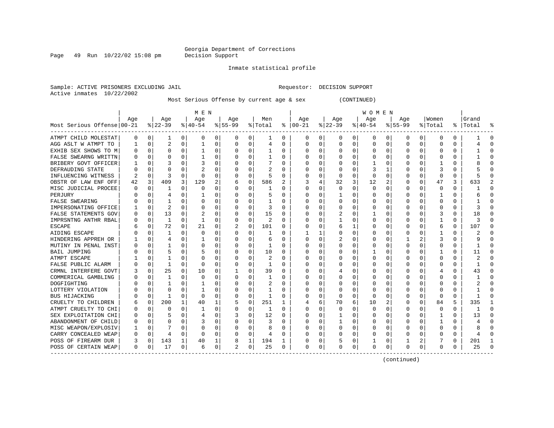Page  $49$  Run  $10/22/02$  15:08 pm

#### Inmate statistical profile

Sample: ACTIVE PRISONERS EXCLUDING JAIL Requestor: DECISION SUPPORT Active inmates 10/22/2002

Most Serious Offense by current age & sex (CONTINUED)

|                            |          |             |                |              | M E N          |          |           |          |         |          |               |             |          |          | W O M E N |          |             |          |          |          |           |              |
|----------------------------|----------|-------------|----------------|--------------|----------------|----------|-----------|----------|---------|----------|---------------|-------------|----------|----------|-----------|----------|-------------|----------|----------|----------|-----------|--------------|
|                            | Age      |             | Age            |              | Age            |          | Age       |          | Men     |          | Age           |             | Age      |          | Age       |          | Age         |          | Women    |          | Grand     |              |
| Most Serious Offense 00-21 |          |             | $8 22-39$      |              | $8 40-54$      |          | $8 55-99$ |          | % Total |          | $8   00 - 21$ |             | $ 22-39$ |          | $ 40-54$  |          | $8155 - 99$ |          | % Total  |          | %   Total |              |
| ATMPT CHILD MOLESTAT       | 0        | 0           | 1              | 0            | 0              | 0        | 0         | 0        | 1       | 0        | 0             | $\mathbf 0$ | 0        | 0        | 0         | 0        | 0           | 0        | 0        | 0        |           | 0            |
| AGG ASLT W ATMPT TO        |          | 0           | 2              | 0            | 1              | 0        | O         | 0        | 4       | U        | 0             | 0           | U        | 0        | 0         | $\Omega$ | $\Omega$    | 0        | O        | U        |           | <sup>0</sup> |
| EXHIB SEX SHOWS TO M       |          | $\mathbf 0$ | U              | U            |                | 0        | O         | 0        |         | U        | C             | O           | U        | O        | Ω         | $\Omega$ | $\Omega$    | $\Omega$ | C        | U        |           | <sup>0</sup> |
| FALSE SWEARNG WRITTN       |          | $\mathbf 0$ | O              | U            |                | $\Omega$ | O         | $\Omega$ |         | U        | O             | 0           | U        | O        | Ω         | $\Omega$ | ∩           | U        | O        | 0        |           |              |
| BRIBERY GOVT OFFICER       |          | $\Omega$    |                |              | Р              | $\Omega$ | U         | $\Omega$ |         | U        | C             | 0           | ∩        | O        |           | $\cap$   |             |          |          | U        |           |              |
| DEFRAUDING STATE           |          | $\Omega$    | U              |              |                | 0        | O         | O        | 2       | U        | O             | 0           | $\Omega$ | O        | 3         |          | O           | O        | 3        | U        |           |              |
| INFLUENCING WITNESS        | 2        | $\Omega$    | 3              | 0            | $\Omega$       | 0        | O         | 0        | 5       | U        |               | $\Omega$    | $\Omega$ | O        | 0         | n        |             | $\Omega$ | $\Omega$ | 0        |           |              |
| OBSTR OF LAW ENF OFF       | 42       | 3           | 409            | 3            | 129            | 2        | 6         | 0        | 586     | 2        | 3             | 4           | 32       | 3        | 12        | 2        |             | $\Omega$ | 47       | 3        | 633       |              |
| MISC JUDICIAL PROCEE       |          | $\Omega$    | 1              | $\Omega$     | 0              | $\Omega$ | O         | $\Omega$ | -1      | U        | <sup>0</sup>  | $\Omega$    | $\Omega$ | $\Omega$ | Ω         | $\Omega$ | O           | $\Omega$ | $\Omega$ | 0        |           | ſ            |
| PERJURY                    |          | $\Omega$    | 4              | 0            |                | 0        |           | $\Omega$ | 5       | 0        | O             | 0           |          | 0        | Ω         | 0        |             | $\Omega$ | -1       | 0        |           |              |
| <b>FALSE SWEARING</b>      |          | $\mathbf 0$ | $\mathbf{1}$   | O            | $\Omega$       | $\Omega$ |           | $\Omega$ |         | U        |               | $\Omega$    | O        | $\Omega$ | ი         | 0        |             | $\Omega$ | O        | 0        |           | ſ            |
| IMPERSONATING OFFICE       |          | $\Omega$    | $\overline{2}$ | U            | $\Omega$       | O        | O         | $\Omega$ | 3       | U        | C             | 0           | O        | O        | U         | $\Omega$ | $\Omega$    | $\Omega$ |          | 0        |           | ſ            |
| FALSE STATEMENTS GOV       |          | $\Omega$    | 13             | $\Omega$     | $\overline{c}$ | 0        | O         | $\Omega$ | 15      | 0        | O             | 0           |          | 0        |           | 0        | O           | O        |          | 0        | 18        | n            |
| IMPRSNTNG ANTHR RBAL       |          | 0           | 1              | $\Omega$     | -1             | 0        | O         | 0        | 2       | $\Omega$ | O             | $\Omega$    |          | O        | U         | 0        | O           | O        |          | 0        | 3         | ∩            |
| ESCAPE                     |          | 0           | 72             | 0            | 21             | 0        | 2         | 0        | 101     | U        | O             | 0           | 6        |          | 0         | 0        | O           | O        | 6        | 0        | 107       | O            |
| AIDING ESCAPE              |          | $\Omega$    | 1              | U            | 0              | 0        | O         | $\Omega$ |         | U        | 1             |             | 0        | 0        | 0         | 0        | 0           |          |          | 0        |           |              |
| HINDERING APPREH OR        |          | $\mathbf 0$ | 4              | U            |                | 0        |           | $\Omega$ | 6       | U        | O             | 0           |          | O        | Ω         | 0        |             |          |          | 0        | Q         |              |
| MUTINY IN PENAL INST       |          | $\Omega$    | 1              | U            | $\Omega$       | O        |           | O        | -1      | U        | C             | 0           | U        | O        | Ω         | $\Omega$ | $\Omega$    | U        | O        | U        |           |              |
| BAIL JUMPING               |          | $\Omega$    |                | U            |                | O        | O         | $\Omega$ | 10      | U        | O             | 0           | U        | O        |           | n        |             | U        |          | U        | 11        |              |
| ATMPT ESCAPE               |          | $\Omega$    |                | U            | $\Omega$       | $\Omega$ |           | $\Omega$ | 2       | U        | O             | $\Omega$    | O        | O        | Ω         | n        |             | U        | n        | $\Omega$ | 2         |              |
| FALSE PUBLIC ALARM         |          | $\Omega$    | -1             | 0            | $\Omega$       | O        |           | $\Omega$ | -1      | U        | O             | 0           | U        | O        | Ω         | $\Omega$ |             | O        | O        | U        |           | ſ            |
| CRMNL INTERFERE GOVT       |          | $\Omega$    | 25             | $\Omega$     | 10             | O        |           | $\Omega$ | 39      | U        | O             | 0           |          | O        | Ω         | n        |             | O        |          | U        | 43        | n            |
| COMMERICAL GAMBLING        |          | 0           | 1              | 0            | 0              | $\Omega$ |           | 0        | 1       | U        | O             | $\Omega$    | 0        | 0        | Ω         | $\Omega$ |             | O        | Ω        | 0        |           | C            |
| DOGFIGHTING                |          | $\mathbf 0$ |                | U            |                | 0        |           | 0        | 2       | U        |               | 0           |          | O        | Ω         | 0        |             | U        | C        | 0        |           |              |
| LOTTERY VIOLATION          |          | $\Omega$    | $\Omega$       | U            |                | 0        |           | $\Omega$ | 1       | U        |               | 0           | 0        | 0        | 0         | 0        |             | $\Omega$ | C        | 0        |           | ſ            |
| BUS HIJACKING              |          | 0           | -1             | $\Omega$     | $\Omega$       | O        | O         | 0        | 1       | U        | C             | $\Omega$    | $\Omega$ | O        | $\Omega$  | $\Omega$ | O           | $\Omega$ | ∩        | 0        |           | ſ            |
| CRUELTY TO CHILDREN        |          | 0           | 200            | $\mathbf{1}$ | 40             | 1        |           | 0        | 251     | 1        | 4             | 6           | 70       | 6        | 10        | 2        | O           | $\Omega$ | 84       | 5        | 335       |              |
| ATMPT CRUELTY TO CHI       |          | 0           | $\Omega$       | U            | -1             | 0        | O         | 0        | 1       | U        | <sup>0</sup>  | 0           | $\Omega$ | O        | $\Omega$  | $\Omega$ | O           | $\Omega$ | $\Omega$ | 0        |           | $\Omega$     |
| SEX EXPLOITATION CHI       |          | $\Omega$    | 5              | 0            | 4              | 0        |           | $\Omega$ | 12      | 0        | 0             | 0           |          | 0        | 0         | 0        | 0           | $\Omega$ |          | 0        | 13        | n            |
| ABANDONMENT OF CHILD       |          | $\mathbf 0$ | U              | U            | З              | 0        |           | $\Omega$ | 3       | U        | 0             | 0           |          | 0        | 0         | 0        |             |          |          | 0        |           | C            |
| MISC WEAPON/EXPLOSIV       |          | $\mathbf 0$ |                |              | C              | 0        | O         | $\Omega$ | 8       | U        | C             | 0           | U        | 0        | U         | $\Omega$ |             | O        | O        | 0        |           |              |
| CARRY CONCEALED WEAP       |          | $\Omega$    | 4              | U            | $\Omega$       | 0        | O         | 0        | 4       | 0        | O             | 0           | U        | 0        | 0         | 0        | ∩           | U        |          | 0        |           |              |
| POSS OF FIREARM DUR        |          | $\mathbf 0$ | 143            | 1            | 40             | 1        | 8         | 1        | 194     | 1        | O             | 0           |          | 0        |           | 0        |             | 2        |          | 0        | 201       |              |
| POSS OF CERTAIN WEAP       | $\Omega$ | $\Omega$    | 17             | 0            | 6              | 0        | 2         | 0        | 25      | 0        | <sup>0</sup>  | 0           | U        | 0        | U         | $\Omega$ | $\Omega$    | 0        | O        | 0        | 25        |              |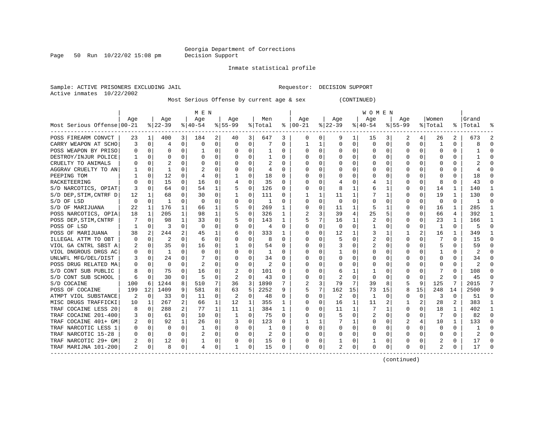Page 50 Run  $10/22/02$  15:08 pm

#### Inmate statistical profile

Sample: ACTIVE PRISONERS EXCLUDING JAIL **Requestor: DECISION SUPPORT** Active inmates 10/22/2002

Most Serious Offense by current age & sex (CONTINUED)

|                            |          |          |           |                | M E N       |             |             |              |                |              |                |             |              |          | W O M E N |          |           |          |              |              |                |              |
|----------------------------|----------|----------|-----------|----------------|-------------|-------------|-------------|--------------|----------------|--------------|----------------|-------------|--------------|----------|-----------|----------|-----------|----------|--------------|--------------|----------------|--------------|
|                            | Aqe      |          | Age       |                | Aqe         |             | Aqe         |              | Men            |              | Aqe            |             | Aqe          |          | Aqe       |          | Aqe       |          | Women        |              | Grand          |              |
| Most Serious Offense 00-21 |          |          | $ 22-39 $ |                | $8140 - 54$ |             | $8155 - 99$ |              | % Total        |              | $8   00 - 21$  |             | $8$   22-39  |          | $8 40-54$ |          | $8 55-99$ |          | % Total      |              | %   Total      |              |
| POSS FIREARM CONVCT        | 23       | 1        | 400       | $\overline{3}$ | 184         | 2           | 40          | 3            | 647            | 3            | $\mathbf 0$    | 0           | 9            | 1        | 15        | 3        | 2         | 4        | 26           | 2            | 673            |              |
| CARRY WEAPON AT SCHO       | 3        | $\Omega$ | 4         | 0              | $\Omega$    | $\Omega$    | $\Omega$    | 0            |                | 0            | -1             | 1           | $\Omega$     | $\Omega$ | $\Omega$  | 0        | $\Omega$  | $\Omega$ | -1           | U            | ጸ              | ∩            |
| POSS WEAPON BY PRISO       |          | $\Omega$ | 0         | 0              |             | 0           | O           | $\Omega$     |                | 0            | 0              | 0           | 0            | $\Omega$ | 0         | $\Omega$ | $\Omega$  | $\Omega$ | 0            | 0            |                | n            |
| DESTROY/INJUR POLICE       |          | $\Omega$ | U         | U              | $\Omega$    | 0           |             | 0            |                | O            | <sup>0</sup>   | 0           | <sup>0</sup> | $\Omega$ | U         | $\Omega$ | ∩         | $\Omega$ |              | O            |                |              |
| CRUELTY TO ANIMALS         |          | $\Omega$ |           |                | $\Omega$    | 0           |             | $\Omega$     |                | 0            | <sup>0</sup>   | 0           | O            | O        | U         | $\Omega$ | $\Omega$  | $\Omega$ |              | 0            |                |              |
| AGGRAV CRUELTY TO AN       |          | $\Omega$ |           | U              |             | 0           | O           | $\Omega$     | 4              | 0            | ∩              | $\Omega$    | <sup>0</sup> | O        | U         | O        | ∩         | U        | n            | 0            |                |              |
| PEEPING TOM                |          | $\Omega$ | 12        | 0              | 4           | 0           | 1           | $\Omega$     | 18             | $\Omega$     | <sup>0</sup>   | $\Omega$    | $\Omega$     | O        | Ω         | O        |           | $\Omega$ | O            | 0            | 18             |              |
| RACKETEERING               |          | $\Omega$ | 15        | 0              | 16          | $\Omega$    |             | $\Omega$     | 35             | 0            | <sup>0</sup>   | $\Omega$    | 4            | O        |           |          |           | $\Omega$ | 8            | 0            | 43             |              |
| S/D NARCOTICS, OPIAT       | 3        | $\Omega$ | 64        | $\Omega$       | 54          | 1           | 5           | $\mathbf 0$  | 126            | 0            | <sup>0</sup>   | $\Omega$    | 8            | 1        | 6         |          | O         | $\Omega$ | 14           | 1            | 140            |              |
| S/D DEP, STIM, CNTRF D     | 12       | 1        | 68        | $\Omega$       | 30          | 0           | 1           | 0            | 111            | 0            |                | $\mathbf 1$ | 11           | 1        |           | 1        |           | $\Omega$ | 19           | $\mathbf{1}$ | 130            | ſ            |
| S/D OF LSD                 | $\Omega$ | $\Omega$ | -1        | $\Omega$       | $\Omega$    | $\Omega$    | $\Omega$    | $\mathbf 0$  | $\mathbf{1}$   | O            | $\Omega$       | $\mathbf 0$ | $\Omega$     | $\Omega$ | 0         | 0        | $\Omega$  | $\Omega$ | $\Omega$     | $\Omega$     |                | $\sqrt{ }$   |
| S/D OF MARIJUANA           | 22       | 1        | 176       | 1              | 66          | 1           |             | 0            | 269            | $\mathbf{1}$ | $\Omega$       | $\Omega$    | 11           | 1        | 5         | 1        | $\Omega$  | $\Omega$ | 16           | $\mathbf{1}$ | 285            |              |
| POSS NARCOTICS, OPIA       | 18       | 1        | 205       | 1              | 98          | 1           | 5           | $\Omega$     | 326            | 1            | $\overline{2}$ | 3           | 39           | 4        | 25        | 5        | O         | $\Omega$ | 66           | 4            | 392            | -1           |
| POSS DEP, STIM, CNTRF      |          | $\Omega$ | 98        | $\mathbf{1}$   | 33          | 0           |             | 0            | 143            | 1            | 5              | 7           | 16           | 1        | 2         | O        | O         | $\Omega$ | 23           | 1            | 166            |              |
| POSS OF LSD                |          | $\Omega$ | 3         | 0              | $\Omega$    | 0           | O           | 0            | $\overline{4}$ | 0            | $\Omega$       | $\Omega$    | $\Omega$     | $\Omega$ |           | 0        | $\Omega$  | $\Omega$ | -1           | U            | 5              | <sup>0</sup> |
| POSS OF MARIJUANA          | 38       | 2        | 244       |                | 45          | 1           | 6           | $\Omega$     | 333            | 1            | O              | $\Omega$    | 12           | 1        | 3         |          |           | 2        | 16           | 1            | 349            |              |
| ILLEGAL ATTM TO OBT        |          | $\Omega$ | 2         | U              | 6           | 0           | O           | 0            | 8              | O            | <sup>0</sup>   | 0           | 5            | O        | 2         | O        | ∩         |          |              | O            | 15             |              |
| VIOL GA CNTRL SBST A       |          | $\Omega$ | 35        | 0              | 16          | 0           | 1           | $\Omega$     | 54             | O            | <sup>0</sup>   | $\Omega$    |              | O        |           | O        | ∩         | $\Omega$ | 5            | U            | 59             |              |
| VIOL DNGROUS DRGS AC       |          | $\Omega$ | -1        | 0              | $\Omega$    | 0           | O           | O            | 1              | U            | ∩              | $\Omega$    | 1            | O        | U         | n        | ∩         | U        |              | U            | 2              |              |
| UNLWFL MFG/DEL/DIST        |          | $\Omega$ | 24        | 0              | 7           | 0           | O           | $\Omega$     | 34             | 0            | <sup>0</sup>   | $\Omega$    | $\Omega$     | O        | Ω         | O        |           | $\Omega$ | O            | 0            | 34             |              |
| POSS DRUG RELATED MA       |          | $\Omega$ | O         | 0              | 2           | $\Omega$    | O           | $\Omega$     | 2              | 0            | O              | $\Omega$    | $\Omega$     | $\Omega$ | 0         | O        |           | $\Omega$ | O            | 0            | $\overline{c}$ |              |
| S/D CONT SUB PUBLIC        |          | $\Omega$ | 75        | 0              | 16          | 0           |             | $\mathbf 0$  | 101            | 0            | O              | $\Omega$    | 6            | 1        |           | O        |           | $\Omega$ |              | 0            | 108            |              |
| S/D CONT SUB SCHOOL        | 6        | 0        | 30        | 0              | 5           | 0           | 2           | 0            | 43             | 0            | 0              | 0           | 2            | $\Omega$ | O         | $\Omega$ |           | $\Omega$ | 2            | U            | 45             |              |
| S/D COCAINE                | 100      | 6        | 1244      | 8              | 510         | 7.          | 36          | 3            | 1890           |              |                | 3           | 79           | 7        | 39        | 8        | 5         | 9        | 125          | 7            | 2015           |              |
| POSS OF COCAINE            | 199      | 12       | 1409      | 9              | 581         | 8           | 63          | 5            | 2252           | 9            | 5              | 7           | 162          | 15       | 73        | 15       | 8         | 15       | 248          | 14           | 2500           | q            |
| ATMPT VIOL SUBSTANCE       | 2        | $\Omega$ | 33        | 0              | 11          | 0           | 2           | $\Omega$     | 48             | 0            | $\Omega$       | 0           | 2            | $\Omega$ | 1         | $\Omega$ | O         | $\Omega$ | 3            | 0            | 51             | ∩            |
| MISC DRUGS TRAFFICKI       | 10       | 1        | 267       | $\overline{2}$ | 66          | $\mathbf 1$ | 12          | 1            | 355            | 1            | $\Omega$       | 0           | 16           | 1        | 11        | 2        |           | 2        | 28           | 2            | 383            |              |
| TRAF COCAINE LESS 20       | 8        | $\Omega$ | 288       | $\overline{2}$ | 77          | 1           | 11          | $\mathbf{1}$ | 384            | 1            | $\Omega$       | $\Omega$    | 11           | 1        | 7         | 1        | $\Omega$  | $\Omega$ | 18           | 1            | 402            |              |
| TRAF COCAINE 201-400       | 3        | $\Omega$ | 61        | 0              | 10          | $\Omega$    | -1          | $\Omega$     | 75             | 0            | O              | $\Omega$    | 5            | $\Omega$ | 2         | 0        | O         | $\Omega$ |              | U            | 82             | n            |
| TRAF COCAINE 401+ GM       |          | $\Omega$ | 92        | $\mathbf{1}$   | 26          | 0           |             | 0            | 123            | O            |                | 1           |              | 1        | U         | 0        |           | 4        | 10           | 1            | 133            |              |
| TRAF NARCOTIC LESS 1       |          | $\Omega$ | O         | 0              | -1          | 0           | $\Omega$    | $\Omega$     |                | O            | <sup>0</sup>   | $\Omega$    | $\Omega$     | O        | U         | $\Omega$ | $\Omega$  | $\Omega$ | <sup>0</sup> | 0            |                |              |
| TRAF NARCOTIC 15-28        | 0        | $\Omega$ | O         | 0              | 2           | 0           | $\Omega$    | 0            | 2              | 0            | ∩              | 0           | $\Omega$     | $\Omega$ | U         | $\Omega$ | $\Omega$  | $\Omega$ | $\Omega$     | 0            | 2              |              |
| TRAF NARCOTIC 29+ GM       |          | $\Omega$ | 12        | 0              |             | 0           | 0           | 0            | 15             | 0            | <sup>0</sup>   | 0           |              | 0        |           | 0        | ∩         | $\Omega$ |              | 0            | 17             |              |
| TRAF MARIJNA 101-200       | 2        | $\Omega$ | 8         | 0              | 4           | 0           | 1           | 0            | 15             | 0            | $\Omega$       | 0           |              | 0        | U         | 0        | $\Omega$  | 0        | 2            | 0            | 17             |              |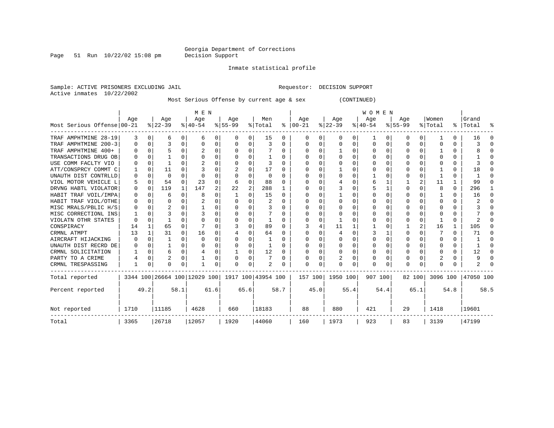Page 51 Run  $10/22/02$  15:08 pm

Inmate statistical profile

Sample: ACTIVE PRISONERS EXCLUDING JAIL **Requestor: DECISION SUPPORT** Active inmates 10/22/2002

Most Serious Offense by current age & sex (CONTINUED)

|                            | M E N    |          |           |              |                              |      |          |                |                    |      | <b>WOMEN</b>  |      |          |          |           |          |              |          |          |          |           |      |
|----------------------------|----------|----------|-----------|--------------|------------------------------|------|----------|----------------|--------------------|------|---------------|------|----------|----------|-----------|----------|--------------|----------|----------|----------|-----------|------|
|                            | Aqe      |          | Age       |              | Age                          |      | Age      |                | Men                |      | Age           |      | Age      |          | Age       |          | Aqe          |          | Women    |          | Grand     |      |
| Most Serious Offense 00-21 |          |          | $ 22-39 $ |              | $ 40-54 $                    |      | $ 55-99$ |                | % Total            |      | $8   00 - 21$ |      | $ 22-39$ |          | $ 40-54 $ |          | $8 55-99$    |          | % Total  |          | %   Total |      |
| TRAF AMPHTMINE 28-19       | 3        | 0        | 6         | 0            | 6                            | 0    | 0        | 0              | 15                 | 0    | $\Omega$      | 0    | O        | 0        |           | O        | 0            | 0        |          | 0        | 16        | ∩    |
| TRAF AMPHTMINE 200-3       | 0        | 0        |           | $\Omega$     | 0                            | 0    |          | 0              | 3                  | 0    | $\Omega$      | 0    | $\Omega$ | $\Omega$ | 0         | $\Omega$ | 0            | $\Omega$ | O        | 0        | 3         | n    |
| TRAF AMPHTMINE 400+        |          | $\Omega$ |           | $\Omega$     |                              | 0    |          | $\Omega$       |                    | 0    | n             | 0    |          | $\Omega$ | O         | $\Omega$ | <sup>0</sup> | $\Omega$ |          | U        |           | ∩    |
| TRANSACTIONS DRUG OB       |          | $\Omega$ |           |              | n                            | U    |          | $\Omega$       |                    |      | $\Omega$      | U    |          | $\Omega$ | U         | C        | ∩            | U        |          | U        |           |      |
| USE COMM FACLTY VIO        |          | $\Omega$ |           | U            |                              | 0    |          | $\Omega$       | 3                  |      | n             | U    |          |          | O         |          |              |          |          | U        |           |      |
| ATT/CONSPRCY COMMT C       |          | 0        | 11        | 0            |                              | U    |          | $\Omega$       | 17                 | O    | O             | U    |          | $\Omega$ | O         |          | O            |          |          | U        | 18        | n    |
| UNAUTH DIST CONTRLLD       | 0        | $\Omega$ | $\Omega$  | O            | $\Omega$                     | U    |          | $\Omega$       | $\Omega$           | O    |               | U    |          | $\Omega$ |           |          |              | 0        |          | U        |           |      |
| VIOL MOTOR VEHICLE L       | 5        | $\Omega$ | 54        | <sup>n</sup> | 23                           | U    |          | $\Omega$       | 88                 | U    | n             | U    |          | ∩        | 6         |          |              |          | 11       | 1        | 99        |      |
| DRVNG HABTL VIOLATOR       | $\Omega$ | $\Omega$ | 119       | 1            | 147                          | 2    | 22       | $\overline{2}$ | 288                |      | n             | U    |          | $\Omega$ | 5         |          | <sup>0</sup> |          | 8        | $\Omega$ | 296       |      |
| HABIT TRAF VOIL/IMPA       | 0        | $\Omega$ | 6         | 0            | 8                            | 0    |          | $\Omega$       | 15                 | U    | n             | U    |          | $\Omega$ | O         |          | ∩            |          |          | U        | 16        | ∩    |
| HABIT TRAF VIOL/OTHE       | $\Omega$ | $\Omega$ | 0         | 0            | $\overline{c}$               | 0    |          | $\Omega$       | 2                  | 0    | $\Omega$      | O    | O        | $\Omega$ | O         |          | n            |          | U        | U        | 2         | ∩    |
| MISC MRALS/PBLIC H/S       |          | $\Omega$ |           | $\Omega$     |                              | 0    |          | $\Omega$       |                    | O    |               | O    |          | $\Omega$ |           |          |              |          |          | U        |           | ∩    |
| MISC CORRECTIONL INS       |          | $\Omega$ |           | U            |                              | O    |          | $\Omega$       |                    | U    | O             | U    |          | ∩        | O         |          | O            |          |          | U        |           | n    |
| VIOLATN OTHR STATES        | O        | $\Omega$ |           |              | n                            | U    |          | ∩              |                    |      | n             | U    |          |          | O         |          | n            | U        |          | 0        | 2         |      |
| CONSPIRACY                 | 14       | 1        | 65        | 0            |                              | U    |          | $\Omega$       | 89                 |      |               |      | 11       |          |           |          |              |          | 16       | 1        | 105       | n    |
| CRMNL ATMPT                | 13       | 1        | 31        | 0            | 16                           | 0    |          | $\Omega$       | 64                 | 0    |               | U    |          | $\Omega$ | 3         |          |              |          |          | U        | 71        | ∩    |
| AIRCRAFT HIJACKING         |          | $\Omega$ |           | 0            | $\Omega$                     | U    |          | $\Omega$       |                    | O    |               | U    |          | $\Omega$ | U         | C        |              |          |          | U        |           |      |
| UNAUTH DIST RECRD DE       | 0        | $\Omega$ |           | 0            | O                            | U    |          | $\Omega$       |                    | U    | O             | U    | O        | $\Omega$ | O         | C        | O            |          | U        | U        |           |      |
| CRMNL SOLICITATION         |          | $\Omega$ | 6         | 0            |                              | U    |          | $\Omega$       | 12                 |      | n             | O    | $\Omega$ | $\Omega$ | O         |          | <sup>0</sup> |          | U        | U        | 12        |      |
| PARTY TO A CRIME           |          | 0        | 2         | 0            |                              | 0    |          | $\Omega$       |                    |      | O             | 0    |          | $\Omega$ | 0         |          | <sup>0</sup> |          |          | U        | 9         | C    |
| CRMNL TRESPASSING          | 1        | 0        | $\Omega$  | 0            |                              | 0    | ∩        | $\Omega$       | 2                  |      | $\mathbf 0$   | 0    | O        | 0        | O         |          | <sup>0</sup> | 0        |          | U        | 2         |      |
| Total reported             |          |          |           |              | 3344 100 26664 100 12029 100 |      |          |                | 1917 100 43954 100 |      | 157 100       |      | 1950 100 |          | 907 100   |          | 82 100       |          | 3096 100 |          | 47050 100 |      |
| Percent reported           |          | 49.2     |           | 58.1         |                              | 61.6 | 65.6     |                |                    | 58.7 |               | 45.0 |          | 55.4     |           | 54.4     |              | 65.1     |          | 54.8     |           | 58.5 |
| Not reported               | 1710     | 11185    |           |              | 4628                         |      | 660      |                | 18183              |      | 88            |      | 880      |          | 421       |          | 29           |          | 1418     |          | 19601     |      |
| Total                      | 3365     | 26718    |           |              | 12057                        |      | 1920     |                | 44060              |      | 160           |      | 1973     |          | 923       |          | 83           |          | 3139     |          | 47199     |      |